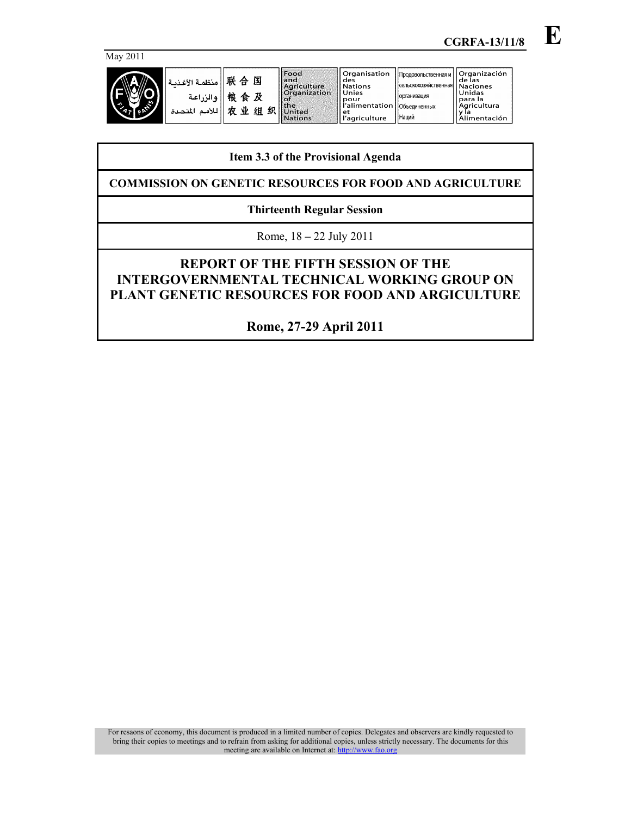**E**

May 2011

| š,<br>$\hat{\phantom{a}}$ | منظمة الأغذمة<br>ه الن اعة<br>المتحدة<br>اللأمد | 联<br>圓<br>⇔<br>锒<br>食<br>Νŀ<br>织<br>细<br>w | . Food<br>land<br>Agriculture<br><b>Organization</b><br>lot<br><b>the</b><br>United<br><b>Nations</b> | l Organisation<br>l des<br>  Nations<br>Unies<br>l pour<br>ı İ'alimentation   Объединенных<br>et<br>l'agriculture | Продовольственная и І<br>Псельскохозяйственная   Naciones<br><b>Горганизация</b><br>. Наций | <b>Organización</b><br>l de las<br>Unidas<br>l para la<br>Aaricultura<br>l v Ia<br>Alimentación |
|---------------------------|-------------------------------------------------|--------------------------------------------|-------------------------------------------------------------------------------------------------------|-------------------------------------------------------------------------------------------------------------------|---------------------------------------------------------------------------------------------|-------------------------------------------------------------------------------------------------|
|---------------------------|-------------------------------------------------|--------------------------------------------|-------------------------------------------------------------------------------------------------------|-------------------------------------------------------------------------------------------------------------------|---------------------------------------------------------------------------------------------|-------------------------------------------------------------------------------------------------|

# **Item 3.3 of the Provisional Agenda**

**COMMISSION ON GENETIC RESOURCES FOR FOOD AND AGRICULTURE** 

**Thirteenth Regular Session**

Rome, 18 **–** 22 July 2011

# **REPORT OF THE FIFTH SESSION OF THE INTERGOVERNMENTAL TECHNICAL WORKING GROUP ON PLANT GENETIC RESOURCES FOR FOOD AND ARGICULTURE**

**Rome, 27-29 April 2011** 

For resaons of economy, this document is produced in a limited number of copies. Delegates and observers are kindly requested to bring their copies to meetings and to refrain from asking for additional copies, unless strictly necessary. The documents for this meeting are available on Internet at: http://www.fao.org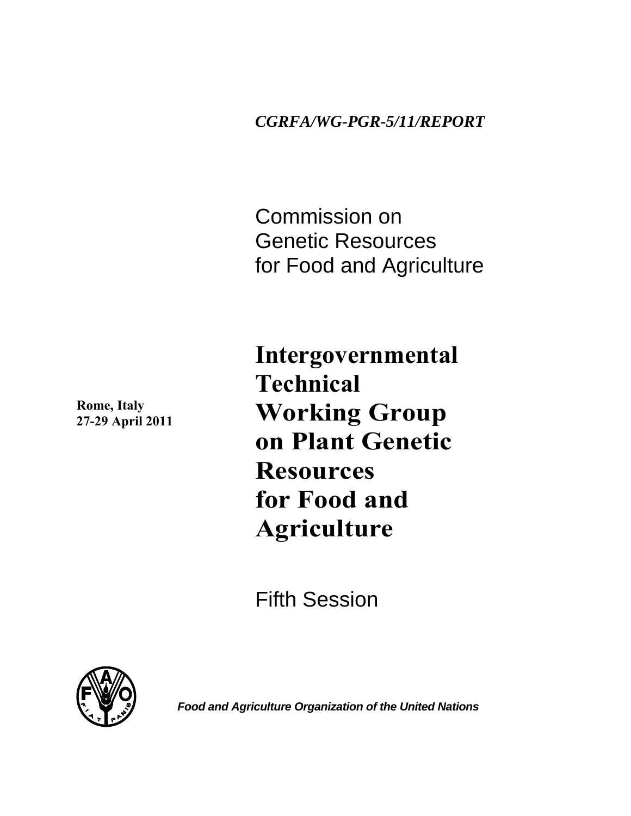*CGRFA/WG-PGR-5/11/REPORT* 

Commission on Genetic Resources for Food and Agriculture

**27-29 April 2011**

**Intergovernmental Technical**  Rome, Italy<br>27-29 April 2011 **Working Group on Plant Genetic Resources for Food and Agriculture** 

Fifth Session



*Food and Agriculture Organization of the United Nations*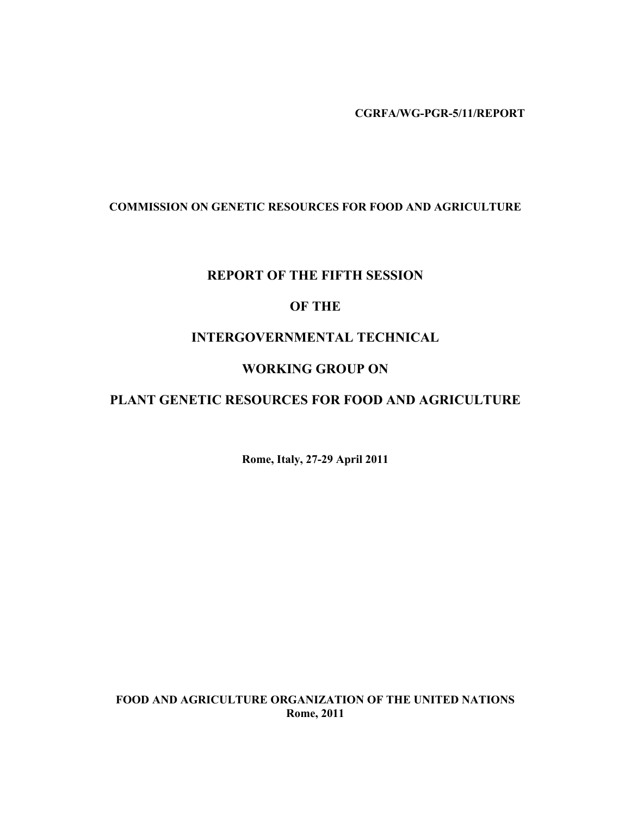**CGRFA/WG-PGR-5/11/REPORT** 

# **COMMISSION ON GENETIC RESOURCES FOR FOOD AND AGRICULTURE**

# **REPORT OF THE FIFTH SESSION**

# **OF THE**

# **INTERGOVERNMENTAL TECHNICAL**

# **WORKING GROUP ON**

# **PLANT GENETIC RESOURCES FOR FOOD AND AGRICULTURE**

**Rome, Italy, 27-29 April 2011** 

**FOOD AND AGRICULTURE ORGANIZATION OF THE UNITED NATIONS Rome, 2011**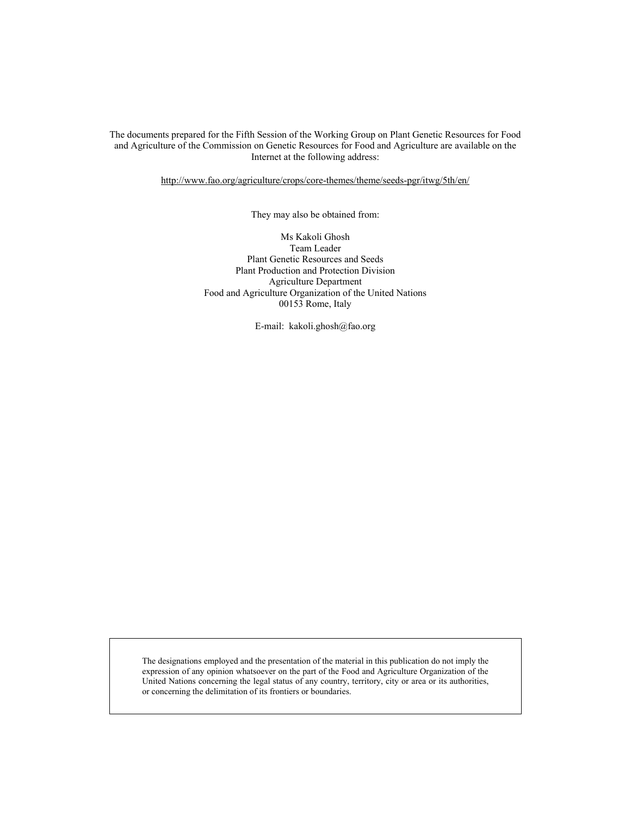The documents prepared for the Fifth Session of the Working Group on Plant Genetic Resources for Food and Agriculture of the Commission on Genetic Resources for Food and Agriculture are available on the Internet at the following address:

http://www.fao.org/agriculture/crops/core-themes/theme/seeds-pgr/itwg/5th/en/

They may also be obtained from:

Ms Kakoli Ghosh Team Leader Plant Genetic Resources and Seeds Plant Production and Protection Division Agriculture Department Food and Agriculture Organization of the United Nations 00153 Rome, Italy

E-mail: kakoli.ghosh@fao.org

The designations employed and the presentation of the material in this publication do not imply the expression of any opinion whatsoever on the part of the Food and Agriculture Organization of the United Nations concerning the legal status of any country, territory, city or area or its authorities, or concerning the delimitation of its frontiers or boundaries.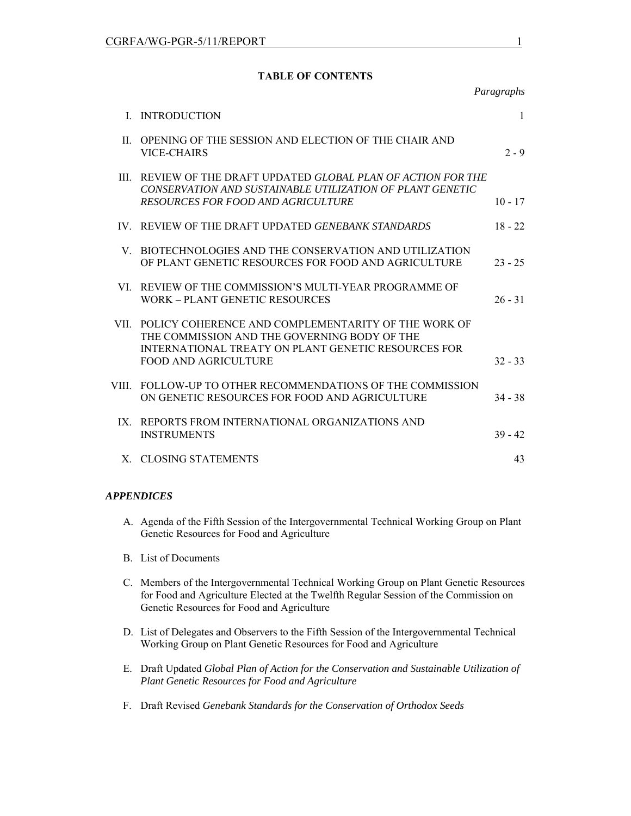### **TABLE OF CONTENTS**

*Paragraphs* 

| L INTRODUCTION                                                                                                                                                                                 | $\mathbf{1}$ |
|------------------------------------------------------------------------------------------------------------------------------------------------------------------------------------------------|--------------|
| IL OPENING OF THE SESSION AND ELECTION OF THE CHAIR AND<br><b>VICE-CHAIRS</b>                                                                                                                  | $2 - 9$      |
| III. REVIEW OF THE DRAFT UPDATED GLOBAL PLAN OF ACTION FOR THE<br>CONSERVATION AND SUSTAINABLE UTILIZATION OF PLANT GENETIC<br><b>RESOURCES FOR FOOD AND AGRICULTURE</b>                       | $10 - 17$    |
| IV. REVIEW OF THE DRAFT UPDATED GENEBANK STANDARDS                                                                                                                                             | $18 - 22$    |
| V. BIOTECHNOLOGIES AND THE CONSERVATION AND UTILIZATION<br>OF PLANT GENETIC RESOURCES FOR FOOD AND AGRICULTURE                                                                                 | $23 - 25$    |
| VI. REVIEW OF THE COMMISSION'S MULTI-YEAR PROGRAMME OF<br><b>WORK - PLANT GENETIC RESOURCES</b>                                                                                                | $26 - 31$    |
| VII. POLICY COHERENCE AND COMPLEMENTARITY OF THE WORK OF<br>THE COMMISSION AND THE GOVERNING BODY OF THE<br>INTERNATIONAL TREATY ON PLANT GENETIC RESOURCES FOR<br><b>FOOD AND AGRICULTURE</b> | $32 - 33$    |
| VIII. FOLLOW-UP TO OTHER RECOMMENDATIONS OF THE COMMISSION<br>ON GENETIC RESOURCES FOR FOOD AND AGRICULTURE                                                                                    | $34 - 38$    |
| IX. REPORTS FROM INTERNATIONAL ORGANIZATIONS AND<br><b>INSTRUMENTS</b>                                                                                                                         | $39 - 42$    |
| X. CLOSING STATEMENTS                                                                                                                                                                          | 43           |

### *APPENDICES*

- A. Agenda of the Fifth Session of the Intergovernmental Technical Working Group on Plant Genetic Resources for Food and Agriculture
- B. List of Documents
- C. Members of the Intergovernmental Technical Working Group on Plant Genetic Resources for Food and Agriculture Elected at the Twelfth Regular Session of the Commission on Genetic Resources for Food and Agriculture
- D. List of Delegates and Observers to the Fifth Session of the Intergovernmental Technical Working Group on Plant Genetic Resources for Food and Agriculture
- E. Draft Updated *Global Plan of Action for the Conservation and Sustainable Utilization of Plant Genetic Resources for Food and Agriculture*
- F. Draft Revised *Genebank Standards for the Conservation of Orthodox Seeds*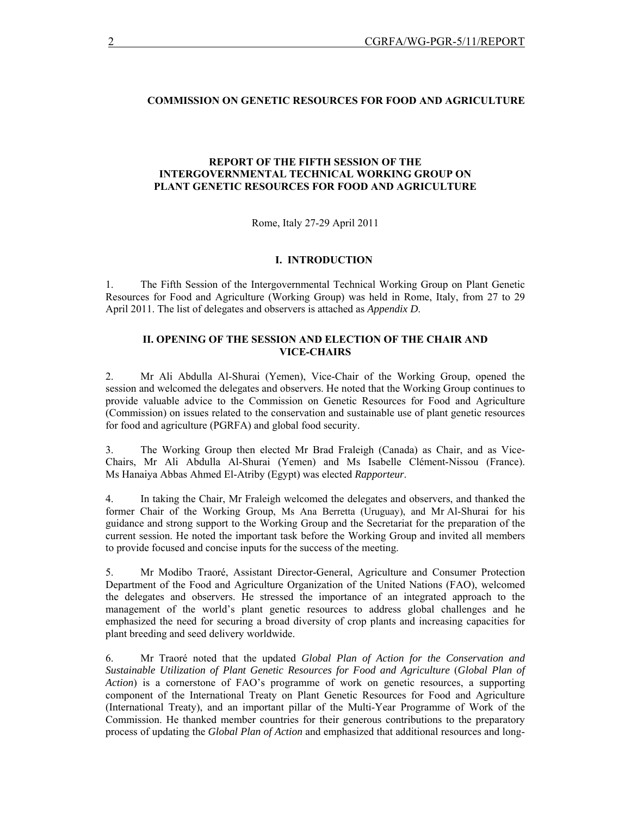#### **COMMISSION ON GENETIC RESOURCES FOR FOOD AND AGRICULTURE**

#### **REPORT OF THE FIFTH SESSION OF THE INTERGOVERNMENTAL TECHNICAL WORKING GROUP ON PLANT GENETIC RESOURCES FOR FOOD AND AGRICULTURE**

Rome, Italy 27-29 April 2011

## **I. INTRODUCTION**

1. The Fifth Session of the Intergovernmental Technical Working Group on Plant Genetic Resources for Food and Agriculture (Working Group) was held in Rome, Italy, from 27 to 29 April 2011. The list of delegates and observers is attached as *Appendix D*.

## **II. OPENING OF THE SESSION AND ELECTION OF THE CHAIR AND VICE-CHAIRS**

2. Mr Ali Abdulla Al-Shurai (Yemen), Vice-Chair of the Working Group, opened the session and welcomed the delegates and observers. He noted that the Working Group continues to provide valuable advice to the Commission on Genetic Resources for Food and Agriculture (Commission) on issues related to the conservation and sustainable use of plant genetic resources for food and agriculture (PGRFA) and global food security.

3. The Working Group then elected Mr Brad Fraleigh (Canada) as Chair, and as Vice-Chairs, Mr Ali Abdulla Al-Shurai (Yemen) and Ms Isabelle Clément-Nissou (France). Ms Hanaiya Abbas Ahmed El-Atriby (Egypt) was elected *Rapporteur*.

4. In taking the Chair, Mr Fraleigh welcomed the delegates and observers, and thanked the former Chair of the Working Group, Ms Ana Berretta (Uruguay), and Mr Al-Shurai for his guidance and strong support to the Working Group and the Secretariat for the preparation of the current session. He noted the important task before the Working Group and invited all members to provide focused and concise inputs for the success of the meeting.

5. Mr Modibo Traoré, Assistant Director-General, Agriculture and Consumer Protection Department of the Food and Agriculture Organization of the United Nations (FAO), welcomed the delegates and observers. He stressed the importance of an integrated approach to the management of the world's plant genetic resources to address global challenges and he emphasized the need for securing a broad diversity of crop plants and increasing capacities for plant breeding and seed delivery worldwide.

6. Mr Traoré noted that the updated *Global Plan of Action for the Conservation and Sustainable Utilization of Plant Genetic Resources for Food and Agriculture* (*Global Plan of Action*) is a cornerstone of FAO's programme of work on genetic resources, a supporting component of the International Treaty on Plant Genetic Resources for Food and Agriculture (International Treaty), and an important pillar of the Multi-Year Programme of Work of the Commission. He thanked member countries for their generous contributions to the preparatory process of updating the *Global Plan of Action* and emphasized that additional resources and long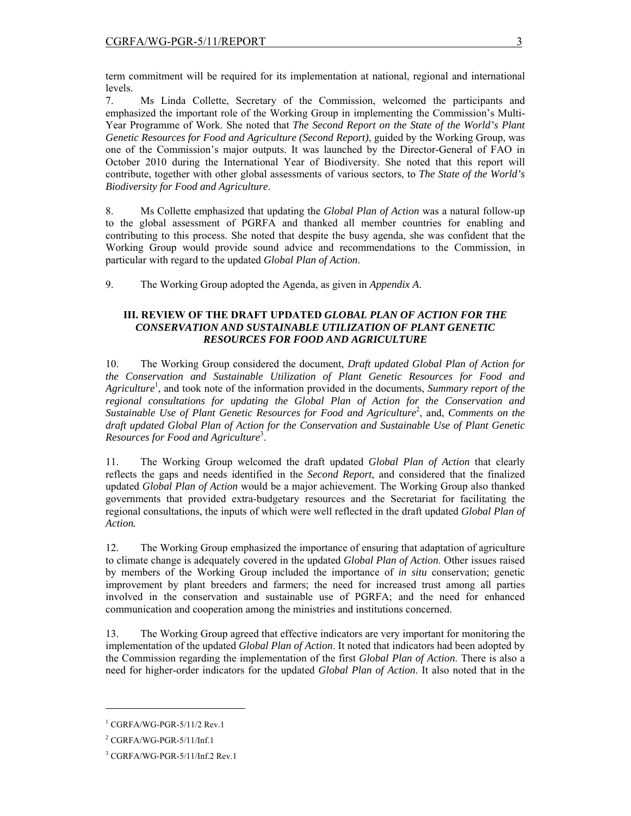term commitment will be required for its implementation at national, regional and international levels.

7. Ms Linda Collette, Secretary of the Commission, welcomed the participants and emphasized the important role of the Working Group in implementing the Commission's Multi-Year Programme of Work. She noted that *The Second Report on the State of the World's Plant Genetic Resources for Food and Agriculture (Second Report)*, guided by the Working Group, was one of the Commission's major outputs. It was launched by the Director-General of FAO in October 2010 during the International Year of Biodiversity. She noted that this report will contribute, together with other global assessments of various sectors, to *The State of the World's Biodiversity for Food and Agriculture*.

8. Ms Collette emphasized that updating the *Global Plan of Action* was a natural follow-up to the global assessment of PGRFA and thanked all member countries for enabling and contributing to this process. She noted that despite the busy agenda, she was confident that the Working Group would provide sound advice and recommendations to the Commission, in particular with regard to the updated *Global Plan of Action*.

9. The Working Group adopted the Agenda, as given in *Appendix A*.

## **III. REVIEW OF THE DRAFT UPDATED** *GLOBAL PLAN OF ACTION FOR THE CONSERVATION AND SUSTAINABLE UTILIZATION OF PLANT GENETIC RESOURCES FOR FOOD AND AGRICULTURE*

10. The Working Group considered the document, *Draft updated Global Plan of Action for the Conservation and Sustainable Utilization of Plant Genetic Resources for Food and Agriculture*<sup>1</sup> , and took note of the information provided in the documents, *Summary report of the regional consultations for updating the Global Plan of Action for the Conservation and*  Sustainable Use of Plant Genetic Resources for Food and Agriculture<sup>2</sup>, and, Comments on the *draft updated Global Plan of Action for the Conservation and Sustainable Use of Plant Genetic Resources for Food and Agriculture*<sup>3</sup> .

11. The Working Group welcomed the draft updated *Global Plan of Action* that clearly reflects the gaps and needs identified in the *Second Report*, and considered that the finalized updated *Global Plan of Action* would be a major achievement. The Working Group also thanked governments that provided extra-budgetary resources and the Secretariat for facilitating the regional consultations, the inputs of which were well reflected in the draft updated *Global Plan of Action.*

12. The Working Group emphasized the importance of ensuring that adaptation of agriculture to climate change is adequately covered in the updated *Global Plan of Action*. Other issues raised by members of the Working Group included the importance of *in situ* conservation; genetic improvement by plant breeders and farmers; the need for increased trust among all parties involved in the conservation and sustainable use of PGRFA; and the need for enhanced communication and cooperation among the ministries and institutions concerned.

13. The Working Group agreed that effective indicators are very important for monitoring the implementation of the updated *Global Plan of Action*. It noted that indicators had been adopted by the Commission regarding the implementation of the first *Global Plan of Action*. There is also a need for higher-order indicators for the updated *Global Plan of Action*. It also noted that in the

<sup>1</sup> CGRFA/WG-PGR-5/11/2 Rev.1

<sup>2</sup> CGRFA/WG-PGR-5/11/Inf.1

<sup>3</sup> CGRFA/WG-PGR-5/11/Inf.2 Rev.1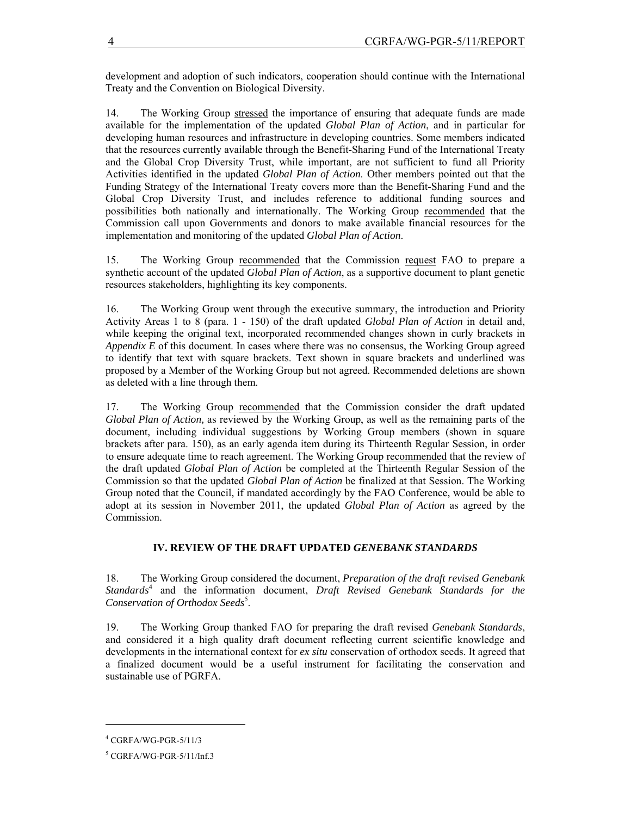development and adoption of such indicators, cooperation should continue with the International Treaty and the Convention on Biological Diversity.

14. The Working Group stressed the importance of ensuring that adequate funds are made available for the implementation of the updated *Global Plan of Action*, and in particular for developing human resources and infrastructure in developing countries. Some members indicated that the resources currently available through the Benefit-Sharing Fund of the International Treaty and the Global Crop Diversity Trust, while important, are not sufficient to fund all Priority Activities identified in the updated *Global Plan of Action*. Other members pointed out that the Funding Strategy of the International Treaty covers more than the Benefit-Sharing Fund and the Global Crop Diversity Trust, and includes reference to additional funding sources and possibilities both nationally and internationally. The Working Group recommended that the Commission call upon Governments and donors to make available financial resources for the implementation and monitoring of the updated *Global Plan of Action*.

15. The Working Group recommended that the Commission request FAO to prepare a synthetic account of the updated *Global Plan of Action*, as a supportive document to plant genetic resources stakeholders, highlighting its key components.

16. The Working Group went through the executive summary, the introduction and Priority Activity Areas 1 to 8 (para. 1 - 150) of the draft updated *Global Plan of Action* in detail and, while keeping the original text, incorporated recommended changes shown in curly brackets in *Appendix E* of this document. In cases where there was no consensus, the Working Group agreed to identify that text with square brackets. Text shown in square brackets and underlined was proposed by a Member of the Working Group but not agreed. Recommended deletions are shown as deleted with a line through them.

17. The Working Group recommended that the Commission consider the draft updated *Global Plan of Action,* as reviewed by the Working Group, as well as the remaining parts of the document, including individual suggestions by Working Group members (shown in square brackets after para. 150), as an early agenda item during its Thirteenth Regular Session, in order to ensure adequate time to reach agreement. The Working Group recommended that the review of the draft updated *Global Plan of Action* be completed at the Thirteenth Regular Session of the Commission so that the updated *Global Plan of Action* be finalized at that Session. The Working Group noted that the Council, if mandated accordingly by the FAO Conference, would be able to adopt at its session in November 2011, the updated *Global Plan of Action* as agreed by the Commission.

## **IV. REVIEW OF THE DRAFT UPDATED** *GENEBANK STANDARDS*

18. The Working Group considered the document, *Preparation of the draft revised Genebank Standards*<sup>4</sup> and the information document, *Draft Revised Genebank Standards for the*  Conservation of Orthodox Seeds<sup>5</sup>.

19. The Working Group thanked FAO for preparing the draft revised *Genebank Standards*, and considered it a high quality draft document reflecting current scientific knowledge and developments in the international context for *ex situ* conservation of orthodox seeds. It agreed that a finalized document would be a useful instrument for facilitating the conservation and sustainable use of PGRFA.

<sup>4</sup> CGRFA/WG-PGR-5/11/3

<sup>5</sup> CGRFA/WG-PGR-5/11/Inf.3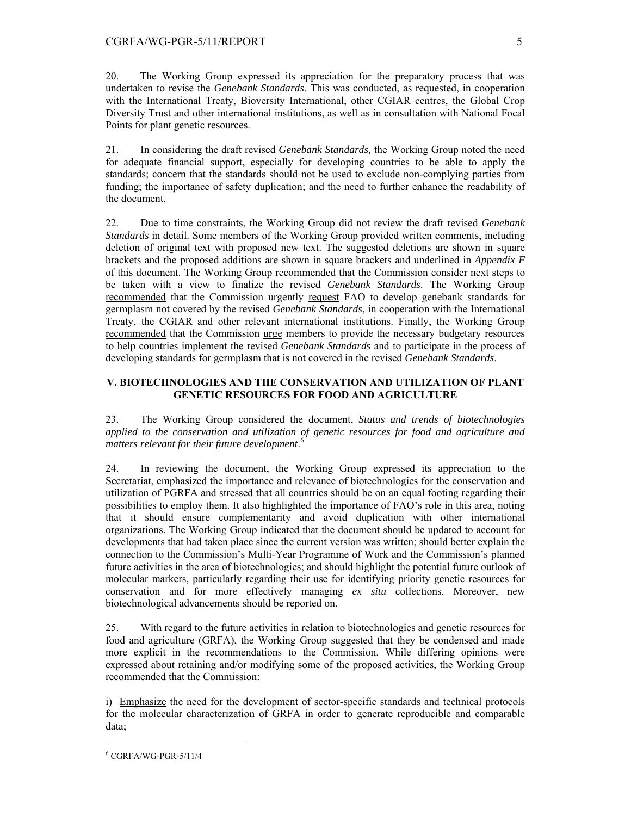20. The Working Group expressed its appreciation for the preparatory process that was undertaken to revise the *Genebank Standards*. This was conducted, as requested, in cooperation with the International Treaty, Bioversity International, other CGIAR centres, the Global Crop Diversity Trust and other international institutions, as well as in consultation with National Focal Points for plant genetic resources.

21. In considering the draft revised *Genebank Standards,* the Working Group noted the need for adequate financial support, especially for developing countries to be able to apply the standards; concern that the standards should not be used to exclude non-complying parties from funding; the importance of safety duplication; and the need to further enhance the readability of the document.

22. Due to time constraints, the Working Group did not review the draft revised *Genebank Standards* in detail. Some members of the Working Group provided written comments, including deletion of original text with proposed new text. The suggested deletions are shown in square brackets and the proposed additions are shown in square brackets and underlined in *Appendix F*  of this document. The Working Group recommended that the Commission consider next steps to be taken with a view to finalize the revised *Genebank Standards*. The Working Group recommended that the Commission urgently request FAO to develop genebank standards for germplasm not covered by the revised *Genebank Standards*, in cooperation with the International Treaty, the CGIAR and other relevant international institutions. Finally, the Working Group recommended that the Commission urge members to provide the necessary budgetary resources to help countries implement the revised *Genebank Standards* and to participate in the process of developing standards for germplasm that is not covered in the revised *Genebank Standards*.

## **V. BIOTECHNOLOGIES AND THE CONSERVATION AND UTILIZATION OF PLANT GENETIC RESOURCES FOR FOOD AND AGRICULTURE**

23. The Working Group considered the document, *Status and trends of biotechnologies applied to the conservation and utilization of genetic resources for food and agriculture and matters relevant for their future development*. 6

24. In reviewing the document, the Working Group expressed its appreciation to the Secretariat, emphasized the importance and relevance of biotechnologies for the conservation and utilization of PGRFA and stressed that all countries should be on an equal footing regarding their possibilities to employ them. It also highlighted the importance of FAO's role in this area, noting that it should ensure complementarity and avoid duplication with other international organizations. The Working Group indicated that the document should be updated to account for developments that had taken place since the current version was written; should better explain the connection to the Commission's Multi-Year Programme of Work and the Commission's planned future activities in the area of biotechnologies; and should highlight the potential future outlook of molecular markers, particularly regarding their use for identifying priority genetic resources for conservation and for more effectively managing *ex situ* collections. Moreover, new biotechnological advancements should be reported on.

25. With regard to the future activities in relation to biotechnologies and genetic resources for food and agriculture (GRFA), the Working Group suggested that they be condensed and made more explicit in the recommendations to the Commission. While differing opinions were expressed about retaining and/or modifying some of the proposed activities, the Working Group recommended that the Commission:

i) Emphasize the need for the development of sector-specific standards and technical protocols for the molecular characterization of GRFA in order to generate reproducible and comparable data;

<sup>6</sup> CGRFA/WG-PGR-5/11/4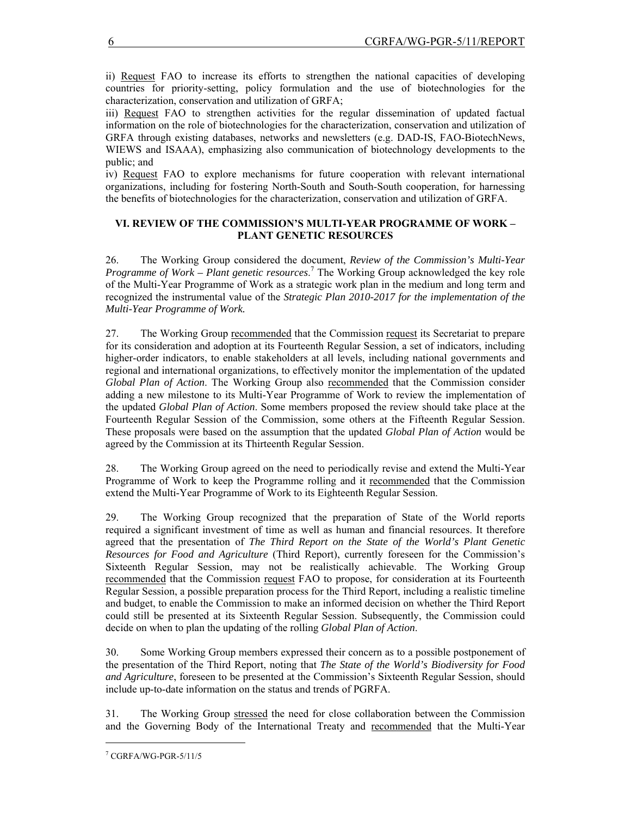ii) Request FAO to increase its efforts to strengthen the national capacities of developing countries for priority-setting, policy formulation and the use of biotechnologies for the characterization, conservation and utilization of GRFA;

iii) Request FAO to strengthen activities for the regular dissemination of updated factual information on the role of biotechnologies for the characterization, conservation and utilization of GRFA through existing databases, networks and newsletters (e.g. DAD-IS, FAO-BiotechNews, WIEWS and ISAAA), emphasizing also communication of biotechnology developments to the public; and

iv) Request FAO to explore mechanisms for future cooperation with relevant international organizations, including for fostering North-South and South-South cooperation, for harnessing the benefits of biotechnologies for the characterization, conservation and utilization of GRFA.

## **VI. REVIEW OF THE COMMISSION'S MULTI-YEAR PROGRAMME OF WORK – PLANT GENETIC RESOURCES**

26. The Working Group considered the document, *Review of the Commission's Multi-Year*  Programme of Work – Plant genetic resources.<sup>7</sup> The Working Group acknowledged the key role of the Multi-Year Programme of Work as a strategic work plan in the medium and long term and recognized the instrumental value of the *Strategic Plan 2010-2017 for the implementation of the Multi-Year Programme of Work.*

27. The Working Group recommended that the Commission request its Secretariat to prepare for its consideration and adoption at its Fourteenth Regular Session, a set of indicators, including higher-order indicators, to enable stakeholders at all levels, including national governments and regional and international organizations, to effectively monitor the implementation of the updated *Global Plan of Action*. The Working Group also recommended that the Commission consider adding a new milestone to its Multi-Year Programme of Work to review the implementation of the updated *Global Plan of Action*. Some members proposed the review should take place at the Fourteenth Regular Session of the Commission, some others at the Fifteenth Regular Session. These proposals were based on the assumption that the updated *Global Plan of Action* would be agreed by the Commission at its Thirteenth Regular Session.

28. The Working Group agreed on the need to periodically revise and extend the Multi-Year Programme of Work to keep the Programme rolling and it recommended that the Commission extend the Multi-Year Programme of Work to its Eighteenth Regular Session.

29. The Working Group recognized that the preparation of State of the World reports required a significant investment of time as well as human and financial resources. It therefore agreed that the presentation of *The Third Report on the State of the World's Plant Genetic Resources for Food and Agriculture* (Third Report), currently foreseen for the Commission's Sixteenth Regular Session, may not be realistically achievable. The Working Group recommended that the Commission request FAO to propose, for consideration at its Fourteenth Regular Session, a possible preparation process for the Third Report, including a realistic timeline and budget, to enable the Commission to make an informed decision on whether the Third Report could still be presented at its Sixteenth Regular Session. Subsequently, the Commission could decide on when to plan the updating of the rolling *Global Plan of Action*.

30. Some Working Group members expressed their concern as to a possible postponement of the presentation of the Third Report, noting that *The State of the World's Biodiversity for Food and Agriculture*, foreseen to be presented at the Commission's Sixteenth Regular Session, should include up-to-date information on the status and trends of PGRFA.

31. The Working Group stressed the need for close collaboration between the Commission and the Governing Body of the International Treaty and recommended that the Multi-Year

<sup>7</sup> CGRFA/WG-PGR-5/11/5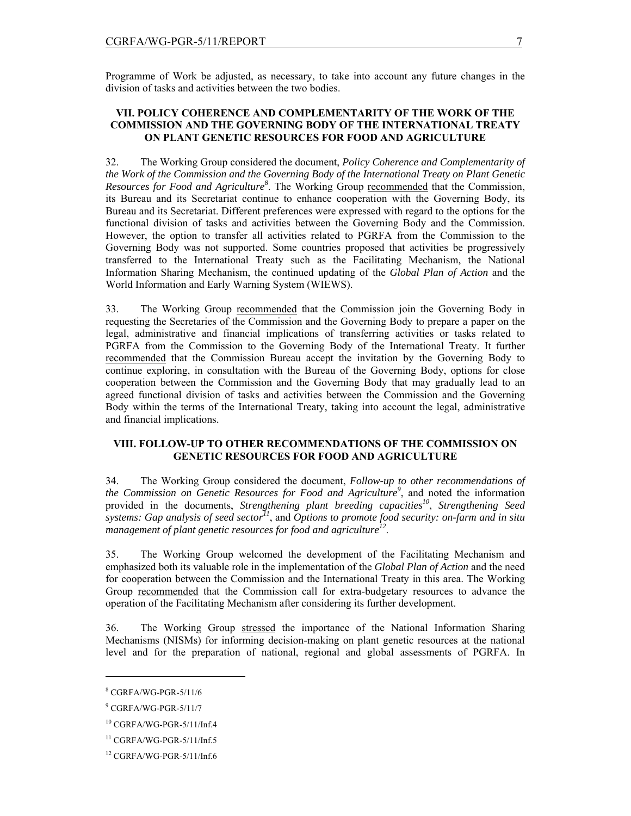Programme of Work be adjusted, as necessary, to take into account any future changes in the division of tasks and activities between the two bodies.

## **VII. POLICY COHERENCE AND COMPLEMENTARITY OF THE WORK OF THE COMMISSION AND THE GOVERNING BODY OF THE INTERNATIONAL TREATY ON PLANT GENETIC RESOURCES FOR FOOD AND AGRICULTURE**

32. The Working Group considered the document, *Policy Coherence and Complementarity of the Work of the Commission and the Governing Body of the International Treaty on Plant Genetic*  Resources for Food and Agriculture<sup>8</sup>. The Working Group recommended that the Commission, its Bureau and its Secretariat continue to enhance cooperation with the Governing Body, its Bureau and its Secretariat. Different preferences were expressed with regard to the options for the functional division of tasks and activities between the Governing Body and the Commission. However, the option to transfer all activities related to PGRFA from the Commission to the Governing Body was not supported. Some countries proposed that activities be progressively transferred to the International Treaty such as the Facilitating Mechanism, the National Information Sharing Mechanism, the continued updating of the *Global Plan of Action* and the World Information and Early Warning System (WIEWS).

33. The Working Group recommended that the Commission join the Governing Body in requesting the Secretaries of the Commission and the Governing Body to prepare a paper on the legal, administrative and financial implications of transferring activities or tasks related to PGRFA from the Commission to the Governing Body of the International Treaty. It further recommended that the Commission Bureau accept the invitation by the Governing Body to continue exploring, in consultation with the Bureau of the Governing Body, options for close cooperation between the Commission and the Governing Body that may gradually lead to an agreed functional division of tasks and activities between the Commission and the Governing Body within the terms of the International Treaty, taking into account the legal, administrative and financial implications.

## **VIII. FOLLOW-UP TO OTHER RECOMMENDATIONS OF THE COMMISSION ON GENETIC RESOURCES FOR FOOD AND AGRICULTURE**

34. The Working Group considered the document, *Follow-up to other recommendations of*  the Commission on Genetic Resources for Food and Agriculture<sup>9</sup>, and noted the information provided in the documents, *Strengthening plant breeding capacities10*, *Strengthening Seed systems: Gap analysis of seed sector<sup>11</sup>*, and *Options to promote food security: on-farm and in situ management of plant genetic resources for food and agriculture<sup>12</sup>*.

35. The Working Group welcomed the development of the Facilitating Mechanism and emphasized both its valuable role in the implementation of the *Global Plan of Action* and the need for cooperation between the Commission and the International Treaty in this area. The Working Group recommended that the Commission call for extra-budgetary resources to advance the operation of the Facilitating Mechanism after considering its further development.

36. The Working Group stressed the importance of the National Information Sharing Mechanisms (NISMs) for informing decision-making on plant genetic resources at the national level and for the preparation of national, regional and global assessments of PGRFA. In

<sup>8</sup> CGRFA/WG-PGR-5/11/6

<sup>9</sup> CGRFA/WG-PGR-5/11/7

<sup>10</sup> CGRFA/WG-PGR-5/11/Inf.4

 $11$  CGRFA/WG-PGR-5/11/Inf.5

<sup>12</sup> CGRFA/WG-PGR-5/11/Inf.6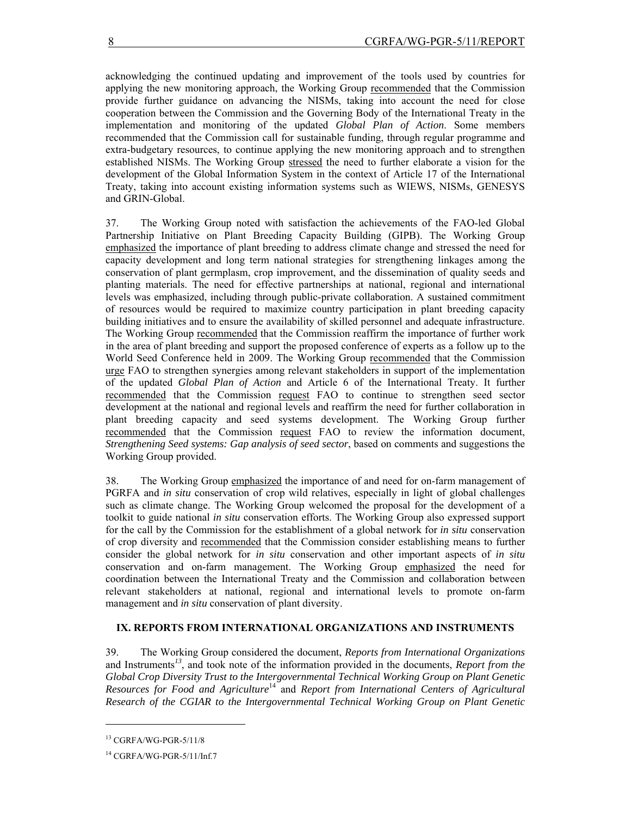acknowledging the continued updating and improvement of the tools used by countries for applying the new monitoring approach, the Working Group recommended that the Commission provide further guidance on advancing the NISMs, taking into account the need for close cooperation between the Commission and the Governing Body of the International Treaty in the implementation and monitoring of the updated *Global Plan of Action*. Some members recommended that the Commission call for sustainable funding, through regular programme and extra-budgetary resources, to continue applying the new monitoring approach and to strengthen established NISMs. The Working Group stressed the need to further elaborate a vision for the development of the Global Information System in the context of Article 17 of the International Treaty, taking into account existing information systems such as WIEWS, NISMs, GENESYS and GRIN-Global.

37. The Working Group noted with satisfaction the achievements of the FAO-led Global Partnership Initiative on Plant Breeding Capacity Building (GIPB). The Working Group emphasized the importance of plant breeding to address climate change and stressed the need for capacity development and long term national strategies for strengthening linkages among the conservation of plant germplasm, crop improvement, and the dissemination of quality seeds and planting materials. The need for effective partnerships at national, regional and international levels was emphasized, including through public-private collaboration. A sustained commitment of resources would be required to maximize country participation in plant breeding capacity building initiatives and to ensure the availability of skilled personnel and adequate infrastructure. The Working Group recommended that the Commission reaffirm the importance of further work in the area of plant breeding and support the proposed conference of experts as a follow up to the World Seed Conference held in 2009. The Working Group recommended that the Commission urge FAO to strengthen synergies among relevant stakeholders in support of the implementation of the updated *Global Plan of Action* and Article 6 of the International Treaty. It further recommended that the Commission request FAO to continue to strengthen seed sector development at the national and regional levels and reaffirm the need for further collaboration in plant breeding capacity and seed systems development. The Working Group further recommended that the Commission request FAO to review the information document, *Strengthening Seed systems: Gap analysis of seed sector*, based on comments and suggestions the Working Group provided.

38. The Working Group emphasized the importance of and need for on-farm management of PGRFA and *in situ* conservation of crop wild relatives, especially in light of global challenges such as climate change. The Working Group welcomed the proposal for the development of a toolkit to guide national *in situ* conservation efforts. The Working Group also expressed support for the call by the Commission for the establishment of a global network for *in situ* conservation of crop diversity and recommended that the Commission consider establishing means to further consider the global network for *in situ* conservation and other important aspects of *in situ* conservation and on-farm management. The Working Group emphasized the need for coordination between the International Treaty and the Commission and collaboration between relevant stakeholders at national, regional and international levels to promote on-farm management and *in situ* conservation of plant diversity.

## **IX. REPORTS FROM INTERNATIONAL ORGANIZATIONS AND INSTRUMENTS**

39. The Working Group considered the document, *Reports from International Organizations* and Instruments*<sup>13</sup>*, and took note of the information provided in the documents, *Report from the Global Crop Diversity Trust to the Intergovernmental Technical Working Group on Plant Genetic Resources for Food and Agriculture*14 and *Report from International Centers of Agricultural Research of the CGIAR to the Intergovernmental Technical Working Group on Plant Genetic* 

<sup>13</sup> CGRFA/WG-PGR-5/11/8

<sup>14</sup> CGRFA/WG-PGR-5/11/Inf.7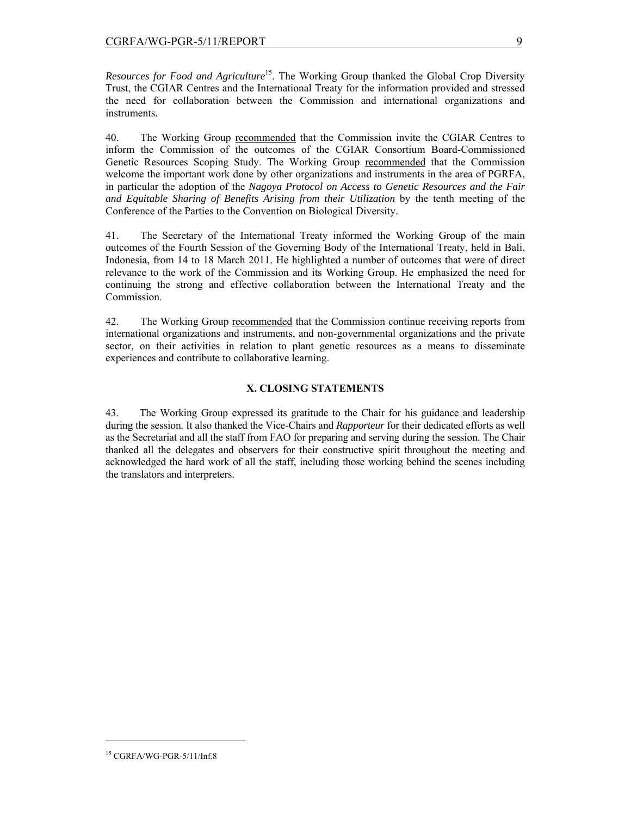*Resources for Food and Agriculture*15. The Working Group thanked the Global Crop Diversity Trust, the CGIAR Centres and the International Treaty for the information provided and stressed the need for collaboration between the Commission and international organizations and instruments.

40. The Working Group recommended that the Commission invite the CGIAR Centres to inform the Commission of the outcomes of the CGIAR Consortium Board-Commissioned Genetic Resources Scoping Study. The Working Group recommended that the Commission welcome the important work done by other organizations and instruments in the area of PGRFA, in particular the adoption of the *Nagoya Protocol on Access to Genetic Resources and the Fair and Equitable Sharing of Benefits Arising from their Utilization* by the tenth meeting of the Conference of the Parties to the Convention on Biological Diversity.

41. The Secretary of the International Treaty informed the Working Group of the main outcomes of the Fourth Session of the Governing Body of the International Treaty, held in Bali, Indonesia, from 14 to 18 March 2011. He highlighted a number of outcomes that were of direct relevance to the work of the Commission and its Working Group. He emphasized the need for continuing the strong and effective collaboration between the International Treaty and the Commission.

42. The Working Group recommended that the Commission continue receiving reports from international organizations and instruments, and non-governmental organizations and the private sector, on their activities in relation to plant genetic resources as a means to disseminate experiences and contribute to collaborative learning.

## **X. CLOSING STATEMENTS**

43. The Working Group expressed its gratitude to the Chair for his guidance and leadership during the session. It also thanked the Vice-Chairs and *Rapporteur* for their dedicated efforts as well as the Secretariat and all the staff from FAO for preparing and serving during the session. The Chair thanked all the delegates and observers for their constructive spirit throughout the meeting and acknowledged the hard work of all the staff, including those working behind the scenes including the translators and interpreters.

<sup>15</sup> CGRFA/WG-PGR-5/11/Inf.8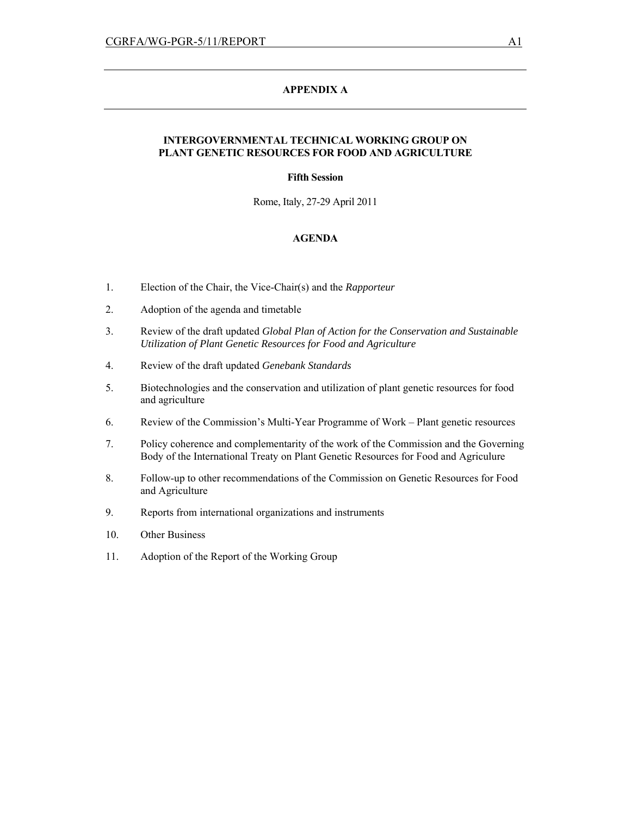## **APPENDIX A**

## **INTERGOVERNMENTAL TECHNICAL WORKING GROUP ON PLANT GENETIC RESOURCES FOR FOOD AND AGRICULTURE**

#### **Fifth Session**

Rome, Italy, 27-29 April 2011

# **AGENDA**

- 1. Election of the Chair, the Vice-Chair(s) and the *Rapporteur*
- 2. Adoption of the agenda and timetable
- 3. Review of the draft updated *Global Plan of Action for the Conservation and Sustainable Utilization of Plant Genetic Resources for Food and Agriculture*
- 4. Review of the draft updated *Genebank Standards*
- 5. Biotechnologies and the conservation and utilization of plant genetic resources for food and agriculture
- 6. Review of the Commission's Multi-Year Programme of Work Plant genetic resources
- 7. Policy coherence and complementarity of the work of the Commission and the Governing Body of the International Treaty on Plant Genetic Resources for Food and Agriculure
- 8. Follow-up to other recommendations of the Commission on Genetic Resources for Food and Agriculture
- 9. Reports from international organizations and instruments
- 10. Other Business
- 11. Adoption of the Report of the Working Group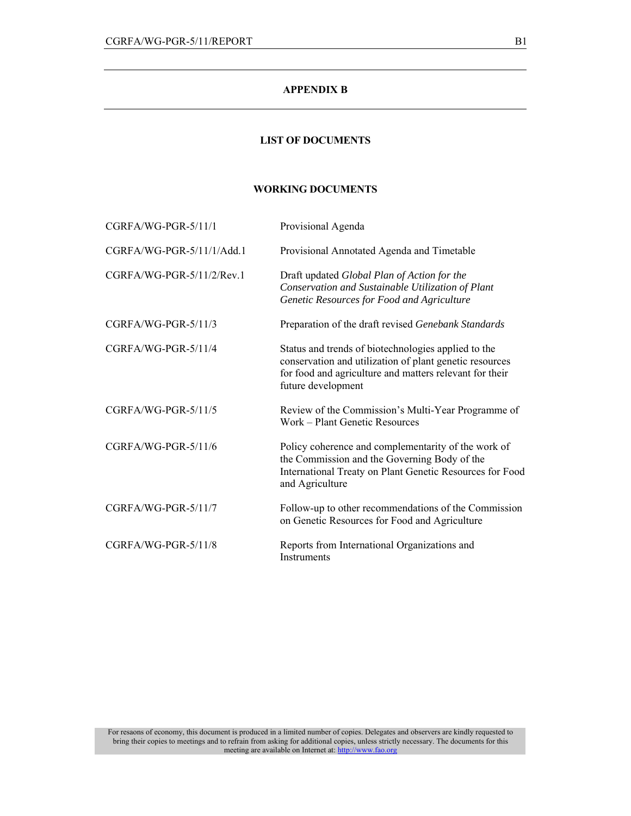#### **APPENDIX B**

## **LIST OF DOCUMENTS**

## **WORKING DOCUMENTS**

| $C$ GRFA/WG-PGR-5/11/1      | Provisional Agenda                                                                                                                                                                              |
|-----------------------------|-------------------------------------------------------------------------------------------------------------------------------------------------------------------------------------------------|
| CGRFA/WG-PGR-5/11/1/Add.1   | Provisional Annotated Agenda and Timetable                                                                                                                                                      |
| $CGRFA/WG-PGR-5/11/2/Rev.1$ | Draft updated Global Plan of Action for the<br>Conservation and Sustainable Utilization of Plant<br>Genetic Resources for Food and Agriculture                                                  |
| $C$ GRFA/WG-PGR-5/11/3      | Preparation of the draft revised Genebank Standards                                                                                                                                             |
| $C$ GRFA/WG-PGR-5/11/4      | Status and trends of biotechnologies applied to the<br>conservation and utilization of plant genetic resources<br>for food and agriculture and matters relevant for their<br>future development |
| $C$ GRFA/WG-PGR-5/11/5      | Review of the Commission's Multi-Year Programme of<br>Work – Plant Genetic Resources                                                                                                            |
| CGRFA/WG-PGR-5/11/6         | Policy coherence and complementarity of the work of<br>the Commission and the Governing Body of the<br>International Treaty on Plant Genetic Resources for Food<br>and Agriculture              |
| CGRFA/WG-PGR-5/11/7         | Follow-up to other recommendations of the Commission<br>on Genetic Resources for Food and Agriculture                                                                                           |
| $C$ GRFA/WG-PGR-5/11/8      | Reports from International Organizations and<br><b>Instruments</b>                                                                                                                              |

For resaons of economy, this document is produced in a limited number of copies. Delegates and observers are kindly requested to bring their copies to meetings and to refrain from asking for additional copies, unless strictly necessary. The documents for this meeting are available on Internet at: http://www.fao.org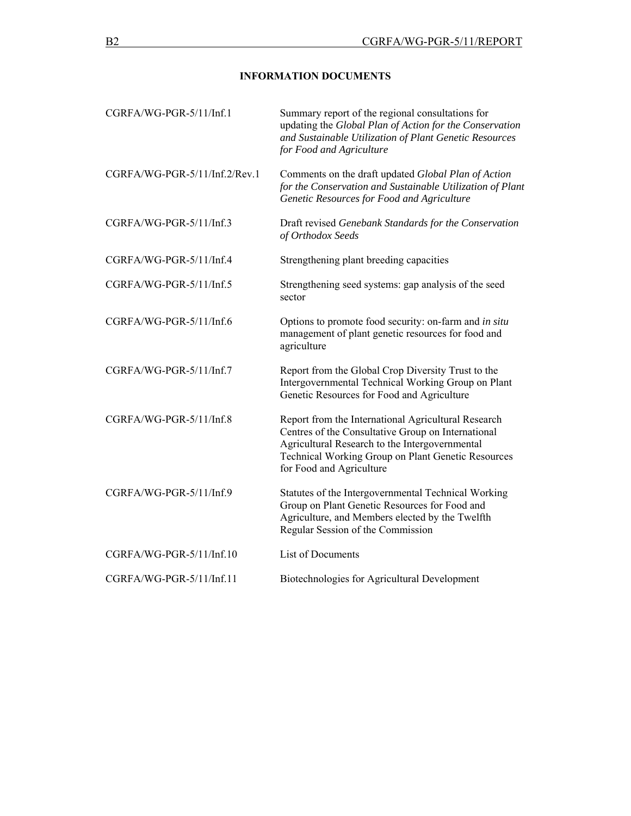# **INFORMATION DOCUMENTS**

| CGRFA/WG-PGR-5/11/Inf.1       | Summary report of the regional consultations for<br>updating the Global Plan of Action for the Conservation<br>and Sustainable Utilization of Plant Genetic Resources<br>for Food and Agriculture                                             |
|-------------------------------|-----------------------------------------------------------------------------------------------------------------------------------------------------------------------------------------------------------------------------------------------|
| CGRFA/WG-PGR-5/11/Inf.2/Rev.1 | Comments on the draft updated Global Plan of Action<br>for the Conservation and Sustainable Utilization of Plant<br>Genetic Resources for Food and Agriculture                                                                                |
| CGRFA/WG-PGR-5/11/Inf.3       | Draft revised Genebank Standards for the Conservation<br>of Orthodox Seeds                                                                                                                                                                    |
| CGRFA/WG-PGR-5/11/Inf.4       | Strengthening plant breeding capacities                                                                                                                                                                                                       |
| CGRFA/WG-PGR-5/11/Inf.5       | Strengthening seed systems: gap analysis of the seed<br>sector                                                                                                                                                                                |
| CGRFA/WG-PGR-5/11/Inf.6       | Options to promote food security: on-farm and in situ<br>management of plant genetic resources for food and<br>agriculture                                                                                                                    |
| CGRFA/WG-PGR-5/11/Inf.7       | Report from the Global Crop Diversity Trust to the<br>Intergovernmental Technical Working Group on Plant<br>Genetic Resources for Food and Agriculture                                                                                        |
| CGRFA/WG-PGR-5/11/Inf.8       | Report from the International Agricultural Research<br>Centres of the Consultative Group on International<br>Agricultural Research to the Intergovernmental<br>Technical Working Group on Plant Genetic Resources<br>for Food and Agriculture |
| CGRFA/WG-PGR-5/11/Inf.9       | Statutes of the Intergovernmental Technical Working<br>Group on Plant Genetic Resources for Food and<br>Agriculture, and Members elected by the Twelfth<br>Regular Session of the Commission                                                  |
| CGRFA/WG-PGR-5/11/Inf.10      | List of Documents                                                                                                                                                                                                                             |
| CGRFA/WG-PGR-5/11/Inf.11      | Biotechnologies for Agricultural Development                                                                                                                                                                                                  |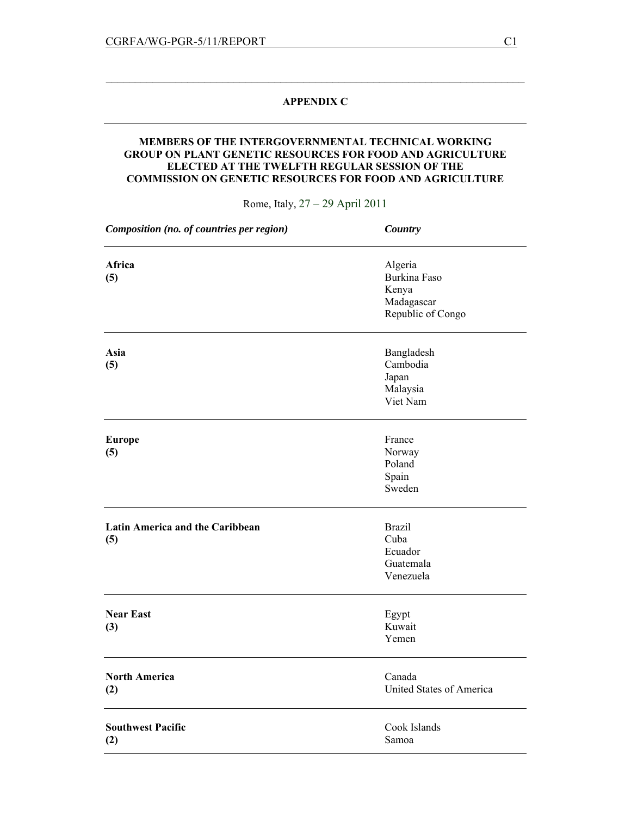# **APPENDIX C**

 $\mathcal{L}_\text{max} = \mathcal{L}_\text{max} = \mathcal{L}_\text{max} = \mathcal{L}_\text{max} = \mathcal{L}_\text{max} = \mathcal{L}_\text{max} = \mathcal{L}_\text{max} = \mathcal{L}_\text{max} = \mathcal{L}_\text{max} = \mathcal{L}_\text{max} = \mathcal{L}_\text{max} = \mathcal{L}_\text{max} = \mathcal{L}_\text{max} = \mathcal{L}_\text{max} = \mathcal{L}_\text{max} = \mathcal{L}_\text{max} = \mathcal{L}_\text{max} = \mathcal{L}_\text{max} = \mathcal{$ 

## **MEMBERS OF THE INTERGOVERNMENTAL TECHNICAL WORKING GROUP ON PLANT GENETIC RESOURCES FOR FOOD AND AGRICULTURE ELECTED AT THE TWELFTH REGULAR SESSION OF THE COMMISSION ON GENETIC RESOURCES FOR FOOD AND AGRICULTURE**

Rome, Italy, 27 – 29 April 2011

| Composition (no. of countries per region) | Country                                                             |  |
|-------------------------------------------|---------------------------------------------------------------------|--|
| Africa<br>(5)                             | Algeria<br>Burkina Faso<br>Kenya<br>Madagascar<br>Republic of Congo |  |
| Asia<br>(5)                               | Bangladesh<br>Cambodia<br>Japan<br>Malaysia<br>Viet Nam             |  |
| <b>Europe</b><br>(5)                      | France<br>Norway<br>Poland<br>Spain<br>Sweden                       |  |
| Latin America and the Caribbean<br>(5)    | <b>Brazil</b><br>Cuba<br>Ecuador<br>Guatemala<br>Venezuela          |  |
| <b>Near East</b><br>(3)                   | Egypt<br>Kuwait<br>Yemen                                            |  |
| <b>North America</b><br>(2)               | Canada<br>United States of America                                  |  |
| <b>Southwest Pacific</b><br>(2)           | Cook Islands<br>Samoa                                               |  |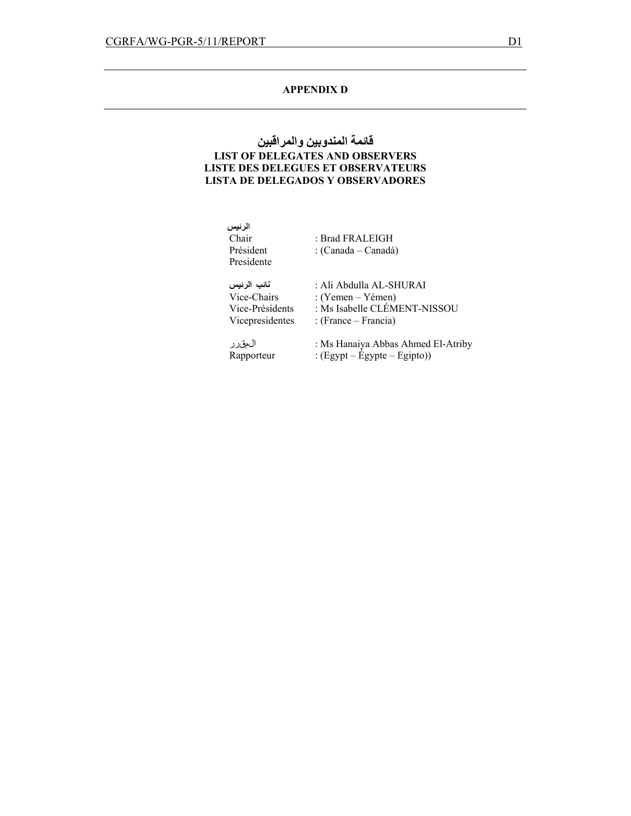### **APPENDIX D**

# **قائمة المندوبين والمراقبين LIST OF DELEGATES AND OBSERVERS LISTE DES DELEGUES ET OBSERVATEURS LISTA DE DELEGADOS Y OBSERVADORES**

| الرئيس<br>Chair<br>Président<br>Presidente | : Brad FRALEIGH<br>: (Canada – Canadá) |
|--------------------------------------------|----------------------------------------|
| نائب الرئيس                                | : Ali Abdulla AL-SHURAI                |
| Vice-Chairs                                | : (Yemen – Yémen)                      |
| Vice-Présidents                            | : Ms Isabelle CLÉMENT-NISSOU           |
| Vicepresidentes                            | : (France – Francia)                   |
| الحقرر                                     | : Ms Hanaiya Abbas Ahmed El-Atriby     |
| Rapporteur                                 | : $(Egypt - Égypte - Egipto)$          |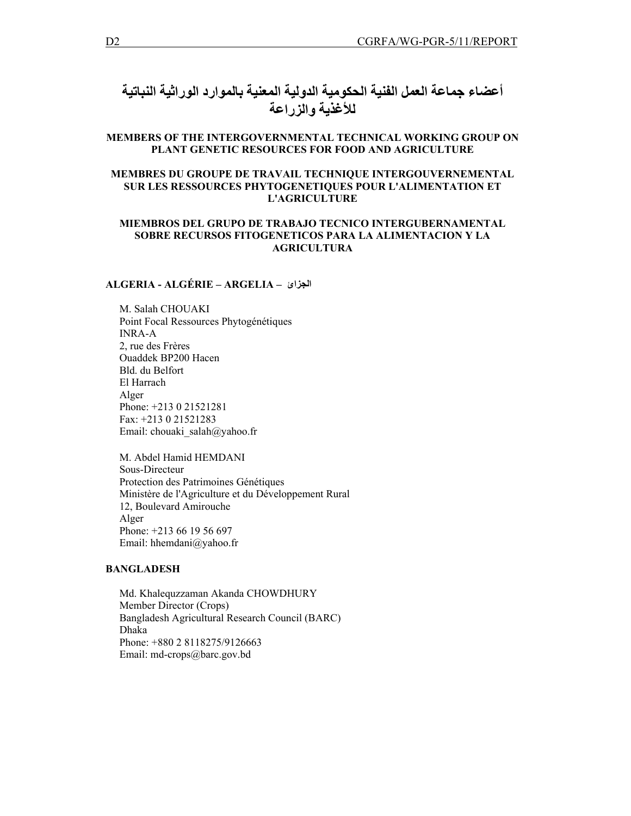# **أعضاء جماعة العمل الفنية الحكومية الدولية المعنية بالموارد الوراثية النباتية للأغذية والزراعة**

### **MEMBERS OF THE INTERGOVERNMENTAL TECHNICAL WORKING GROUP ON PLANT GENETIC RESOURCES FOR FOOD AND AGRICULTURE**

#### **MEMBRES DU GROUPE DE TRAVAIL TECHNIQUE INTERGOUVERNEMENTAL SUR LES RESSOURCES PHYTOGENETIQUES POUR L'ALIMENTATION ET L'AGRICULTURE**

#### **MIEMBROS DEL GRUPO DE TRABAJO TECNICO INTERGUBERNAMENTAL SOBRE RECURSOS FITOGENETICOS PARA LA ALIMENTACION Y LA AGRICULTURA**

## **ALGERIA - ALGÉRIE – ARGELIA – الجزائ**

M. Salah CHOUAKI Point Focal Ressources Phytogénétiques INRA-A 2, rue des Frères Ouaddek BP200 Hacen Bld. du Belfort El Harrach Alger Phone: +213 0 21521281 Fax: +213 0 21521283 Email: chouaki\_salah@yahoo.fr

M. Abdel Hamid HEMDANI Sous-Directeur Protection des Patrimoines Génétiques Ministère de l'Agriculture et du Développement Rural 12, Boulevard Amirouche Alger Phone: +213 66 19 56 697 Email: hhemdani@yahoo.fr

#### **BANGLADESH**

Md. Khalequzzaman Akanda CHOWDHURY Member Director (Crops) Bangladesh Agricultural Research Council (BARC) Dhaka Phone: +880 2 8118275/9126663 Email: md-crops@barc.gov.bd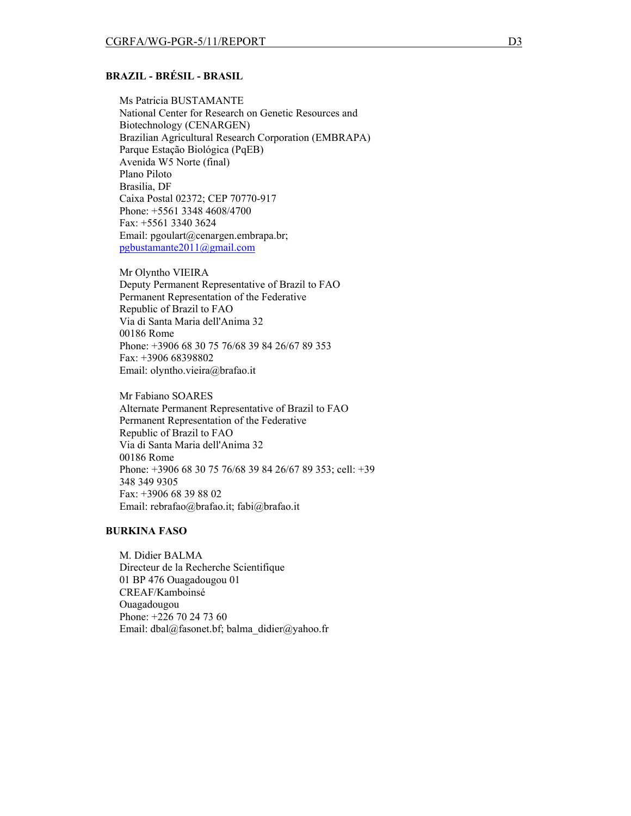# **BRAZIL - BRÉSIL - BRASIL**

Ms Patricia BUSTAMANTE National Center for Research on Genetic Resources and Biotechnology (CENARGEN) Brazilian Agricultural Research Corporation (EMBRAPA) Parque Estação Biológica (PqEB) Avenida W5 Norte (final) Plano Piloto Brasilia, DF Caixa Postal 02372; CEP 70770-917 Phone: +5561 3348 4608/4700 Fax: +5561 3340 3624 Email: pgoulart@cenargen.embrapa.br; pgbustamante2011@gmail.com

Mr Olyntho VIEIRA Deputy Permanent Representative of Brazil to FAO Permanent Representation of the Federative Republic of Brazil to FAO Via di Santa Maria dell'Anima 32 00186 Rome Phone: +3906 68 30 75 76/68 39 84 26/67 89 353 Fax: +3906 68398802 Email: olyntho.vieira@brafao.it

Mr Fabiano SOARES Alternate Permanent Representative of Brazil to FAO Permanent Representation of the Federative Republic of Brazil to FAO Via di Santa Maria dell'Anima 32 00186 Rome Phone: +3906 68 30 75 76/68 39 84 26/67 89 353; cell: +39 348 349 9305 Fax: +3906 68 39 88 02 Email: rebrafao@brafao.it; fabi@brafao.it

#### **BURKINA FASO**

M. Didier BALMA Directeur de la Recherche Scientifique 01 BP 476 Ouagadougou 01 CREAF/Kamboinsé Ouagadougou Phone: +226 70 24 73 60 Email: dbal@fasonet.bf; balma\_didier@yahoo.fr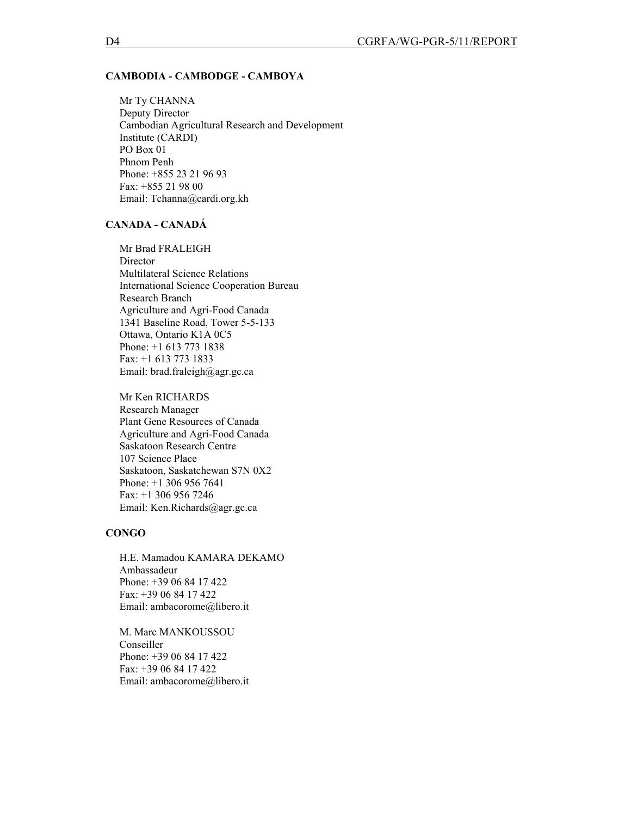#### **CAMBODIA - CAMBODGE - CAMBOYA**

Mr Ty CHANNA Deputy Director Cambodian Agricultural Research and Development Institute (CARDI) PO Box 01 Phnom Penh Phone: +855 23 21 96 93 Fax: +855 21 98 00 Email: Tchanna@cardi.org.kh

## **CANADA - CANADÁ**

Mr Brad FRALEIGH Director Multilateral Science Relations International Science Cooperation Bureau Research Branch Agriculture and Agri-Food Canada 1341 Baseline Road, Tower 5-5-133 Ottawa, Ontario K1A 0C5 Phone: +1 613 773 1838 Fax: +1 613 773 1833 Email: brad.fraleigh@agr.gc.ca

Mr Ken RICHARDS Research Manager Plant Gene Resources of Canada Agriculture and Agri-Food Canada Saskatoon Research Centre 107 Science Place Saskatoon, Saskatchewan S7N 0X2 Phone: +1 306 956 7641 Fax: +1 306 956 7246 Email: Ken.Richards@agr.gc.ca

## **CONGO**

H.E. Mamadou KAMARA DEKAMO Ambassadeur Phone: +39 06 84 17 422 Fax: +39 06 84 17 422 Email: ambacorome@libero.it

M. Marc MANKOUSSOU Conseiller Phone: +39 06 84 17 422 Fax: +39 06 84 17 422 Email: ambacorome@libero.it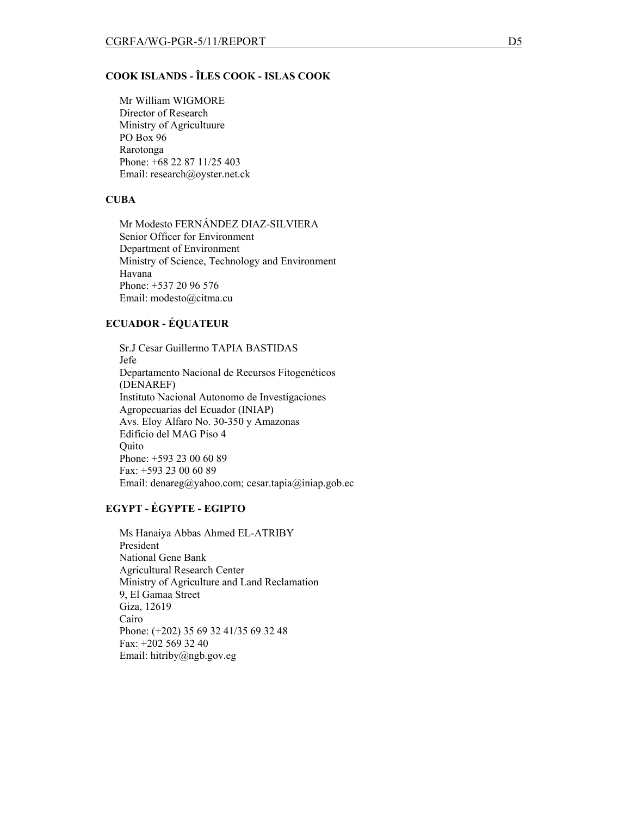# **COOK ISLANDS - ÎLES COOK - ISLAS COOK**

Mr William WIGMORE Director of Research Ministry of Agricultuure PO Box 96 Rarotonga Phone: +68 22 87 11/25 403 Email: research@oyster.net.ck

## **CUBA**

Mr Modesto FERNÁNDEZ DIAZ-SILVIERA Senior Officer for Environment Department of Environment Ministry of Science, Technology and Environment Havana Phone: +537 20 96 576 Email: modesto@citma.cu

## **ECUADOR - ÉQUATEUR**

Sr.J Cesar Guillermo TAPIA BASTIDAS Jefe Departamento Nacional de Recursos Fitogenéticos (DENAREF) Instituto Nacional Autonomo de Investigaciones Agropecuarias del Ecuador (INIAP) Avs. Eloy Alfaro No. 30-350 y Amazonas Edificio del MAG Piso 4 **Ouito** Phone: +593 23 00 60 89 Fax: +593 23 00 60 89 Email: denareg@yahoo.com; cesar.tapia@iniap.gob.ec

# **EGYPT - ÉGYPTE - EGIPTO**

Ms Hanaiya Abbas Ahmed EL-ATRIBY President National Gene Bank Agricultural Research Center Ministry of Agriculture and Land Reclamation 9, El Gamaa Street Giza, 12619 Cairo Phone: (+202) 35 69 32 41/35 69 32 48 Fax: +202 569 32 40 Email: hitriby@ngb.gov.eg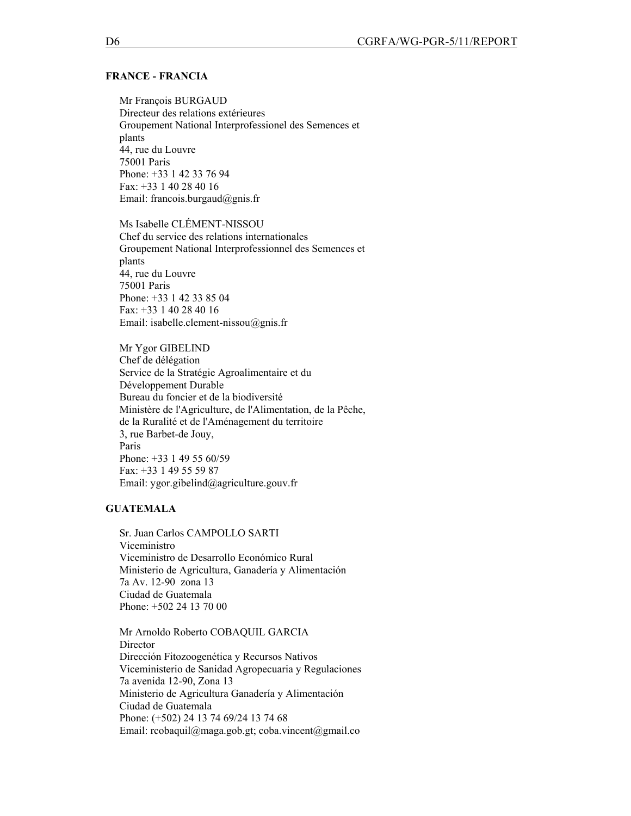### **FRANCE - FRANCIA**

Mr François BURGAUD Directeur des relations extérieures Groupement National Interprofessionel des Semences et plants 44, rue du Louvre 75001 Paris Phone: +33 1 42 33 76 94 Fax: +33 1 40 28 40 16 Email: francois.burgaud@gnis.fr

Ms Isabelle CLÉMENT-NISSOU Chef du service des relations internationales Groupement National Interprofessionnel des Semences et plants 44, rue du Louvre 75001 Paris Phone: +33 1 42 33 85 04 Fax: +33 1 40 28 40 16 Email: isabelle.clement-nissou@gnis.fr

Mr Ygor GIBELIND Chef de délégation Service de la Stratégie Agroalimentaire et du Développement Durable Bureau du foncier et de la biodiversité Ministère de l'Agriculture, de l'Alimentation, de la Pêche, de la Ruralité et de l'Aménagement du territoire 3, rue Barbet-de Jouy, Paris Phone: +33 1 49 55 60/59 Fax: +33 1 49 55 59 87 Email: ygor.gibelind@agriculture.gouv.fr

#### **GUATEMALA**

Sr. Juan Carlos CAMPOLLO SARTI Viceministro Viceministro de Desarrollo Económico Rural Ministerio de Agricultura, Ganadería y Alimentación 7a Av. 12-90 zona 13 Ciudad de Guatemala Phone: +502 24 13 70 00

Mr Arnoldo Roberto COBAQUIL GARCIA Director Dirección Fitozoogenética y Recursos Nativos Viceministerio de Sanidad Agropecuaria y Regulaciones 7a avenida 12-90, Zona 13 Ministerio de Agricultura Ganadería y Alimentación Ciudad de Guatemala Phone: (+502) 24 13 74 69/24 13 74 68 Email: rcobaquil@maga.gob.gt; coba.vincent@gmail.co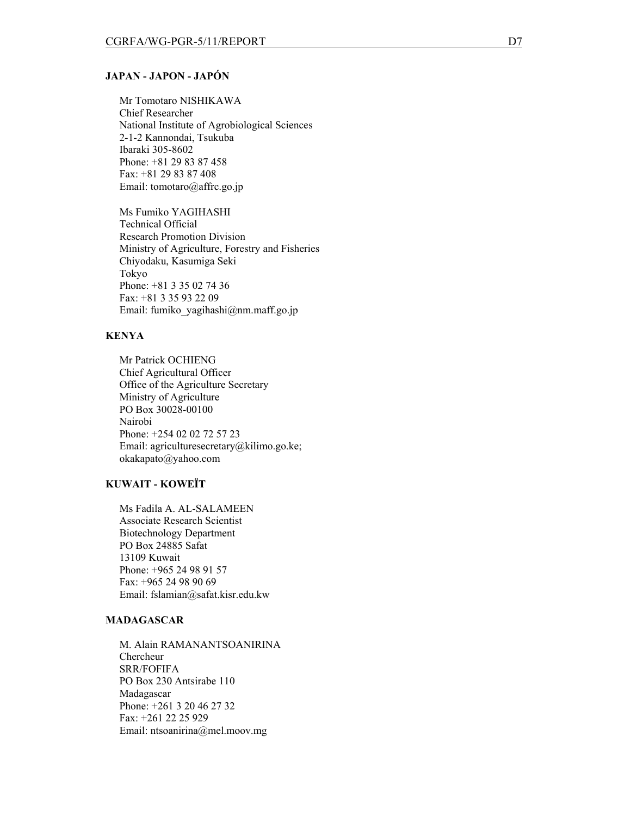## **JAPAN - JAPON - JAPÓN**

Mr Tomotaro NISHIKAWA Chief Researcher National Institute of Agrobiological Sciences 2-1-2 Kannondai, Tsukuba Ibaraki 305-8602 Phone: +81 29 83 87 458 Fax: +81 29 83 87 408 Email: tomotaro@affrc.go.jp

Ms Fumiko YAGIHASHI Technical Official Research Promotion Division Ministry of Agriculture, Forestry and Fisheries Chiyodaku, Kasumiga Seki Tokyo Phone: +81 3 35 02 74 36 Fax: +81 3 35 93 22 09 Email: fumiko\_yagihashi@nm.maff.go.jp

## **KENYA**

Mr Patrick OCHIENG Chief Agricultural Officer Office of the Agriculture Secretary Ministry of Agriculture PO Box 30028-00100 Nairobi Phone: +254 02 02 72 57 23 Email: agriculturesecretary@kilimo.go.ke; okakapato@yahoo.com

## **KUWAIT - KOWEÏT**

Ms Fadila A. AL-SALAMEEN Associate Research Scientist Biotechnology Department PO Box 24885 Safat 13109 Kuwait Phone: +965 24 98 91 57 Fax: +965 24 98 90 69 Email: fslamian@safat.kisr.edu.kw

### **MADAGASCAR**

M. Alain RAMANANTSOANIRINA Chercheur SRR/FOFIFA PO Box 230 Antsirabe 110 Madagascar Phone: +261 3 20 46 27 32 Fax: +261 22 25 929 Email: ntsoanirina@mel.moov.mg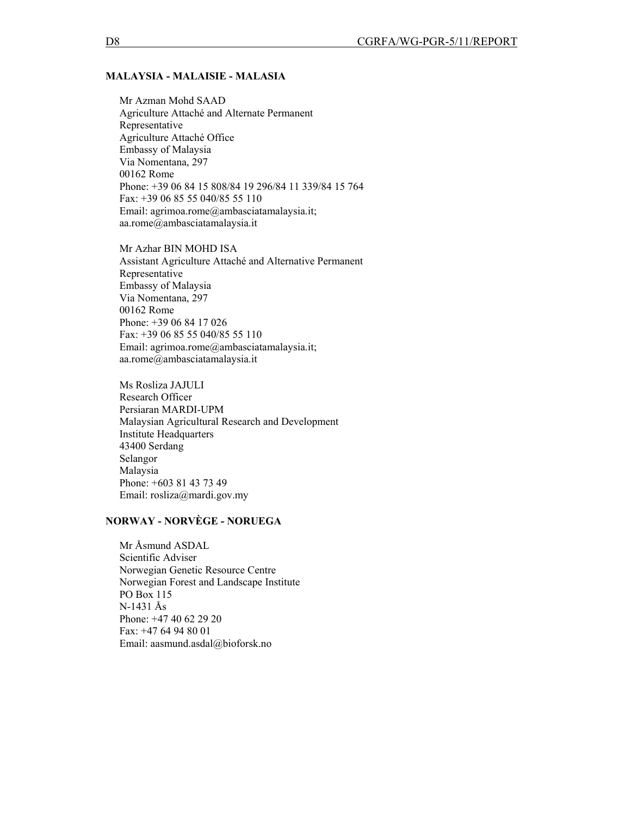#### **MALAYSIA - MALAISIE - MALASIA**

Mr Azman Mohd SAAD Agriculture Attaché and Alternate Permanent Representative Agriculture Attaché Office Embassy of Malaysia Via Nomentana, 297 00162 Rome Phone: +39 06 84 15 808/84 19 296/84 11 339/84 15 764 Fax: +39 06 85 55 040/85 55 110 Email: agrimoa.rome@ambasciatamalaysia.it; aa.rome@ambasciatamalaysia.it

Mr Azhar BIN MOHD ISA Assistant Agriculture Attaché and Alternative Permanent Representative Embassy of Malaysia Via Nomentana, 297 00162 Rome Phone: +39 06 84 17 026 Fax: +39 06 85 55 040/85 55 110 Email: agrimoa.rome@ambasciatamalaysia.it; aa.rome@ambasciatamalaysia.it

Ms Rosliza JAJULI Research Officer Persiaran MARDI-UPM Malaysian Agricultural Research and Development Institute Headquarters 43400 Serdang Selangor Malaysia Phone: +603 81 43 73 49 Email: rosliza@mardi.gov.my

## **NORWAY - NORVÈGE - NORUEGA**

Mr Åsmund ASDAL Scientific Adviser Norwegian Genetic Resource Centre Norwegian Forest and Landscape Institute PO Box 115 N-1431 Ås Phone: +47 40 62 29 20 Fax: +47 64 94 80 01 Email: aasmund.asdal@bioforsk.no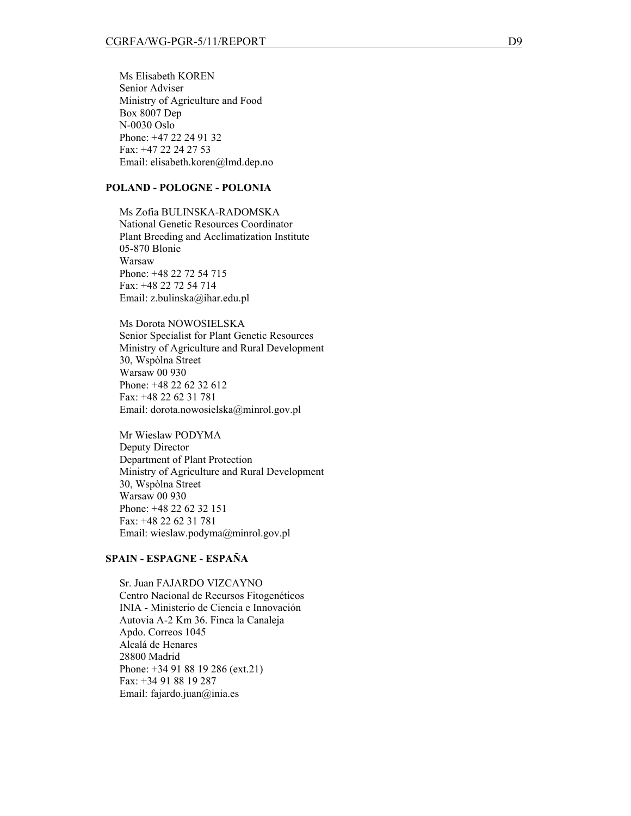Ms Elisabeth KOREN Senior Adviser Ministry of Agriculture and Food Box 8007 Dep N-0030 Oslo Phone: +47 22 24 91 32 Fax: +47 22 24 27 53 Email: elisabeth.koren@lmd.dep.no

#### **POLAND - POLOGNE - POLONIA**

Ms Zofia BULINSKA-RADOMSKA National Genetic Resources Coordinator Plant Breeding and Acclimatization Institute 05-870 Blonie Warsaw Phone: +48 22 72 54 715 Fax: +48 22 72 54 714 Email: z.bulinska@ihar.edu.pl

Ms Dorota NOWOSIELSKA Senior Specialist for Plant Genetic Resources Ministry of Agriculture and Rural Development 30, Wspòlna Street Warsaw 00 930 Phone: +48 22 62 32 612 Fax: +48 22 62 31 781 Email: dorota.nowosielska@minrol.gov.pl

Mr Wieslaw PODYMA Deputy Director Department of Plant Protection Ministry of Agriculture and Rural Development 30, Wspòlna Street Warsaw 00 930 Phone: +48 22 62 32 151 Fax: +48 22 62 31 781 Email: wieslaw.podyma@minrol.gov.pl

#### **SPAIN - ESPAGNE - ESPAÑA**

Sr. Juan FAJARDO VIZCAYNO Centro Nacional de Recursos Fitogenéticos INIA - Ministerio de Ciencia e Innovación Autovia A-2 Km 36. Finca la Canaleja Apdo. Correos 1045 Alcalá de Henares 28800 Madrid Phone: +34 91 88 19 286 (ext.21) Fax: +34 91 88 19 287 Email: fajardo.juan@inia.es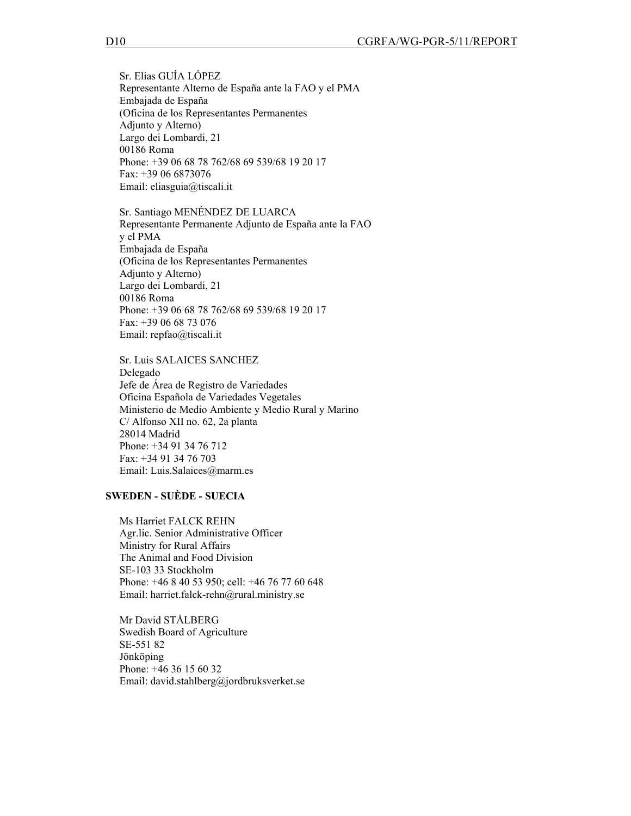Sr. Elias GUÍA LÓPEZ Representante Alterno de España ante la FAO y el PMA Embajada de España (Oficina de los Representantes Permanentes Adjunto y Alterno) Largo dei Lombardi, 21 00186 Roma Phone: +39 06 68 78 762/68 69 539/68 19 20 17 Fax: +39 06 6873076 Email: eliasguia@tiscali.it

Sr. Santiago MENÉNDEZ DE LUARCA Representante Permanente Adjunto de España ante la FAO y el PMA Embajada de España (Oficina de los Representantes Permanentes Adjunto y Alterno) Largo dei Lombardi, 21 00186 Roma Phone: +39 06 68 78 762/68 69 539/68 19 20 17 Fax: +39 06 68 73 076 Email: repfao@tiscali.it

Sr. Luis SALAICES SANCHEZ Delegado Jefe de Área de Registro de Variedades Oficina Española de Variedades Vegetales Ministerio de Medio Ambiente y Medio Rural y Marino C/ Alfonso XII no. 62, 2a planta 28014 Madrid Phone: +34 91 34 76 712 Fax: +34 91 34 76 703 Email: Luis.Salaices@marm.es

## **SWEDEN - SUÈDE - SUECIA**

Ms Harriet FALCK REHN Agr.lic. Senior Administrative Officer Ministry for Rural Affairs The Animal and Food Division SE-103 33 Stockholm Phone: +46 8 40 53 950; cell: +46 76 77 60 648 Email: harriet.falck-rehn@rural.ministry.se

Mr David STÅLBERG Swedish Board of Agriculture SE-551 82 Jönköping Phone: +46 36 15 60 32 Email: david.stahlberg@jordbruksverket.se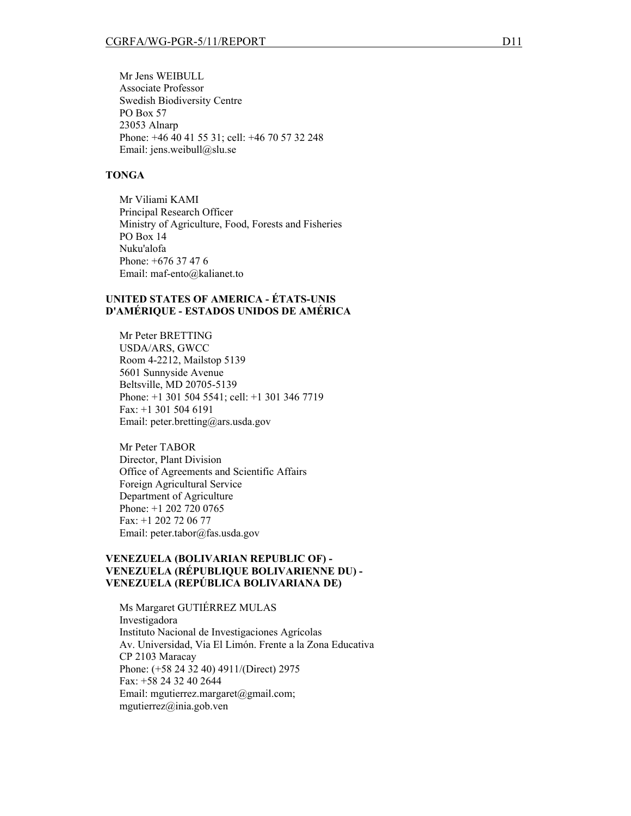Mr Jens WEIBULL Associate Professor Swedish Biodiversity Centre PO Box 57 23053 Alnarp Phone: +46 40 41 55 31; cell: +46 70 57 32 248 Email: jens.weibull@slu.se

## **TONGA**

Mr Viliami KAMI Principal Research Officer Ministry of Agriculture, Food, Forests and Fisheries PO Box 14 Nuku'alofa Phone: +676 37 47 6 Email: maf-ento@kalianet.to

#### **UNITED STATES OF AMERICA - ÉTATS-UNIS D'AMÉRIQUE - ESTADOS UNIDOS DE AMÉRICA**

Mr Peter BRETTING USDA/ARS, GWCC Room 4-2212, Mailstop 5139 5601 Sunnyside Avenue Beltsville, MD 20705-5139 Phone: +1 301 504 5541; cell: +1 301 346 7719 Fax: +1 301 504 6191 Email: peter.bretting@ars.usda.gov

Mr Peter TABOR Director, Plant Division Office of Agreements and Scientific Affairs Foreign Agricultural Service Department of Agriculture Phone: +1 202 720 0765 Fax: +1 202 72 06 77 Email: peter.tabor@fas.usda.gov

### **VENEZUELA (BOLIVARIAN REPUBLIC OF) - VENEZUELA (RÉPUBLIQUE BOLIVARIENNE DU) - VENEZUELA (REPÚBLICA BOLIVARIANA DE)**

Ms Margaret GUTIÉRREZ MULAS Investigadora Instituto Nacional de Investigaciones Agrícolas Av. Universidad, Via El Limón. Frente a la Zona Educativa CP 2103 Maracay Phone: (+58 24 32 40) 4911/(Direct) 2975 Fax: +58 24 32 40 2644 Email: mgutierrez.margaret@gmail.com; mgutierrez@inia.gob.ven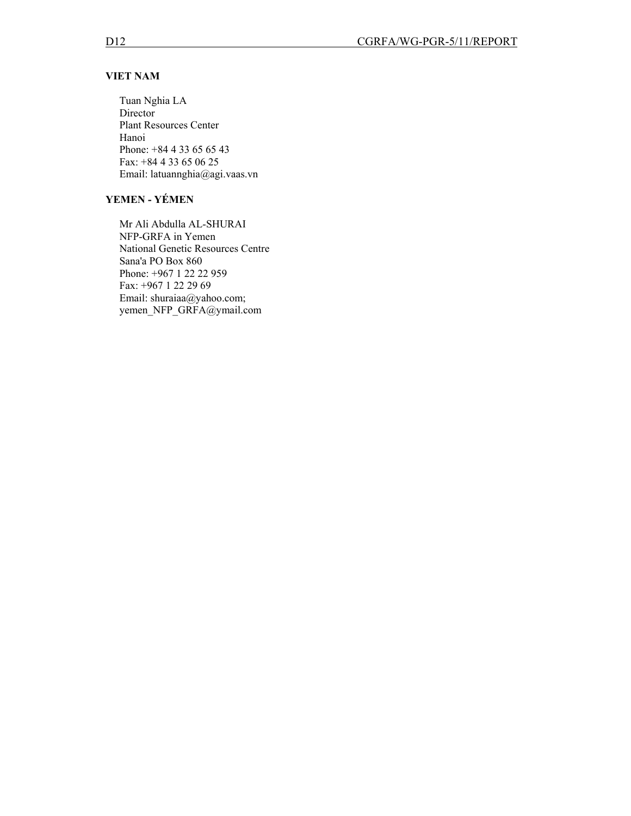## **VIET NAM**

Tuan Nghia LA Director Plant Resources Center Hanoi Phone: +84 4 33 65 65 43 Fax: +84 4 33 65 06 25 Email: latuannghia@agi.vaas.vn

# **YEMEN - YÉMEN**

Mr Ali Abdulla AL-SHURAI NFP-GRFA in Yemen National Genetic Resources Centre Sana'a PO Box 860 Phone: +967 1 22 22 959 Fax: +967 1 22 29 69 Email: shuraiaa@yahoo.com; yemen\_NFP\_GRFA@ymail.com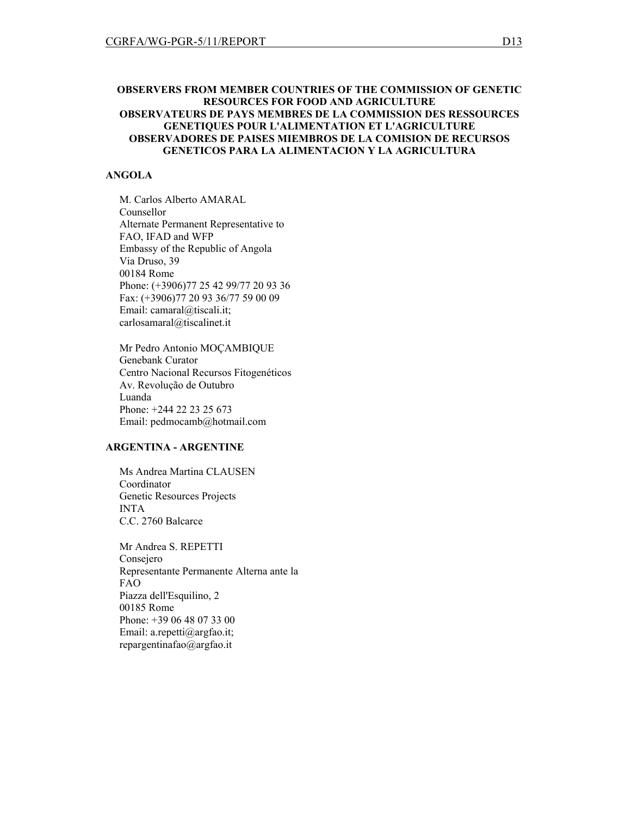### **OBSERVERS FROM MEMBER COUNTRIES OF THE COMMISSION OF GENETIC RESOURCES FOR FOOD AND AGRICULTURE OBSERVATEURS DE PAYS MEMBRES DE LA COMMISSION DES RESSOURCES GENETIQUES POUR L'ALIMENTATION ET L'AGRICULTURE OBSERVADORES DE PAISES MIEMBROS DE LA COMISION DE RECURSOS GENETICOS PARA LA ALIMENTACION Y LA AGRICULTURA**

## **ANGOLA**

M. Carlos Alberto AMARAL Counsellor Alternate Permanent Representative to FAO, IFAD and WFP Embassy of the Republic of Angola Via Druso, 39 00184 Rome Phone: (+3906)77 25 42 99/77 20 93 36 Fax: (+3906)77 20 93 36/77 59 00 09 Email: camaral@tiscali.it; carlosamaral@tiscalinet.it

Mr Pedro Antonio MOÇAMBIQUE Genebank Curator Centro Nacional Recursos Fitogenéticos Av. Revolução de Outubro Luanda Phone: +244 22 23 25 673 Email: pedmocamb@hotmail.com

## **ARGENTINA - ARGENTINE**

Ms Andrea Martina CLAUSEN Coordinator Genetic Resources Projects INTA C.C. 2760 Balcarce

Mr Andrea S. REPETTI Consejero Representante Permanente Alterna ante la FAO Piazza dell'Esquilino, 2 00185 Rome Phone: +39 06 48 07 33 00 Email: a.repetti@argfao.it; repargentinafao@argfao.it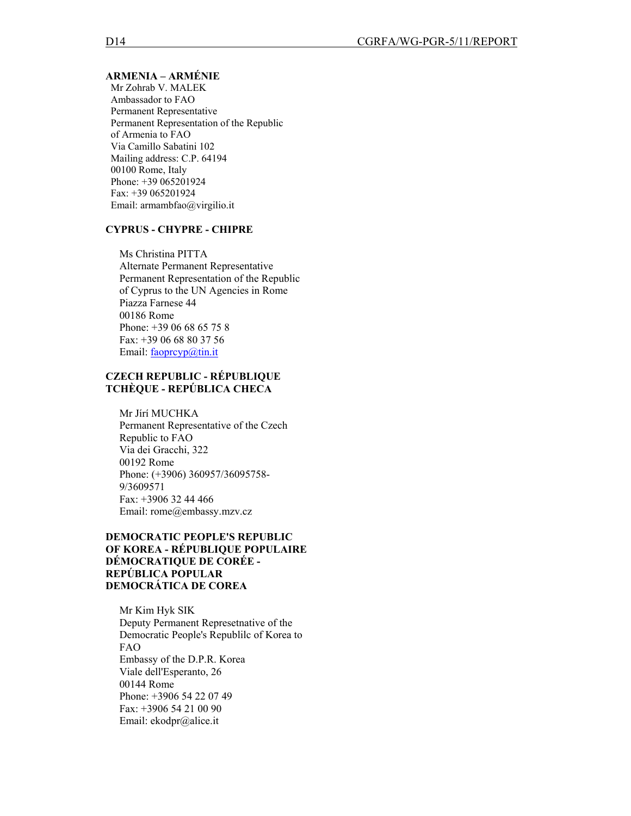## **ARMENIA – ARMÉNIE**

 Mr Zohrab V. MALEK Ambassador to FAO Permanent Representative Permanent Representation of the Republic of Armenia to FAO Via Camillo Sabatini 102 Mailing address: C.P. 64194 00100 Rome, Italy Phone: +39 065201924 Fax: +39 065201924 Email: armambfao@virgilio.it

## **CYPRUS - CHYPRE - CHIPRE**

Ms Christina PITTA Alternate Permanent Representative Permanent Representation of the Republic of Cyprus to the UN Agencies in Rome Piazza Farnese 44 00186 Rome Phone: +39 06 68 65 75 8 Fax: +39 06 68 80 37 56 Email: faoprcyp@tin.it

## **CZECH REPUBLIC - RÉPUBLIQUE TCHÈQUE - REPÚBLICA CHECA**

Mr Jírí MUCHKA Permanent Representative of the Czech Republic to FAO Via dei Gracchi, 322 00192 Rome Phone: (+3906) 360957/36095758- 9/3609571 Fax: +3906 32 44 466 Email: rome@embassy.mzv.cz

### **DEMOCRATIC PEOPLE'S REPUBLIC OF KOREA - RÉPUBLIQUE POPULAIRE DÉMOCRATIQUE DE CORÉE - REPÚBLICA POPULAR DEMOCRÁTICA DE COREA**

Mr Kim Hyk SIK Deputy Permanent Represetnative of the Democratic People's Republilc of Korea to FAO Embassy of the D.P.R. Korea Viale dell'Esperanto, 26 00144 Rome Phone: +3906 54 22 07 49 Fax: +3906 54 21 00 90 Email: ekodpr@alice.it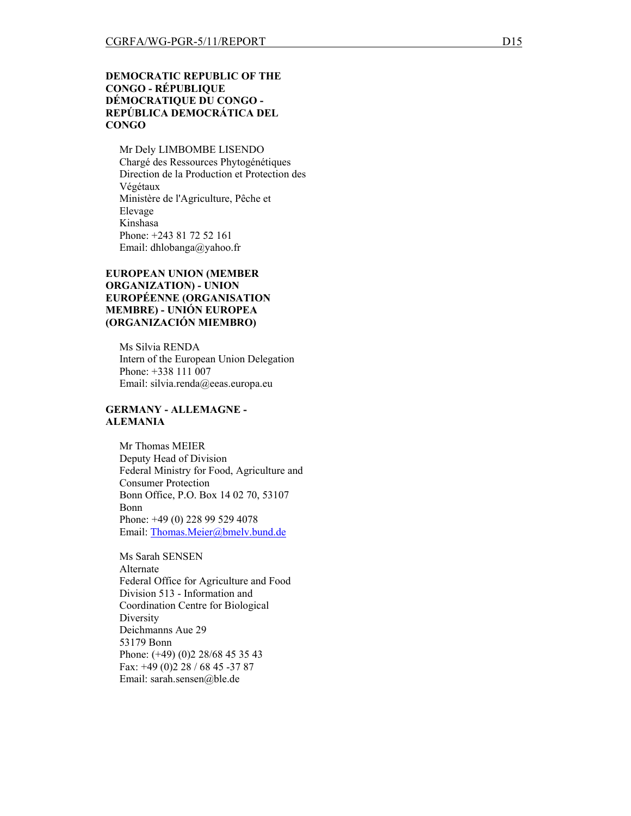### **DEMOCRATIC REPUBLIC OF THE CONGO - RÉPUBLIQUE DÉMOCRATIQUE DU CONGO - REPÚBLICA DEMOCRÁTICA DEL CONGO**

Mr Dely LIMBOMBE LISENDO Chargé des Ressources Phytogénétiques Direction de la Production et Protection des Végétaux Ministère de l'Agriculture, Pêche et Elevage Kinshasa Phone: +243 81 72 52 161 Email: dhlobanga@yahoo.fr

## **EUROPEAN UNION (MEMBER ORGANIZATION) - UNION EUROPÉENNE (ORGANISATION MEMBRE) - UNIÓN EUROPEA (ORGANIZACIÓN MIEMBRO)**

Ms Silvia RENDA Intern of the European Union Delegation Phone: +338 111 007 Email: silvia.renda@eeas.europa.eu

## **GERMANY - ALLEMAGNE - ALEMANIA**

Mr Thomas MEIER Deputy Head of Division Federal Ministry for Food, Agriculture and Consumer Protection Bonn Office, P.O. Box 14 02 70, 53107 Bonn Phone: +49 (0) 228 99 529 4078 Email: Thomas.Meier@bmelv.bund.de

Ms Sarah SENSEN Alternate Federal Office for Agriculture and Food Division 513 - Information and Coordination Centre for Biological **Diversity** Deichmanns Aue 29 53179 Bonn Phone: (+49) (0)2 28/68 45 35 43 Fax: +49 (0)2 28 / 68 45 -37 87 Email: sarah.sensen@ble.de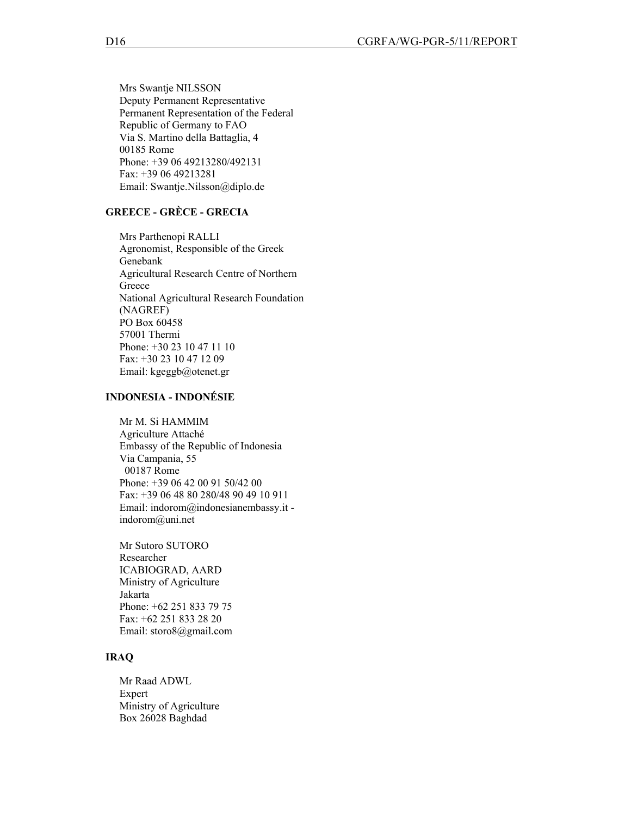Mrs Swantje NILSSON Deputy Permanent Representative Permanent Representation of the Federal Republic of Germany to FAO Via S. Martino della Battaglia, 4 00185 Rome Phone: +39 06 49213280/492131 Fax: +39 06 49213281 Email: Swantje.Nilsson@diplo.de

#### **GREECE - GRÈCE - GRECIA**

Mrs Parthenopi RALLI Agronomist, Responsible of the Greek Genebank Agricultural Research Centre of Northern **Greece** National Agricultural Research Foundation (NAGREF) PO Box 60458 57001 Thermi Phone: +30 23 10 47 11 10 Fax: +30 23 10 47 12 09 Email: kgeggb@otenet.gr

## **INDONESIA - INDONÉSIE**

Mr M. Si HAMMIM Agriculture Attaché Embassy of the Republic of Indonesia Via Campania, 55 00187 Rome Phone: +39 06 42 00 91 50/42 00 Fax: +39 06 48 80 280/48 90 49 10 911 Email: indorom@indonesianembassy.it indorom@uni.net

Mr Sutoro SUTORO Researcher ICABIOGRAD, AARD Ministry of Agriculture Jakarta Phone: +62 251 833 79 75 Fax: +62 251 833 28 20 Email: storo8@gmail.com

### **IRAQ**

Mr Raad ADWL Expert Ministry of Agriculture Box 26028 Baghdad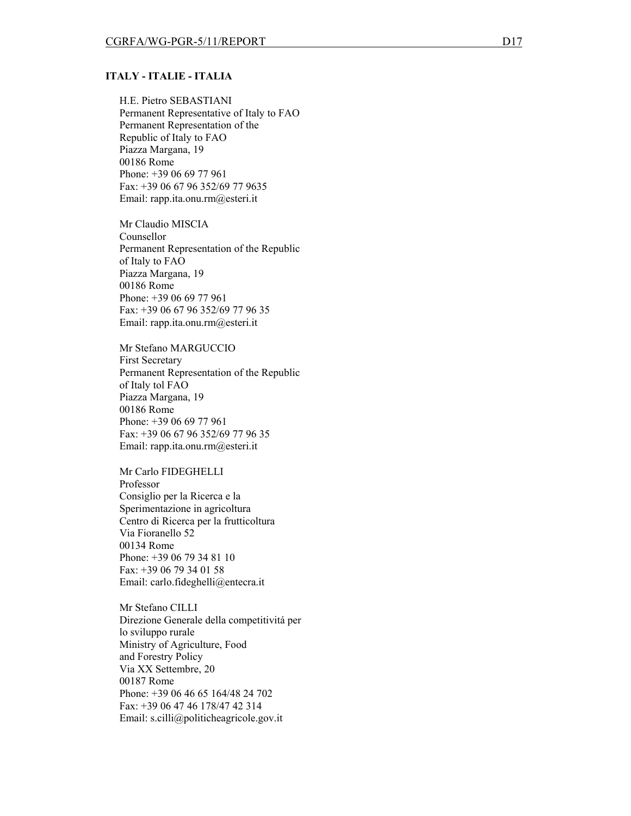## **ITALY - ITALIE - ITALIA**

H.E. Pietro SEBASTIANI Permanent Representative of Italy to FAO Permanent Representation of the Republic of Italy to FAO Piazza Margana, 19 00186 Rome Phone: +39 06 69 77 961 Fax: +39 06 67 96 352/69 77 9635 Email: rapp.ita.onu.rm@esteri.it

Mr Claudio MISCIA Counsellor Permanent Representation of the Republic of Italy to FAO Piazza Margana, 19 00186 Rome Phone: +39 06 69 77 961 Fax: +39 06 67 96 352/69 77 96 35 Email: rapp.ita.onu.rm@esteri.it

Mr Stefano MARGUCCIO First Secretary Permanent Representation of the Republic of Italy tol FAO Piazza Margana, 19 00186 Rome Phone: +39 06 69 77 961 Fax: +39 06 67 96 352/69 77 96 35 Email: rapp.ita.onu.rm@esteri.it

Mr Carlo FIDEGHELLI Professor Consiglio per la Ricerca e la Sperimentazione in agricoltura Centro di Ricerca per la frutticoltura Via Fioranello 52 00134 Rome Phone: +39 06 79 34 81 10 Fax: +39 06 79 34 01 58 Email: carlo.fideghelli@entecra.it

Mr Stefano CILLI Direzione Generale della competitivitá per lo sviluppo rurale Ministry of Agriculture, Food and Forestry Policy Via XX Settembre, 20 00187 Rome Phone: +39 06 46 65 164/48 24 702 Fax: +39 06 47 46 178/47 42 314 Email: s.cilli@politicheagricole.gov.it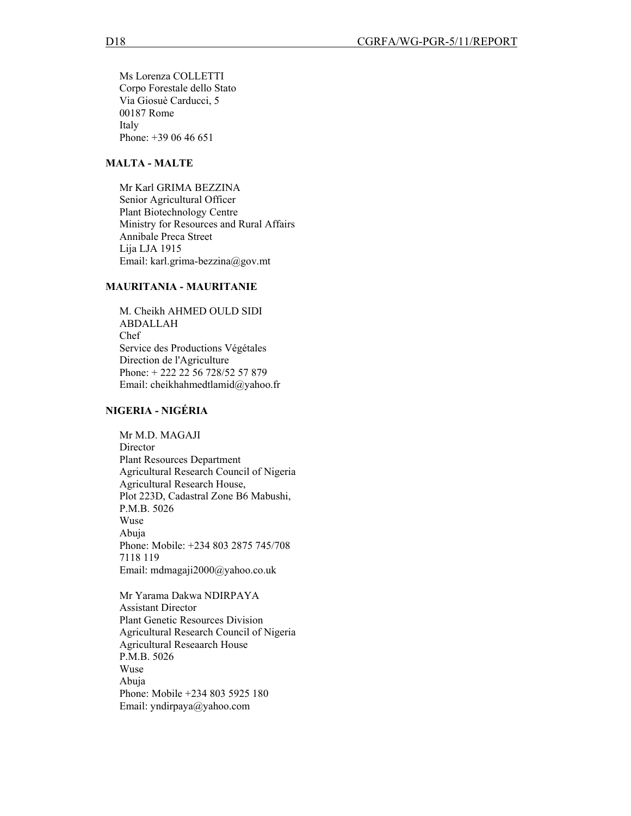Ms Lorenza COLLETTI Corpo Forestale dello Stato Via Giosuè Carducci, 5 00187 Rome Italy Phone: +39 06 46 651

#### **MALTA - MALTE**

Mr Karl GRIMA BEZZINA Senior Agricultural Officer Plant Biotechnology Centre Ministry for Resources and Rural Affairs Annibale Preca Street Lija LJA 1915 Email: karl.grima-bezzina@gov.mt

### **MAURITANIA - MAURITANIE**

M. Cheikh AHMED OULD SIDI ABDALLAH Chef Service des Productions Végétales Direction de l'Agriculture Phone: + 222 22 56 728/52 57 879 Email: cheikhahmedtlamid@yahoo.fr

## **NIGERIA - NIGÉRIA**

Mr M.D. MAGAJI **Director** Plant Resources Department Agricultural Research Council of Nigeria Agricultural Research House, Plot 223D, Cadastral Zone B6 Mabushi, P.M.B. 5026 Wuse Abuja Phone: Mobile: +234 803 2875 745/708 7118 119 Email: mdmagaji2000@yahoo.co.uk

Mr Yarama Dakwa NDIRPAYA Assistant Director Plant Genetic Resources Division Agricultural Research Council of Nigeria Agricultural Reseaarch House P.M.B. 5026 Wuse Abuja Phone: Mobile +234 803 5925 180 Email: yndirpaya@yahoo.com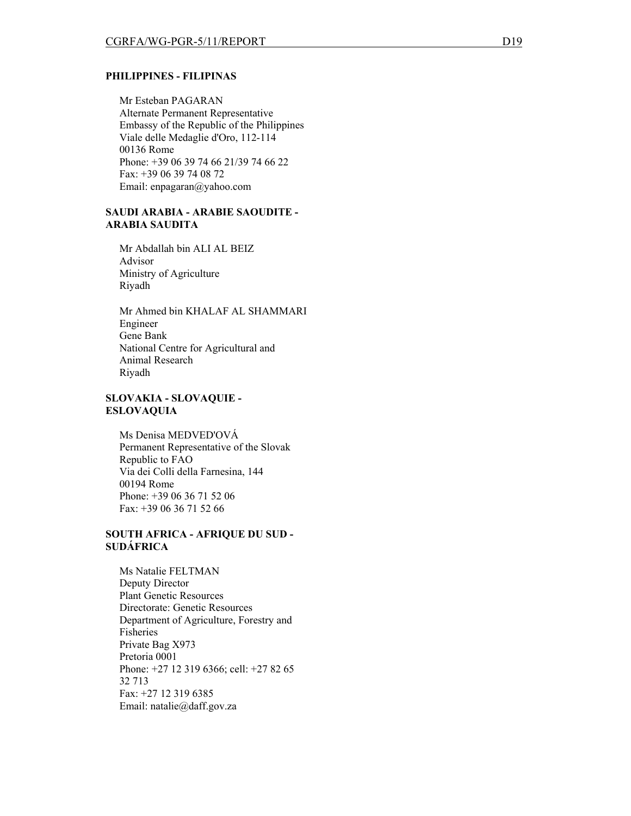## **PHILIPPINES - FILIPINAS**

Mr Esteban PAGARAN Alternate Permanent Representative Embassy of the Republic of the Philippines Viale delle Medaglie d'Oro, 112-114 00136 Rome Phone: +39 06 39 74 66 21/39 74 66 22 Fax: +39 06 39 74 08 72 Email: enpagaran@yahoo.com

#### **SAUDI ARABIA - ARABIE SAOUDITE - ARABIA SAUDITA**

Mr Abdallah bin ALI AL BEIZ Advisor Ministry of Agriculture Riyadh

Mr Ahmed bin KHALAF AL SHAMMARI Engineer Gene Bank National Centre for Agricultural and Animal Research Riyadh

### **SLOVAKIA - SLOVAQUIE - ESLOVAQUIA**

Ms Denisa MEDVED'OVÁ Permanent Representative of the Slovak Republic to FAO Via dei Colli della Farnesina, 144 00194 Rome Phone: +39 06 36 71 52 06 Fax: +39 06 36 71 52 66

### **SOUTH AFRICA - AFRIQUE DU SUD - SUDÁFRICA**

Ms Natalie FELTMAN Deputy Director Plant Genetic Resources Directorate: Genetic Resources Department of Agriculture, Forestry and Fisheries Private Bag X973 Pretoria 0001 Phone: +27 12 319 6366; cell: +27 82 65 32 713 Fax: +27 12 319 6385 Email: natalie@daff.gov.za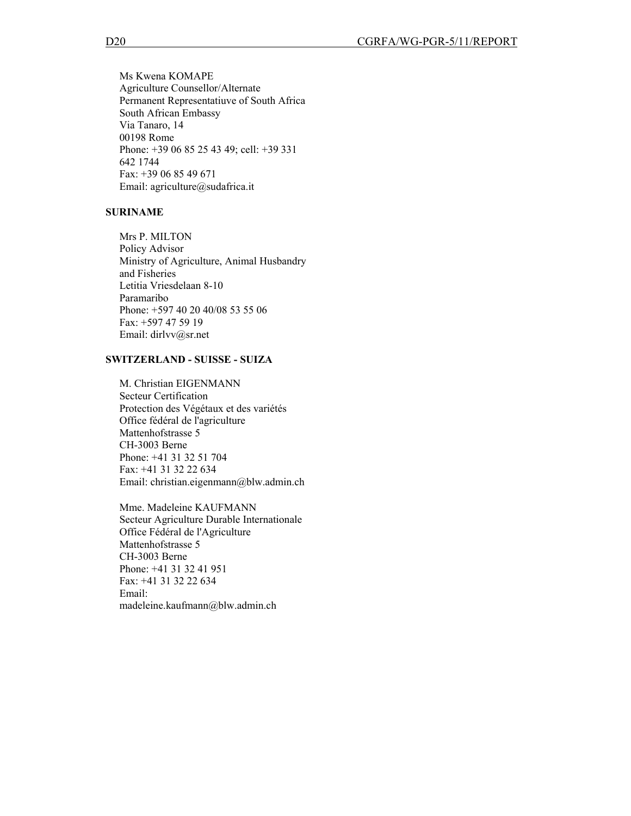Ms Kwena KOMAPE Agriculture Counsellor/Alternate Permanent Representatiuve of South Africa South African Embassy Via Tanaro, 14 00198 Rome Phone: +39 06 85 25 43 49; cell: +39 331 642 1744 Fax: +39 06 85 49 671 Email: agriculture@sudafrica.it

#### **SURINAME**

Mrs P. MILTON Policy Advisor Ministry of Agriculture, Animal Husbandry and Fisheries Letitia Vriesdelaan 8-10 Paramaribo Phone: +597 40 20 40/08 53 55 06 Fax: +597 47 59 19 Email: dirlvv@sr.net

### **SWITZERLAND - SUISSE - SUIZA**

M. Christian EIGENMANN Secteur Certification Protection des Végétaux et des variétés Office fédéral de l'agriculture Mattenhofstrasse 5 CH-3003 Berne Phone: +41 31 32 51 704 Fax: +41 31 32 22 634 Email: christian.eigenmann@blw.admin.ch

Mme. Madeleine KAUFMANN Secteur Agriculture Durable Internationale Office Fédéral de l'Agriculture Mattenhofstrasse 5 CH-3003 Berne Phone: +41 31 32 41 951 Fax: +41 31 32 22 634 Email: madeleine.kaufmann@blw.admin.ch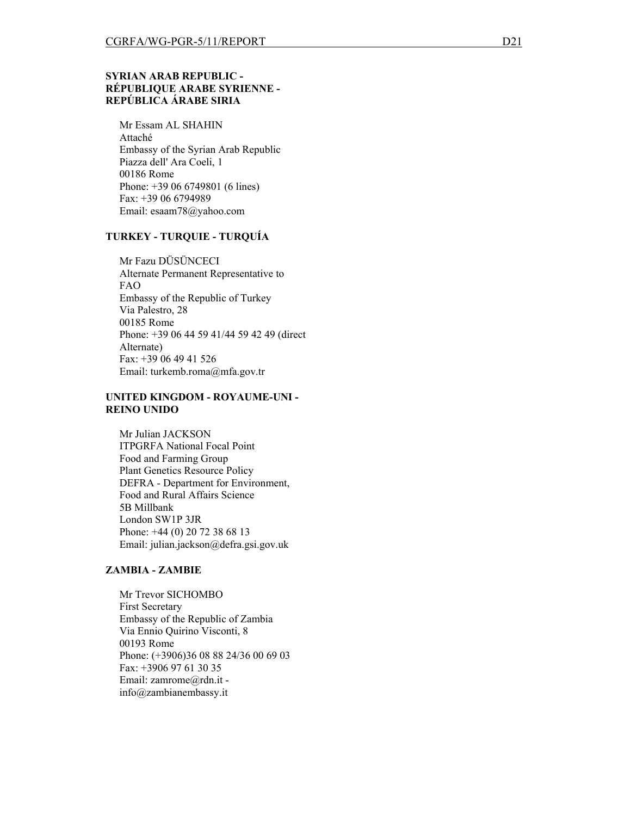## **SYRIAN ARAB REPUBLIC - RÉPUBLIQUE ARABE SYRIENNE - REPÚBLICA ÁRABE SIRIA**

Mr Essam AL SHAHIN Attaché Embassy of the Syrian Arab Republic Piazza dell' Ara Coeli, 1 00186 Rome Phone: +39 06 6749801 (6 lines) Fax: +39 06 6794989 Email: esaam78@yahoo.com

#### **TURKEY - TURQUIE - TURQUÍA**

Mr Fazu DÜSÜNCECI Alternate Permanent Representative to FAO Embassy of the Republic of Turkey Via Palestro, 28 00185 Rome Phone: +39 06 44 59 41/44 59 42 49 (direct Alternate) Fax: +39 06 49 41 526 Email: turkemb.roma@mfa.gov.tr

### **UNITED KINGDOM - ROYAUME-UNI - REINO UNIDO**

Mr Julian JACKSON ITPGRFA National Focal Point Food and Farming Group Plant Genetics Resource Policy DEFRA - Department for Environment, Food and Rural Affairs Science 5B Millbank London SW1P 3JR Phone: +44 (0) 20 72 38 68 13 Email: julian.jackson@defra.gsi.gov.uk

## **ZAMBIA - ZAMBIE**

Mr Trevor SICHOMBO First Secretary Embassy of the Republic of Zambia Via Ennio Quirino Visconti, 8 00193 Rome Phone: (+3906)36 08 88 24/36 00 69 03 Fax: +3906 97 61 30 35 Email: zamrome@rdn.it info@zambianembassy.it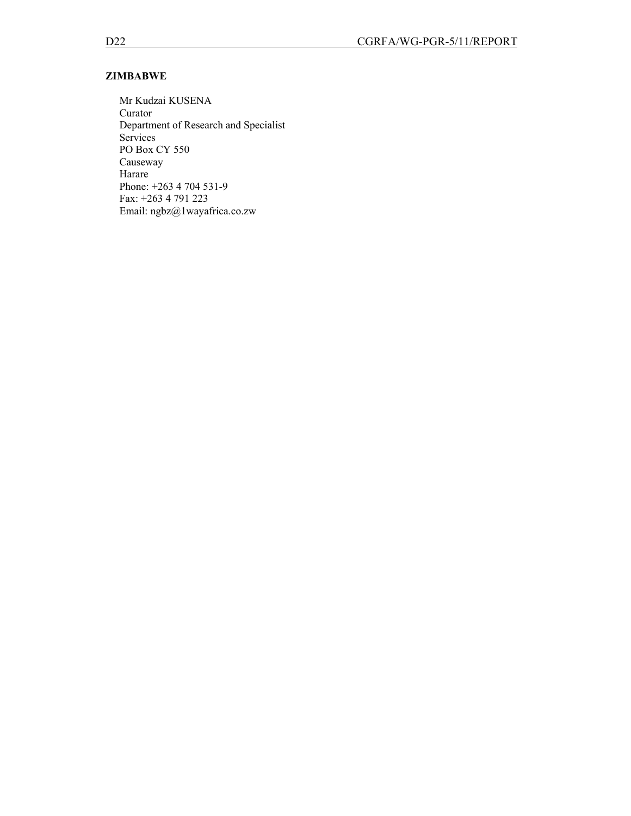## **ZIMBABWE**

Mr Kudzai KUSENA Curator Department of Research and Specialist **Services** PO Box CY 550 Causeway Harare Phone: +263 4 704 531-9 Fax: +263 4 791 223 Email: ngbz@1wayafrica.co.zw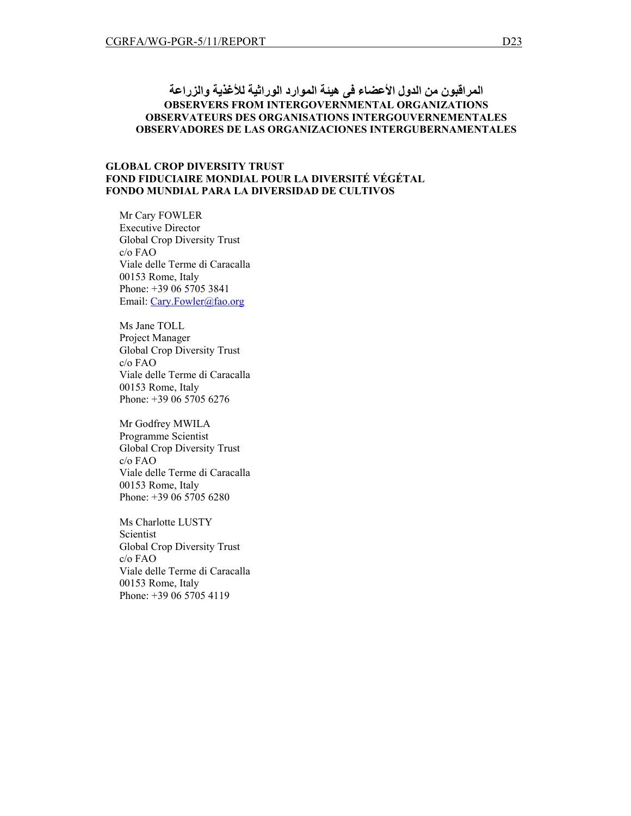## **المراقبون من الدول الأعضاء فى هيئة الموارد الوراثية للأغذية والزراعة OBSERVERS FROM INTERGOVERNMENTAL ORGANIZATIONS OBSERVATEURS DES ORGANISATIONS INTERGOUVERNEMENTALES OBSERVADORES DE LAS ORGANIZACIONES INTERGUBERNAMENTALES**

## **GLOBAL CROP DIVERSITY TRUST FOND FIDUCIAIRE MONDIAL POUR LA DIVERSITÉ VÉGÉTAL FONDO MUNDIAL PARA LA DIVERSIDAD DE CULTIVOS**

Mr Cary FOWLER Executive Director Global Crop Diversity Trust c/o FAO Viale delle Terme di Caracalla 00153 Rome, Italy Phone: +39 06 5705 3841 Email: Cary.Fowler@fao.org

Ms Jane TOLL Project Manager Global Crop Diversity Trust c/o FAO Viale delle Terme di Caracalla 00153 Rome, Italy Phone: +39 06 5705 6276

Mr Godfrey MWILA Programme Scientist Global Crop Diversity Trust c/o FAO Viale delle Terme di Caracalla 00153 Rome, Italy Phone: +39 06 5705 6280

Ms Charlotte LUSTY Scientist Global Crop Diversity Trust c/o FAO Viale delle Terme di Caracalla 00153 Rome, Italy Phone: +39 06 5705 4119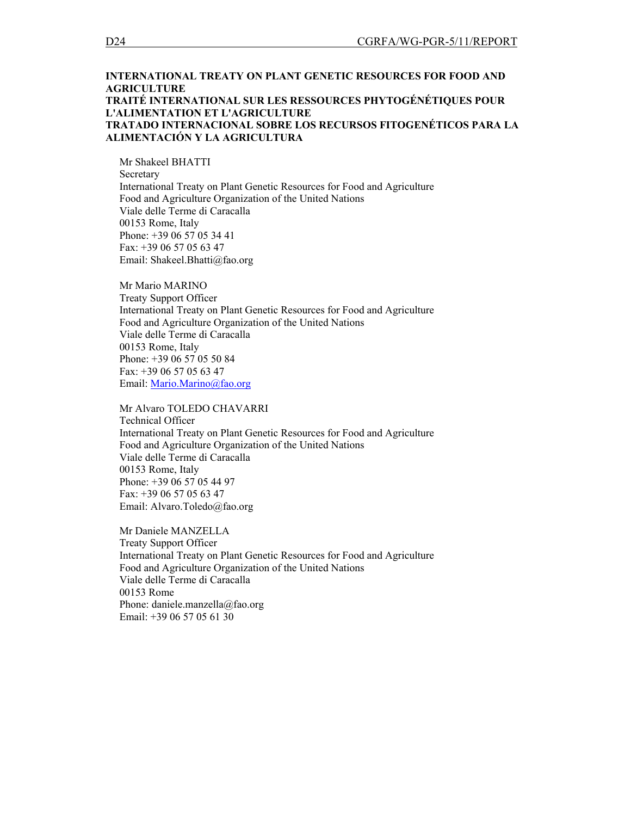## **INTERNATIONAL TREATY ON PLANT GENETIC RESOURCES FOR FOOD AND AGRICULTURE TRAITÉ INTERNATIONAL SUR LES RESSOURCES PHYTOGÉNÉTIQUES POUR L'ALIMENTATION ET L'AGRICULTURE TRATADO INTERNACIONAL SOBRE LOS RECURSOS FITOGENÉTICOS PARA LA ALIMENTACIÓN Y LA AGRICULTURA**

Mr Shakeel BHATTI **Secretary** International Treaty on Plant Genetic Resources for Food and Agriculture Food and Agriculture Organization of the United Nations Viale delle Terme di Caracalla 00153 Rome, Italy Phone: +39 06 57 05 34 41 Fax: +39 06 57 05 63 47 Email: Shakeel.Bhatti@fao.org

Mr Mario MARINO Treaty Support Officer International Treaty on Plant Genetic Resources for Food and Agriculture Food and Agriculture Organization of the United Nations Viale delle Terme di Caracalla 00153 Rome, Italy Phone: +39 06 57 05 50 84 Fax: +39 06 57 05 63 47 Email: Mario.Marino@fao.org

Mr Alvaro TOLEDO CHAVARRI Technical Officer International Treaty on Plant Genetic Resources for Food and Agriculture Food and Agriculture Organization of the United Nations Viale delle Terme di Caracalla 00153 Rome, Italy Phone: +39 06 57 05 44 97 Fax: +39 06 57 05 63 47 Email: Alvaro.Toledo@fao.org

Mr Daniele MANZELLA Treaty Support Officer International Treaty on Plant Genetic Resources for Food and Agriculture Food and Agriculture Organization of the United Nations Viale delle Terme di Caracalla 00153 Rome Phone: daniele.manzella@fao.org Email: +39 06 57 05 61 30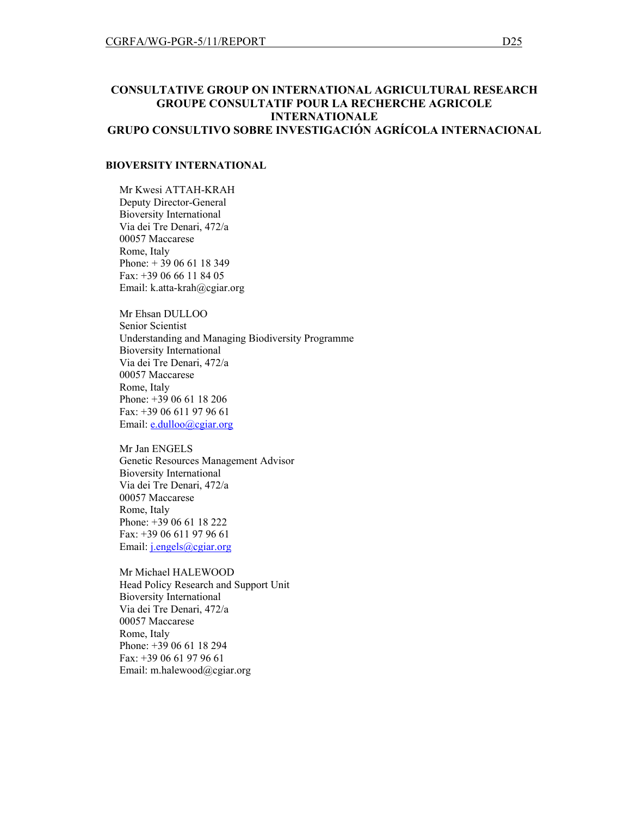# **CONSULTATIVE GROUP ON INTERNATIONAL AGRICULTURAL RESEARCH GROUPE CONSULTATIF POUR LA RECHERCHE AGRICOLE INTERNATIONALE**

# **GRUPO CONSULTIVO SOBRE INVESTIGACIÓN AGRÍCOLA INTERNACIONAL**

## **BIOVERSITY INTERNATIONAL**

Mr Kwesi ATTAH-KRAH Deputy Director-General Bioversity International Via dei Tre Denari, 472/a 00057 Maccarese Rome, Italy Phone: + 39 06 61 18 349 Fax: +39 06 66 11 84 05 Email: k.atta-krah@cgiar.org

Mr Ehsan DULLOO Senior Scientist Understanding and Managing Biodiversity Programme Bioversity International Via dei Tre Denari, 472/a 00057 Maccarese Rome, Italy Phone: +39 06 61 18 206 Fax: +39 06 611 97 96 61 Email: e.dulloo@cgiar.org

Mr Jan ENGELS Genetic Resources Management Advisor Bioversity International Via dei Tre Denari, 472/a 00057 Maccarese Rome, Italy Phone: +39 06 61 18 222 Fax: +39 06 611 97 96 61 Email: j.engels@cgiar.org

Mr Michael HALEWOOD Head Policy Research and Support Unit Bioversity International Via dei Tre Denari, 472/a 00057 Maccarese Rome, Italy Phone: +39 06 61 18 294 Fax: +39 06 61 97 96 61 Email: m.halewood@cgiar.org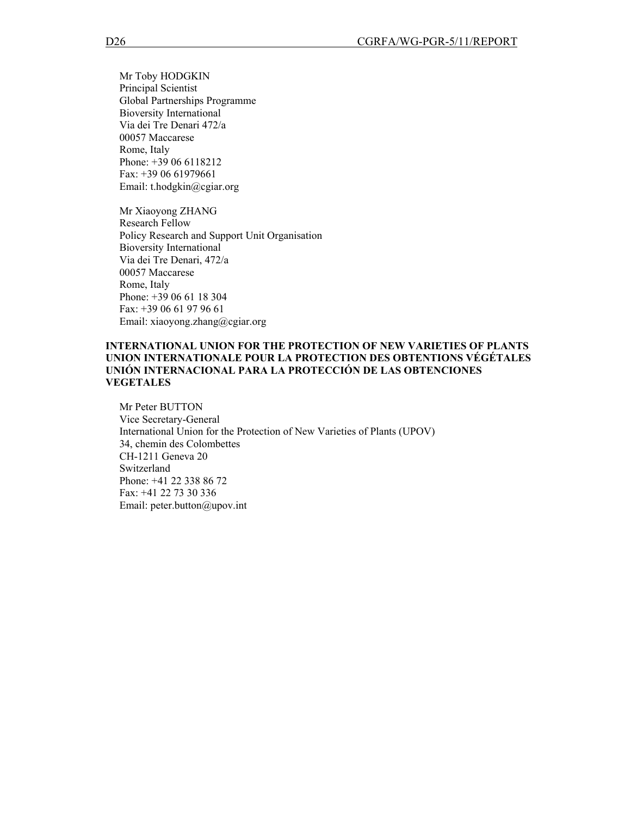Mr Toby HODGKIN Principal Scientist Global Partnerships Programme Bioversity International Via dei Tre Denari 472/a 00057 Maccarese Rome, Italy Phone: +39 06 6118212 Fax: +39 06 61979661 Email: t.hodgkin@cgiar.org

Mr Xiaoyong ZHANG Research Fellow Policy Research and Support Unit Organisation Bioversity International Via dei Tre Denari, 472/a 00057 Maccarese Rome, Italy Phone: +39 06 61 18 304 Fax: +39 06 61 97 96 61 Email: xiaoyong.zhang@cgiar.org

## **INTERNATIONAL UNION FOR THE PROTECTION OF NEW VARIETIES OF PLANTS UNION INTERNATIONALE POUR LA PROTECTION DES OBTENTIONS VÉGÉTALES UNIÓN INTERNACIONAL PARA LA PROTECCIÓN DE LAS OBTENCIONES VEGETALES**

Mr Peter BUTTON Vice Secretary-General International Union for the Protection of New Varieties of Plants (UPOV) 34, chemin des Colombettes CH-1211 Geneva 20 Switzerland Phone: +41 22 338 86 72 Fax: +41 22 73 30 336 Email: peter.button@upov.int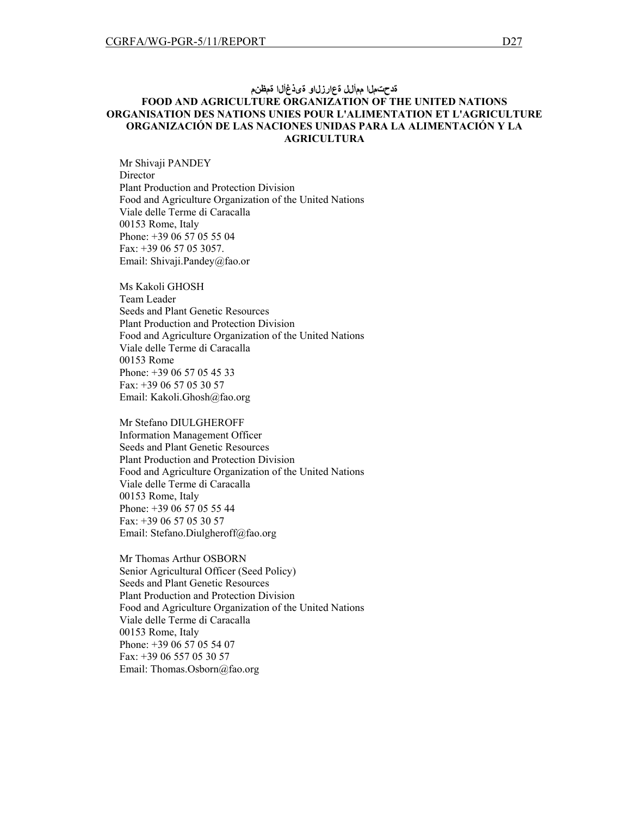## **ةدحتملا ممألل ةعارزلاو ةیذغألا ةمظنم FOOD AND AGRICULTURE ORGANIZATION OF THE UNITED NATIONS ORGANISATION DES NATIONS UNIES POUR L'ALIMENTATION ET L'AGRICULTURE ORGANIZACIÓN DE LAS NACIONES UNIDAS PARA LA ALIMENTACIÓN Y LA AGRICULTURA**

Mr Shivaji PANDEY **Director** Plant Production and Protection Division Food and Agriculture Organization of the United Nations Viale delle Terme di Caracalla 00153 Rome, Italy Phone: +39 06 57 05 55 04 Fax: +39 06 57 05 3057. Email: Shivaji.Pandey@fao.or

Ms Kakoli GHOSH Team Leader Seeds and Plant Genetic Resources Plant Production and Protection Division Food and Agriculture Organization of the United Nations Viale delle Terme di Caracalla 00153 Rome Phone: +39 06 57 05 45 33 Fax: +39 06 57 05 30 57 Email: Kakoli.Ghosh@fao.org

Mr Stefano DIULGHEROFF Information Management Officer Seeds and Plant Genetic Resources Plant Production and Protection Division Food and Agriculture Organization of the United Nations Viale delle Terme di Caracalla 00153 Rome, Italy Phone: +39 06 57 05 55 44 Fax: +39 06 57 05 30 57 Email: Stefano.Diulgheroff@fao.org

Mr Thomas Arthur OSBORN Senior Agricultural Officer (Seed Policy) Seeds and Plant Genetic Resources Plant Production and Protection Division Food and Agriculture Organization of the United Nations Viale delle Terme di Caracalla 00153 Rome, Italy Phone: +39 06 57 05 54 07 Fax: +39 06 557 05 30 57 Email: Thomas.Osborn@fao.org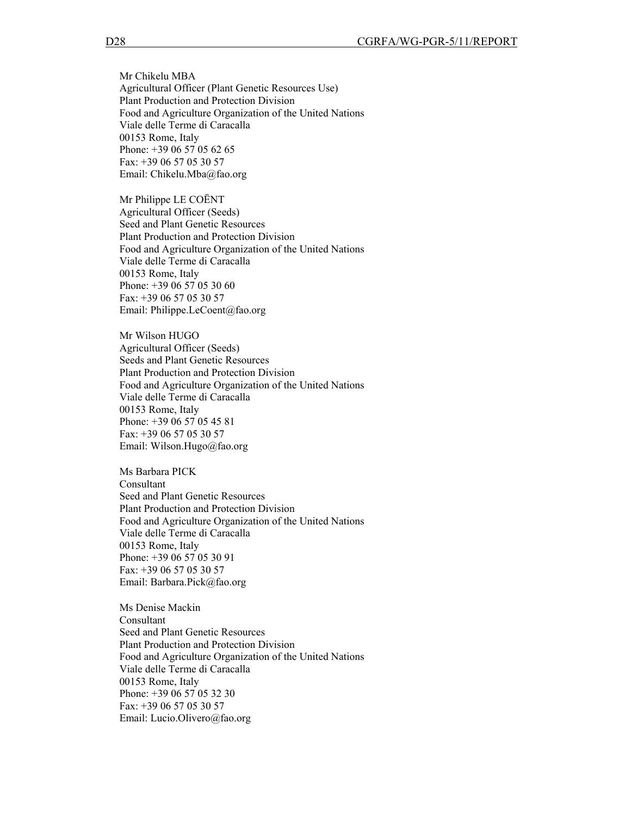Mr Chikelu MBA Agricultural Officer (Plant Genetic Resources Use) Plant Production and Protection Division Food and Agriculture Organization of the United Nations Viale delle Terme di Caracalla 00153 Rome, Italy Phone: +39 06 57 05 62 65 Fax: +39 06 57 05 30 57 Email: Chikelu.Mba@fao.org

Mr Philippe LE COËNT Agricultural Officer (Seeds) Seed and Plant Genetic Resources Plant Production and Protection Division Food and Agriculture Organization of the United Nations Viale delle Terme di Caracalla 00153 Rome, Italy Phone: +39 06 57 05 30 60 Fax: +39 06 57 05 30 57 Email: Philippe.LeCoent@fao.org

Mr Wilson HUGO Agricultural Officer (Seeds) Seeds and Plant Genetic Resources Plant Production and Protection Division Food and Agriculture Organization of the United Nations Viale delle Terme di Caracalla 00153 Rome, Italy Phone: +39 06 57 05 45 81 Fax: +39 06 57 05 30 57 Email: Wilson.Hugo@fao.org

Ms Barbara PICK Consultant Seed and Plant Genetic Resources Plant Production and Protection Division Food and Agriculture Organization of the United Nations Viale delle Terme di Caracalla 00153 Rome, Italy Phone: +39 06 57 05 30 91 Fax: +39 06 57 05 30 57 Email: Barbara.Pick@fao.org

Ms Denise Mackin Consultant Seed and Plant Genetic Resources Plant Production and Protection Division Food and Agriculture Organization of the United Nations Viale delle Terme di Caracalla 00153 Rome, Italy Phone: +39 06 57 05 32 30 Fax: +39 06 57 05 30 57 Email: Lucio.Olivero@fao.org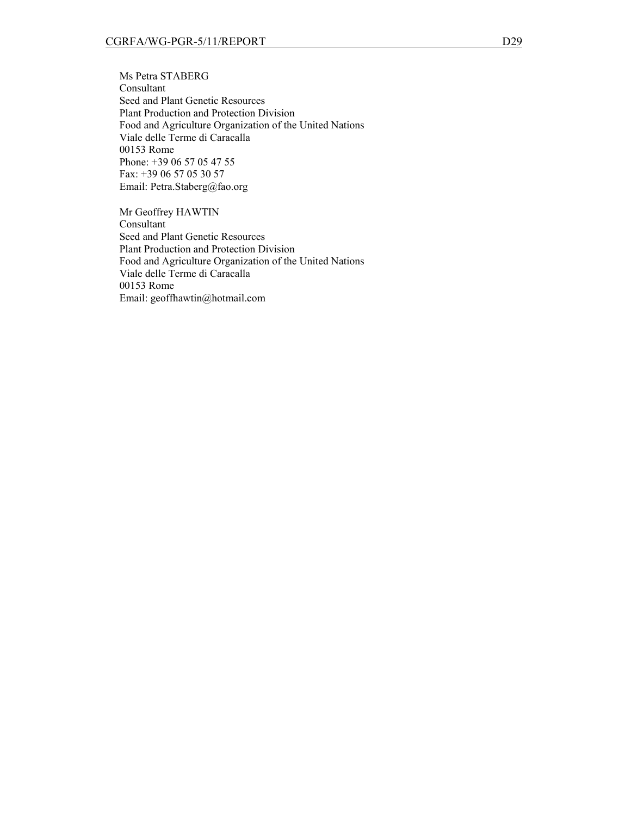Ms Petra STABERG Consultant Seed and Plant Genetic Resources Plant Production and Protection Division Food and Agriculture Organization of the United Nations Viale delle Terme di Caracalla 00153 Rome Phone: +39 06 57 05 47 55 Fax: +39 06 57 05 30 57 Email: Petra.Staberg@fao.org

Mr Geoffrey HAWTIN Consultant Seed and Plant Genetic Resources Plant Production and Protection Division Food and Agriculture Organization of the United Nations Viale delle Terme di Caracalla 00153 Rome Email: geoffhawtin@hotmail.com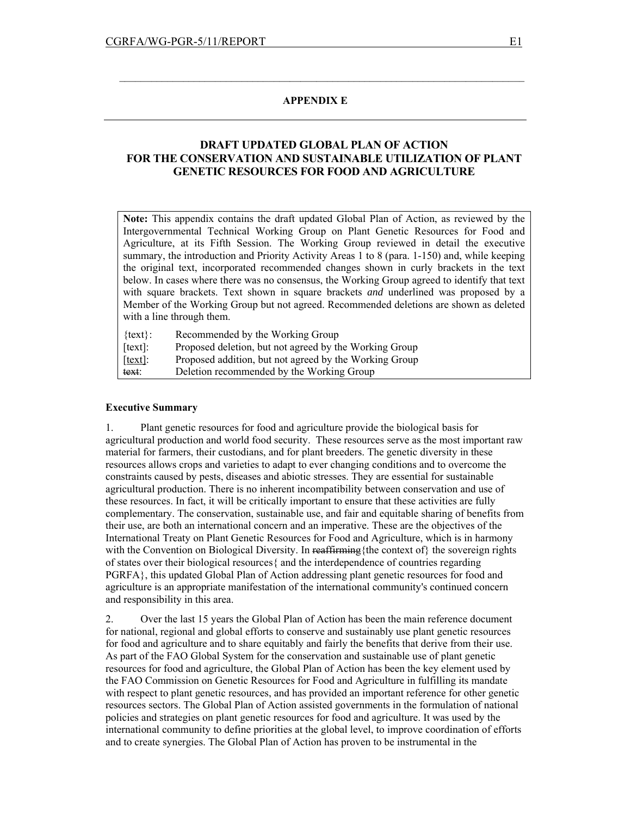#### **APPENDIX E**

 $\mathcal{L}_\mathcal{L} = \{ \mathcal{L}_\mathcal{L} = \{ \mathcal{L}_\mathcal{L} = \{ \mathcal{L}_\mathcal{L} = \{ \mathcal{L}_\mathcal{L} = \{ \mathcal{L}_\mathcal{L} = \{ \mathcal{L}_\mathcal{L} = \{ \mathcal{L}_\mathcal{L} = \{ \mathcal{L}_\mathcal{L} = \{ \mathcal{L}_\mathcal{L} = \{ \mathcal{L}_\mathcal{L} = \{ \mathcal{L}_\mathcal{L} = \{ \mathcal{L}_\mathcal{L} = \{ \mathcal{L}_\mathcal{L} = \{ \mathcal{L}_\mathcal{$ 

## **DRAFT UPDATED GLOBAL PLAN OF ACTION FOR THE CONSERVATION AND SUSTAINABLE UTILIZATION OF PLANT GENETIC RESOURCES FOR FOOD AND AGRICULTURE**

**Note:** This appendix contains the draft updated Global Plan of Action, as reviewed by the Intergovernmental Technical Working Group on Plant Genetic Resources for Food and Agriculture, at its Fifth Session. The Working Group reviewed in detail the executive summary, the introduction and Priority Activity Areas 1 to 8 (para. 1-150) and, while keeping the original text, incorporated recommended changes shown in curly brackets in the text below. In cases where there was no consensus, the Working Group agreed to identify that text with square brackets. Text shown in square brackets *and* underlined was proposed by a Member of the Working Group but not agreed. Recommended deletions are shown as deleted with a line through them.

| $\{textext}\}$ : | Recommended by the Working Group                       |
|------------------|--------------------------------------------------------|
| $[text]$ :       | Proposed deletion, but not agreed by the Working Group |
| $[text]$ :       | Proposed addition, but not agreed by the Working Group |
| text:            | Deletion recommended by the Working Group              |

#### **Executive Summary**

1. Plant genetic resources for food and agriculture provide the biological basis for agricultural production and world food security. These resources serve as the most important raw material for farmers, their custodians, and for plant breeders. The genetic diversity in these resources allows crops and varieties to adapt to ever changing conditions and to overcome the constraints caused by pests, diseases and abiotic stresses. They are essential for sustainable agricultural production. There is no inherent incompatibility between conservation and use of these resources. In fact, it will be critically important to ensure that these activities are fully complementary. The conservation, sustainable use, and fair and equitable sharing of benefits from their use, are both an international concern and an imperative. These are the objectives of the International Treaty on Plant Genetic Resources for Food and Agriculture, which is in harmony with the Convention on Biological Diversity. In reaffirming {the context of } the sovereign rights of states over their biological resources{ and the interdependence of countries regarding PGRFA}, this updated Global Plan of Action addressing plant genetic resources for food and agriculture is an appropriate manifestation of the international community's continued concern and responsibility in this area.

2. Over the last 15 years the Global Plan of Action has been the main reference document for national, regional and global efforts to conserve and sustainably use plant genetic resources for food and agriculture and to share equitably and fairly the benefits that derive from their use. As part of the FAO Global System for the conservation and sustainable use of plant genetic resources for food and agriculture, the Global Plan of Action has been the key element used by the FAO Commission on Genetic Resources for Food and Agriculture in fulfilling its mandate with respect to plant genetic resources, and has provided an important reference for other genetic resources sectors. The Global Plan of Action assisted governments in the formulation of national policies and strategies on plant genetic resources for food and agriculture. It was used by the international community to define priorities at the global level, to improve coordination of efforts and to create synergies. The Global Plan of Action has proven to be instrumental in the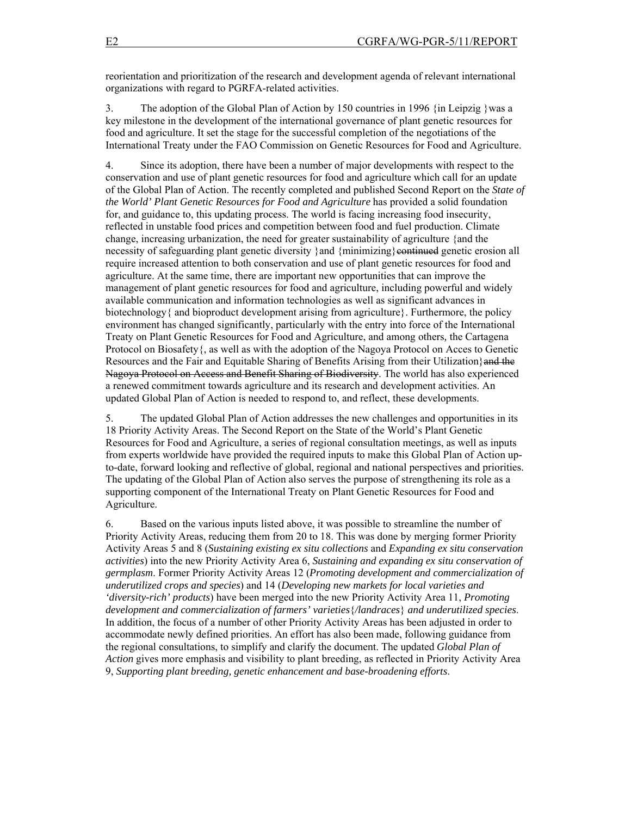reorientation and prioritization of the research and development agenda of relevant international organizations with regard to PGRFA-related activities.

3. The adoption of the Global Plan of Action by 150 countries in 1996 {in Leipzig }was a key milestone in the development of the international governance of plant genetic resources for food and agriculture. It set the stage for the successful completion of the negotiations of the International Treaty under the FAO Commission on Genetic Resources for Food and Agriculture.

4. Since its adoption, there have been a number of major developments with respect to the conservation and use of plant genetic resources for food and agriculture which call for an update of the Global Plan of Action. The recently completed and published Second Report on the *State of the World' Plant Genetic Resources for Food and Agriculture* has provided a solid foundation for, and guidance to, this updating process. The world is facing increasing food insecurity, reflected in unstable food prices and competition between food and fuel production. Climate change, increasing urbanization, the need for greater sustainability of agriculture {and the necessity of safeguarding plant genetic diversity  $\{$  and  $\{minimizing\}$  entinued genetic erosion all require increased attention to both conservation and use of plant genetic resources for food and agriculture. At the same time, there are important new opportunities that can improve the management of plant genetic resources for food and agriculture, including powerful and widely available communication and information technologies as well as significant advances in biotechnology{ and bioproduct development arising from agriculture}. Furthermore, the policy environment has changed significantly, particularly with the entry into force of the International Treaty on Plant Genetic Resources for Food and Agriculture, and among others*,* the Cartagena Protocol on Biosafety{, as well as with the adoption of the Nagoya Protocol on Acces to Genetic Resources and the Fair and Equitable Sharing of Benefits Arising from their Utilization and the Nagoya Protocol on Access and Benefit Sharing of Biodiversity. The world has also experienced a renewed commitment towards agriculture and its research and development activities. An updated Global Plan of Action is needed to respond to, and reflect, these developments.

5. The updated Global Plan of Action addresses the new challenges and opportunities in its 18 Priority Activity Areas. The Second Report on the State of the World's Plant Genetic Resources for Food and Agriculture, a series of regional consultation meetings, as well as inputs from experts worldwide have provided the required inputs to make this Global Plan of Action upto-date, forward looking and reflective of global, regional and national perspectives and priorities. The updating of the Global Plan of Action also serves the purpose of strengthening its role as a supporting component of the International Treaty on Plant Genetic Resources for Food and Agriculture.

6. Based on the various inputs listed above, it was possible to streamline the number of Priority Activity Areas, reducing them from 20 to 18. This was done by merging former Priority Activity Areas 5 and 8 (*Sustaining existing ex situ collections* and *Expanding ex situ conservation activities*) into the new Priority Activity Area 6, *Sustaining and expanding ex situ conservation of germplasm*. Former Priority Activity Areas 12 (*Promoting development and commercialization of underutilized crops and species*) and 14 (*Developing new markets for local varieties and 'diversity-rich' products*) have been merged into the new Priority Activity Area 11, *Promoting development and commercialization of farmers' varieties*{*/landraces*} *and underutilized species*. In addition, the focus of a number of other Priority Activity Areas has been adjusted in order to accommodate newly defined priorities. An effort has also been made, following guidance from the regional consultations, to simplify and clarify the document. The updated *Global Plan of Action* gives more emphasis and visibility to plant breeding, as reflected in Priority Activity Area 9, *Supporting plant breeding, genetic enhancement and base-broadening efforts*.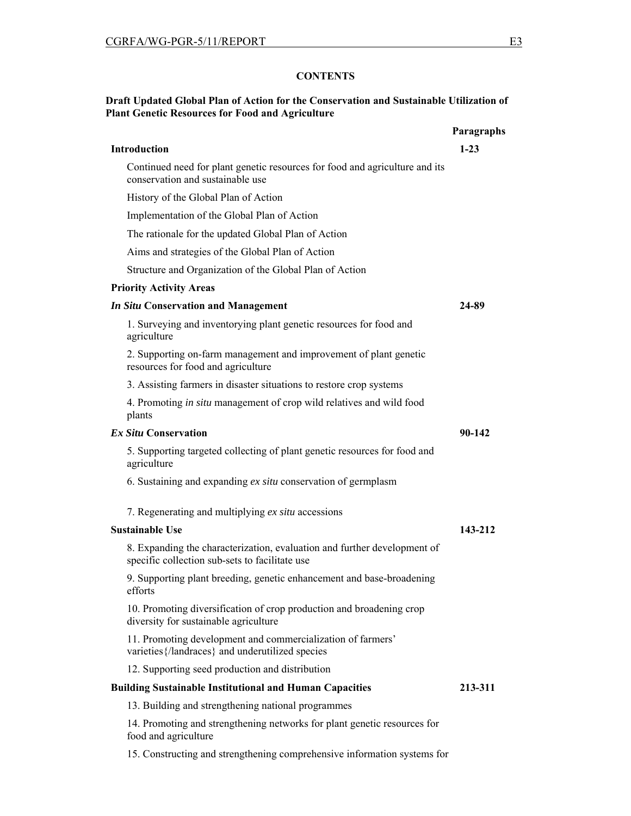## **CONTENTS**

## **Draft Updated Global Plan of Action for the Conservation and Sustainable Utilization of Plant Genetic Resources for Food and Agriculture**

| Introduction                                                   |                                                                                                                            |  |
|----------------------------------------------------------------|----------------------------------------------------------------------------------------------------------------------------|--|
|                                                                | Continued need for plant genetic resources for food and agriculture and its<br>conservation and sustainable use            |  |
|                                                                | History of the Global Plan of Action                                                                                       |  |
|                                                                | Implementation of the Global Plan of Action                                                                                |  |
|                                                                | The rationale for the updated Global Plan of Action                                                                        |  |
|                                                                | Aims and strategies of the Global Plan of Action                                                                           |  |
|                                                                | Structure and Organization of the Global Plan of Action                                                                    |  |
|                                                                | <b>Priority Activity Areas</b>                                                                                             |  |
| <b>In Situ Conservation and Management</b>                     |                                                                                                                            |  |
|                                                                | 1. Surveying and inventorying plant genetic resources for food and<br>agriculture                                          |  |
|                                                                | 2. Supporting on-farm management and improvement of plant genetic<br>resources for food and agriculture                    |  |
|                                                                | 3. Assisting farmers in disaster situations to restore crop systems                                                        |  |
|                                                                | 4. Promoting in situ management of crop wild relatives and wild food<br>plants                                             |  |
| <b>Ex Situ Conservation</b>                                    |                                                                                                                            |  |
|                                                                | 5. Supporting targeted collecting of plant genetic resources for food and<br>agriculture                                   |  |
|                                                                | 6. Sustaining and expanding ex situ conservation of germplasm                                                              |  |
|                                                                | 7. Regenerating and multiplying ex situ accessions                                                                         |  |
| <b>Sustainable Use</b>                                         |                                                                                                                            |  |
|                                                                | 8. Expanding the characterization, evaluation and further development of<br>specific collection sub-sets to facilitate use |  |
|                                                                | 9. Supporting plant breeding, genetic enhancement and base-broadening<br>efforts                                           |  |
|                                                                | 10. Promoting diversification of crop production and broadening crop<br>diversity for sustainable agriculture              |  |
|                                                                | 11. Promoting development and commercialization of farmers'<br>varieties {/landraces} and underutilized species            |  |
|                                                                | 12. Supporting seed production and distribution                                                                            |  |
| <b>Building Sustainable Institutional and Human Capacities</b> |                                                                                                                            |  |
|                                                                | 13. Building and strengthening national programmes                                                                         |  |
|                                                                | 14. Promoting and strengthening networks for plant genetic resources for<br>food and agriculture                           |  |
|                                                                | 15. Constructing and strengthening comprehensive information systems for                                                   |  |

**Paragraphs**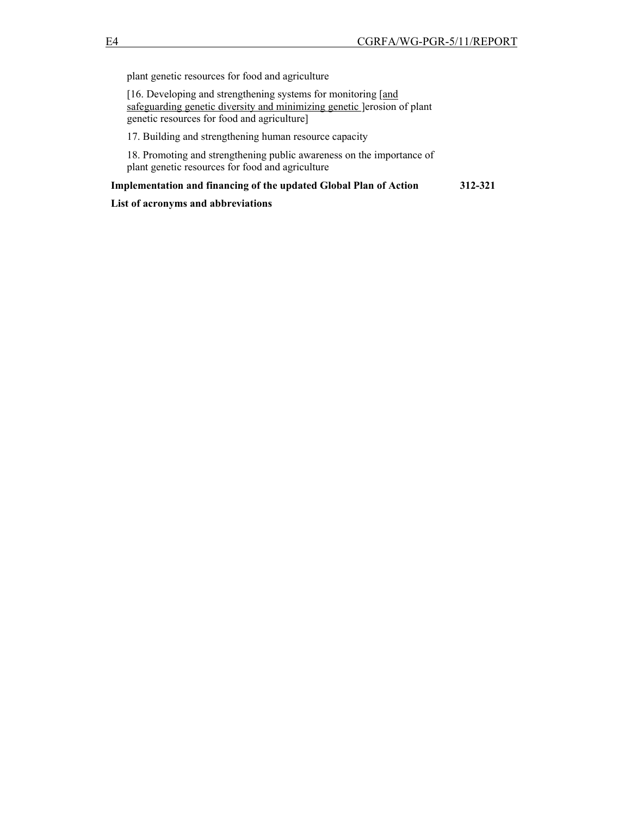plant genetic resources for food and agriculture

[16. Developing and strengthening systems for monitoring [and safeguarding genetic diversity and minimizing genetic ]erosion of plant genetic resources for food and agriculture]

17. Building and strengthening human resource capacity

18. Promoting and strengthening public awareness on the importance of plant genetic resources for food and agriculture

**Implementation and financing of the updated Global Plan of Action 312-321** 

**List of acronyms and abbreviations**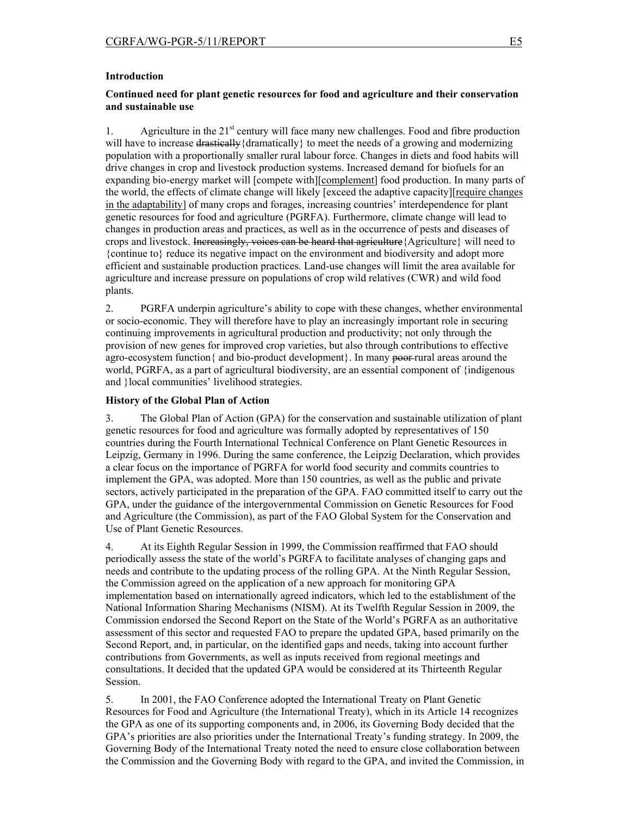### **Introduction**

## **Continued need for plant genetic resources for food and agriculture and their conservation and sustainable use**

1. Agriculture in the  $21<sup>st</sup>$  century will face many new challenges. Food and fibre production will have to increase drastically {dramatically} to meet the needs of a growing and modernizing population with a proportionally smaller rural labour force. Changes in diets and food habits will drive changes in crop and livestock production systems. Increased demand for biofuels for an expanding bio-energy market will [compete with][complement] food production. In many parts of the world, the effects of climate change will likely [exceed the adaptive capacity][require changes in the adaptability] of many crops and forages, increasing countries' interdependence for plant genetic resources for food and agriculture (PGRFA). Furthermore, climate change will lead to changes in production areas and practices, as well as in the occurrence of pests and diseases of crops and livestock. Increasingly, voices can be heard that agriculture {Agriculture} will need to {continue to} reduce its negative impact on the environment and biodiversity and adopt more efficient and sustainable production practices. Land-use changes will limit the area available for agriculture and increase pressure on populations of crop wild relatives (CWR) and wild food plants.

2. PGRFA underpin agriculture's ability to cope with these changes, whether environmental or socio-economic. They will therefore have to play an increasingly important role in securing continuing improvements in agricultural production and productivity; not only through the provision of new genes for improved crop varieties, but also through contributions to effective agro-ecosystem function  $\{$  and bio-product development $\}$ . In many poor rural areas around the world, PGRFA, as a part of agricultural biodiversity, are an essential component of {indigenous and }local communities' livelihood strategies.

## **History of the Global Plan of Action**

3. The Global Plan of Action (GPA) for the conservation and sustainable utilization of plant genetic resources for food and agriculture was formally adopted by representatives of 150 countries during the Fourth International Technical Conference on Plant Genetic Resources in Leipzig, Germany in 1996. During the same conference, the Leipzig Declaration, which provides a clear focus on the importance of PGRFA for world food security and commits countries to implement the GPA, was adopted. More than 150 countries, as well as the public and private sectors, actively participated in the preparation of the GPA. FAO committed itself to carry out the GPA, under the guidance of the intergovernmental Commission on Genetic Resources for Food and Agriculture (the Commission), as part of the FAO Global System for the Conservation and Use of Plant Genetic Resources.

4. At its Eighth Regular Session in 1999, the Commission reaffirmed that FAO should periodically assess the state of the world's PGRFA to facilitate analyses of changing gaps and needs and contribute to the updating process of the rolling GPA. At the Ninth Regular Session, the Commission agreed on the application of a new approach for monitoring GPA implementation based on internationally agreed indicators, which led to the establishment of the National Information Sharing Mechanisms (NISM). At its Twelfth Regular Session in 2009, the Commission endorsed the Second Report on the State of the World's PGRFA as an authoritative assessment of this sector and requested FAO to prepare the updated GPA, based primarily on the Second Report, and, in particular, on the identified gaps and needs, taking into account further contributions from Governments, as well as inputs received from regional meetings and consultations. It decided that the updated GPA would be considered at its Thirteenth Regular Session.

5. In 2001, the FAO Conference adopted the International Treaty on Plant Genetic Resources for Food and Agriculture (the International Treaty), which in its Article 14 recognizes the GPA as one of its supporting components and, in 2006, its Governing Body decided that the GPA's priorities are also priorities under the International Treaty's funding strategy. In 2009, the Governing Body of the International Treaty noted the need to ensure close collaboration between the Commission and the Governing Body with regard to the GPA, and invited the Commission, in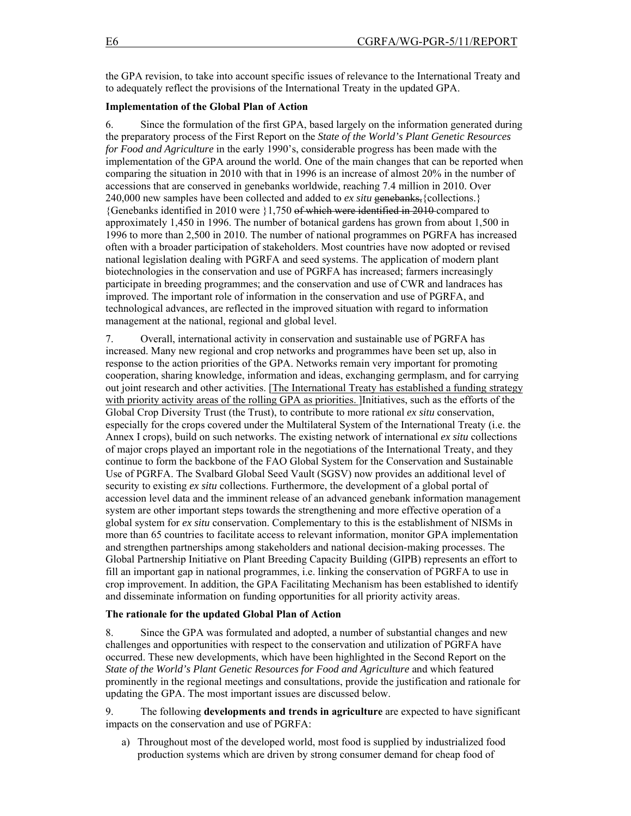the GPA revision, to take into account specific issues of relevance to the International Treaty and to adequately reflect the provisions of the International Treaty in the updated GPA.

## **Implementation of the Global Plan of Action**

6. Since the formulation of the first GPA, based largely on the information generated during the preparatory process of the First Report on the *State of the World's Plant Genetic Resources for Food and Agriculture* in the early 1990's, considerable progress has been made with the implementation of the GPA around the world. One of the main changes that can be reported when comparing the situation in 2010 with that in 1996 is an increase of almost 20% in the number of accessions that are conserved in genebanks worldwide, reaching 7.4 million in 2010. Over 240,000 new samples have been collected and added to *ex situ* genebanks, {collections.} {Genebanks identified in 2010 were }1,750 of which were identified in 2010 compared to approximately 1,450 in 1996. The number of botanical gardens has grown from about 1,500 in 1996 to more than 2,500 in 2010. The number of national programmes on PGRFA has increased often with a broader participation of stakeholders. Most countries have now adopted or revised national legislation dealing with PGRFA and seed systems. The application of modern plant biotechnologies in the conservation and use of PGRFA has increased; farmers increasingly participate in breeding programmes; and the conservation and use of CWR and landraces has improved. The important role of information in the conservation and use of PGRFA, and technological advances, are reflected in the improved situation with regard to information management at the national, regional and global level.

7. Overall, international activity in conservation and sustainable use of PGRFA has increased. Many new regional and crop networks and programmes have been set up, also in response to the action priorities of the GPA. Networks remain very important for promoting cooperation, sharing knowledge, information and ideas, exchanging germplasm, and for carrying out joint research and other activities. [The International Treaty has established a funding strategy with priority activity areas of the rolling GPA as priorities. ]Initiatives, such as the efforts of the Global Crop Diversity Trust (the Trust), to contribute to more rational *ex situ* conservation, especially for the crops covered under the Multilateral System of the International Treaty (i.e. the Annex I crops), build on such networks. The existing network of international *ex situ* collections of major crops played an important role in the negotiations of the International Treaty, and they continue to form the backbone of the FAO Global System for the Conservation and Sustainable Use of PGRFA. The Svalbard Global Seed Vault (SGSV) now provides an additional level of security to existing *ex situ* collections. Furthermore, the development of a global portal of accession level data and the imminent release of an advanced genebank information management system are other important steps towards the strengthening and more effective operation of a global system for *ex situ* conservation. Complementary to this is the establishment of NISMs in more than 65 countries to facilitate access to relevant information, monitor GPA implementation and strengthen partnerships among stakeholders and national decision-making processes. The Global Partnership Initiative on Plant Breeding Capacity Building (GIPB) represents an effort to fill an important gap in national programmes, i.e. linking the conservation of PGRFA to use in crop improvement. In addition, the GPA Facilitating Mechanism has been established to identify and disseminate information on funding opportunities for all priority activity areas.

## **The rationale for the updated Global Plan of Action**

8. Since the GPA was formulated and adopted, a number of substantial changes and new challenges and opportunities with respect to the conservation and utilization of PGRFA have occurred. These new developments, which have been highlighted in the Second Report on the *State of the World's Plant Genetic Resources for Food and Agriculture* and which featured prominently in the regional meetings and consultations, provide the justification and rationale for updating the GPA. The most important issues are discussed below.

9. The following **developments and trends in agriculture** are expected to have significant impacts on the conservation and use of PGRFA:

a) Throughout most of the developed world, most food is supplied by industrialized food production systems which are driven by strong consumer demand for cheap food of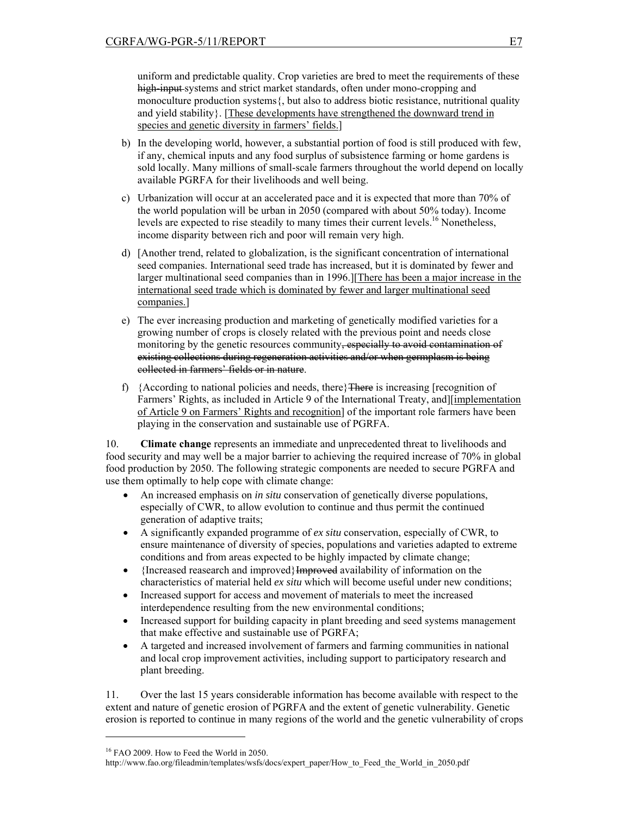uniform and predictable quality. Crop varieties are bred to meet the requirements of these high-input systems and strict market standards, often under mono-cropping and monoculture production systems{, but also to address biotic resistance, nutritional quality and yield stability}. [These developments have strengthened the downward trend in species and genetic diversity in farmers' fields.]

- b) In the developing world, however, a substantial portion of food is still produced with few, if any, chemical inputs and any food surplus of subsistence farming or home gardens is sold locally. Many millions of small-scale farmers throughout the world depend on locally available PGRFA for their livelihoods and well being.
- c) Urbanization will occur at an accelerated pace and it is expected that more than 70% of the world population will be urban in 2050 (compared with about 50% today). Income levels are expected to rise steadily to many times their current levels.<sup>16</sup> Nonetheless, income disparity between rich and poor will remain very high.
- d) [Another trend, related to globalization, is the significant concentration of international seed companies. International seed trade has increased, but it is dominated by fewer and larger multinational seed companies than in 1996.][There has been a major increase in the international seed trade which is dominated by fewer and larger multinational seed companies.]
- e) The ever increasing production and marketing of genetically modified varieties for a growing number of crops is closely related with the previous point and needs close monitoring by the genetic resources community, especially to avoid contamination of existing collections during regeneration activities and/or when germplasm is being collected in farmers' fields or in nature.
- f) {According to national policies and needs, there  $\frac{F_{\text{Here}}}{F_{\text{Here}}}$  is increasing [recognition of Farmers' Rights, as included in Article 9 of the International Treaty, and][implementation of Article 9 on Farmers' Rights and recognition] of the important role farmers have been playing in the conservation and sustainable use of PGRFA.

10. **Climate change** represents an immediate and unprecedented threat to livelihoods and food security and may well be a major barrier to achieving the required increase of 70% in global food production by 2050. The following strategic components are needed to secure PGRFA and use them optimally to help cope with climate change:

- An increased emphasis on *in situ* conservation of genetically diverse populations, especially of CWR, to allow evolution to continue and thus permit the continued generation of adaptive traits;
- A significantly expanded programme of *ex situ* conservation, especially of CWR, to ensure maintenance of diversity of species, populations and varieties adapted to extreme conditions and from areas expected to be highly impacted by climate change;
- {Increased reasearch and improved}Improved availability of information on the characteristics of material held *ex situ* which will become useful under new conditions;
- Increased support for access and movement of materials to meet the increased interdependence resulting from the new environmental conditions;
- Increased support for building capacity in plant breeding and seed systems management that make effective and sustainable use of PGRFA;
- A targeted and increased involvement of farmers and farming communities in national and local crop improvement activities, including support to participatory research and plant breeding.

11. Over the last 15 years considerable information has become available with respect to the extent and nature of genetic erosion of PGRFA and the extent of genetic vulnerability. Genetic erosion is reported to continue in many regions of the world and the genetic vulnerability of crops

l

<sup>&</sup>lt;sup>16</sup> FAO 2009. How to Feed the World in 2050.

http://www.fao.org/fileadmin/templates/wsfs/docs/expert\_paper/How\_to\_Feed\_the\_World\_in\_2050.pdf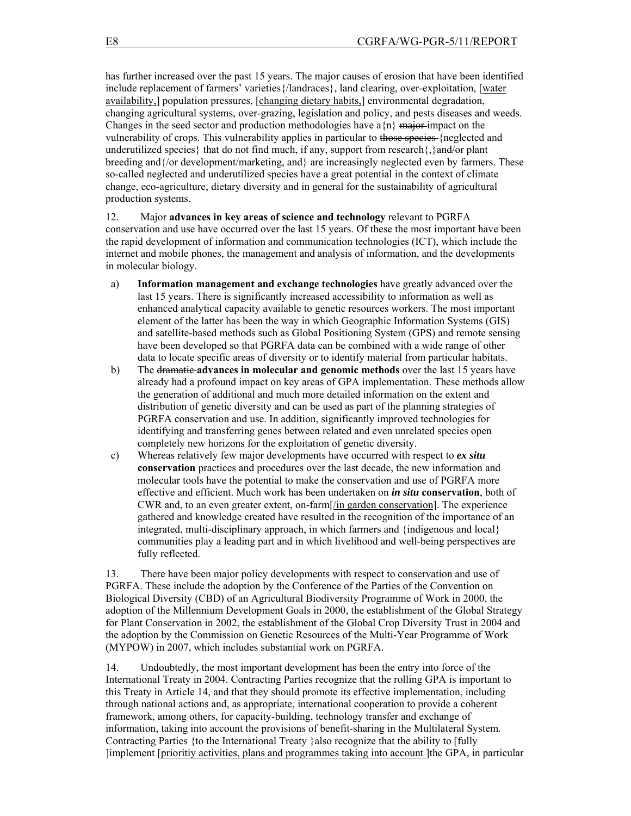has further increased over the past 15 years. The major causes of erosion that have been identified include replacement of farmers' varieties{/landraces}, land clearing, over-exploitation, [water availability,] population pressures, [changing dietary habits,] environmental degradation, changing agricultural systems, over-grazing, legislation and policy, and pests diseases and weeds. Changes in the seed sector and production methodologies have  $a\{n\}$  major impact on the vulnerability of crops. This vulnerability applies in particular to those species {neglected and underutilized species} that do not find much, if any, support from research $\{\}$ breeding and{/or development/marketing, and} are increasingly neglected even by farmers. These so-called neglected and underutilized species have a great potential in the context of climate change, eco-agriculture, dietary diversity and in general for the sustainability of agricultural production systems.

12. Major **advances in key areas of science and technology** relevant to PGRFA conservation and use have occurred over the last 15 years. Of these the most important have been the rapid development of information and communication technologies (ICT), which include the internet and mobile phones, the management and analysis of information, and the developments in molecular biology.

- a) **Information management and exchange technologies** have greatly advanced over the last 15 years. There is significantly increased accessibility to information as well as enhanced analytical capacity available to genetic resources workers. The most important element of the latter has been the way in which Geographic Information Systems (GIS) and satellite-based methods such as Global Positioning System (GPS) and remote sensing have been developed so that PGRFA data can be combined with a wide range of other data to locate specific areas of diversity or to identify material from particular habitats.
- b) The dramatic **advances in molecular and genomic methods** over the last 15 years have already had a profound impact on key areas of GPA implementation. These methods allow the generation of additional and much more detailed information on the extent and distribution of genetic diversity and can be used as part of the planning strategies of PGRFA conservation and use. In addition, significantly improved technologies for identifying and transferring genes between related and even unrelated species open completely new horizons for the exploitation of genetic diversity.
- c) Whereas relatively few major developments have occurred with respect to *ex situ* **conservation** practices and procedures over the last decade, the new information and molecular tools have the potential to make the conservation and use of PGRFA more effective and efficient. Much work has been undertaken on *in situ* **conservation**, both of CWR and, to an even greater extent, on-farm[/in garden conservation]. The experience gathered and knowledge created have resulted in the recognition of the importance of an integrated, multi-disciplinary approach, in which farmers and {indigenous and local} communities play a leading part and in which livelihood and well-being perspectives are fully reflected.

13. There have been major policy developments with respect to conservation and use of PGRFA. These include the adoption by the Conference of the Parties of the Convention on Biological Diversity (CBD) of an Agricultural Biodiversity Programme of Work in 2000, the adoption of the Millennium Development Goals in 2000, the establishment of the Global Strategy for Plant Conservation in 2002, the establishment of the Global Crop Diversity Trust in 2004 and the adoption by the Commission on Genetic Resources of the Multi-Year Programme of Work (MYPOW) in 2007, which includes substantial work on PGRFA.

14. Undoubtedly, the most important development has been the entry into force of the International Treaty in 2004. Contracting Parties recognize that the rolling GPA is important to this Treaty in Article 14, and that they should promote its effective implementation, including through national actions and, as appropriate, international cooperation to provide a coherent framework, among others, for capacity-building, technology transfer and exchange of information, taking into account the provisions of benefit-sharing in the Multilateral System. Contracting Parties {to the International Treaty }also recognize that the ability to [fully ]implement [prioritiy activities, plans and programmes taking into account ]the GPA, in particular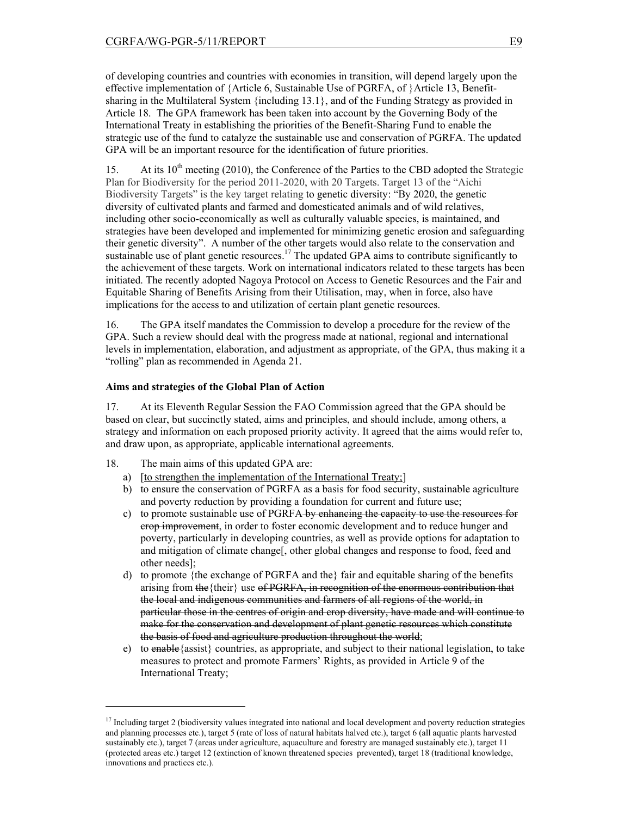of developing countries and countries with economies in transition, will depend largely upon the effective implementation of {Article 6, Sustainable Use of PGRFA, of }Article 13, Benefitsharing in the Multilateral System {including 13.1}, and of the Funding Strategy as provided in Article 18. The GPA framework has been taken into account by the Governing Body of the International Treaty in establishing the priorities of the Benefit-Sharing Fund to enable the strategic use of the fund to catalyze the sustainable use and conservation of PGRFA. The updated GPA will be an important resource for the identification of future priorities.

15. At its  $10<sup>th</sup>$  meeting (2010), the Conference of the Parties to the CBD adopted the Strategic Plan for Biodiversity for the period 2011-2020, with 20 Targets. Target 13 of the "Aichi Biodiversity Targets" is the key target relating to genetic diversity: "By 2020, the genetic diversity of cultivated plants and farmed and domesticated animals and of wild relatives, including other socio-economically as well as culturally valuable species, is maintained, and strategies have been developed and implemented for minimizing genetic erosion and safeguarding their genetic diversity". A number of the other targets would also relate to the conservation and sustainable use of plant genetic resources.<sup>17</sup> The updated GPA aims to contribute significantly to the achievement of these targets. Work on international indicators related to these targets has been initiated. The recently adopted Nagoya Protocol on Access to Genetic Resources and the Fair and Equitable Sharing of Benefits Arising from their Utilisation, may, when in force, also have implications for the access to and utilization of certain plant genetic resources.

16. The GPA itself mandates the Commission to develop a procedure for the review of the GPA. Such a review should deal with the progress made at national, regional and international levels in implementation, elaboration, and adjustment as appropriate, of the GPA, thus making it a "rolling" plan as recommended in Agenda 21.

#### **Aims and strategies of the Global Plan of Action**

17. At its Eleventh Regular Session the FAO Commission agreed that the GPA should be based on clear, but succinctly stated, aims and principles, and should include, among others, a strategy and information on each proposed priority activity. It agreed that the aims would refer to, and draw upon, as appropriate, applicable international agreements.

18. The main aims of this updated GPA are:

l

- a) [to strengthen the implementation of the International Treaty;]
- b) to ensure the conservation of PGRFA as a basis for food security, sustainable agriculture and poverty reduction by providing a foundation for current and future use;
- c) to promote sustainable use of PGRFA by enhancing the capacity to use the resources for crop improvement, in order to foster economic development and to reduce hunger and poverty, particularly in developing countries, as well as provide options for adaptation to and mitigation of climate change[, other global changes and response to food, feed and other needs];
- d) to promote {the exchange of PGRFA and the} fair and equitable sharing of the benefits arising from the {their} use of PGRFA, in recognition of the enormous contribution that the local and indigenous communities and farmers of all regions of the world, in particular those in the centres of origin and crop diversity, have made and will continue to make for the conservation and development of plant genetic resources which constitute the basis of food and agriculture production throughout the world;
- e) to enable{assist} countries, as appropriate, and subject to their national legislation, to take measures to protect and promote Farmers' Rights, as provided in Article 9 of the International Treaty;

 $17$  Including target 2 (biodiversity values integrated into national and local development and poverty reduction strategies and planning processes etc.), target 5 (rate of loss of natural habitats halved etc.), target 6 (all aquatic plants harvested sustainably etc.), target 7 (areas under agriculture, aquaculture and forestry are managed sustainably etc.), target 11 (protected areas etc.) target 12 (extinction of known threatened species prevented), target 18 (traditional knowledge, innovations and practices etc.).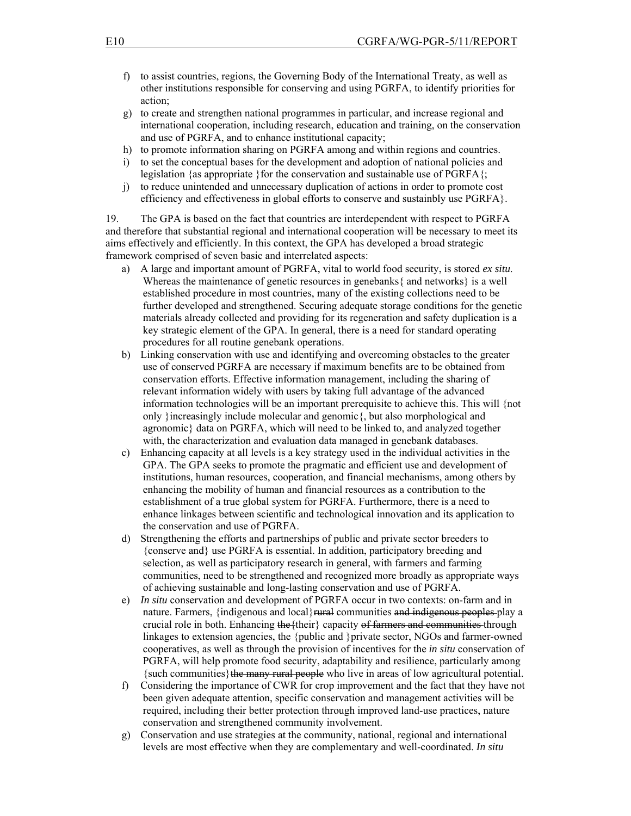- f) to assist countries, regions, the Governing Body of the International Treaty, as well as other institutions responsible for conserving and using PGRFA, to identify priorities for action;
- g) to create and strengthen national programmes in particular, and increase regional and international cooperation, including research, education and training, on the conservation and use of PGRFA, and to enhance institutional capacity;
- h) to promote information sharing on PGRFA among and within regions and countries.
- i) to set the conceptual bases for the development and adoption of national policies and legislation {as appropriate } for the conservation and sustainable use of  $PGRFA$  {;
- j) to reduce unintended and unnecessary duplication of actions in order to promote cost efficiency and effectiveness in global efforts to conserve and sustainbly use PGRFA}.

19. The GPA is based on the fact that countries are interdependent with respect to PGRFA and therefore that substantial regional and international cooperation will be necessary to meet its aims effectively and efficiently. In this context, the GPA has developed a broad strategic framework comprised of seven basic and interrelated aspects:

- a) A large and important amount of PGRFA, vital to world food security, is stored *ex situ*. Whereas the maintenance of genetic resources in genebanks{ and networks} is a well established procedure in most countries, many of the existing collections need to be further developed and strengthened. Securing adequate storage conditions for the genetic materials already collected and providing for its regeneration and safety duplication is a key strategic element of the GPA. In general, there is a need for standard operating procedures for all routine genebank operations.
- b) Linking conservation with use and identifying and overcoming obstacles to the greater use of conserved PGRFA are necessary if maximum benefits are to be obtained from conservation efforts. Effective information management, including the sharing of relevant information widely with users by taking full advantage of the advanced information technologies will be an important prerequisite to achieve this. This will {not only }increasingly include molecular and genomic{, but also morphological and agronomic} data on PGRFA, which will need to be linked to, and analyzed together with, the characterization and evaluation data managed in genebank databases.
- c) Enhancing capacity at all levels is a key strategy used in the individual activities in the GPA. The GPA seeks to promote the pragmatic and efficient use and development of institutions, human resources, cooperation, and financial mechanisms, among others by enhancing the mobility of human and financial resources as a contribution to the establishment of a true global system for PGRFA. Furthermore, there is a need to enhance linkages between scientific and technological innovation and its application to the conservation and use of PGRFA.
- d) Strengthening the efforts and partnerships of public and private sector breeders to {conserve and} use PGRFA is essential. In addition, participatory breeding and selection, as well as participatory research in general, with farmers and farming communities, need to be strengthened and recognized more broadly as appropriate ways of achieving sustainable and long-lasting conservation and use of PGRFA.
- e) *In situ* conservation and development of PGRFA occur in two contexts: on-farm and in nature. Farmers, {indigenous and local}<del>rural</del> communities and indigenous peoples play a crucial role in both. Enhancing the {their} capacity of farmers and communities through linkages to extension agencies, the {public and }private sector, NGOs and farmer-owned cooperatives, as well as through the provision of incentives for the *in situ* conservation of PGRFA, will help promote food security, adaptability and resilience, particularly among {such communities}the many rural people who live in areas of low agricultural potential.
- f) Considering the importance of CWR for crop improvement and the fact that they have not been given adequate attention, specific conservation and management activities will be required, including their better protection through improved land-use practices, nature conservation and strengthened community involvement.
- g) Conservation and use strategies at the community, national, regional and international levels are most effective when they are complementary and well-coordinated. *In situ*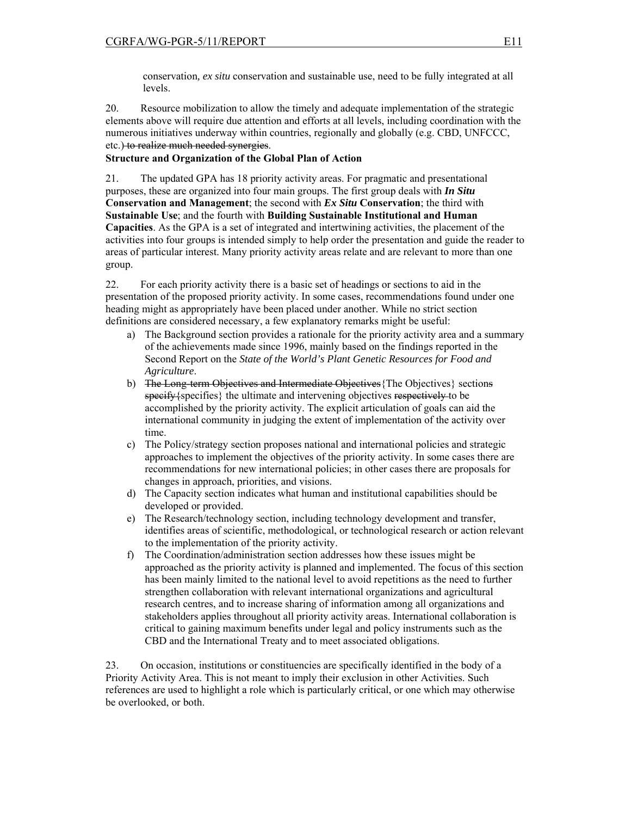conservation*, ex situ* conservation and sustainable use, need to be fully integrated at all levels.

20. Resource mobilization to allow the timely and adequate implementation of the strategic elements above will require due attention and efforts at all levels, including coordination with the numerous initiatives underway within countries, regionally and globally (e.g. CBD, UNFCCC, etc.) to realize much needed synergies.

## **Structure and Organization of the Global Plan of Action**

21. The updated GPA has 18 priority activity areas. For pragmatic and presentational purposes, these are organized into four main groups. The first group deals with *In Situ*  **Conservation and Management**; the second with *Ex Situ* **Conservation**; the third with **Sustainable Use**; and the fourth with **Building Sustainable Institutional and Human Capacities**. As the GPA is a set of integrated and intertwining activities, the placement of the activities into four groups is intended simply to help order the presentation and guide the reader to areas of particular interest. Many priority activity areas relate and are relevant to more than one group.

22. For each priority activity there is a basic set of headings or sections to aid in the presentation of the proposed priority activity. In some cases, recommendations found under one heading might as appropriately have been placed under another. While no strict section definitions are considered necessary, a few explanatory remarks might be useful:

- a) The Background section provides a rationale for the priority activity area and a summary of the achievements made since 1996, mainly based on the findings reported in the Second Report on the *State of the World's Plant Genetic Resources for Food and Agriculture*.
- b) The Long-term Objectives and Intermediate Objectives {The Objectives} sections specify{specifies} the ultimate and intervening objectives respectively to be accomplished by the priority activity. The explicit articulation of goals can aid the international community in judging the extent of implementation of the activity over time.
- c) The Policy/strategy section proposes national and international policies and strategic approaches to implement the objectives of the priority activity. In some cases there are recommendations for new international policies; in other cases there are proposals for changes in approach, priorities, and visions.
- d) The Capacity section indicates what human and institutional capabilities should be developed or provided.
- e) The Research/technology section, including technology development and transfer, identifies areas of scientific, methodological, or technological research or action relevant to the implementation of the priority activity.
- f) The Coordination/administration section addresses how these issues might be approached as the priority activity is planned and implemented. The focus of this section has been mainly limited to the national level to avoid repetitions as the need to further strengthen collaboration with relevant international organizations and agricultural research centres, and to increase sharing of information among all organizations and stakeholders applies throughout all priority activity areas. International collaboration is critical to gaining maximum benefits under legal and policy instruments such as the CBD and the International Treaty and to meet associated obligations.

23. On occasion, institutions or constituencies are specifically identified in the body of a Priority Activity Area. This is not meant to imply their exclusion in other Activities. Such references are used to highlight a role which is particularly critical, or one which may otherwise be overlooked, or both.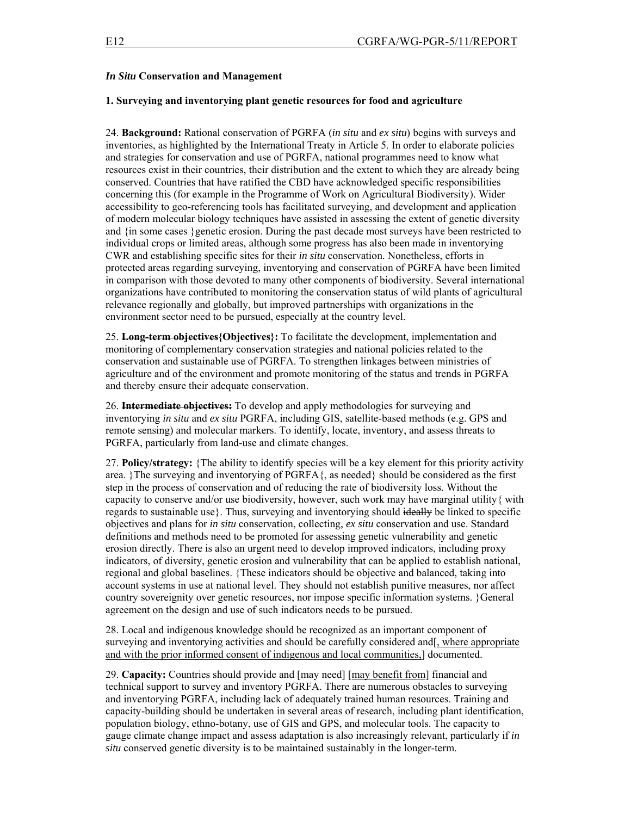#### *In Situ* **Conservation and Management**

#### **1. Surveying and inventorying plant genetic resources for food and agriculture**

24. **Background:** Rational conservation of PGRFA (*in situ* and *ex situ*) begins with surveys and inventories, as highlighted by the International Treaty in Article 5. In order to elaborate policies and strategies for conservation and use of PGRFA, national programmes need to know what resources exist in their countries, their distribution and the extent to which they are already being conserved. Countries that have ratified the CBD have acknowledged specific responsibilities concerning this (for example in the Programme of Work on Agricultural Biodiversity). Wider accessibility to geo-referencing tools has facilitated surveying, and development and application of modern molecular biology techniques have assisted in assessing the extent of genetic diversity and {in some cases }genetic erosion. During the past decade most surveys have been restricted to individual crops or limited areas, although some progress has also been made in inventorying CWR and establishing specific sites for their *in situ* conservation. Nonetheless, efforts in protected areas regarding surveying, inventorying and conservation of PGRFA have been limited in comparison with those devoted to many other components of biodiversity. Several international organizations have contributed to monitoring the conservation status of wild plants of agricultural relevance regionally and globally, but improved partnerships with organizations in the environment sector need to be pursued, especially at the country level.

25. **Long-term objectives{Objectives}:** To facilitate the development, implementation and monitoring of complementary conservation strategies and national policies related to the conservation and sustainable use of PGRFA. To strengthen linkages between ministries of agriculture and of the environment and promote monitoring of the status and trends in PGRFA and thereby ensure their adequate conservation.

26. **Intermediate objectives:** To develop and apply methodologies for surveying and inventorying *in situ* and *ex situ* PGRFA, including GIS, satellite-based methods (e.g. GPS and remote sensing) and molecular markers. To identify, locate, inventory, and assess threats to PGRFA, particularly from land-use and climate changes.

27. **Policy/strategy:** {The ability to identify species will be a key element for this priority activity area. }The surveying and inventorying of PGRFA{, as needed} should be considered as the first step in the process of conservation and of reducing the rate of biodiversity loss. Without the capacity to conserve and/or use biodiversity, however, such work may have marginal utility  $\{$  with regards to sustainable use}. Thus, surveying and inventorying should ideally be linked to specific objectives and plans for *in situ* conservation, collecting, *ex situ* conservation and use. Standard definitions and methods need to be promoted for assessing genetic vulnerability and genetic erosion directly. There is also an urgent need to develop improved indicators, including proxy indicators, of diversity, genetic erosion and vulnerability that can be applied to establish national, regional and global baselines. {These indicators should be objective and balanced, taking into account systems in use at national level. They should not establish punitive measures, nor affect country sovereignity over genetic resources, nor impose specific information systems. }General agreement on the design and use of such indicators needs to be pursued.

28. Local and indigenous knowledge should be recognized as an important component of surveying and inventorying activities and should be carefully considered and[, where appropriate and with the prior informed consent of indigenous and local communities,] documented.

29. **Capacity:** Countries should provide and [may need] [may benefit from] financial and technical support to survey and inventory PGRFA. There are numerous obstacles to surveying and inventorying PGRFA, including lack of adequately trained human resources. Training and capacity-building should be undertaken in several areas of research, including plant identification, population biology, ethno-botany, use of GIS and GPS, and molecular tools. The capacity to gauge climate change impact and assess adaptation is also increasingly relevant, particularly if *in situ* conserved genetic diversity is to be maintained sustainably in the longer-term.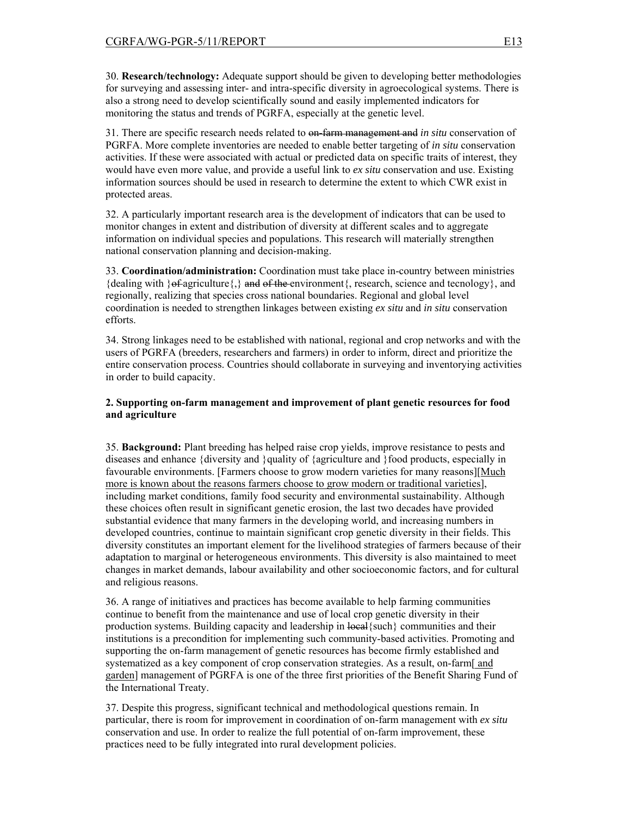30. **Research/technology:** Adequate support should be given to developing better methodologies for surveying and assessing inter- and intra-specific diversity in agroecological systems. There is also a strong need to develop scientifically sound and easily implemented indicators for monitoring the status and trends of PGRFA, especially at the genetic level.

31. There are specific research needs related to on-farm management and *in situ* conservation of PGRFA. More complete inventories are needed to enable better targeting of *in situ* conservation activities. If these were associated with actual or predicted data on specific traits of interest, they would have even more value, and provide a useful link to *ex situ* conservation and use. Existing information sources should be used in research to determine the extent to which CWR exist in protected areas.

32. A particularly important research area is the development of indicators that can be used to monitor changes in extent and distribution of diversity at different scales and to aggregate information on individual species and populations. This research will materially strengthen national conservation planning and decision-making.

33. **Coordination/administration:** Coordination must take place in-country between ministries {dealing with } $\Theta$  agriculture {,} and  $\Theta$  the environment {, research, science and tecnology}, and regionally, realizing that species cross national boundaries. Regional and global level coordination is needed to strengthen linkages between existing *ex situ* and *in situ* conservation efforts.

34. Strong linkages need to be established with national, regional and crop networks and with the users of PGRFA (breeders, researchers and farmers) in order to inform, direct and prioritize the entire conservation process. Countries should collaborate in surveying and inventorying activities in order to build capacity.

## **2. Supporting on-farm management and improvement of plant genetic resources for food and agriculture**

35. **Background:** Plant breeding has helped raise crop yields, improve resistance to pests and diseases and enhance {diversity and }quality of {agriculture and }food products, especially in favourable environments. [Farmers choose to grow modern varieties for many reasons][Much more is known about the reasons farmers choose to grow modern or traditional varieties], including market conditions, family food security and environmental sustainability. Although these choices often result in significant genetic erosion, the last two decades have provided substantial evidence that many farmers in the developing world, and increasing numbers in developed countries, continue to maintain significant crop genetic diversity in their fields. This diversity constitutes an important element for the livelihood strategies of farmers because of their adaptation to marginal or heterogeneous environments. This diversity is also maintained to meet changes in market demands, labour availability and other socioeconomic factors, and for cultural and religious reasons.

36. A range of initiatives and practices has become available to help farming communities continue to benefit from the maintenance and use of local crop genetic diversity in their production systems. Building capacity and leadership in  $\frac{\{textbeal}\}$  communities and their institutions is a precondition for implementing such community-based activities. Promoting and supporting the on-farm management of genetic resources has become firmly established and systematized as a key component of crop conservation strategies. As a result, on-farm[ and garden] management of PGRFA is one of the three first priorities of the Benefit Sharing Fund of the International Treaty.

37. Despite this progress, significant technical and methodological questions remain. In particular, there is room for improvement in coordination of on-farm management with *ex situ* conservation and use. In order to realize the full potential of on-farm improvement, these practices need to be fully integrated into rural development policies.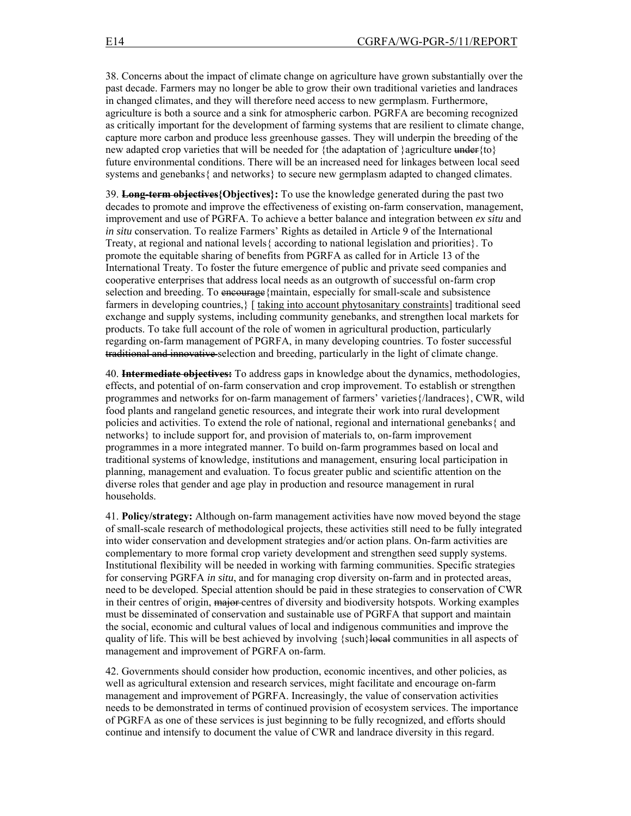38. Concerns about the impact of climate change on agriculture have grown substantially over the past decade. Farmers may no longer be able to grow their own traditional varieties and landraces in changed climates, and they will therefore need access to new germplasm. Furthermore, agriculture is both a source and a sink for atmospheric carbon. PGRFA are becoming recognized as critically important for the development of farming systems that are resilient to climate change, capture more carbon and produce less greenhouse gasses. They will underpin the breeding of the new adapted crop varieties that will be needed for {the adaptation of } agriculture under{to} future environmental conditions. There will be an increased need for linkages between local seed systems and genebanks { and networks } to secure new germplasm adapted to changed climates.

39. **Long-term objectives{Objectives}:** To use the knowledge generated during the past two decades to promote and improve the effectiveness of existing on-farm conservation, management, improvement and use of PGRFA. To achieve a better balance and integration between *ex situ* and *in situ* conservation. To realize Farmers' Rights as detailed in Article 9 of the International Treaty, at regional and national levels{ according to national legislation and priorities}. To promote the equitable sharing of benefits from PGRFA as called for in Article 13 of the International Treaty. To foster the future emergence of public and private seed companies and cooperative enterprises that address local needs as an outgrowth of successful on-farm crop selection and breeding. To encourage {maintain, especially for small-scale and subsistence farmers in developing countries,} [ taking into account phytosanitary constraints] traditional seed exchange and supply systems, including community genebanks, and strengthen local markets for products. To take full account of the role of women in agricultural production, particularly regarding on-farm management of PGRFA, in many developing countries. To foster successful traditional and innovative selection and breeding, particularly in the light of climate change.

40. **Intermediate objectives:** To address gaps in knowledge about the dynamics, methodologies, effects, and potential of on-farm conservation and crop improvement. To establish or strengthen programmes and networks for on-farm management of farmers' varieties{/landraces}, CWR, wild food plants and rangeland genetic resources, and integrate their work into rural development policies and activities. To extend the role of national, regional and international genebanks{ and networks} to include support for, and provision of materials to, on-farm improvement programmes in a more integrated manner. To build on-farm programmes based on local and traditional systems of knowledge, institutions and management, ensuring local participation in planning, management and evaluation. To focus greater public and scientific attention on the diverse roles that gender and age play in production and resource management in rural households.

41. **Policy/strategy:** Although on-farm management activities have now moved beyond the stage of small-scale research of methodological projects, these activities still need to be fully integrated into wider conservation and development strategies and/or action plans. On-farm activities are complementary to more formal crop variety development and strengthen seed supply systems. Institutional flexibility will be needed in working with farming communities. Specific strategies for conserving PGRFA *in situ*, and for managing crop diversity on-farm and in protected areas, need to be developed. Special attention should be paid in these strategies to conservation of CWR in their centres of origin, major centres of diversity and biodiversity hotspots. Working examples must be disseminated of conservation and sustainable use of PGRFA that support and maintain the social, economic and cultural values of local and indigenous communities and improve the quality of life. This will be best achieved by involving {such}local communities in all aspects of management and improvement of PGRFA on-farm.

42. Governments should consider how production, economic incentives, and other policies, as well as agricultural extension and research services, might facilitate and encourage on-farm management and improvement of PGRFA. Increasingly, the value of conservation activities needs to be demonstrated in terms of continued provision of ecosystem services. The importance of PGRFA as one of these services is just beginning to be fully recognized, and efforts should continue and intensify to document the value of CWR and landrace diversity in this regard.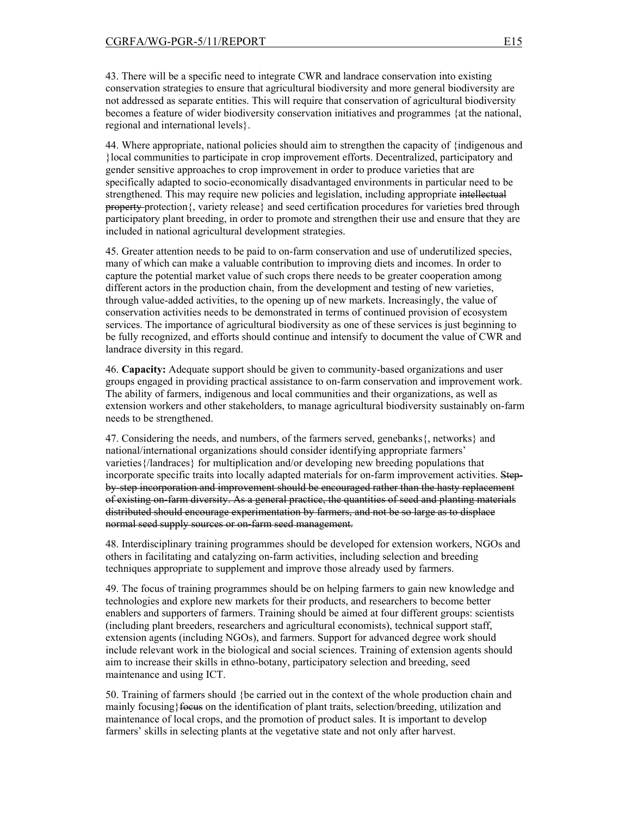43. There will be a specific need to integrate CWR and landrace conservation into existing conservation strategies to ensure that agricultural biodiversity and more general biodiversity are not addressed as separate entities. This will require that conservation of agricultural biodiversity becomes a feature of wider biodiversity conservation initiatives and programmes {at the national, regional and international levels}.

44. Where appropriate, national policies should aim to strengthen the capacity of {indigenous and }local communities to participate in crop improvement efforts. Decentralized, participatory and gender sensitive approaches to crop improvement in order to produce varieties that are specifically adapted to socio-economically disadvantaged environments in particular need to be strengthened. This may require new policies and legislation, including appropriate intellectual property protection{, variety release} and seed certification procedures for varieties bred through participatory plant breeding, in order to promote and strengthen their use and ensure that they are included in national agricultural development strategies.

45. Greater attention needs to be paid to on-farm conservation and use of underutilized species, many of which can make a valuable contribution to improving diets and incomes. In order to capture the potential market value of such crops there needs to be greater cooperation among different actors in the production chain, from the development and testing of new varieties, through value-added activities, to the opening up of new markets. Increasingly, the value of conservation activities needs to be demonstrated in terms of continued provision of ecosystem services. The importance of agricultural biodiversity as one of these services is just beginning to be fully recognized, and efforts should continue and intensify to document the value of CWR and landrace diversity in this regard.

46. **Capacity:** Adequate support should be given to community-based organizations and user groups engaged in providing practical assistance to on-farm conservation and improvement work. The ability of farmers, indigenous and local communities and their organizations, as well as extension workers and other stakeholders, to manage agricultural biodiversity sustainably on-farm needs to be strengthened.

47. Considering the needs, and numbers, of the farmers served, genebanks{, networks} and national/international organizations should consider identifying appropriate farmers' varieties{/landraces} for multiplication and/or developing new breeding populations that incorporate specific traits into locally adapted materials for on-farm improvement activities. Stepby-step incorporation and improvement should be encouraged rather than the hasty replacement of existing on-farm diversity. As a general practice, the quantities of seed and planting materials distributed should encourage experimentation by farmers, and not be so large as to displace normal seed supply sources or on-farm seed management.

48. Interdisciplinary training programmes should be developed for extension workers, NGOs and others in facilitating and catalyzing on-farm activities, including selection and breeding techniques appropriate to supplement and improve those already used by farmers.

49. The focus of training programmes should be on helping farmers to gain new knowledge and technologies and explore new markets for their products, and researchers to become better enablers and supporters of farmers. Training should be aimed at four different groups: scientists (including plant breeders, researchers and agricultural economists), technical support staff, extension agents (including NGOs), and farmers. Support for advanced degree work should include relevant work in the biological and social sciences. Training of extension agents should aim to increase their skills in ethno-botany, participatory selection and breeding, seed maintenance and using ICT.

50. Training of farmers should {be carried out in the context of the whole production chain and mainly focusing} focus on the identification of plant traits, selection/breeding, utilization and maintenance of local crops, and the promotion of product sales. It is important to develop farmers' skills in selecting plants at the vegetative state and not only after harvest.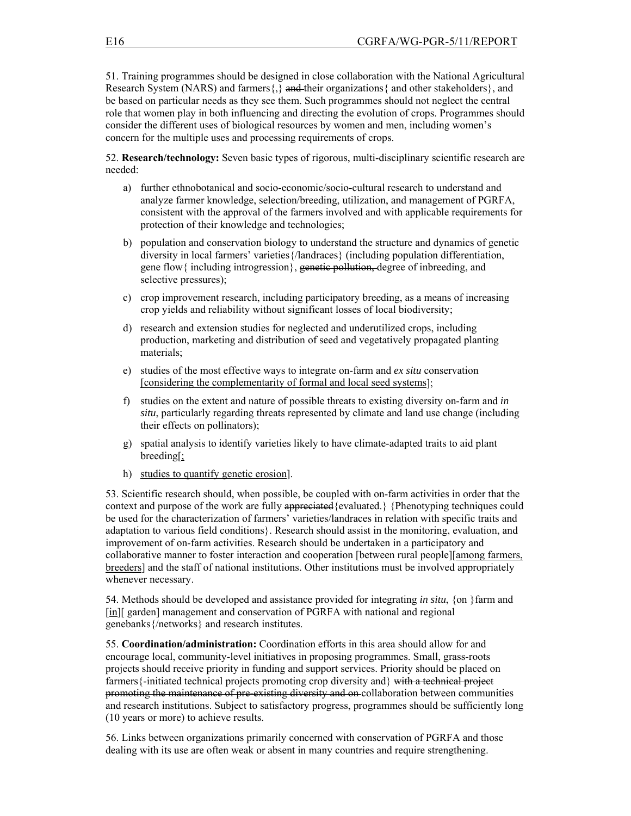51. Training programmes should be designed in close collaboration with the National Agricultural Research System (NARS) and farmers $\{\}$  and their organizations { and other stakeholders }, and be based on particular needs as they see them. Such programmes should not neglect the central role that women play in both influencing and directing the evolution of crops. Programmes should consider the different uses of biological resources by women and men, including women's concern for the multiple uses and processing requirements of crops.

52. **Research/technology:** Seven basic types of rigorous, multi-disciplinary scientific research are needed:

- a) further ethnobotanical and socio-economic/socio-cultural research to understand and analyze farmer knowledge, selection/breeding, utilization, and management of PGRFA, consistent with the approval of the farmers involved and with applicable requirements for protection of their knowledge and technologies;
- b) population and conservation biology to understand the structure and dynamics of genetic diversity in local farmers' varieties{/landraces} (including population differentiation, gene flow{ including introgression}, genetic pollution, degree of inbreeding, and selective pressures);
- c) crop improvement research, including participatory breeding, as a means of increasing crop yields and reliability without significant losses of local biodiversity;
- d) research and extension studies for neglected and underutilized crops, including production, marketing and distribution of seed and vegetatively propagated planting materials;
- e) studies of the most effective ways to integrate on-farm and *ex situ* conservation [considering the complementarity of formal and local seed systems];
- f) studies on the extent and nature of possible threats to existing diversity on-farm and *in situ*, particularly regarding threats represented by climate and land use change (including their effects on pollinators);
- g) spatial analysis to identify varieties likely to have climate-adapted traits to aid plant breeding[;
- h) studies to quantify genetic erosion].

53. Scientific research should, when possible, be coupled with on-farm activities in order that the context and purpose of the work are fully appreciated {evaluated.} {Phenotyping techniques could be used for the characterization of farmers' varieties/landraces in relation with specific traits and adaptation to various field conditions}. Research should assist in the monitoring, evaluation, and improvement of on-farm activities. Research should be undertaken in a participatory and collaborative manner to foster interaction and cooperation [between rural people][among farmers, breeders] and the staff of national institutions. Other institutions must be involved appropriately whenever necessary.

54. Methods should be developed and assistance provided for integrating *in situ*, {on }farm and [in][ garden] management and conservation of PGRFA with national and regional genebanks{/networks} and research institutes.

55. **Coordination/administration:** Coordination efforts in this area should allow for and encourage local, community-level initiatives in proposing programmes. Small, grass-roots projects should receive priority in funding and support services. Priority should be placed on farmers{-initiated technical projects promoting crop diversity and} with a technical project promoting the maintenance of pre-existing diversity and on collaboration between communities and research institutions. Subject to satisfactory progress, programmes should be sufficiently long (10 years or more) to achieve results.

56. Links between organizations primarily concerned with conservation of PGRFA and those dealing with its use are often weak or absent in many countries and require strengthening.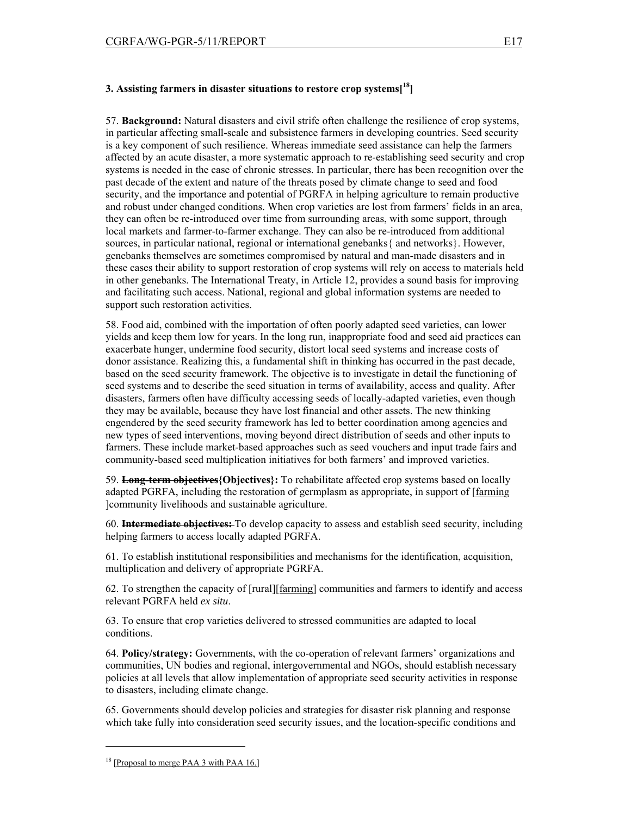## **3. Assisting farmers in disaster situations to restore crop systems[18]**

57. **Background:** Natural disasters and civil strife often challenge the resilience of crop systems, in particular affecting small-scale and subsistence farmers in developing countries. Seed security is a key component of such resilience. Whereas immediate seed assistance can help the farmers affected by an acute disaster, a more systematic approach to re-establishing seed security and crop systems is needed in the case of chronic stresses. In particular, there has been recognition over the past decade of the extent and nature of the threats posed by climate change to seed and food security, and the importance and potential of PGRFA in helping agriculture to remain productive and robust under changed conditions. When crop varieties are lost from farmers' fields in an area, they can often be re-introduced over time from surrounding areas, with some support, through local markets and farmer-to-farmer exchange. They can also be re-introduced from additional sources, in particular national, regional or international genebanks { and networks }. However, genebanks themselves are sometimes compromised by natural and man-made disasters and in these cases their ability to support restoration of crop systems will rely on access to materials held in other genebanks. The International Treaty, in Article 12, provides a sound basis for improving and facilitating such access. National, regional and global information systems are needed to support such restoration activities.

58. Food aid, combined with the importation of often poorly adapted seed varieties, can lower yields and keep them low for years. In the long run, inappropriate food and seed aid practices can exacerbate hunger, undermine food security, distort local seed systems and increase costs of donor assistance. Realizing this, a fundamental shift in thinking has occurred in the past decade, based on the seed security framework. The objective is to investigate in detail the functioning of seed systems and to describe the seed situation in terms of availability, access and quality. After disasters, farmers often have difficulty accessing seeds of locally-adapted varieties, even though they may be available, because they have lost financial and other assets. The new thinking engendered by the seed security framework has led to better coordination among agencies and new types of seed interventions, moving beyond direct distribution of seeds and other inputs to farmers. These include market-based approaches such as seed vouchers and input trade fairs and community-based seed multiplication initiatives for both farmers' and improved varieties.

59. **Long-term objectives{Objectives}:** To rehabilitate affected crop systems based on locally adapted PGRFA, including the restoration of germplasm as appropriate, in support of [farming ]community livelihoods and sustainable agriculture.

60. **Intermediate objectives:** To develop capacity to assess and establish seed security, including helping farmers to access locally adapted PGRFA.

61. To establish institutional responsibilities and mechanisms for the identification, acquisition, multiplication and delivery of appropriate PGRFA.

62. To strengthen the capacity of [rural][farming] communities and farmers to identify and access relevant PGRFA held *ex situ*.

63. To ensure that crop varieties delivered to stressed communities are adapted to local conditions.

64. **Policy/strategy:** Governments, with the co-operation of relevant farmers' organizations and communities, UN bodies and regional, intergovernmental and NGOs, should establish necessary policies at all levels that allow implementation of appropriate seed security activities in response to disasters, including climate change.

65. Governments should develop policies and strategies for disaster risk planning and response which take fully into consideration seed security issues, and the location-specific conditions and

l

<sup>&</sup>lt;sup>18</sup> [Proposal to merge PAA 3 with PAA 16.]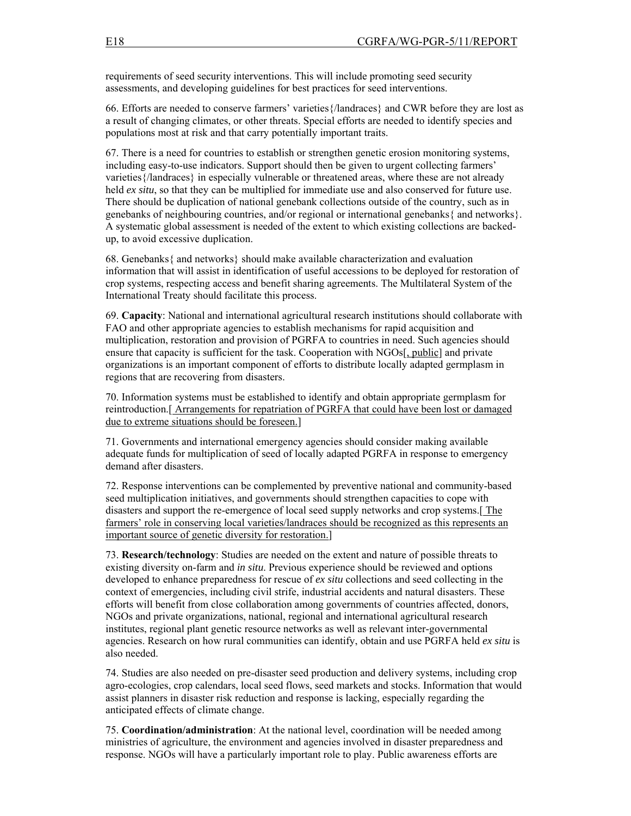requirements of seed security interventions. This will include promoting seed security assessments, and developing guidelines for best practices for seed interventions.

66. Efforts are needed to conserve farmers' varieties{/landraces} and CWR before they are lost as a result of changing climates, or other threats. Special efforts are needed to identify species and populations most at risk and that carry potentially important traits.

67. There is a need for countries to establish or strengthen genetic erosion monitoring systems, including easy-to-use indicators. Support should then be given to urgent collecting farmers' varieties{/landraces} in especially vulnerable or threatened areas, where these are not already held *ex situ*, so that they can be multiplied for immediate use and also conserved for future use. There should be duplication of national genebank collections outside of the country, such as in genebanks of neighbouring countries, and/or regional or international genebanks{ and networks}. A systematic global assessment is needed of the extent to which existing collections are backedup, to avoid excessive duplication.

68. Genebanks{ and networks} should make available characterization and evaluation information that will assist in identification of useful accessions to be deployed for restoration of crop systems, respecting access and benefit sharing agreements. The Multilateral System of the International Treaty should facilitate this process.

69. **Capacity**: National and international agricultural research institutions should collaborate with FAO and other appropriate agencies to establish mechanisms for rapid acquisition and multiplication, restoration and provision of PGRFA to countries in need. Such agencies should ensure that capacity is sufficient for the task. Cooperation with NGOs[, public] and private organizations is an important component of efforts to distribute locally adapted germplasm in regions that are recovering from disasters.

70. Information systems must be established to identify and obtain appropriate germplasm for reintroduction.[ Arrangements for repatriation of PGRFA that could have been lost or damaged due to extreme situations should be foreseen.]

71. Governments and international emergency agencies should consider making available adequate funds for multiplication of seed of locally adapted PGRFA in response to emergency demand after disasters.

72. Response interventions can be complemented by preventive national and community-based seed multiplication initiatives, and governments should strengthen capacities to cope with disasters and support the re-emergence of local seed supply networks and crop systems.[ The farmers' role in conserving local varieties/landraces should be recognized as this represents an important source of genetic diversity for restoration.]

73. **Research/technology**: Studies are needed on the extent and nature of possible threats to existing diversity on-farm and *in situ*. Previous experience should be reviewed and options developed to enhance preparedness for rescue of *ex situ* collections and seed collecting in the context of emergencies, including civil strife, industrial accidents and natural disasters. These efforts will benefit from close collaboration among governments of countries affected, donors, NGOs and private organizations, national, regional and international agricultural research institutes, regional plant genetic resource networks as well as relevant inter-governmental agencies. Research on how rural communities can identify, obtain and use PGRFA held *ex situ* is also needed.

74. Studies are also needed on pre-disaster seed production and delivery systems, including crop agro-ecologies, crop calendars, local seed flows, seed markets and stocks. Information that would assist planners in disaster risk reduction and response is lacking, especially regarding the anticipated effects of climate change.

75. **Coordination/administration**: At the national level, coordination will be needed among ministries of agriculture, the environment and agencies involved in disaster preparedness and response. NGOs will have a particularly important role to play. Public awareness efforts are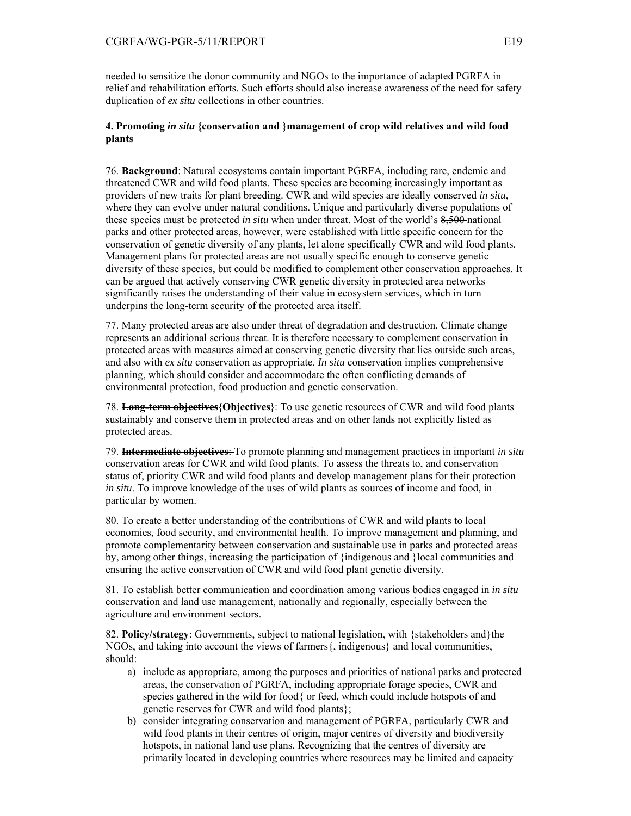needed to sensitize the donor community and NGOs to the importance of adapted PGRFA in relief and rehabilitation efforts. Such efforts should also increase awareness of the need for safety duplication of *ex situ* collections in other countries.

## **4. Promoting** *in situ* **{conservation and }management of crop wild relatives and wild food plants**

76. **Background**: Natural ecosystems contain important PGRFA, including rare, endemic and threatened CWR and wild food plants. These species are becoming increasingly important as providers of new traits for plant breeding. CWR and wild species are ideally conserved *in situ*, where they can evolve under natural conditions. Unique and particularly diverse populations of these species must be protected *in situ* when under threat. Most of the world's 8,500 national parks and other protected areas, however, were established with little specific concern for the conservation of genetic diversity of any plants, let alone specifically CWR and wild food plants. Management plans for protected areas are not usually specific enough to conserve genetic diversity of these species, but could be modified to complement other conservation approaches. It can be argued that actively conserving CWR genetic diversity in protected area networks significantly raises the understanding of their value in ecosystem services, which in turn underpins the long-term security of the protected area itself.

77. Many protected areas are also under threat of degradation and destruction. Climate change represents an additional serious threat. It is therefore necessary to complement conservation in protected areas with measures aimed at conserving genetic diversity that lies outside such areas, and also with *ex situ* conservation as appropriate. *In situ* conservation implies comprehensive planning, which should consider and accommodate the often conflicting demands of environmental protection, food production and genetic conservation.

78. **Long-term objectives{Objectives}**: To use genetic resources of CWR and wild food plants sustainably and conserve them in protected areas and on other lands not explicitly listed as protected areas.

79. **Intermediate objectives**: To promote planning and management practices in important *in situ* conservation areas for CWR and wild food plants. To assess the threats to, and conservation status of, priority CWR and wild food plants and develop management plans for their protection *in situ*. To improve knowledge of the uses of wild plants as sources of income and food, in particular by women.

80. To create a better understanding of the contributions of CWR and wild plants to local economies, food security, and environmental health. To improve management and planning, and promote complementarity between conservation and sustainable use in parks and protected areas by, among other things, increasing the participation of {indigenous and }local communities and ensuring the active conservation of CWR and wild food plant genetic diversity.

81. To establish better communication and coordination among various bodies engaged in *in situ* conservation and land use management, nationally and regionally, especially between the agriculture and environment sectors.

82. **Policy/strategy**: Governments, subject to national legislation, with {stakeholders and}the NGOs, and taking into account the views of farmers{, indigenous} and local communities, should:

- a) include as appropriate, among the purposes and priorities of national parks and protected areas, the conservation of PGRFA, including appropriate forage species, CWR and species gathered in the wild for food{ or feed, which could include hotspots of and genetic reserves for CWR and wild food plants};
- b) consider integrating conservation and management of PGRFA, particularly CWR and wild food plants in their centres of origin, major centres of diversity and biodiversity hotspots, in national land use plans. Recognizing that the centres of diversity are primarily located in developing countries where resources may be limited and capacity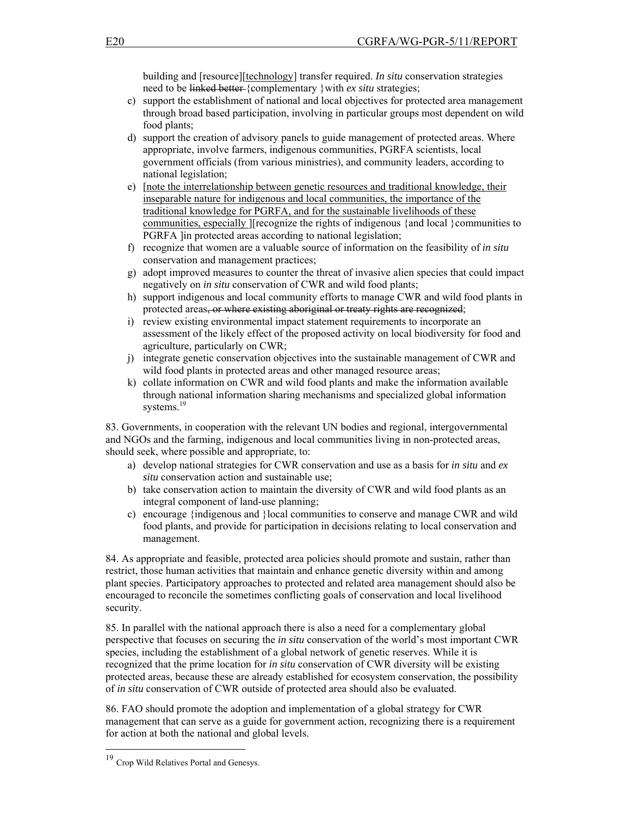building and [resource][technology] transfer required. *In situ* conservation strategies need to be linked better {complementary }with *ex situ* strategies;

- c) support the establishment of national and local objectives for protected area management through broad based participation, involving in particular groups most dependent on wild food plants;
- d) support the creation of advisory panels to guide management of protected areas. Where appropriate, involve farmers, indigenous communities, PGRFA scientists, local government officials (from various ministries), and community leaders, according to national legislation;
- e) [note the interrelationship between genetic resources and traditional knowledge, their inseparable nature for indigenous and local communities, the importance of the traditional knowledge for PGRFA, and for the sustainable livelihoods of these communities, especially ][recognize the rights of indigenous {and local }communities to PGRFA ]in protected areas according to national legislation;
- f) recognize that women are a valuable source of information on the feasibility of *in situ* conservation and management practices;
- g) adopt improved measures to counter the threat of invasive alien species that could impact negatively on *in situ* conservation of CWR and wild food plants;
- h) support indigenous and local community efforts to manage CWR and wild food plants in protected areas, or where existing aboriginal or treaty rights are recognized;
- i) review existing environmental impact statement requirements to incorporate an assessment of the likely effect of the proposed activity on local biodiversity for food and agriculture, particularly on CWR;
- j) integrate genetic conservation objectives into the sustainable management of CWR and wild food plants in protected areas and other managed resource areas;
- k) collate information on CWR and wild food plants and make the information available through national information sharing mechanisms and specialized global information systems.<sup>19</sup>

83. Governments, in cooperation with the relevant UN bodies and regional, intergovernmental and NGOs and the farming, indigenous and local communities living in non-protected areas, should seek, where possible and appropriate, to:

- a) develop national strategies for CWR conservation and use as a basis for *in situ* and *ex situ* conservation action and sustainable use;
- b) take conservation action to maintain the diversity of CWR and wild food plants as an integral component of land-use planning;
- c) encourage {indigenous and }local communities to conserve and manage CWR and wild food plants, and provide for participation in decisions relating to local conservation and management.

84. As appropriate and feasible, protected area policies should promote and sustain, rather than restrict, those human activities that maintain and enhance genetic diversity within and among plant species. Participatory approaches to protected and related area management should also be encouraged to reconcile the sometimes conflicting goals of conservation and local livelihood security.

85. In parallel with the national approach there is also a need for a complementary global perspective that focuses on securing the *in situ* conservation of the world's most important CWR species, including the establishment of a global network of genetic reserves. While it is recognized that the prime location for *in situ* conservation of CWR diversity will be existing protected areas, because these are already established for ecosystem conservation, the possibility of *in situ* conservation of CWR outside of protected area should also be evaluated.

86. FAO should promote the adoption and implementation of a global strategy for CWR management that can serve as a guide for government action, recognizing there is a requirement for action at both the national and global levels.

l

<sup>&</sup>lt;sup>19</sup> Crop Wild Relatives Portal and Genesys.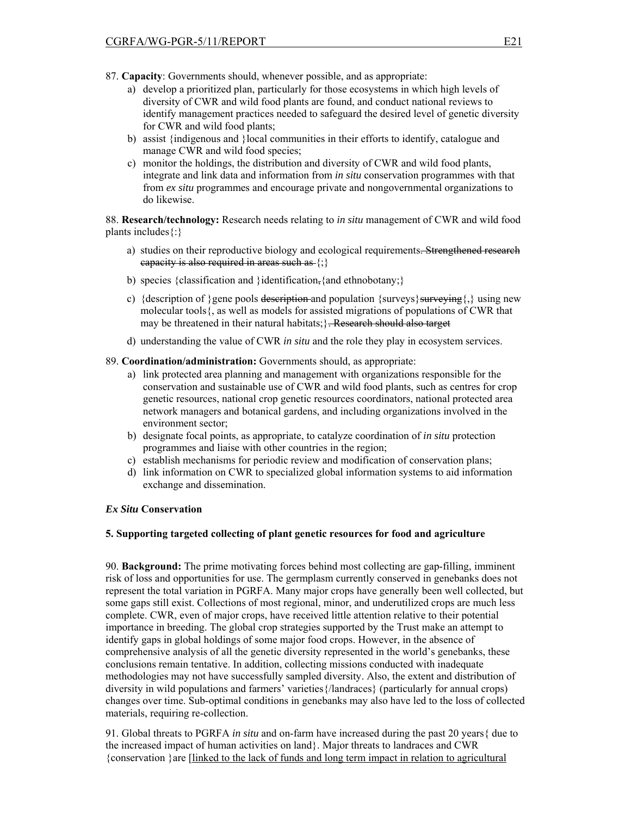- 87. **Capacity**: Governments should, whenever possible, and as appropriate:
	- a) develop a prioritized plan, particularly for those ecosystems in which high levels of diversity of CWR and wild food plants are found, and conduct national reviews to identify management practices needed to safeguard the desired level of genetic diversity for CWR and wild food plants;
	- b) assist {indigenous and }local communities in their efforts to identify, catalogue and manage CWR and wild food species;
	- c) monitor the holdings, the distribution and diversity of CWR and wild food plants, integrate and link data and information from *in situ* conservation programmes with that from *ex situ* programmes and encourage private and nongovernmental organizations to do likewise.

88. **Research/technology:** Research needs relating to *in situ* management of CWR and wild food plants includes{:}

- a) studies on their reproductive biology and ecological requirements. Strengthened research capacity is also required in areas such as  $\{\cdot\}$
- b) species {classification and }identification,{and ethnobotany;}
- c) {description of }gene pools description and population {surveys} $\frac{1}{2}$  surveys{ $\frac{1}{2}$  using new molecular tools{, as well as models for assisted migrations of populations of CWR that may be threatened in their natural habitats; }. Research should also target
- d) understanding the value of CWR *in situ* and the role they play in ecosystem services.

89. **Coordination/administration:** Governments should, as appropriate:

- a) link protected area planning and management with organizations responsible for the conservation and sustainable use of CWR and wild food plants, such as centres for crop genetic resources, national crop genetic resources coordinators, national protected area network managers and botanical gardens, and including organizations involved in the environment sector;
- b) designate focal points, as appropriate, to catalyze coordination of *in situ* protection programmes and liaise with other countries in the region;
- c) establish mechanisms for periodic review and modification of conservation plans;
- d) link information on CWR to specialized global information systems to aid information exchange and dissemination.

## *Ex Situ* **Conservation**

### **5. Supporting targeted collecting of plant genetic resources for food and agriculture**

90. **Background:** The prime motivating forces behind most collecting are gap-filling, imminent risk of loss and opportunities for use. The germplasm currently conserved in genebanks does not represent the total variation in PGRFA. Many major crops have generally been well collected, but some gaps still exist. Collections of most regional, minor, and underutilized crops are much less complete. CWR, even of major crops, have received little attention relative to their potential importance in breeding. The global crop strategies supported by the Trust make an attempt to identify gaps in global holdings of some major food crops. However, in the absence of comprehensive analysis of all the genetic diversity represented in the world's genebanks, these conclusions remain tentative. In addition, collecting missions conducted with inadequate methodologies may not have successfully sampled diversity. Also, the extent and distribution of diversity in wild populations and farmers' varieties{/landraces} (particularly for annual crops) changes over time. Sub-optimal conditions in genebanks may also have led to the loss of collected materials, requiring re-collection.

91. Global threats to PGRFA *in situ* and on-farm have increased during the past 20 years{ due to the increased impact of human activities on land}. Major threats to landraces and CWR {conservation }are [linked to the lack of funds and long term impact in relation to agricultural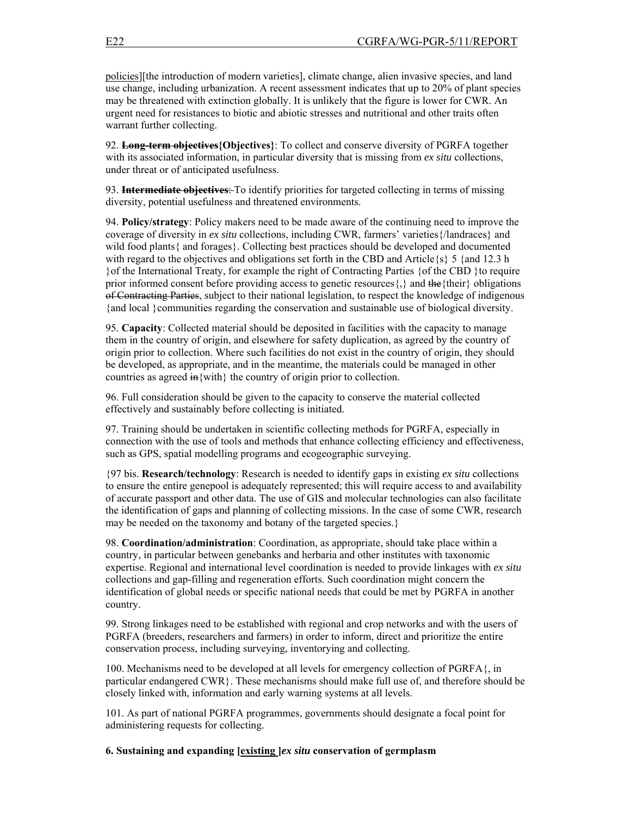policies][the introduction of modern varieties], climate change, alien invasive species, and land use change, including urbanization. A recent assessment indicates that up to 20% of plant species may be threatened with extinction globally. It is unlikely that the figure is lower for CWR. An urgent need for resistances to biotic and abiotic stresses and nutritional and other traits often warrant further collecting.

92. **Long-term objectives{Objectives}**: To collect and conserve diversity of PGRFA together with its associated information, in particular diversity that is missing from *ex situ* collections, under threat or of anticipated usefulness.

93. **Intermediate objectives**: To identify priorities for targeted collecting in terms of missing diversity, potential usefulness and threatened environments.

94. **Policy/strategy**: Policy makers need to be made aware of the continuing need to improve the coverage of diversity in *ex situ* collections, including CWR, farmers' varieties{/landraces} and wild food plants{ and forages}. Collecting best practices should be developed and documented with regard to the objectives and obligations set forth in the CBD and Article $\{s\}$  5  $\{$  and 12.3 h }of the International Treaty, for example the right of Contracting Parties {of the CBD }to require prior informed consent before providing access to genetic resources  $\{\}$  and the {their} obligations of Contracting Parties, subject to their national legislation, to respect the knowledge of indigenous {and local }communities regarding the conservation and sustainable use of biological diversity.

95. **Capacity**: Collected material should be deposited in facilities with the capacity to manage them in the country of origin, and elsewhere for safety duplication, as agreed by the country of origin prior to collection. Where such facilities do not exist in the country of origin, they should be developed, as appropriate, and in the meantime, the materials could be managed in other countries as agreed in{with} the country of origin prior to collection.

96. Full consideration should be given to the capacity to conserve the material collected effectively and sustainably before collecting is initiated.

97. Training should be undertaken in scientific collecting methods for PGRFA, especially in connection with the use of tools and methods that enhance collecting efficiency and effectiveness, such as GPS, spatial modelling programs and ecogeographic surveying.

{97 bis. **Research/technology**: Research is needed to identify gaps in existing *ex situ* collections to ensure the entire genepool is adequately represented; this will require access to and availability of accurate passport and other data. The use of GIS and molecular technologies can also facilitate the identification of gaps and planning of collecting missions. In the case of some CWR, research may be needed on the taxonomy and botany of the targeted species.}

98. **Coordination/administration**: Coordination, as appropriate, should take place within a country, in particular between genebanks and herbaria and other institutes with taxonomic expertise. Regional and international level coordination is needed to provide linkages with *ex situ* collections and gap-filling and regeneration efforts. Such coordination might concern the identification of global needs or specific national needs that could be met by PGRFA in another country.

99. Strong linkages need to be established with regional and crop networks and with the users of PGRFA (breeders, researchers and farmers) in order to inform, direct and prioritize the entire conservation process, including surveying, inventorying and collecting.

100. Mechanisms need to be developed at all levels for emergency collection of PGRFA{, in particular endangered CWR}. These mechanisms should make full use of, and therefore should be closely linked with, information and early warning systems at all levels.

101. As part of national PGRFA programmes, governments should designate a focal point for administering requests for collecting.

## **6. Sustaining and expanding [existing ]***ex situ* **conservation of germplasm**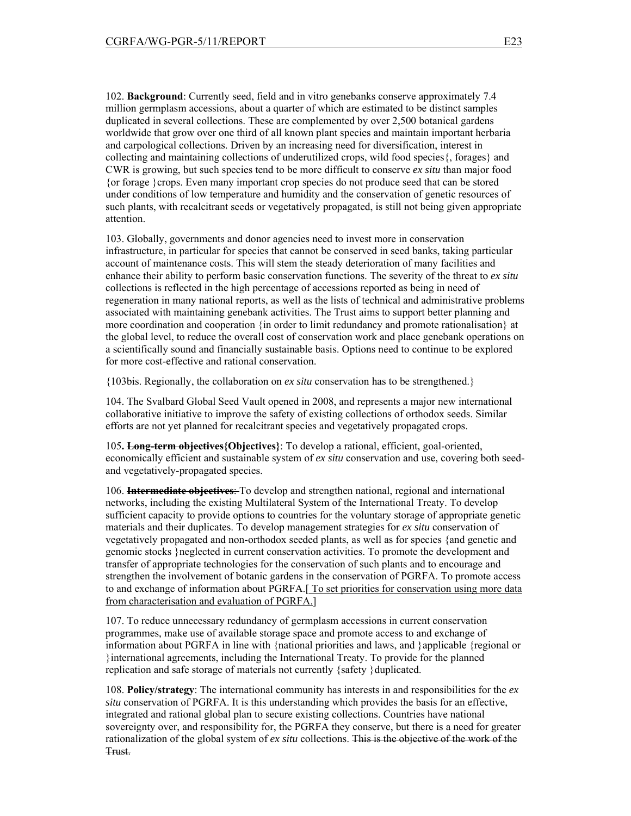102. **Background**: Currently seed, field and in vitro genebanks conserve approximately 7.4 million germplasm accessions, about a quarter of which are estimated to be distinct samples duplicated in several collections. These are complemented by over 2,500 botanical gardens worldwide that grow over one third of all known plant species and maintain important herbaria and carpological collections. Driven by an increasing need for diversification, interest in collecting and maintaining collections of underutilized crops, wild food species{, forages} and CWR is growing, but such species tend to be more difficult to conserve *ex situ* than major food {or forage }crops. Even many important crop species do not produce seed that can be stored under conditions of low temperature and humidity and the conservation of genetic resources of such plants, with recalcitrant seeds or vegetatively propagated, is still not being given appropriate attention.

103. Globally, governments and donor agencies need to invest more in conservation infrastructure, in particular for species that cannot be conserved in seed banks, taking particular account of maintenance costs. This will stem the steady deterioration of many facilities and enhance their ability to perform basic conservation functions. The severity of the threat to *ex situ* collections is reflected in the high percentage of accessions reported as being in need of regeneration in many national reports, as well as the lists of technical and administrative problems associated with maintaining genebank activities. The Trust aims to support better planning and more coordination and cooperation {in order to limit redundancy and promote rationalisation} at the global level, to reduce the overall cost of conservation work and place genebank operations on a scientifically sound and financially sustainable basis. Options need to continue to be explored for more cost-effective and rational conservation.

{103bis. Regionally, the collaboration on *ex situ* conservation has to be strengthened.}

104. The Svalbard Global Seed Vault opened in 2008, and represents a major new international collaborative initiative to improve the safety of existing collections of orthodox seeds. Similar efforts are not yet planned for recalcitrant species and vegetatively propagated crops.

105**. Long-term objectives{Objectives}**: To develop a rational, efficient, goal-oriented, economically efficient and sustainable system of *ex situ* conservation and use, covering both seedand vegetatively-propagated species.

106. **Intermediate objectives**: To develop and strengthen national, regional and international networks, including the existing Multilateral System of the International Treaty. To develop sufficient capacity to provide options to countries for the voluntary storage of appropriate genetic materials and their duplicates. To develop management strategies for *ex situ* conservation of vegetatively propagated and non-orthodox seeded plants, as well as for species {and genetic and genomic stocks }neglected in current conservation activities. To promote the development and transfer of appropriate technologies for the conservation of such plants and to encourage and strengthen the involvement of botanic gardens in the conservation of PGRFA. To promote access to and exchange of information about PGRFA. [To set priorities for conservation using more data from characterisation and evaluation of PGRFA.]

107. To reduce unnecessary redundancy of germplasm accessions in current conservation programmes, make use of available storage space and promote access to and exchange of information about PGRFA in line with {national priorities and laws, and }applicable {regional or }international agreements, including the International Treaty. To provide for the planned replication and safe storage of materials not currently {safety }duplicated.

108. **Policy/strategy**: The international community has interests in and responsibilities for the *ex situ* conservation of PGRFA. It is this understanding which provides the basis for an effective, integrated and rational global plan to secure existing collections. Countries have national sovereignty over, and responsibility for, the PGRFA they conserve, but there is a need for greater rationalization of the global system of *ex situ* collections. This is the objective of the work of the Trust.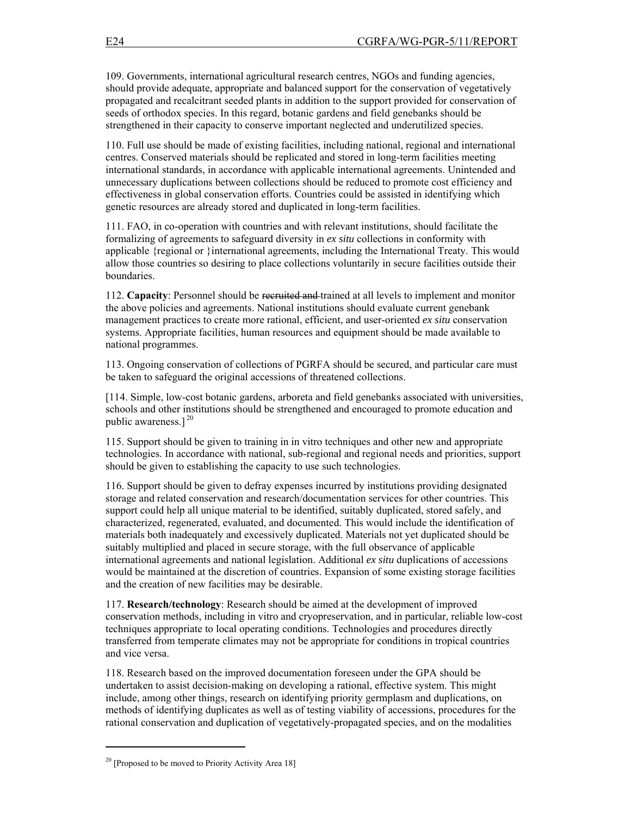109. Governments, international agricultural research centres, NGOs and funding agencies, should provide adequate, appropriate and balanced support for the conservation of vegetatively propagated and recalcitrant seeded plants in addition to the support provided for conservation of seeds of orthodox species. In this regard, botanic gardens and field genebanks should be strengthened in their capacity to conserve important neglected and underutilized species.

110. Full use should be made of existing facilities, including national, regional and international centres. Conserved materials should be replicated and stored in long-term facilities meeting international standards, in accordance with applicable international agreements. Unintended and unnecessary duplications between collections should be reduced to promote cost efficiency and effectiveness in global conservation efforts. Countries could be assisted in identifying which genetic resources are already stored and duplicated in long-term facilities.

111. FAO, in co-operation with countries and with relevant institutions, should facilitate the formalizing of agreements to safeguard diversity in *ex situ* collections in conformity with applicable {regional or }international agreements, including the International Treaty. This would allow those countries so desiring to place collections voluntarily in secure facilities outside their boundaries.

112. **Capacity**: Personnel should be recruited and trained at all levels to implement and monitor the above policies and agreements. National institutions should evaluate current genebank management practices to create more rational, efficient, and user-oriented *ex situ* conservation systems. Appropriate facilities, human resources and equipment should be made available to national programmes.

113. Ongoing conservation of collections of PGRFA should be secured, and particular care must be taken to safeguard the original accessions of threatened collections.

[114. Simple, low-cost botanic gardens, arboreta and field genebanks associated with universities, schools and other institutions should be strengthened and encouraged to promote education and public awareness.] 20

115. Support should be given to training in in vitro techniques and other new and appropriate technologies. In accordance with national, sub-regional and regional needs and priorities, support should be given to establishing the capacity to use such technologies.

116. Support should be given to defray expenses incurred by institutions providing designated storage and related conservation and research/documentation services for other countries. This support could help all unique material to be identified, suitably duplicated, stored safely, and characterized, regenerated, evaluated, and documented. This would include the identification of materials both inadequately and excessively duplicated. Materials not yet duplicated should be suitably multiplied and placed in secure storage, with the full observance of applicable international agreements and national legislation. Additional *ex situ* duplications of accessions would be maintained at the discretion of countries. Expansion of some existing storage facilities and the creation of new facilities may be desirable.

117. **Research/technology**: Research should be aimed at the development of improved conservation methods, including in vitro and cryopreservation, and in particular, reliable low-cost techniques appropriate to local operating conditions. Technologies and procedures directly transferred from temperate climates may not be appropriate for conditions in tropical countries and vice versa.

118. Research based on the improved documentation foreseen under the GPA should be undertaken to assist decision-making on developing a rational, effective system. This might include, among other things, research on identifying priority germplasm and duplications, on methods of identifying duplicates as well as of testing viability of accessions, procedures for the rational conservation and duplication of vegetatively-propagated species, and on the modalities

 $20$  [Proposed to be moved to Priority Activity Area 18]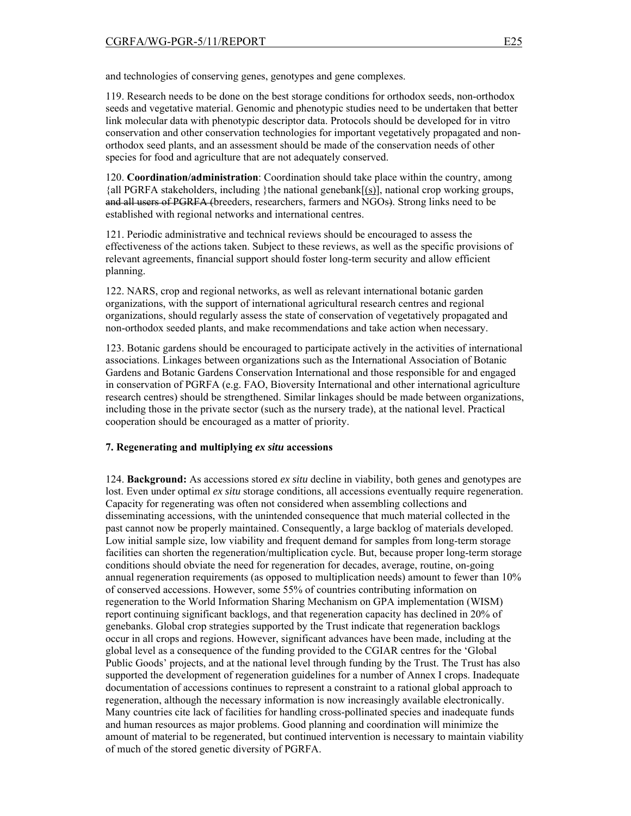and technologies of conserving genes, genotypes and gene complexes.

119. Research needs to be done on the best storage conditions for orthodox seeds, non-orthodox seeds and vegetative material. Genomic and phenotypic studies need to be undertaken that better link molecular data with phenotypic descriptor data. Protocols should be developed for in vitro conservation and other conservation technologies for important vegetatively propagated and nonorthodox seed plants, and an assessment should be made of the conservation needs of other species for food and agriculture that are not adequately conserved.

120. **Coordination/administration**: Coordination should take place within the country, among {all PGRFA stakeholders, including } the national genebank $[(s)]$ , national crop working groups, and all users of PGRFA (breeders, researchers, farmers and NGOs). Strong links need to be established with regional networks and international centres.

121. Periodic administrative and technical reviews should be encouraged to assess the effectiveness of the actions taken. Subject to these reviews, as well as the specific provisions of relevant agreements, financial support should foster long-term security and allow efficient planning.

122. NARS, crop and regional networks, as well as relevant international botanic garden organizations, with the support of international agricultural research centres and regional organizations, should regularly assess the state of conservation of vegetatively propagated and non-orthodox seeded plants, and make recommendations and take action when necessary.

123. Botanic gardens should be encouraged to participate actively in the activities of international associations. Linkages between organizations such as the International Association of Botanic Gardens and Botanic Gardens Conservation International and those responsible for and engaged in conservation of PGRFA (e.g. FAO, Bioversity International and other international agriculture research centres) should be strengthened. Similar linkages should be made between organizations, including those in the private sector (such as the nursery trade), at the national level. Practical cooperation should be encouraged as a matter of priority.

## **7. Regenerating and multiplying** *ex situ* **accessions**

124. **Background:** As accessions stored *ex situ* decline in viability, both genes and genotypes are lost. Even under optimal *ex situ* storage conditions, all accessions eventually require regeneration. Capacity for regenerating was often not considered when assembling collections and disseminating accessions, with the unintended consequence that much material collected in the past cannot now be properly maintained. Consequently, a large backlog of materials developed. Low initial sample size, low viability and frequent demand for samples from long-term storage facilities can shorten the regeneration/multiplication cycle. But, because proper long-term storage conditions should obviate the need for regeneration for decades, average, routine, on-going annual regeneration requirements (as opposed to multiplication needs) amount to fewer than 10% of conserved accessions. However, some 55% of countries contributing information on regeneration to the World Information Sharing Mechanism on GPA implementation (WISM) report continuing significant backlogs, and that regeneration capacity has declined in 20% of genebanks. Global crop strategies supported by the Trust indicate that regeneration backlogs occur in all crops and regions. However, significant advances have been made, including at the global level as a consequence of the funding provided to the CGIAR centres for the 'Global Public Goods' projects, and at the national level through funding by the Trust. The Trust has also supported the development of regeneration guidelines for a number of Annex I crops. Inadequate documentation of accessions continues to represent a constraint to a rational global approach to regeneration, although the necessary information is now increasingly available electronically. Many countries cite lack of facilities for handling cross-pollinated species and inadequate funds and human resources as major problems. Good planning and coordination will minimize the amount of material to be regenerated, but continued intervention is necessary to maintain viability of much of the stored genetic diversity of PGRFA.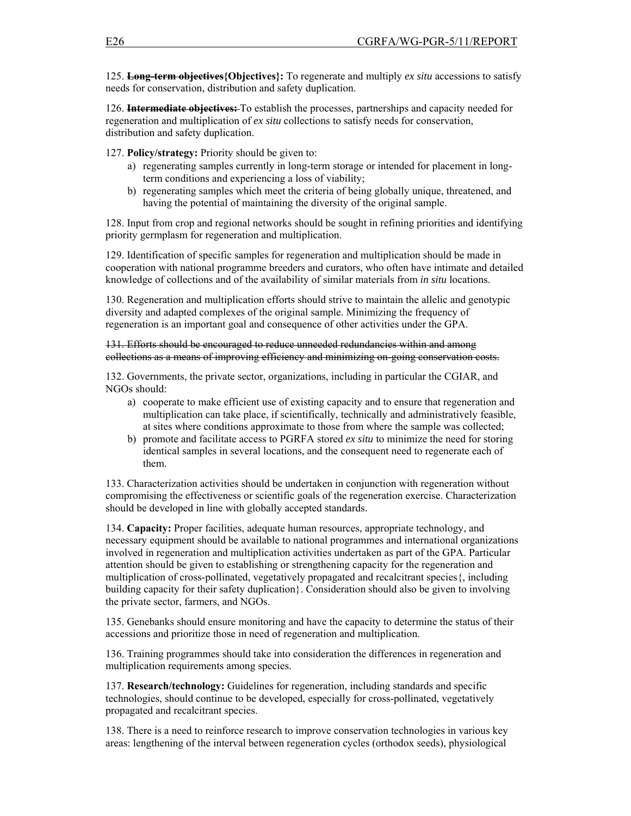125. **Long-term objectives{Objectives}:** To regenerate and multiply *ex situ* accessions to satisfy needs for conservation, distribution and safety duplication.

126. **Intermediate objectives:** To establish the processes, partnerships and capacity needed for regeneration and multiplication of *ex situ* collections to satisfy needs for conservation, distribution and safety duplication.

127. **Policy/strategy:** Priority should be given to:

- a) regenerating samples currently in long-term storage or intended for placement in longterm conditions and experiencing a loss of viability;
- b) regenerating samples which meet the criteria of being globally unique, threatened, and having the potential of maintaining the diversity of the original sample.

128. Input from crop and regional networks should be sought in refining priorities and identifying priority germplasm for regeneration and multiplication.

129. Identification of specific samples for regeneration and multiplication should be made in cooperation with national programme breeders and curators, who often have intimate and detailed knowledge of collections and of the availability of similar materials from *in situ* locations.

130. Regeneration and multiplication efforts should strive to maintain the allelic and genotypic diversity and adapted complexes of the original sample. Minimizing the frequency of regeneration is an important goal and consequence of other activities under the GPA.

#### 131. Efforts should be encouraged to reduce unneeded redundancies within and among collections as a means of improving efficiency and minimizing on-going conservation costs.

132. Governments, the private sector, organizations, including in particular the CGIAR, and NGOs should:

- a) cooperate to make efficient use of existing capacity and to ensure that regeneration and multiplication can take place, if scientifically, technically and administratively feasible, at sites where conditions approximate to those from where the sample was collected;
- b) promote and facilitate access to PGRFA stored *ex situ* to minimize the need for storing identical samples in several locations, and the consequent need to regenerate each of them.

133. Characterization activities should be undertaken in conjunction with regeneration without compromising the effectiveness or scientific goals of the regeneration exercise. Characterization should be developed in line with globally accepted standards.

134. **Capacity:** Proper facilities, adequate human resources, appropriate technology, and necessary equipment should be available to national programmes and international organizations involved in regeneration and multiplication activities undertaken as part of the GPA. Particular attention should be given to establishing or strengthening capacity for the regeneration and multiplication of cross-pollinated, vegetatively propagated and recalcitrant species{, including building capacity for their safety duplication}. Consideration should also be given to involving the private sector, farmers, and NGOs.

135. Genebanks should ensure monitoring and have the capacity to determine the status of their accessions and prioritize those in need of regeneration and multiplication.

136. Training programmes should take into consideration the differences in regeneration and multiplication requirements among species.

137. **Research/technology:** Guidelines for regeneration, including standards and specific technologies, should continue to be developed, especially for cross-pollinated, vegetatively propagated and recalcitrant species.

138. There is a need to reinforce research to improve conservation technologies in various key areas: lengthening of the interval between regeneration cycles (orthodox seeds), physiological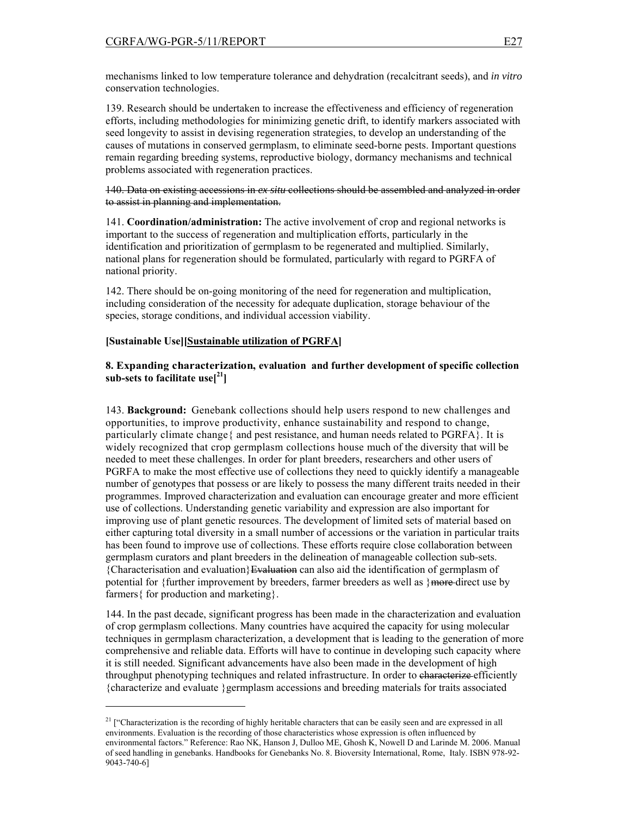mechanisms linked to low temperature tolerance and dehydration (recalcitrant seeds), and *in vitro* conservation technologies.

139. Research should be undertaken to increase the effectiveness and efficiency of regeneration efforts, including methodologies for minimizing genetic drift, to identify markers associated with seed longevity to assist in devising regeneration strategies, to develop an understanding of the causes of mutations in conserved germplasm, to eliminate seed-borne pests. Important questions remain regarding breeding systems, reproductive biology, dormancy mechanisms and technical problems associated with regeneration practices.

140. Data on existing accessions in *ex situ* collections should be assembled and analyzed in order to assist in planning and implementation.

141. **Coordination/administration:** The active involvement of crop and regional networks is important to the success of regeneration and multiplication efforts, particularly in the identification and prioritization of germplasm to be regenerated and multiplied. Similarly, national plans for regeneration should be formulated, particularly with regard to PGRFA of national priority.

142. There should be on-going monitoring of the need for regeneration and multiplication, including consideration of the necessity for adequate duplication, storage behaviour of the species, storage conditions, and individual accession viability.

### **[Sustainable Use][Sustainable utilization of PGRFA]**

l

## **8. Expanding characterization, evaluation and further development of specific collection sub-sets to facilitate use[21]**

143. **Background:** Genebank collections should help users respond to new challenges and opportunities, to improve productivity, enhance sustainability and respond to change, particularly climate change{ and pest resistance, and human needs related to PGRFA}. It is widely recognized that crop germplasm collections house much of the diversity that will be needed to meet these challenges. In order for plant breeders, researchers and other users of PGRFA to make the most effective use of collections they need to quickly identify a manageable number of genotypes that possess or are likely to possess the many different traits needed in their programmes. Improved characterization and evaluation can encourage greater and more efficient use of collections. Understanding genetic variability and expression are also important for improving use of plant genetic resources. The development of limited sets of material based on either capturing total diversity in a small number of accessions or the variation in particular traits has been found to improve use of collections. These efforts require close collaboration between germplasm curators and plant breeders in the delineation of manageable collection sub-sets. {Characterisation and evaluation}Evaluation can also aid the identification of germplasm of potential for {further improvement by breeders, farmer breeders as well as }more direct use by farmers { for production and marketing }.

144. In the past decade, significant progress has been made in the characterization and evaluation of crop germplasm collections. Many countries have acquired the capacity for using molecular techniques in germplasm characterization, a development that is leading to the generation of more comprehensive and reliable data. Efforts will have to continue in developing such capacity where it is still needed. Significant advancements have also been made in the development of high throughput phenotyping techniques and related infrastructure. In order to characterize efficiently {characterize and evaluate }germplasm accessions and breeding materials for traits associated

<sup>&</sup>lt;sup>21</sup> ["Characterization is the recording of highly heritable characters that can be easily seen and are expressed in all environments. Evaluation is the recording of those characteristics whose expression is often influenced by environmental factors." Reference: Rao NK, Hanson J, Dulloo ME, Ghosh K, Nowell D and Larinde M. 2006. Manual of seed handling in genebanks. Handbooks for Genebanks No. 8. Bioversity International, Rome, Italy. ISBN 978-92- 9043-740-6]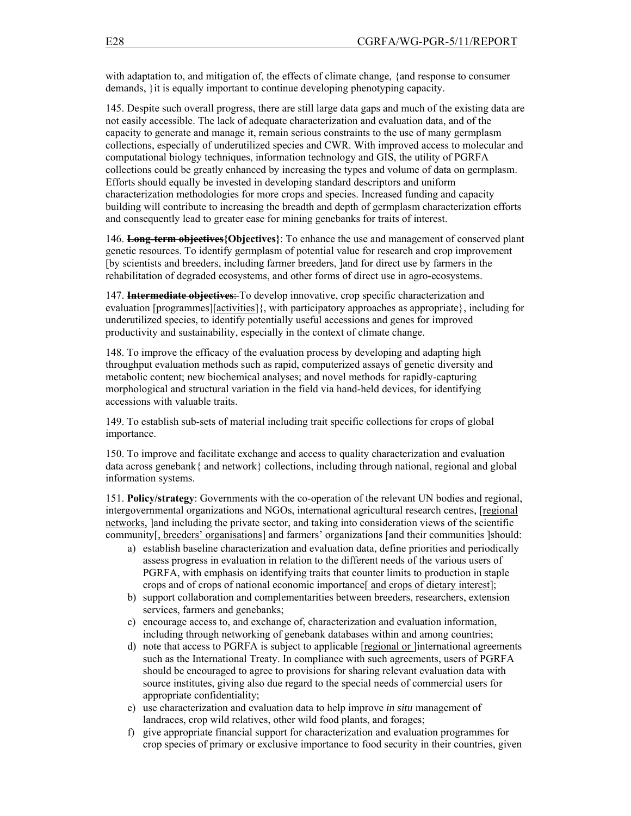with adaptation to, and mitigation of, the effects of climate change, {and response to consumer demands, }it is equally important to continue developing phenotyping capacity.

145. Despite such overall progress, there are still large data gaps and much of the existing data are not easily accessible. The lack of adequate characterization and evaluation data, and of the capacity to generate and manage it, remain serious constraints to the use of many germplasm collections, especially of underutilized species and CWR. With improved access to molecular and computational biology techniques, information technology and GIS, the utility of PGRFA collections could be greatly enhanced by increasing the types and volume of data on germplasm. Efforts should equally be invested in developing standard descriptors and uniform characterization methodologies for more crops and species. Increased funding and capacity building will contribute to increasing the breadth and depth of germplasm characterization efforts and consequently lead to greater ease for mining genebanks for traits of interest.

146. **Long-term objectives{Objectives}**: To enhance the use and management of conserved plant genetic resources. To identify germplasm of potential value for research and crop improvement [by scientists and breeders, including farmer breeders, ]and for direct use by farmers in the rehabilitation of degraded ecosystems, and other forms of direct use in agro-ecosystems.

147. **Intermediate objectives**: To develop innovative, crop specific characterization and evaluation [programmes][activities]{, with participatory approaches as appropriate}, including for underutilized species, to identify potentially useful accessions and genes for improved productivity and sustainability, especially in the context of climate change.

148. To improve the efficacy of the evaluation process by developing and adapting high throughput evaluation methods such as rapid, computerized assays of genetic diversity and metabolic content; new biochemical analyses; and novel methods for rapidly-capturing morphological and structural variation in the field via hand-held devices, for identifying accessions with valuable traits.

149. To establish sub-sets of material including trait specific collections for crops of global importance.

150. To improve and facilitate exchange and access to quality characterization and evaluation data across genebank{ and network} collections, including through national, regional and global information systems.

151. **Policy/strategy**: Governments with the co-operation of the relevant UN bodies and regional, intergovernmental organizations and NGOs, international agricultural research centres, [regional networks, ]and including the private sector, and taking into consideration views of the scientific community[, breeders' organisations] and farmers' organizations [and their communities ]should:

- a) establish baseline characterization and evaluation data, define priorities and periodically assess progress in evaluation in relation to the different needs of the various users of PGRFA, with emphasis on identifying traits that counter limits to production in staple crops and of crops of national economic importance[ and crops of dietary interest];
- b) support collaboration and complementarities between breeders, researchers, extension services, farmers and genebanks;
- c) encourage access to, and exchange of, characterization and evaluation information, including through networking of genebank databases within and among countries;
- d) note that access to PGRFA is subject to applicable [regional or ]international agreements such as the International Treaty. In compliance with such agreements, users of PGRFA should be encouraged to agree to provisions for sharing relevant evaluation data with source institutes, giving also due regard to the special needs of commercial users for appropriate confidentiality;
- e) use characterization and evaluation data to help improve *in situ* management of landraces, crop wild relatives, other wild food plants, and forages;
- f) give appropriate financial support for characterization and evaluation programmes for crop species of primary or exclusive importance to food security in their countries, given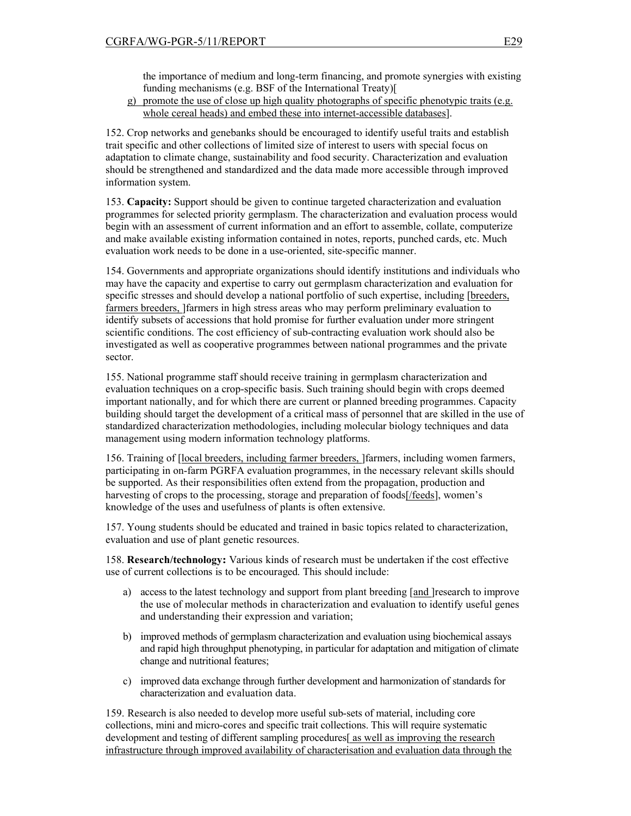the importance of medium and long-term financing, and promote synergies with existing funding mechanisms (e.g. BSF of the International Treaty)[

g) promote the use of close up high quality photographs of specific phenotypic traits (e.g. whole cereal heads) and embed these into internet-accessible databases].

152. Crop networks and genebanks should be encouraged to identify useful traits and establish trait specific and other collections of limited size of interest to users with special focus on adaptation to climate change, sustainability and food security. Characterization and evaluation should be strengthened and standardized and the data made more accessible through improved information system.

153. **Capacity:** Support should be given to continue targeted characterization and evaluation programmes for selected priority germplasm. The characterization and evaluation process would begin with an assessment of current information and an effort to assemble, collate, computerize and make available existing information contained in notes, reports, punched cards, etc. Much evaluation work needs to be done in a use-oriented, site-specific manner.

154. Governments and appropriate organizations should identify institutions and individuals who may have the capacity and expertise to carry out germplasm characterization and evaluation for specific stresses and should develop a national portfolio of such expertise, including [breeders, farmers breeders, ]farmers in high stress areas who may perform preliminary evaluation to identify subsets of accessions that hold promise for further evaluation under more stringent scientific conditions. The cost efficiency of sub-contracting evaluation work should also be investigated as well as cooperative programmes between national programmes and the private sector.

155. National programme staff should receive training in germplasm characterization and evaluation techniques on a crop-specific basis. Such training should begin with crops deemed important nationally, and for which there are current or planned breeding programmes. Capacity building should target the development of a critical mass of personnel that are skilled in the use of standardized characterization methodologies, including molecular biology techniques and data management using modern information technology platforms.

156. Training of [local breeders, including farmer breeders, ]farmers, including women farmers, participating in on-farm PGRFA evaluation programmes, in the necessary relevant skills should be supported. As their responsibilities often extend from the propagation, production and harvesting of crops to the processing, storage and preparation of foods[/feeds], women's knowledge of the uses and usefulness of plants is often extensive.

157. Young students should be educated and trained in basic topics related to characterization, evaluation and use of plant genetic resources.

158. **Research/technology:** Various kinds of research must be undertaken if the cost effective use of current collections is to be encouraged. This should include:

- a) access to the latest technology and support from plant breeding [and ]research to improve the use of molecular methods in characterization and evaluation to identify useful genes and understanding their expression and variation;
- b) improved methods of germplasm characterization and evaluation using biochemical assays and rapid high throughput phenotyping, in particular for adaptation and mitigation of climate change and nutritional features;
- c) improved data exchange through further development and harmonization of standards for characterization and evaluation data.

159. Research is also needed to develop more useful sub-sets of material, including core collections, mini and micro-cores and specific trait collections. This will require systematic development and testing of different sampling procedures[ as well as improving the research infrastructure through improved availability of characterisation and evaluation data through the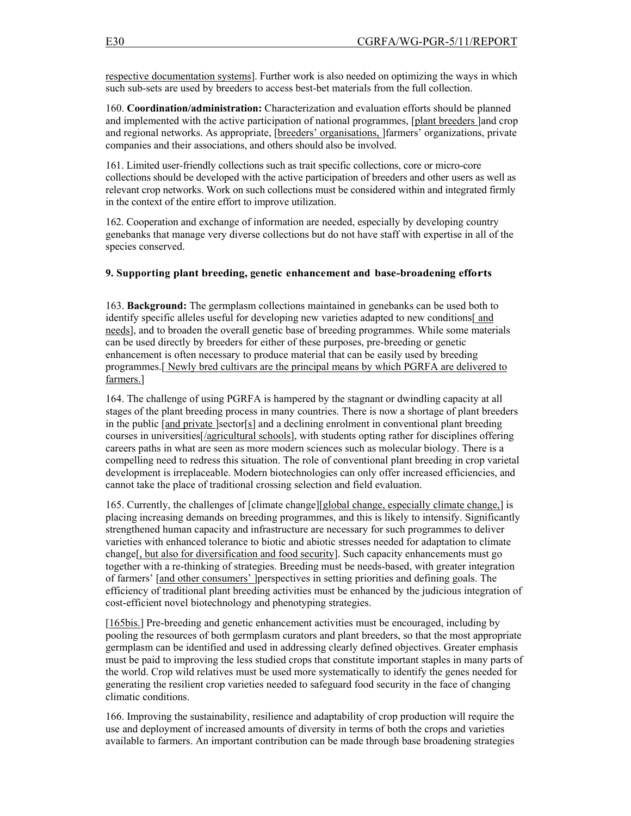respective documentation systems]. Further work is also needed on optimizing the ways in which such sub-sets are used by breeders to access best-bet materials from the full collection.

160. **Coordination/administration:** Characterization and evaluation efforts should be planned and implemented with the active participation of national programmes, [plant breeders ]and crop and regional networks. As appropriate, [breeders' organisations, ]farmers' organizations, private companies and their associations, and others should also be involved.

161. Limited user-friendly collections such as trait specific collections, core or micro-core collections should be developed with the active participation of breeders and other users as well as relevant crop networks. Work on such collections must be considered within and integrated firmly in the context of the entire effort to improve utilization.

162. Cooperation and exchange of information are needed, especially by developing country genebanks that manage very diverse collections but do not have staff with expertise in all of the species conserved.

# **9. Supporting plant breeding, genetic enhancement and base-broadening efforts**

163. **Background:** The germplasm collections maintained in genebanks can be used both to identify specific alleles useful for developing new varieties adapted to new conditions[ and needs], and to broaden the overall genetic base of breeding programmes. While some materials can be used directly by breeders for either of these purposes, pre-breeding or genetic enhancement is often necessary to produce material that can be easily used by breeding programmes.[ Newly bred cultivars are the principal means by which PGRFA are delivered to farmers.]

164. The challenge of using PGRFA is hampered by the stagnant or dwindling capacity at all stages of the plant breeding process in many countries. There is now a shortage of plant breeders in the public [and private ]sector[s] and a declining enrolment in conventional plant breeding courses in universities[/agricultural schools], with students opting rather for disciplines offering careers paths in what are seen as more modern sciences such as molecular biology. There is a compelling need to redress this situation. The role of conventional plant breeding in crop varietal development is irreplaceable. Modern biotechnologies can only offer increased efficiencies, and cannot take the place of traditional crossing selection and field evaluation.

165. Currently, the challenges of [climate change][global change, especially climate change,] is placing increasing demands on breeding programmes, and this is likely to intensify. Significantly strengthened human capacity and infrastructure are necessary for such programmes to deliver varieties with enhanced tolerance to biotic and abiotic stresses needed for adaptation to climate change[, but also for diversification and food security]. Such capacity enhancements must go together with a re-thinking of strategies. Breeding must be needs-based, with greater integration of farmers' [and other consumers' ]perspectives in setting priorities and defining goals. The efficiency of traditional plant breeding activities must be enhanced by the judicious integration of cost-efficient novel biotechnology and phenotyping strategies.

[165bis.] Pre-breeding and genetic enhancement activities must be encouraged, including by pooling the resources of both germplasm curators and plant breeders, so that the most appropriate germplasm can be identified and used in addressing clearly defined objectives. Greater emphasis must be paid to improving the less studied crops that constitute important staples in many parts of the world. Crop wild relatives must be used more systematically to identify the genes needed for generating the resilient crop varieties needed to safeguard food security in the face of changing climatic conditions.

166. Improving the sustainability, resilience and adaptability of crop production will require the use and deployment of increased amounts of diversity in terms of both the crops and varieties available to farmers. An important contribution can be made through base broadening strategies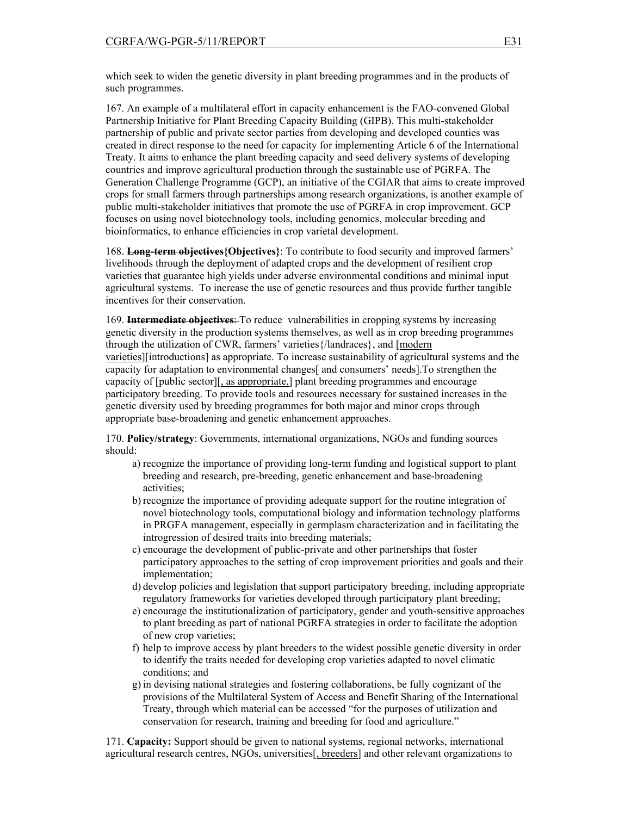which seek to widen the genetic diversity in plant breeding programmes and in the products of such programmes.

167. An example of a multilateral effort in capacity enhancement is the FAO-convened Global Partnership Initiative for Plant Breeding Capacity Building (GIPB). This multi-stakeholder partnership of public and private sector parties from developing and developed counties was created in direct response to the need for capacity for implementing Article 6 of the International Treaty. It aims to enhance the plant breeding capacity and seed delivery systems of developing countries and improve agricultural production through the sustainable use of PGRFA. The Generation Challenge Programme (GCP), an initiative of the CGIAR that aims to create improved crops for small farmers through partnerships among research organizations, is another example of public multi-stakeholder initiatives that promote the use of PGRFA in crop improvement. GCP focuses on using novel biotechnology tools, including genomics, molecular breeding and bioinformatics, to enhance efficiencies in crop varietal development.

168. **Long-term objectives{Objectives}**: To contribute to food security and improved farmers' livelihoods through the deployment of adapted crops and the development of resilient crop varieties that guarantee high yields under adverse environmental conditions and minimal input agricultural systems. To increase the use of genetic resources and thus provide further tangible incentives for their conservation.

169. **Intermediate objectives**: To reduce vulnerabilities in cropping systems by increasing genetic diversity in the production systems themselves, as well as in crop breeding programmes through the utilization of CWR, farmers' varieties{/landraces}, and [modern varieties][introductions] as appropriate. To increase sustainability of agricultural systems and the capacity for adaptation to environmental changes[ and consumers' needs].To strengthen the capacity of [public sector][, as appropriate,] plant breeding programmes and encourage participatory breeding. To provide tools and resources necessary for sustained increases in the genetic diversity used by breeding programmes for both major and minor crops through appropriate base-broadening and genetic enhancement approaches.

170. **Policy/strategy**: Governments, international organizations, NGOs and funding sources should:

- a) recognize the importance of providing long-term funding and logistical support to plant breeding and research, pre-breeding, genetic enhancement and base-broadening activities;
- b) recognize the importance of providing adequate support for the routine integration of novel biotechnology tools, computational biology and information technology platforms in PRGFA management, especially in germplasm characterization and in facilitating the introgression of desired traits into breeding materials;
- c) encourage the development of public-private and other partnerships that foster participatory approaches to the setting of crop improvement priorities and goals and their implementation;
- d) develop policies and legislation that support participatory breeding, including appropriate regulatory frameworks for varieties developed through participatory plant breeding;
- e) encourage the institutionalization of participatory, gender and youth-sensitive approaches to plant breeding as part of national PGRFA strategies in order to facilitate the adoption of new crop varieties;
- f) help to improve access by plant breeders to the widest possible genetic diversity in order to identify the traits needed for developing crop varieties adapted to novel climatic conditions; and
- g) in devising national strategies and fostering collaborations, be fully cognizant of the provisions of the Multilateral System of Access and Benefit Sharing of the International Treaty, through which material can be accessed "for the purposes of utilization and conservation for research, training and breeding for food and agriculture."

171. **Capacity:** Support should be given to national systems, regional networks, international agricultural research centres, NGOs, universities[, breeders] and other relevant organizations to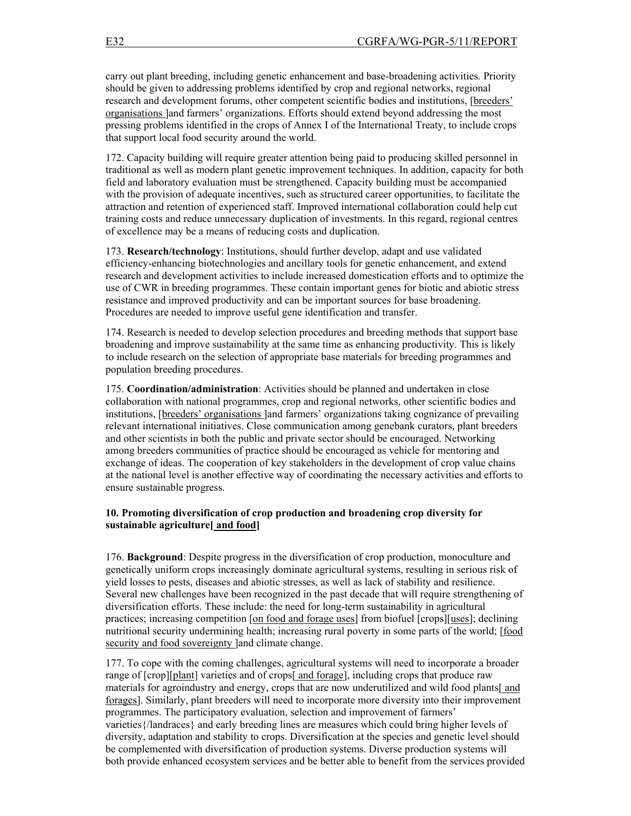carry out plant breeding, including genetic enhancement and base-broadening activities. Priority should be given to addressing problems identified by crop and regional networks, regional research and development forums, other competent scientific bodies and institutions, [breeders' organisations ]and farmers' organizations. Efforts should extend beyond addressing the most pressing problems identified in the crops of Annex I of the International Treaty, to include crops that support local food security around the world.

172. Capacity building will require greater attention being paid to producing skilled personnel in traditional as well as modern plant genetic improvement techniques. In addition, capacity for both field and laboratory evaluation must be strengthened. Capacity building must be accompanied with the provision of adequate incentives, such as structured career opportunities, to facilitate the attraction and retention of experienced staff. Improved international collaboration could help cut training costs and reduce unnecessary duplication of investments. In this regard, regional centres of excellence may be a means of reducing costs and duplication.

173. **Research/technology**: Institutions, should further develop, adapt and use validated efficiency-enhancing biotechnologies and ancillary tools for genetic enhancement, and extend research and development activities to include increased domestication efforts and to optimize the use of CWR in breeding programmes. These contain important genes for biotic and abiotic stress resistance and improved productivity and can be important sources for base broadening. Procedures are needed to improve useful gene identification and transfer.

174. Research is needed to develop selection procedures and breeding methods that support base broadening and improve sustainability at the same time as enhancing productivity. This is likely to include research on the selection of appropriate base materials for breeding programmes and population breeding procedures.

175. **Coordination/administration**: Activities should be planned and undertaken in close collaboration with national programmes, crop and regional networks, other scientific bodies and institutions, [breeders' organisations ]and farmers' organizations taking cognizance of prevailing relevant international initiatives. Close communication among genebank curators, plant breeders and other scientists in both the public and private sector should be encouraged. Networking among breeders communities of practice should be encouraged as vehicle for mentoring and exchange of ideas. The cooperation of key stakeholders in the development of crop value chains at the national level is another effective way of coordinating the necessary activities and efforts to ensure sustainable progress.

## **10. Promoting diversification of crop production and broadening crop diversity for sustainable agriculture[ and food]**

176. **Background**: Despite progress in the diversification of crop production, monoculture and genetically uniform crops increasingly dominate agricultural systems, resulting in serious risk of yield losses to pests, diseases and abiotic stresses, as well as lack of stability and resilience. Several new challenges have been recognized in the past decade that will require strengthening of diversification efforts. These include: the need for long-term sustainability in agricultural practices; increasing competition [on food and forage uses] from biofuel [crops][uses]; declining nutritional security undermining health; increasing rural poverty in some parts of the world; [food security and food sovereignty ]and climate change.

177. To cope with the coming challenges, agricultural systems will need to incorporate a broader range of [crop][plant] varieties and of crops[ and forage], including crops that produce raw materials for agroindustry and energy, crops that are now underutilized and wild food plants[ and forages]. Similarly, plant breeders will need to incorporate more diversity into their improvement programmes. The participatory evaluation, selection and improvement of farmers' varieties{/landraces} and early breeding lines are measures which could bring higher levels of diversity, adaptation and stability to crops. Diversification at the species and genetic level should be complemented with diversification of production systems. Diverse production systems will both provide enhanced ecosystem services and be better able to benefit from the services provided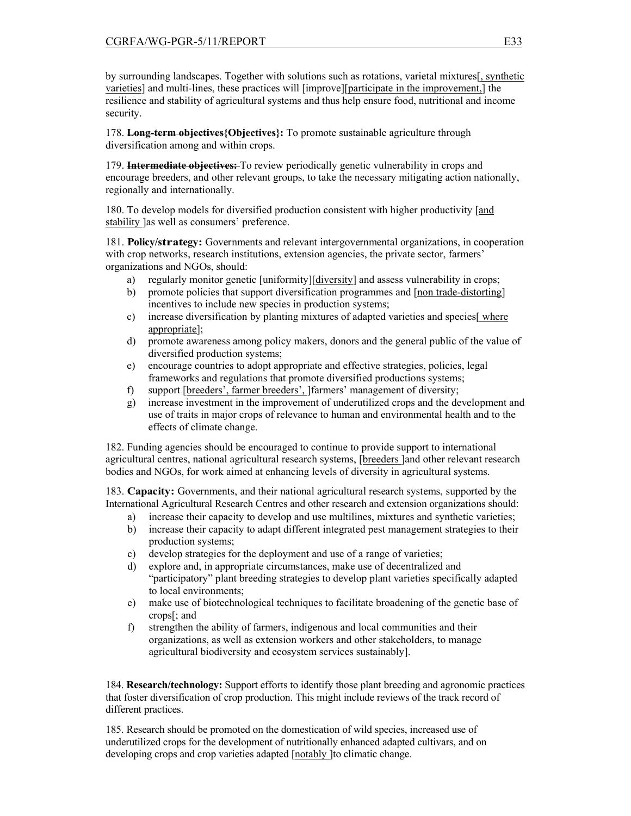by surrounding landscapes. Together with solutions such as rotations, varietal mixtures[, synthetic varieties] and multi-lines, these practices will [improve][participate in the improvement,] the resilience and stability of agricultural systems and thus help ensure food, nutritional and income security.

178. **Long-term objectives{Objectives}:** To promote sustainable agriculture through diversification among and within crops.

179. **Intermediate objectives:** To review periodically genetic vulnerability in crops and encourage breeders, and other relevant groups, to take the necessary mitigating action nationally, regionally and internationally.

180. To develop models for diversified production consistent with higher productivity [and stability ]as well as consumers' preference.

181. **Policy/strategy:** Governments and relevant intergovernmental organizations, in cooperation with crop networks, research institutions, extension agencies, the private sector, farmers' organizations and NGOs, should:

- a) regularly monitor genetic [uniformity][diversity] and assess vulnerability in crops;
- b) promote policies that support diversification programmes and [non trade-distorting] incentives to include new species in production systems;
- c) increase diversification by planting mixtures of adapted varieties and species[ where appropriate];
- d) promote awareness among policy makers, donors and the general public of the value of diversified production systems;
- e) encourage countries to adopt appropriate and effective strategies, policies, legal frameworks and regulations that promote diversified productions systems;
- f) support [breeders', farmer breeders', ]farmers' management of diversity;
- g) increase investment in the improvement of underutilized crops and the development and use of traits in major crops of relevance to human and environmental health and to the effects of climate change.

182. Funding agencies should be encouraged to continue to provide support to international agricultural centres, national agricultural research systems, [breeders ]and other relevant research bodies and NGOs, for work aimed at enhancing levels of diversity in agricultural systems.

183. **Capacity:** Governments, and their national agricultural research systems, supported by the International Agricultural Research Centres and other research and extension organizations should:

- a) increase their capacity to develop and use multilines, mixtures and synthetic varieties;
- b) increase their capacity to adapt different integrated pest management strategies to their production systems;
- c) develop strategies for the deployment and use of a range of varieties;
- d) explore and, in appropriate circumstances, make use of decentralized and "participatory" plant breeding strategies to develop plant varieties specifically adapted to local environments;
- e) make use of biotechnological techniques to facilitate broadening of the genetic base of crops[; and
- f) strengthen the ability of farmers, indigenous and local communities and their organizations, as well as extension workers and other stakeholders, to manage agricultural biodiversity and ecosystem services sustainably].

184. **Research/technology:** Support efforts to identify those plant breeding and agronomic practices that foster diversification of crop production. This might include reviews of the track record of different practices.

185. Research should be promoted on the domestication of wild species, increased use of underutilized crops for the development of nutritionally enhanced adapted cultivars, and on developing crops and crop varieties adapted [notably ]to climatic change.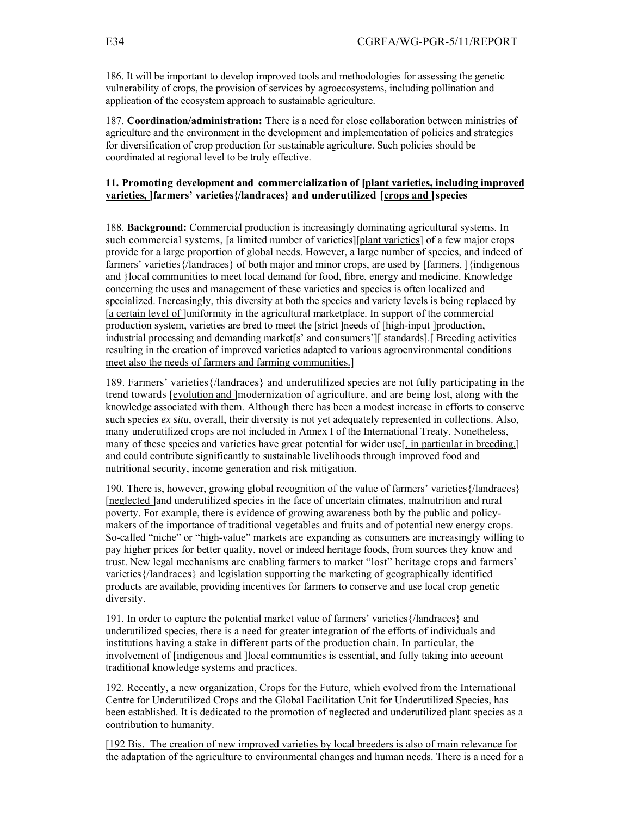186. It will be important to develop improved tools and methodologies for assessing the genetic vulnerability of crops, the provision of services by agroecosystems, including pollination and application of the ecosystem approach to sustainable agriculture.

187. **Coordination/administration:** There is a need for close collaboration between ministries of agriculture and the environment in the development and implementation of policies and strategies for diversification of crop production for sustainable agriculture. Such policies should be coordinated at regional level to be truly effective.

## **11. Promoting development and commercialization of [plant varieties, including improved varieties, ]farmers' varieties{/landraces} and underutilized [crops and ]species**

188. **Background:** Commercial production is increasingly dominating agricultural systems. In such commercial systems, [a limited number of varieties][plant varieties] of a few major crops provide for a large proportion of global needs. However, a large number of species, and indeed of farmers' varieties{/landraces} of both major and minor crops, are used by [farmers, ]{indigenous and }local communities to meet local demand for food, fibre, energy and medicine. Knowledge concerning the uses and management of these varieties and species is often localized and specialized. Increasingly, this diversity at both the species and variety levels is being replaced by [a certain level of ]uniformity in the agricultural marketplace. In support of the commercial production system, varieties are bred to meet the [strict ]needs of [high-input ]production, industrial processing and demanding market [s' and consumers'] standards]. [Breeding activities] resulting in the creation of improved varieties adapted to various agroenvironmental conditions meet also the needs of farmers and farming communities.]

189. Farmers' varieties{/landraces} and underutilized species are not fully participating in the trend towards [evolution and ]modernization of agriculture, and are being lost, along with the knowledge associated with them. Although there has been a modest increase in efforts to conserve such species *ex situ*, overall, their diversity is not yet adequately represented in collections. Also, many underutilized crops are not included in Annex I of the International Treaty. Nonetheless, many of these species and varieties have great potential for wider use<sup>[</sup>, in particular in breeding,] and could contribute significantly to sustainable livelihoods through improved food and nutritional security, income generation and risk mitigation.

190. There is, however, growing global recognition of the value of farmers' varieties{/landraces} [neglected ]and underutilized species in the face of uncertain climates, malnutrition and rural poverty. For example, there is evidence of growing awareness both by the public and policymakers of the importance of traditional vegetables and fruits and of potential new energy crops. So-called "niche" or "high-value" markets are expanding as consumers are increasingly willing to pay higher prices for better quality, novel or indeed heritage foods, from sources they know and trust. New legal mechanisms are enabling farmers to market "lost" heritage crops and farmers' varieties{/landraces} and legislation supporting the marketing of geographically identified products are available, providing incentives for farmers to conserve and use local crop genetic diversity.

191. In order to capture the potential market value of farmers' varieties{/landraces} and underutilized species, there is a need for greater integration of the efforts of individuals and institutions having a stake in different parts of the production chain. In particular, the involvement of [indigenous and ]local communities is essential, and fully taking into account traditional knowledge systems and practices.

192. Recently, a new organization, Crops for the Future, which evolved from the International Centre for Underutilized Crops and the Global Facilitation Unit for Underutilized Species, has been established. It is dedicated to the promotion of neglected and underutilized plant species as a contribution to humanity.

[192 Bis. The creation of new improved varieties by local breeders is also of main relevance for the adaptation of the agriculture to environmental changes and human needs. There is a need for a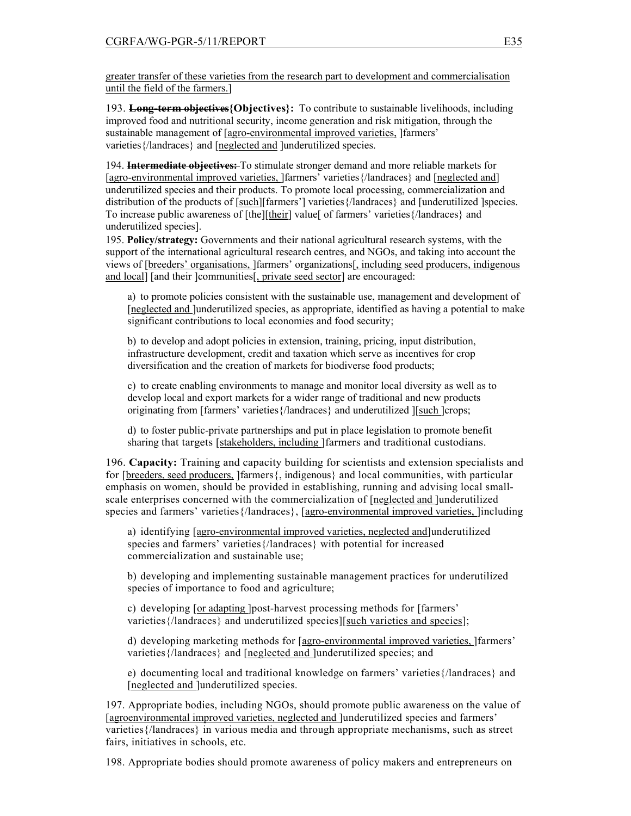greater transfer of these varieties from the research part to development and commercialisation until the field of the farmers.]

193. **Long-term objectives{Objectives}:** To contribute to sustainable livelihoods, including improved food and nutritional security, income generation and risk mitigation, through the sustainable management of [agro-environmental improved varieties, ]farmers' varieties{/landraces} and [neglected and ]underutilized species.

194. **Intermediate objectives:** To stimulate stronger demand and more reliable markets for [agro-environmental improved varieties, ] farmers' varieties  $\{\}$  and races  $\}$  and [neglected and] underutilized species and their products. To promote local processing, commercialization and distribution of the products of [such][farmers'] varieties {/landraces} and [underutilized ]species. To increase public awareness of [the][their] value[ of farmers' varieties{/landraces} and underutilized species].

195. **Policy/strategy:** Governments and their national agricultural research systems, with the support of the international agricultural research centres, and NGOs, and taking into account the views of [breeders' organisations, ]farmers' organizations[, including seed producers, indigenous and local] [and their ]communities[, private seed sector] are encouraged:

a) to promote policies consistent with the sustainable use, management and development of [neglected and ]underutilized species, as appropriate, identified as having a potential to make significant contributions to local economies and food security;

b) to develop and adopt policies in extension, training, pricing, input distribution, infrastructure development, credit and taxation which serve as incentives for crop diversification and the creation of markets for biodiverse food products;

c) to create enabling environments to manage and monitor local diversity as well as to develop local and export markets for a wider range of traditional and new products originating from [farmers' varieties{/landraces} and underutilized ][such ]crops;

d) to foster public-private partnerships and put in place legislation to promote benefit sharing that targets [stakeholders, including ]farmers and traditional custodians.

196. **Capacity:** Training and capacity building for scientists and extension specialists and for [breeders, seed producers, ]farmers {, indigenous} and local communities, with particular emphasis on women, should be provided in establishing, running and advising local smallscale enterprises concerned with the commercialization of [neglected and ]underutilized species and farmers' varieties{/landraces}, [agro-environmental improved varieties, ]including

a) identifying [agro-environmental improved varieties, neglected and]underutilized species and farmers' varieties{/landraces} with potential for increased commercialization and sustainable use;

b) developing and implementing sustainable management practices for underutilized species of importance to food and agriculture;

c) developing [or adapting ]post-harvest processing methods for [farmers' varieties{/landraces} and underutilized species][such varieties and species];

d) developing marketing methods for [agro-environmental improved varieties, ]farmers' varieties{/landraces} and [neglected and ]underutilized species; and

e) documenting local and traditional knowledge on farmers' varieties{/landraces} and [neglected and ]underutilized species.

197. Appropriate bodies, including NGOs, should promote public awareness on the value of [agroenvironmental improved varieties, neglected and ]underutilized species and farmers' varieties{/landraces} in various media and through appropriate mechanisms, such as street fairs, initiatives in schools, etc.

198. Appropriate bodies should promote awareness of policy makers and entrepreneurs on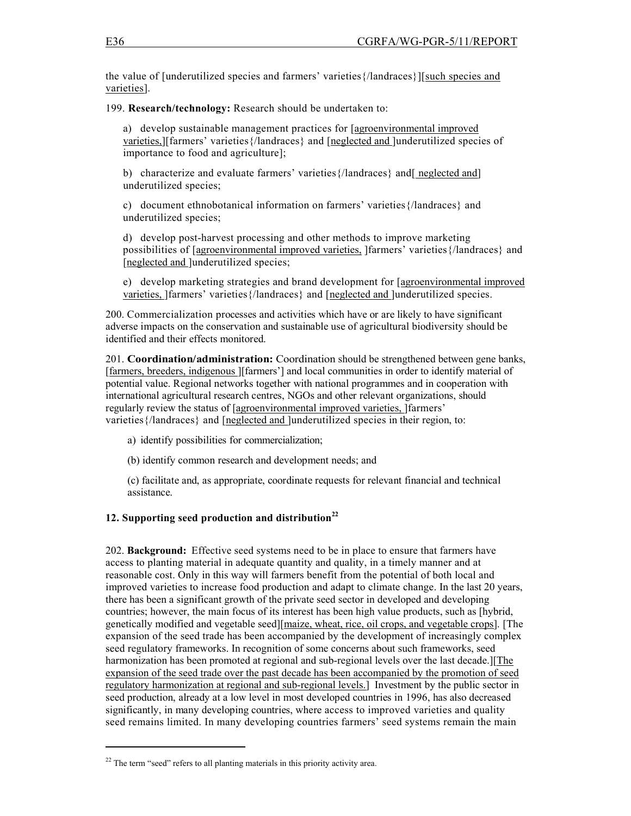the value of [underutilized species and farmers' varieties{/landraces}][such species and varieties].

199. **Research/technology:** Research should be undertaken to:

a) develop sustainable management practices for [agroenvironmental improved varieties,][farmers' varieties{/landraces} and [neglected and ]underutilized species of importance to food and agriculture];

b) characterize and evaluate farmers' varieties {/landraces} and[ neglected and] underutilized species:

c) document ethnobotanical information on farmers' varieties{/landraces} and underutilized species;

d) develop post-harvest processing and other methods to improve marketing possibilities of [agroenvironmental improved varieties, ]farmers' varieties{/landraces} and [neglected and ]underutilized species;

e) develop marketing strategies and brand development for [agroenvironmental improved varieties, ]farmers' varieties{/landraces} and [neglected and ]underutilized species.

200. Commercialization processes and activities which have or are likely to have significant adverse impacts on the conservation and sustainable use of agricultural biodiversity should be identified and their effects monitored.

201. **Coordination/administration:** Coordination should be strengthened between gene banks, [farmers, breeders, indigenous ][farmers'] and local communities in order to identify material of potential value. Regional networks together with national programmes and in cooperation with international agricultural research centres, NGOs and other relevant organizations, should regularly review the status of [agroenvironmental improved varieties, ]farmers' varieties {/landraces} and [neglected and ]underutilized species in their region, to:

a) identify possibilities for commercialization;

(b) identify common research and development needs; and

(c) facilitate and, as appropriate, coordinate requests for relevant financial and technical assistance.

# **12. Supporting seed production and distribution<sup>22</sup>**

202. **Background:** Effective seed systems need to be in place to ensure that farmers have access to planting material in adequate quantity and quality, in a timely manner and at reasonable cost. Only in this way will farmers benefit from the potential of both local and improved varieties to increase food production and adapt to climate change. In the last 20 years, there has been a significant growth of the private seed sector in developed and developing countries; however, the main focus of its interest has been high value products, such as [hybrid, genetically modified and vegetable seed][maize, wheat, rice, oil crops, and vegetable crops]. [The expansion of the seed trade has been accompanied by the development of increasingly complex seed regulatory frameworks. In recognition of some concerns about such frameworks, seed harmonization has been promoted at regional and sub-regional levels over the last decade.][The expansion of the seed trade over the past decade has been accompanied by the promotion of seed regulatory harmonization at regional and sub-regional levels.] Investment by the public sector in seed production, already at a low level in most developed countries in 1996, has also decreased significantly, in many developing countries, where access to improved varieties and quality seed remains limited. In many developing countries farmers' seed systems remain the main

 $22$  The term "seed" refers to all planting materials in this priority activity area.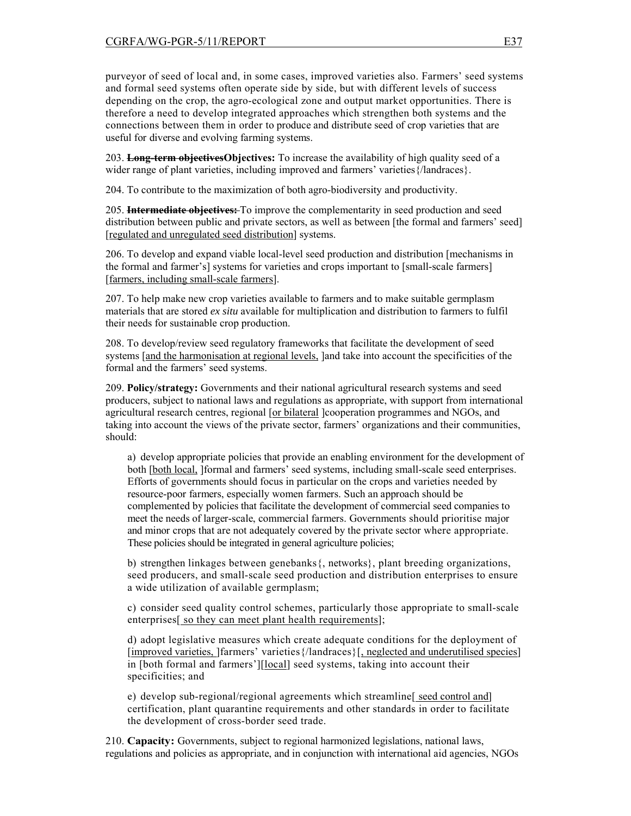purveyor of seed of local and, in some cases, improved varieties also. Farmers' seed systems and formal seed systems often operate side by side, but with different levels of success depending on the crop, the agro-ecological zone and output market opportunities. There is therefore a need to develop integrated approaches which strengthen both systems and the connections between them in order to produce and distribute seed of crop varieties that are useful for diverse and evolving farming systems.

203. **Long-term objectivesObjectives:** To increase the availability of high quality seed of a wider range of plant varieties, including improved and farmers' varieties{/landraces}.

204. To contribute to the maximization of both agro-biodiversity and productivity.

205. **Intermediate objectives:** To improve the complementarity in seed production and seed distribution between public and private sectors, as well as between [the formal and farmers' seed] [regulated and unregulated seed distribution] systems.

206. To develop and expand viable local-level seed production and distribution [mechanisms in the formal and farmer's] systems for varieties and crops important to [small-scale farmers] [farmers, including small-scale farmers].

207. To help make new crop varieties available to farmers and to make suitable germplasm materials that are stored *ex situ* available for multiplication and distribution to farmers to fulfil their needs for sustainable crop production.

208. To develop/review seed regulatory frameworks that facilitate the development of seed systems [and the harmonisation at regional levels, ]and take into account the specificities of the formal and the farmers' seed systems.

209. **Policy/strategy:** Governments and their national agricultural research systems and seed producers, subject to national laws and regulations as appropriate, with support from international agricultural research centres, regional [or bilateral ]cooperation programmes and NGOs, and taking into account the views of the private sector, farmers' organizations and their communities, should:

a) develop appropriate policies that provide an enabling environment for the development of both [both local, ]formal and farmers' seed systems, including small-scale seed enterprises. Efforts of governments should focus in particular on the crops and varieties needed by resource-poor farmers, especially women farmers. Such an approach should be complemented by policies that facilitate the development of commercial seed companies to meet the needs of larger-scale, commercial farmers. Governments should prioritise major and minor crops that are not adequately covered by the private sector where appropriate. These policies should be integrated in general agriculture policies;

b) strengthen linkages between genebanks{, networks}, plant breeding organizations, seed producers, and small-scale seed production and distribution enterprises to ensure a wide utilization of available germplasm;

c) consider seed quality control schemes, particularly those appropriate to small-scale enterprises<sup>[sothey can meet plant health requirements];</sup>

d) adopt legislative measures which create adequate conditions for the deployment of [improved varieties, ]farmers' varieties {/landraces} [, neglected and underutilised species] in [both formal and farmers'][local] seed systems, taking into account their specificities; and

e) develop sub-regional/regional agreements which streamline[seed control and] certification, plant quarantine requirements and other standards in order to facilitate the development of cross-border seed trade.

210. **Capacity:** Governments, subject to regional harmonized legislations, national laws, regulations and policies as appropriate, and in conjunction with international aid agencies, NGOs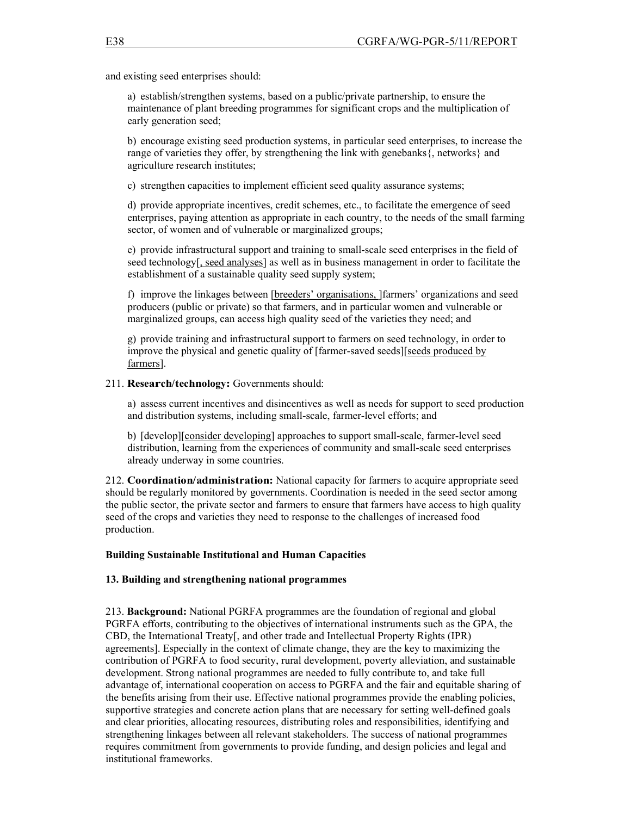and existing seed enterprises should:

a) establish/strengthen systems, based on a public/private partnership, to ensure the maintenance of plant breeding programmes for significant crops and the multiplication of early generation seed;

b) encourage existing seed production systems, in particular seed enterprises, to increase the range of varieties they offer, by strengthening the link with genebanks{, networks} and agriculture research institutes;

c) strengthen capacities to implement efficient seed quality assurance systems;

d) provide appropriate incentives, credit schemes, etc., to facilitate the emergence of seed enterprises, paying attention as appropriate in each country, to the needs of the small farming sector, of women and of vulnerable or marginalized groups;

e) provide infrastructural support and training to small-scale seed enterprises in the field of seed technology[, seed analyses] as well as in business management in order to facilitate the establishment of a sustainable quality seed supply system;

f) improve the linkages between [breeders' organisations, ]farmers' organizations and seed producers (public or private) so that farmers, and in particular women and vulnerable or marginalized groups, can access high quality seed of the varieties they need; and

g) provide training and infrastructural support to farmers on seed technology, in order to improve the physical and genetic quality of [farmer-saved seeds][seeds produced by farmers].

#### 211. **Research/technology:** Governments should:

a) assess current incentives and disincentives as well as needs for support to seed production and distribution systems, including small-scale, farmer-level efforts; and

b) [develop][consider developing] approaches to support small-scale, farmer-level seed distribution, learning from the experiences of community and small-scale seed enterprises already underway in some countries.

212. **Coordination/administration:** National capacity for farmers to acquire appropriate seed should be regularly monitored by governments. Coordination is needed in the seed sector among the public sector, the private sector and farmers to ensure that farmers have access to high quality seed of the crops and varieties they need to response to the challenges of increased food production.

#### **Building Sustainable Institutional and Human Capacities**

#### **13. Building and strengthening national programmes**

213. **Background:** National PGRFA programmes are the foundation of regional and global PGRFA efforts, contributing to the objectives of international instruments such as the GPA, the CBD, the International Treaty[, and other trade and Intellectual Property Rights (IPR) agreements]. Especially in the context of climate change, they are the key to maximizing the contribution of PGRFA to food security, rural development, poverty alleviation, and sustainable development. Strong national programmes are needed to fully contribute to, and take full advantage of, international cooperation on access to PGRFA and the fair and equitable sharing of the benefits arising from their use. Effective national programmes provide the enabling policies, supportive strategies and concrete action plans that are necessary for setting well-defined goals and clear priorities, allocating resources, distributing roles and responsibilities, identifying and strengthening linkages between all relevant stakeholders. The success of national programmes requires commitment from governments to provide funding, and design policies and legal and institutional frameworks.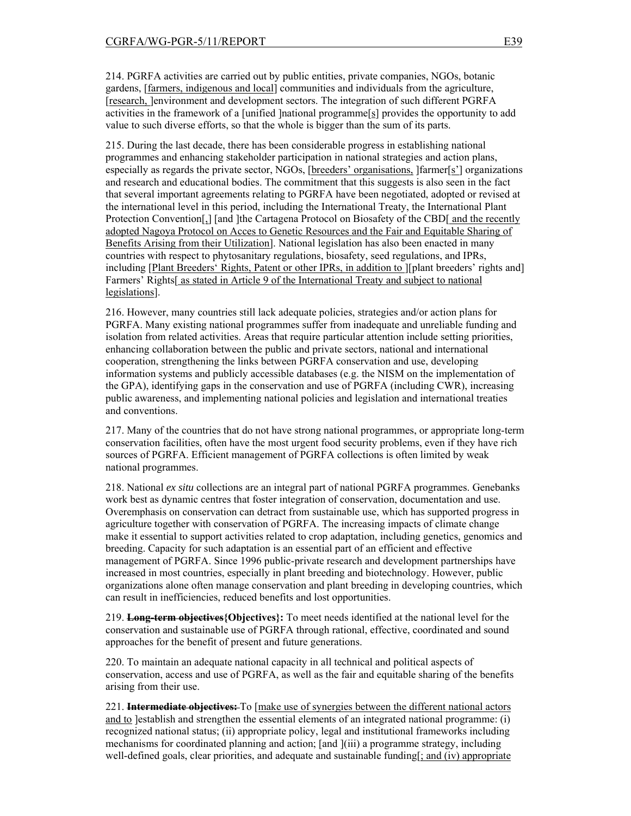214. PGRFA activities are carried out by public entities, private companies, NGOs, botanic gardens, [farmers, indigenous and local] communities and individuals from the agriculture, [research, ]environment and development sectors. The integration of such different PGRFA activities in the framework of a [unified ]national programme[s] provides the opportunity to add value to such diverse efforts, so that the whole is bigger than the sum of its parts.

215. During the last decade, there has been considerable progress in establishing national programmes and enhancing stakeholder participation in national strategies and action plans, especially as regards the private sector, NGOs, [breeders' organisations, ] farmer[s'] organizations and research and educational bodies. The commitment that this suggests is also seen in the fact that several important agreements relating to PGRFA have been negotiated, adopted or revised at the international level in this period, including the International Treaty, the International Plant Protection Convention[,] [and ]the Cartagena Protocol on Biosafety of the CBD[ and the recently adopted Nagoya Protocol on Acces to Genetic Resources and the Fair and Equitable Sharing of Benefits Arising from their Utilization]. National legislation has also been enacted in many countries with respect to phytosanitary regulations, biosafety, seed regulations, and IPRs, including [Plant Breeders' Rights, Patent or other IPRs, in addition to ][plant breeders' rights and] Farmers' Rights[ as stated in Article 9 of the International Treaty and subject to national legislations].

216. However, many countries still lack adequate policies, strategies and/or action plans for PGRFA. Many existing national programmes suffer from inadequate and unreliable funding and isolation from related activities. Areas that require particular attention include setting priorities, enhancing collaboration between the public and private sectors, national and international cooperation, strengthening the links between PGRFA conservation and use, developing information systems and publicly accessible databases (e.g. the NISM on the implementation of the GPA), identifying gaps in the conservation and use of PGRFA (including CWR), increasing public awareness, and implementing national policies and legislation and international treaties and conventions.

217. Many of the countries that do not have strong national programmes, or appropriate long-term conservation facilities, often have the most urgent food security problems, even if they have rich sources of PGRFA. Efficient management of PGRFA collections is often limited by weak national programmes.

218. National *ex situ* collections are an integral part of national PGRFA programmes. Genebanks work best as dynamic centres that foster integration of conservation, documentation and use. Overemphasis on conservation can detract from sustainable use, which has supported progress in agriculture together with conservation of PGRFA. The increasing impacts of climate change make it essential to support activities related to crop adaptation, including genetics, genomics and breeding. Capacity for such adaptation is an essential part of an efficient and effective management of PGRFA. Since 1996 public-private research and development partnerships have increased in most countries, especially in plant breeding and biotechnology. However, public organizations alone often manage conservation and plant breeding in developing countries, which can result in inefficiencies, reduced benefits and lost opportunities.

219. **Long-term objectives{Objectives}:** To meet needs identified at the national level for the conservation and sustainable use of PGRFA through rational, effective, coordinated and sound approaches for the benefit of present and future generations.

220. To maintain an adequate national capacity in all technical and political aspects of conservation, access and use of PGRFA, as well as the fair and equitable sharing of the benefits arising from their use.

221. **Intermediate objectives:** To [make use of synergies between the different national actors and to ]establish and strengthen the essential elements of an integrated national programme: (i) recognized national status; (ii) appropriate policy, legal and institutional frameworks including mechanisms for coordinated planning and action; [and ](iii) a programme strategy, including well-defined goals, clear priorities, and adequate and sustainable funding[; and (iv) appropriate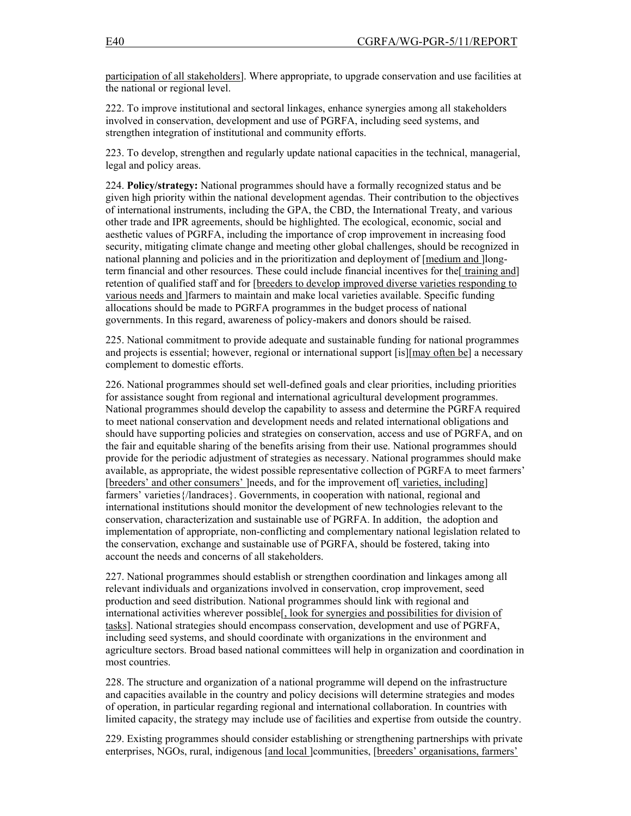participation of all stakeholders]. Where appropriate, to upgrade conservation and use facilities at the national or regional level.

222. To improve institutional and sectoral linkages, enhance synergies among all stakeholders involved in conservation, development and use of PGRFA, including seed systems, and strengthen integration of institutional and community efforts.

223. To develop, strengthen and regularly update national capacities in the technical, managerial, legal and policy areas.

224. **Policy/strategy:** National programmes should have a formally recognized status and be given high priority within the national development agendas. Their contribution to the objectives of international instruments, including the GPA, the CBD, the International Treaty, and various other trade and IPR agreements, should be highlighted. The ecological, economic, social and aesthetic values of PGRFA, including the importance of crop improvement in increasing food security, mitigating climate change and meeting other global challenges, should be recognized in national planning and policies and in the prioritization and deployment of [medium and ]longterm financial and other resources. These could include financial incentives for the raining and retention of qualified staff and for [breeders to develop improved diverse varieties responding to various needs and ]farmers to maintain and make local varieties available. Specific funding allocations should be made to PGRFA programmes in the budget process of national governments. In this regard, awareness of policy-makers and donors should be raised.

225. National commitment to provide adequate and sustainable funding for national programmes and projects is essential; however, regional or international support [is][may often be] a necessary complement to domestic efforts.

226. National programmes should set well-defined goals and clear priorities, including priorities for assistance sought from regional and international agricultural development programmes. National programmes should develop the capability to assess and determine the PGRFA required to meet national conservation and development needs and related international obligations and should have supporting policies and strategies on conservation, access and use of PGRFA, and on the fair and equitable sharing of the benefits arising from their use. National programmes should provide for the periodic adjustment of strategies as necessary. National programmes should make available, as appropriate, the widest possible representative collection of PGRFA to meet farmers' [breeders' and other consumers' lneeds, and for the improvement of varieties, including] farmers' varieties{/landraces}. Governments, in cooperation with national, regional and international institutions should monitor the development of new technologies relevant to the conservation, characterization and sustainable use of PGRFA. In addition, the adoption and implementation of appropriate, non-conflicting and complementary national legislation related to the conservation, exchange and sustainable use of PGRFA, should be fostered, taking into account the needs and concerns of all stakeholders.

227. National programmes should establish or strengthen coordination and linkages among all relevant individuals and organizations involved in conservation, crop improvement, seed production and seed distribution. National programmes should link with regional and international activities wherever possible[, look for synergies and possibilities for division of tasks]. National strategies should encompass conservation, development and use of PGRFA, including seed systems, and should coordinate with organizations in the environment and agriculture sectors. Broad based national committees will help in organization and coordination in most countries.

228. The structure and organization of a national programme will depend on the infrastructure and capacities available in the country and policy decisions will determine strategies and modes of operation, in particular regarding regional and international collaboration. In countries with limited capacity, the strategy may include use of facilities and expertise from outside the country.

229. Existing programmes should consider establishing or strengthening partnerships with private enterprises, NGOs, rural, indigenous [and local ]communities, [breeders' organisations, farmers'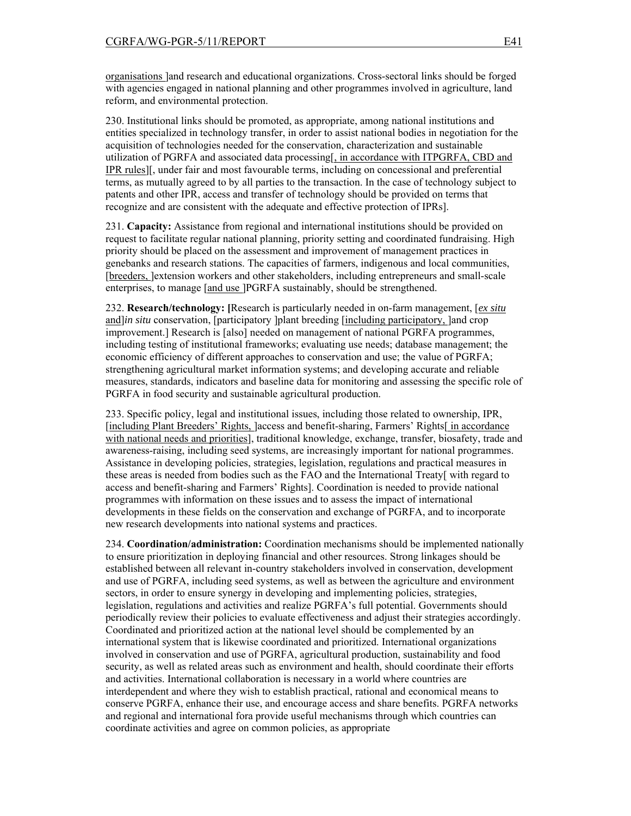organisations ]and research and educational organizations. Cross-sectoral links should be forged with agencies engaged in national planning and other programmes involved in agriculture, land reform, and environmental protection.

230. Institutional links should be promoted, as appropriate, among national institutions and entities specialized in technology transfer, in order to assist national bodies in negotiation for the acquisition of technologies needed for the conservation, characterization and sustainable utilization of PGRFA and associated data processing[, in accordance with ITPGRFA, CBD and IPR rules][, under fair and most favourable terms, including on concessional and preferential terms, as mutually agreed to by all parties to the transaction. In the case of technology subject to patents and other IPR, access and transfer of technology should be provided on terms that recognize and are consistent with the adequate and effective protection of IPRs].

231. **Capacity:** Assistance from regional and international institutions should be provided on request to facilitate regular national planning, priority setting and coordinated fundraising. High priority should be placed on the assessment and improvement of management practices in genebanks and research stations. The capacities of farmers, indigenous and local communities, [breeders, ]extension workers and other stakeholders, including entrepreneurs and small-scale enterprises, to manage [and use ]PGRFA sustainably, should be strengthened.

232. **Research/technology: [**Research is particularly needed in on-farm management, [*ex situ*  and]*in situ* conservation, [participatory ]plant breeding [including participatory, ]and crop improvement.] Research is [also] needed on management of national PGRFA programmes, including testing of institutional frameworks; evaluating use needs; database management; the economic efficiency of different approaches to conservation and use; the value of PGRFA; strengthening agricultural market information systems; and developing accurate and reliable measures, standards, indicators and baseline data for monitoring and assessing the specific role of PGRFA in food security and sustainable agricultural production.

233. Specific policy, legal and institutional issues, including those related to ownership, IPR, [including Plant Breeders' Rights, ]access and benefit-sharing, Farmers' Rights[ in accordance with national needs and priorities], traditional knowledge, exchange, transfer, biosafety, trade and awareness-raising, including seed systems, are increasingly important for national programmes. Assistance in developing policies, strategies, legislation, regulations and practical measures in these areas is needed from bodies such as the FAO and the International Treaty[ with regard to access and benefit-sharing and Farmers' Rights]. Coordination is needed to provide national programmes with information on these issues and to assess the impact of international developments in these fields on the conservation and exchange of PGRFA, and to incorporate new research developments into national systems and practices.

234. **Coordination/administration:** Coordination mechanisms should be implemented nationally to ensure prioritization in deploying financial and other resources. Strong linkages should be established between all relevant in-country stakeholders involved in conservation, development and use of PGRFA, including seed systems, as well as between the agriculture and environment sectors, in order to ensure synergy in developing and implementing policies, strategies, legislation, regulations and activities and realize PGRFA's full potential. Governments should periodically review their policies to evaluate effectiveness and adjust their strategies accordingly. Coordinated and prioritized action at the national level should be complemented by an international system that is likewise coordinated and prioritized. International organizations involved in conservation and use of PGRFA, agricultural production, sustainability and food security, as well as related areas such as environment and health, should coordinate their efforts and activities. International collaboration is necessary in a world where countries are interdependent and where they wish to establish practical, rational and economical means to conserve PGRFA, enhance their use, and encourage access and share benefits. PGRFA networks and regional and international fora provide useful mechanisms through which countries can coordinate activities and agree on common policies, as appropriate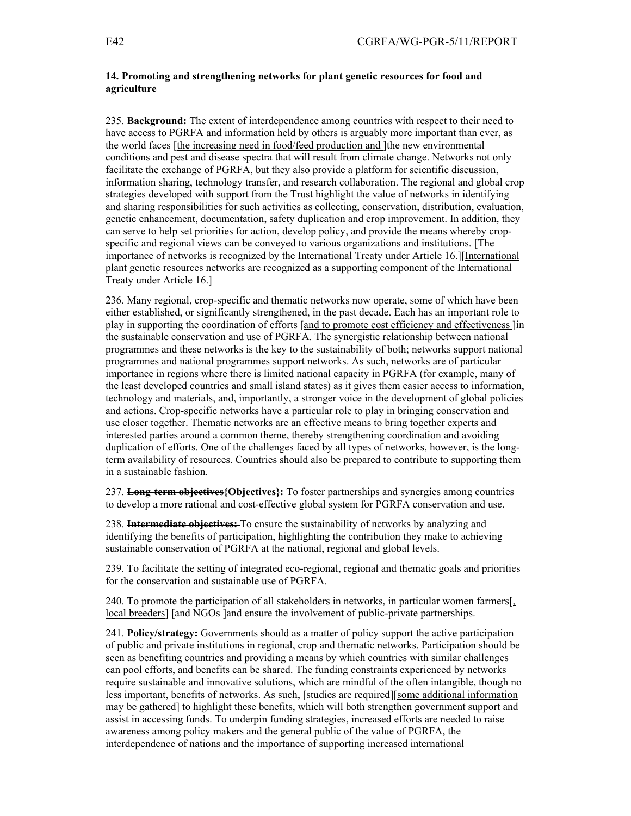### **14. Promoting and strengthening networks for plant genetic resources for food and agriculture**

235. **Background:** The extent of interdependence among countries with respect to their need to have access to PGRFA and information held by others is arguably more important than ever, as the world faces [the increasing need in food/feed production and ]the new environmental conditions and pest and disease spectra that will result from climate change. Networks not only facilitate the exchange of PGRFA, but they also provide a platform for scientific discussion, information sharing, technology transfer, and research collaboration. The regional and global crop strategies developed with support from the Trust highlight the value of networks in identifying and sharing responsibilities for such activities as collecting, conservation, distribution, evaluation, genetic enhancement, documentation, safety duplication and crop improvement. In addition, they can serve to help set priorities for action, develop policy, and provide the means whereby cropspecific and regional views can be conveyed to various organizations and institutions. [The importance of networks is recognized by the International Treaty under Article 16.][International plant genetic resources networks are recognized as a supporting component of the International Treaty under Article 16.]

236. Many regional, crop-specific and thematic networks now operate, some of which have been either established, or significantly strengthened, in the past decade. Each has an important role to play in supporting the coordination of efforts [and to promote cost efficiency and effectiveness ]in the sustainable conservation and use of PGRFA. The synergistic relationship between national programmes and these networks is the key to the sustainability of both; networks support national programmes and national programmes support networks. As such, networks are of particular importance in regions where there is limited national capacity in PGRFA (for example, many of the least developed countries and small island states) as it gives them easier access to information, technology and materials, and, importantly, a stronger voice in the development of global policies and actions. Crop-specific networks have a particular role to play in bringing conservation and use closer together. Thematic networks are an effective means to bring together experts and interested parties around a common theme, thereby strengthening coordination and avoiding duplication of efforts. One of the challenges faced by all types of networks, however, is the longterm availability of resources. Countries should also be prepared to contribute to supporting them in a sustainable fashion.

237. **Long-term objectives{Objectives}:** To foster partnerships and synergies among countries to develop a more rational and cost-effective global system for PGRFA conservation and use.

238. **Intermediate objectives:** To ensure the sustainability of networks by analyzing and identifying the benefits of participation, highlighting the contribution they make to achieving sustainable conservation of PGRFA at the national, regional and global levels.

239. To facilitate the setting of integrated eco-regional, regional and thematic goals and priorities for the conservation and sustainable use of PGRFA.

240. To promote the participation of all stakeholders in networks, in particular women farmers[, local breeders] [and NGOs ]and ensure the involvement of public-private partnerships.

241. **Policy/strategy:** Governments should as a matter of policy support the active participation of public and private institutions in regional, crop and thematic networks. Participation should be seen as benefiting countries and providing a means by which countries with similar challenges can pool efforts, and benefits can be shared. The funding constraints experienced by networks require sustainable and innovative solutions, which are mindful of the often intangible, though no less important, benefits of networks. As such, [studies are required][some additional information may be gathered] to highlight these benefits, which will both strengthen government support and assist in accessing funds. To underpin funding strategies, increased efforts are needed to raise awareness among policy makers and the general public of the value of PGRFA, the interdependence of nations and the importance of supporting increased international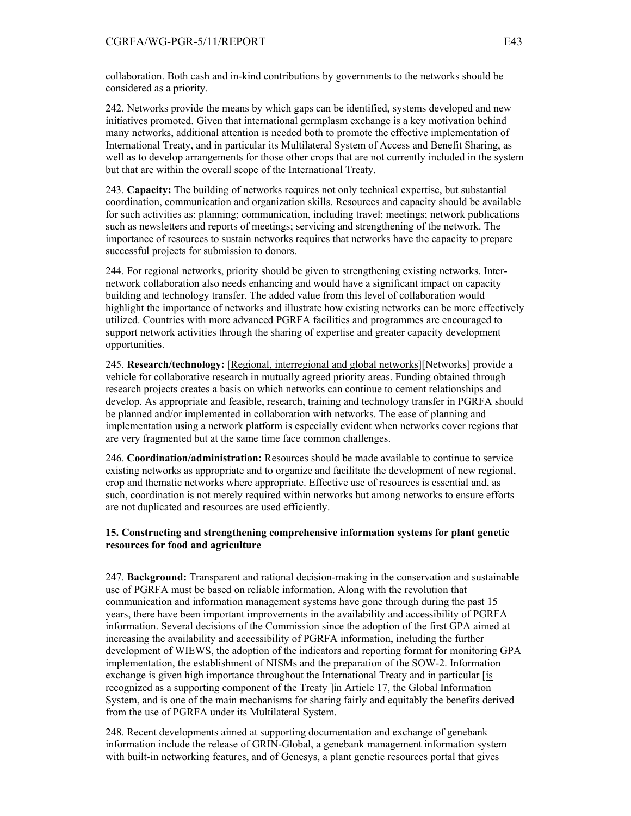collaboration. Both cash and in-kind contributions by governments to the networks should be considered as a priority.

242. Networks provide the means by which gaps can be identified, systems developed and new initiatives promoted. Given that international germplasm exchange is a key motivation behind many networks, additional attention is needed both to promote the effective implementation of International Treaty, and in particular its Multilateral System of Access and Benefit Sharing, as well as to develop arrangements for those other crops that are not currently included in the system but that are within the overall scope of the International Treaty.

243. **Capacity:** The building of networks requires not only technical expertise, but substantial coordination, communication and organization skills. Resources and capacity should be available for such activities as: planning; communication, including travel; meetings; network publications such as newsletters and reports of meetings; servicing and strengthening of the network. The importance of resources to sustain networks requires that networks have the capacity to prepare successful projects for submission to donors.

244. For regional networks, priority should be given to strengthening existing networks. Internetwork collaboration also needs enhancing and would have a significant impact on capacity building and technology transfer. The added value from this level of collaboration would highlight the importance of networks and illustrate how existing networks can be more effectively utilized. Countries with more advanced PGRFA facilities and programmes are encouraged to support network activities through the sharing of expertise and greater capacity development opportunities.

245. **Research/technology:** [Regional, interregional and global networks][Networks] provide a vehicle for collaborative research in mutually agreed priority areas. Funding obtained through research projects creates a basis on which networks can continue to cement relationships and develop. As appropriate and feasible, research, training and technology transfer in PGRFA should be planned and/or implemented in collaboration with networks. The ease of planning and implementation using a network platform is especially evident when networks cover regions that are very fragmented but at the same time face common challenges.

246. **Coordination/administration:** Resources should be made available to continue to service existing networks as appropriate and to organize and facilitate the development of new regional, crop and thematic networks where appropriate. Effective use of resources is essential and, as such, coordination is not merely required within networks but among networks to ensure efforts are not duplicated and resources are used efficiently.

## **15. Constructing and strengthening comprehensive information systems for plant genetic resources for food and agriculture**

247. **Background:** Transparent and rational decision-making in the conservation and sustainable use of PGRFA must be based on reliable information. Along with the revolution that communication and information management systems have gone through during the past 15 years, there have been important improvements in the availability and accessibility of PGRFA information. Several decisions of the Commission since the adoption of the first GPA aimed at increasing the availability and accessibility of PGRFA information, including the further development of WIEWS, the adoption of the indicators and reporting format for monitoring GPA implementation, the establishment of NISMs and the preparation of the SOW-2. Information exchange is given high importance throughout the International Treaty and in particular [is recognized as a supporting component of the Treaty ]in Article 17, the Global Information System, and is one of the main mechanisms for sharing fairly and equitably the benefits derived from the use of PGRFA under its Multilateral System.

248. Recent developments aimed at supporting documentation and exchange of genebank information include the release of GRIN-Global, a genebank management information system with built-in networking features, and of Genesys, a plant genetic resources portal that gives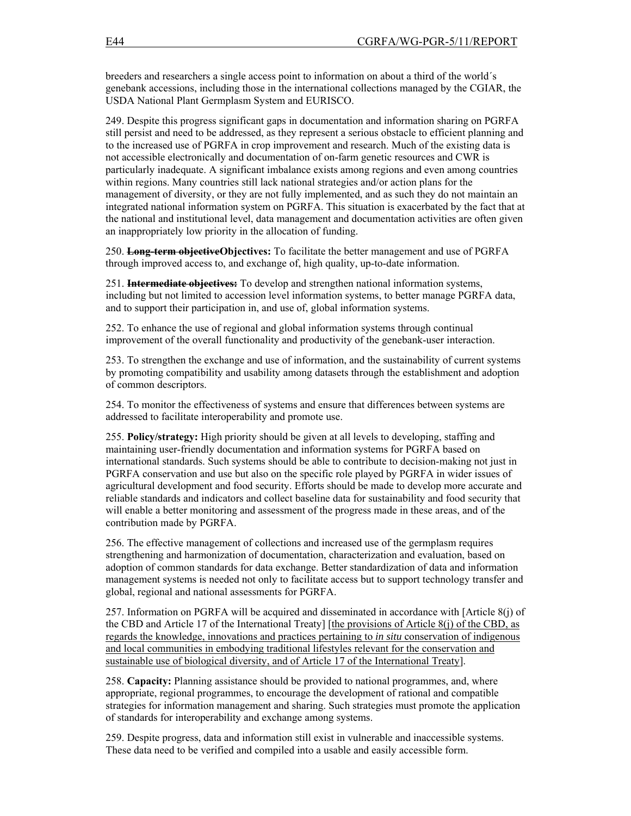breeders and researchers a single access point to information on about a third of the world´s genebank accessions, including those in the international collections managed by the CGIAR, the USDA National Plant Germplasm System and EURISCO.

249. Despite this progress significant gaps in documentation and information sharing on PGRFA still persist and need to be addressed, as they represent a serious obstacle to efficient planning and to the increased use of PGRFA in crop improvement and research. Much of the existing data is not accessible electronically and documentation of on-farm genetic resources and CWR is particularly inadequate. A significant imbalance exists among regions and even among countries within regions. Many countries still lack national strategies and/or action plans for the management of diversity, or they are not fully implemented, and as such they do not maintain an integrated national information system on PGRFA. This situation is exacerbated by the fact that at the national and institutional level, data management and documentation activities are often given an inappropriately low priority in the allocation of funding.

250. **Long-term objectiveObjectives:** To facilitate the better management and use of PGRFA through improved access to, and exchange of, high quality, up-to-date information.

251. **Intermediate objectives:** To develop and strengthen national information systems, including but not limited to accession level information systems, to better manage PGRFA data, and to support their participation in, and use of, global information systems.

252. To enhance the use of regional and global information systems through continual improvement of the overall functionality and productivity of the genebank-user interaction.

253. To strengthen the exchange and use of information, and the sustainability of current systems by promoting compatibility and usability among datasets through the establishment and adoption of common descriptors.

254. To monitor the effectiveness of systems and ensure that differences between systems are addressed to facilitate interoperability and promote use.

255. **Policy/strategy:** High priority should be given at all levels to developing, staffing and maintaining user-friendly documentation and information systems for PGRFA based on international standards. Such systems should be able to contribute to decision-making not just in PGRFA conservation and use but also on the specific role played by PGRFA in wider issues of agricultural development and food security. Efforts should be made to develop more accurate and reliable standards and indicators and collect baseline data for sustainability and food security that will enable a better monitoring and assessment of the progress made in these areas, and of the contribution made by PGRFA.

256. The effective management of collections and increased use of the germplasm requires strengthening and harmonization of documentation, characterization and evaluation, based on adoption of common standards for data exchange. Better standardization of data and information management systems is needed not only to facilitate access but to support technology transfer and global, regional and national assessments for PGRFA.

257. Information on PGRFA will be acquired and disseminated in accordance with [Article 8(j) of the CBD and Article 17 of the International Treaty] [the provisions of Article  $8(i)$  of the CBD, as regards the knowledge, innovations and practices pertaining to *in situ* conservation of indigenous and local communities in embodying traditional lifestyles relevant for the conservation and sustainable use of biological diversity, and of Article 17 of the International Treaty].

258. **Capacity:** Planning assistance should be provided to national programmes, and, where appropriate, regional programmes, to encourage the development of rational and compatible strategies for information management and sharing. Such strategies must promote the application of standards for interoperability and exchange among systems.

259. Despite progress, data and information still exist in vulnerable and inaccessible systems. These data need to be verified and compiled into a usable and easily accessible form.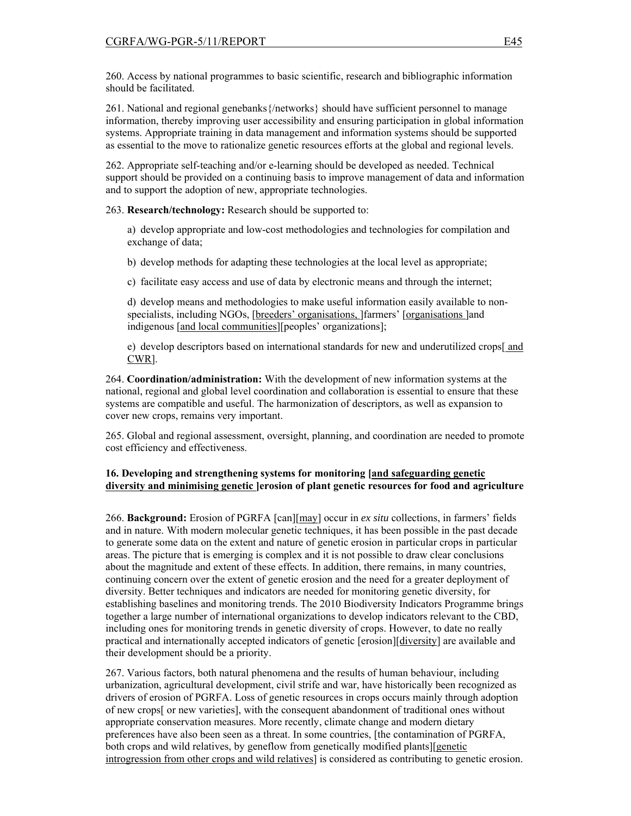260. Access by national programmes to basic scientific, research and bibliographic information should be facilitated.

261. National and regional genebanks{/networks} should have sufficient personnel to manage information, thereby improving user accessibility and ensuring participation in global information systems. Appropriate training in data management and information systems should be supported as essential to the move to rationalize genetic resources efforts at the global and regional levels.

262. Appropriate self-teaching and/or e-learning should be developed as needed. Technical support should be provided on a continuing basis to improve management of data and information and to support the adoption of new, appropriate technologies.

263. **Research/technology:** Research should be supported to:

a) develop appropriate and low-cost methodologies and technologies for compilation and exchange of data;

b) develop methods for adapting these technologies at the local level as appropriate;

c) facilitate easy access and use of data by electronic means and through the internet;

d) develop means and methodologies to make useful information easily available to nonspecialists, including NGOs, [breeders' organisations, ]farmers' [organisations ]and indigenous [and local communities][peoples' organizations];

e) develop descriptors based on international standards for new and underutilized crops[ and CWR].

264. **Coordination/administration:** With the development of new information systems at the national, regional and global level coordination and collaboration is essential to ensure that these systems are compatible and useful. The harmonization of descriptors, as well as expansion to cover new crops, remains very important.

265. Global and regional assessment, oversight, planning, and coordination are needed to promote cost efficiency and effectiveness.

## **16. Developing and strengthening systems for monitoring [and safeguarding genetic diversity and minimising genetic ]erosion of plant genetic resources for food and agriculture**

266. **Background:** Erosion of PGRFA [can][may] occur in *ex situ* collections, in farmers' fields and in nature. With modern molecular genetic techniques, it has been possible in the past decade to generate some data on the extent and nature of genetic erosion in particular crops in particular areas. The picture that is emerging is complex and it is not possible to draw clear conclusions about the magnitude and extent of these effects. In addition, there remains, in many countries, continuing concern over the extent of genetic erosion and the need for a greater deployment of diversity. Better techniques and indicators are needed for monitoring genetic diversity, for establishing baselines and monitoring trends. The 2010 Biodiversity Indicators Programme brings together a large number of international organizations to develop indicators relevant to the CBD, including ones for monitoring trends in genetic diversity of crops. However, to date no really practical and internationally accepted indicators of genetic [erosion][diversity] are available and their development should be a priority.

267. Various factors, both natural phenomena and the results of human behaviour, including urbanization, agricultural development, civil strife and war, have historically been recognized as drivers of erosion of PGRFA. Loss of genetic resources in crops occurs mainly through adoption of new crops[ or new varieties], with the consequent abandonment of traditional ones without appropriate conservation measures. More recently, climate change and modern dietary preferences have also been seen as a threat. In some countries, [the contamination of PGRFA, both crops and wild relatives, by geneflow from genetically modified plants][genetic introgression from other crops and wild relatives] is considered as contributing to genetic erosion.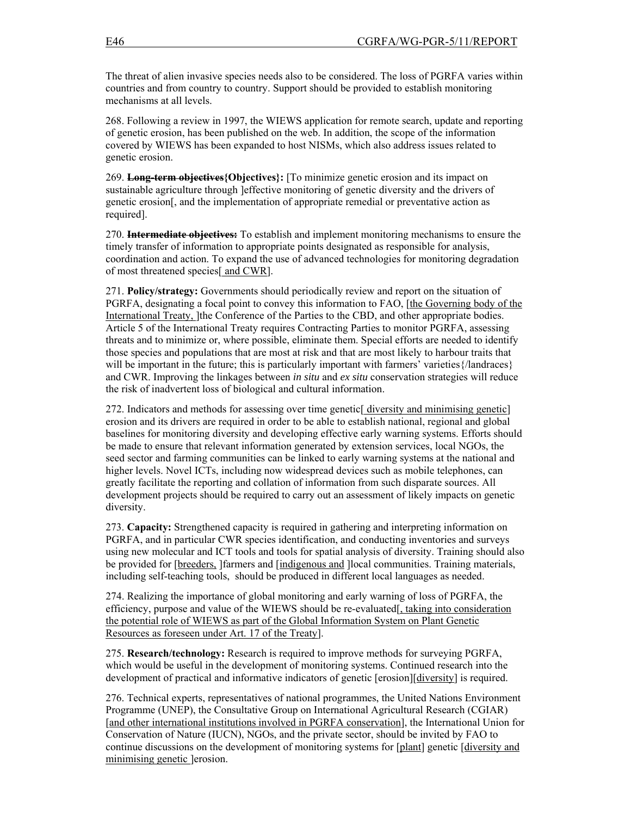The threat of alien invasive species needs also to be considered. The loss of PGRFA varies within countries and from country to country. Support should be provided to establish monitoring mechanisms at all levels.

268. Following a review in 1997, the WIEWS application for remote search, update and reporting of genetic erosion, has been published on the web. In addition, the scope of the information covered by WIEWS has been expanded to host NISMs, which also address issues related to genetic erosion.

269. **Long-term objectives{Objectives}:** [To minimize genetic erosion and its impact on sustainable agriculture through ]effective monitoring of genetic diversity and the drivers of genetic erosion[, and the implementation of appropriate remedial or preventative action as required].

270. **Intermediate objectives:** To establish and implement monitoring mechanisms to ensure the timely transfer of information to appropriate points designated as responsible for analysis, coordination and action. To expand the use of advanced technologies for monitoring degradation of most threatened species[ and CWR].

271. **Policy/strategy:** Governments should periodically review and report on the situation of PGRFA, designating a focal point to convey this information to FAO, [the Governing body of the International Treaty, ]the Conference of the Parties to the CBD, and other appropriate bodies. Article 5 of the International Treaty requires Contracting Parties to monitor PGRFA, assessing threats and to minimize or, where possible, eliminate them. Special efforts are needed to identify those species and populations that are most at risk and that are most likely to harbour traits that will be important in the future; this is particularly important with farmers' varieties {/landraces} and CWR. Improving the linkages between *in situ* and *ex situ* conservation strategies will reduce the risk of inadvertent loss of biological and cultural information.

272. Indicators and methods for assessing over time genetic[ diversity and minimising genetic] erosion and its drivers are required in order to be able to establish national, regional and global baselines for monitoring diversity and developing effective early warning systems. Efforts should be made to ensure that relevant information generated by extension services, local NGOs, the seed sector and farming communities can be linked to early warning systems at the national and higher levels. Novel ICTs, including now widespread devices such as mobile telephones, can greatly facilitate the reporting and collation of information from such disparate sources. All development projects should be required to carry out an assessment of likely impacts on genetic diversity.

273. **Capacity:** Strengthened capacity is required in gathering and interpreting information on PGRFA, and in particular CWR species identification, and conducting inventories and surveys using new molecular and ICT tools and tools for spatial analysis of diversity. Training should also be provided for [breeders, ]farmers and [indigenous and ]local communities. Training materials, including self-teaching tools, should be produced in different local languages as needed.

274. Realizing the importance of global monitoring and early warning of loss of PGRFA, the efficiency, purpose and value of the WIEWS should be re-evaluated[, taking into consideration the potential role of WIEWS as part of the Global Information System on Plant Genetic Resources as foreseen under Art. 17 of the Treaty].

275. **Research/technology:** Research is required to improve methods for surveying PGRFA, which would be useful in the development of monitoring systems. Continued research into the development of practical and informative indicators of genetic [erosion][diversity] is required.

276. Technical experts, representatives of national programmes, the United Nations Environment Programme (UNEP), the Consultative Group on International Agricultural Research (CGIAR) [and other international institutions involved in PGRFA conservation], the International Union for Conservation of Nature (IUCN), NGOs, and the private sector, should be invited by FAO to continue discussions on the development of monitoring systems for [plant] genetic [diversity and minimising genetic ]erosion.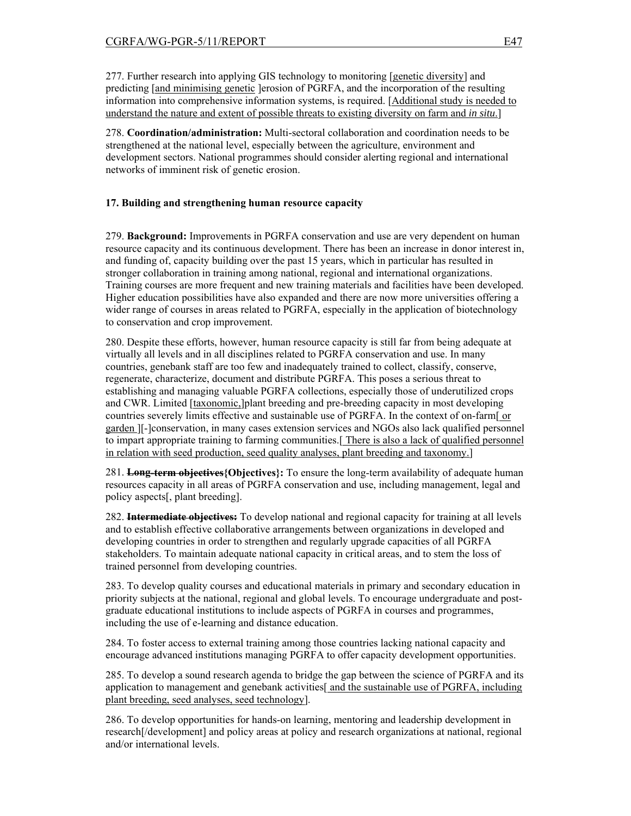277. Further research into applying GIS technology to monitoring [genetic diversity] and predicting [and minimising genetic ]erosion of PGRFA, and the incorporation of the resulting information into comprehensive information systems, is required. [Additional study is needed to understand the nature and extent of possible threats to existing diversity on farm and *in situ*.]

278. **Coordination/administration:** Multi-sectoral collaboration and coordination needs to be strengthened at the national level, especially between the agriculture, environment and development sectors. National programmes should consider alerting regional and international networks of imminent risk of genetic erosion.

## **17. Building and strengthening human resource capacity**

279. **Background:** Improvements in PGRFA conservation and use are very dependent on human resource capacity and its continuous development. There has been an increase in donor interest in, and funding of, capacity building over the past 15 years, which in particular has resulted in stronger collaboration in training among national, regional and international organizations. Training courses are more frequent and new training materials and facilities have been developed. Higher education possibilities have also expanded and there are now more universities offering a wider range of courses in areas related to PGRFA, especially in the application of biotechnology to conservation and crop improvement.

280. Despite these efforts, however, human resource capacity is still far from being adequate at virtually all levels and in all disciplines related to PGRFA conservation and use. In many countries, genebank staff are too few and inadequately trained to collect, classify, conserve, regenerate, characterize, document and distribute PGRFA. This poses a serious threat to establishing and managing valuable PGRFA collections, especially those of underutilized crops and CWR. Limited [taxonomic,]plant breeding and pre-breeding capacity in most developing countries severely limits effective and sustainable use of PGRFA. In the context of on-farm[ or garden ][-]conservation, in many cases extension services and NGOs also lack qualified personnel to impart appropriate training to farming communities.[ There is also a lack of qualified personnel in relation with seed production, seed quality analyses, plant breeding and taxonomy.]

281. **Long-term objectives{Objectives}:** To ensure the long-term availability of adequate human resources capacity in all areas of PGRFA conservation and use, including management, legal and policy aspects[, plant breeding].

282. **Intermediate objectives:** To develop national and regional capacity for training at all levels and to establish effective collaborative arrangements between organizations in developed and developing countries in order to strengthen and regularly upgrade capacities of all PGRFA stakeholders. To maintain adequate national capacity in critical areas, and to stem the loss of trained personnel from developing countries.

283. To develop quality courses and educational materials in primary and secondary education in priority subjects at the national, regional and global levels. To encourage undergraduate and postgraduate educational institutions to include aspects of PGRFA in courses and programmes, including the use of e-learning and distance education.

284. To foster access to external training among those countries lacking national capacity and encourage advanced institutions managing PGRFA to offer capacity development opportunities.

285. To develop a sound research agenda to bridge the gap between the science of PGRFA and its application to management and genebank activities and the sustainable use of PGRFA, including plant breeding, seed analyses, seed technology].

286. To develop opportunities for hands-on learning, mentoring and leadership development in research[/development] and policy areas at policy and research organizations at national, regional and/or international levels.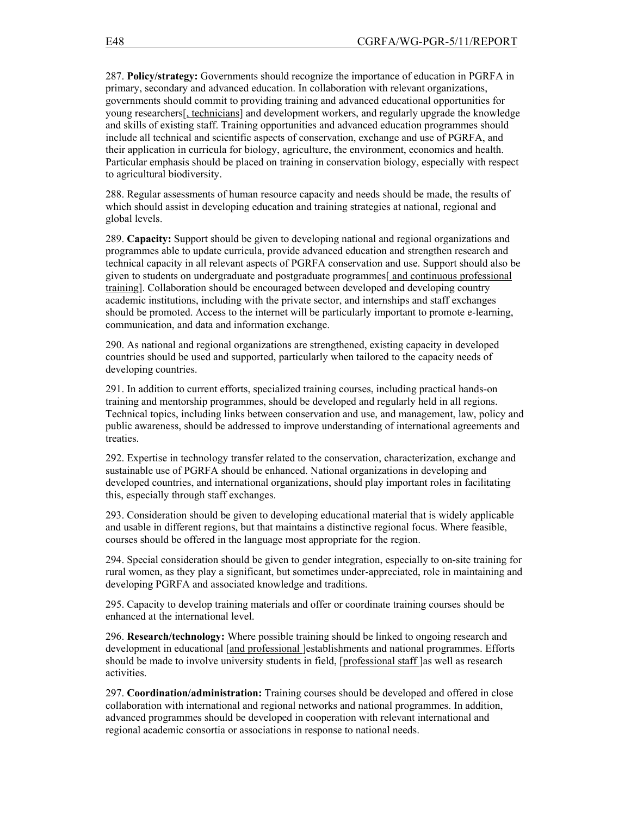287. **Policy/strategy:** Governments should recognize the importance of education in PGRFA in primary, secondary and advanced education. In collaboration with relevant organizations, governments should commit to providing training and advanced educational opportunities for young researchers[, technicians] and development workers, and regularly upgrade the knowledge and skills of existing staff. Training opportunities and advanced education programmes should include all technical and scientific aspects of conservation, exchange and use of PGRFA, and their application in curricula for biology, agriculture, the environment, economics and health. Particular emphasis should be placed on training in conservation biology, especially with respect to agricultural biodiversity.

288. Regular assessments of human resource capacity and needs should be made, the results of which should assist in developing education and training strategies at national, regional and global levels.

289. **Capacity:** Support should be given to developing national and regional organizations and programmes able to update curricula, provide advanced education and strengthen research and technical capacity in all relevant aspects of PGRFA conservation and use. Support should also be given to students on undergraduate and postgraduate programmes[ and continuous professional training]. Collaboration should be encouraged between developed and developing country academic institutions, including with the private sector, and internships and staff exchanges should be promoted. Access to the internet will be particularly important to promote e-learning, communication, and data and information exchange.

290. As national and regional organizations are strengthened, existing capacity in developed countries should be used and supported, particularly when tailored to the capacity needs of developing countries.

291. In addition to current efforts, specialized training courses, including practical hands-on training and mentorship programmes, should be developed and regularly held in all regions. Technical topics, including links between conservation and use, and management, law, policy and public awareness, should be addressed to improve understanding of international agreements and treaties.

292. Expertise in technology transfer related to the conservation, characterization, exchange and sustainable use of PGRFA should be enhanced. National organizations in developing and developed countries, and international organizations, should play important roles in facilitating this, especially through staff exchanges.

293. Consideration should be given to developing educational material that is widely applicable and usable in different regions, but that maintains a distinctive regional focus. Where feasible, courses should be offered in the language most appropriate for the region.

294. Special consideration should be given to gender integration, especially to on-site training for rural women, as they play a significant, but sometimes under-appreciated, role in maintaining and developing PGRFA and associated knowledge and traditions.

295. Capacity to develop training materials and offer or coordinate training courses should be enhanced at the international level.

296. **Research/technology:** Where possible training should be linked to ongoing research and development in educational [and professional ]establishments and national programmes. Efforts should be made to involve university students in field, [professional staff ]as well as research activities.

297. **Coordination/administration:** Training courses should be developed and offered in close collaboration with international and regional networks and national programmes. In addition, advanced programmes should be developed in cooperation with relevant international and regional academic consortia or associations in response to national needs.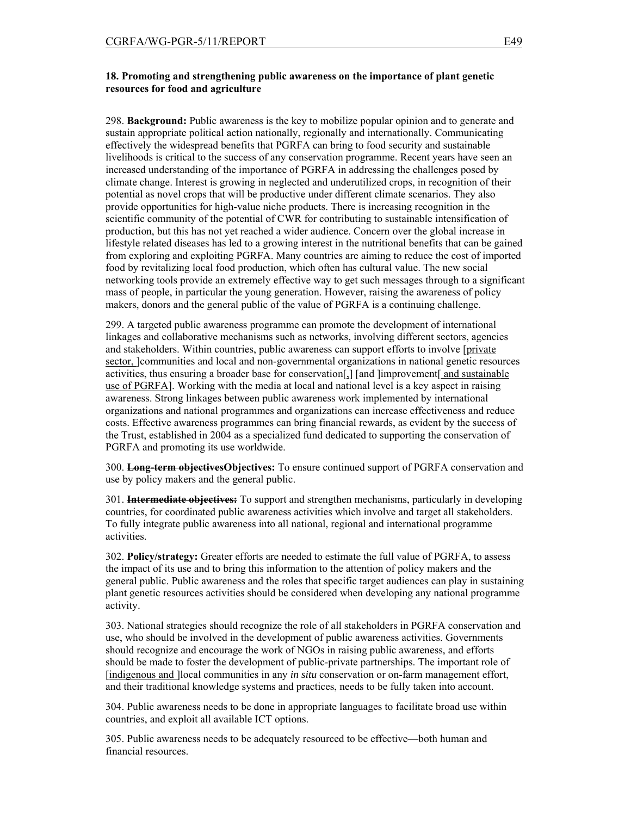## **18. Promoting and strengthening public awareness on the importance of plant genetic resources for food and agriculture**

298. **Background:** Public awareness is the key to mobilize popular opinion and to generate and sustain appropriate political action nationally, regionally and internationally. Communicating effectively the widespread benefits that PGRFA can bring to food security and sustainable livelihoods is critical to the success of any conservation programme. Recent years have seen an increased understanding of the importance of PGRFA in addressing the challenges posed by climate change. Interest is growing in neglected and underutilized crops, in recognition of their potential as novel crops that will be productive under different climate scenarios. They also provide opportunities for high-value niche products. There is increasing recognition in the scientific community of the potential of CWR for contributing to sustainable intensification of production, but this has not yet reached a wider audience. Concern over the global increase in lifestyle related diseases has led to a growing interest in the nutritional benefits that can be gained from exploring and exploiting PGRFA. Many countries are aiming to reduce the cost of imported food by revitalizing local food production, which often has cultural value. The new social networking tools provide an extremely effective way to get such messages through to a significant mass of people, in particular the young generation. However, raising the awareness of policy makers, donors and the general public of the value of PGRFA is a continuing challenge.

299. A targeted public awareness programme can promote the development of international linkages and collaborative mechanisms such as networks, involving different sectors, agencies and stakeholders. Within countries, public awareness can support efforts to involve [private] sector, loommunities and local and non-governmental organizations in national genetic resources activities, thus ensuring a broader base for conservation[,] [and ]improvement[ and sustainable use of PGRFA]. Working with the media at local and national level is a key aspect in raising awareness. Strong linkages between public awareness work implemented by international organizations and national programmes and organizations can increase effectiveness and reduce costs. Effective awareness programmes can bring financial rewards, as evident by the success of the Trust, established in 2004 as a specialized fund dedicated to supporting the conservation of PGRFA and promoting its use worldwide.

300. **Long-term objectivesObjectives:** To ensure continued support of PGRFA conservation and use by policy makers and the general public.

301. **Intermediate objectives:** To support and strengthen mechanisms, particularly in developing countries, for coordinated public awareness activities which involve and target all stakeholders. To fully integrate public awareness into all national, regional and international programme activities.

302. **Policy/strategy:** Greater efforts are needed to estimate the full value of PGRFA, to assess the impact of its use and to bring this information to the attention of policy makers and the general public. Public awareness and the roles that specific target audiences can play in sustaining plant genetic resources activities should be considered when developing any national programme activity.

303. National strategies should recognize the role of all stakeholders in PGRFA conservation and use, who should be involved in the development of public awareness activities. Governments should recognize and encourage the work of NGOs in raising public awareness, and efforts should be made to foster the development of public-private partnerships. The important role of [indigenous and ]local communities in any *in situ* conservation or on-farm management effort, and their traditional knowledge systems and practices, needs to be fully taken into account.

304. Public awareness needs to be done in appropriate languages to facilitate broad use within countries, and exploit all available ICT options.

305. Public awareness needs to be adequately resourced to be effective—both human and financial resources.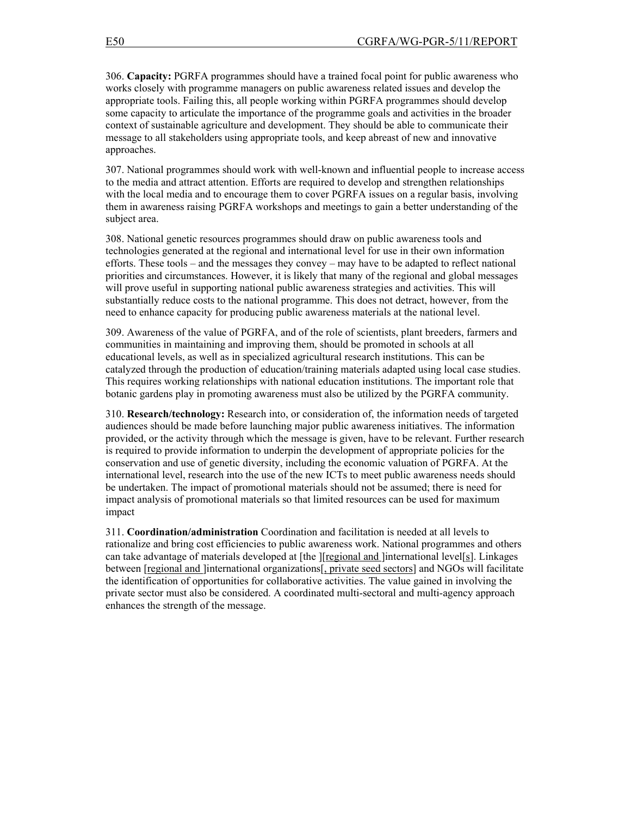306. **Capacity:** PGRFA programmes should have a trained focal point for public awareness who works closely with programme managers on public awareness related issues and develop the appropriate tools. Failing this, all people working within PGRFA programmes should develop some capacity to articulate the importance of the programme goals and activities in the broader context of sustainable agriculture and development. They should be able to communicate their message to all stakeholders using appropriate tools, and keep abreast of new and innovative approaches.

307. National programmes should work with well-known and influential people to increase access to the media and attract attention. Efforts are required to develop and strengthen relationships with the local media and to encourage them to cover PGRFA issues on a regular basis, involving them in awareness raising PGRFA workshops and meetings to gain a better understanding of the subject area.

308. National genetic resources programmes should draw on public awareness tools and technologies generated at the regional and international level for use in their own information efforts. These tools – and the messages they convey – may have to be adapted to reflect national priorities and circumstances. However, it is likely that many of the regional and global messages will prove useful in supporting national public awareness strategies and activities. This will substantially reduce costs to the national programme. This does not detract, however, from the need to enhance capacity for producing public awareness materials at the national level.

309. Awareness of the value of PGRFA, and of the role of scientists, plant breeders, farmers and communities in maintaining and improving them, should be promoted in schools at all educational levels, as well as in specialized agricultural research institutions. This can be catalyzed through the production of education/training materials adapted using local case studies. This requires working relationships with national education institutions. The important role that botanic gardens play in promoting awareness must also be utilized by the PGRFA community.

310. **Research/technology:** Research into, or consideration of, the information needs of targeted audiences should be made before launching major public awareness initiatives. The information provided, or the activity through which the message is given, have to be relevant. Further research is required to provide information to underpin the development of appropriate policies for the conservation and use of genetic diversity, including the economic valuation of PGRFA. At the international level, research into the use of the new ICTs to meet public awareness needs should be undertaken. The impact of promotional materials should not be assumed; there is need for impact analysis of promotional materials so that limited resources can be used for maximum impact

311. **Coordination/administration** Coordination and facilitation is needed at all levels to rationalize and bring cost efficiencies to public awareness work. National programmes and others can take advantage of materials developed at [the ][regional and ]international level[s]. Linkages between [regional and ]international organizations[, private seed sectors] and NGOs will facilitate the identification of opportunities for collaborative activities. The value gained in involving the private sector must also be considered. A coordinated multi-sectoral and multi-agency approach enhances the strength of the message.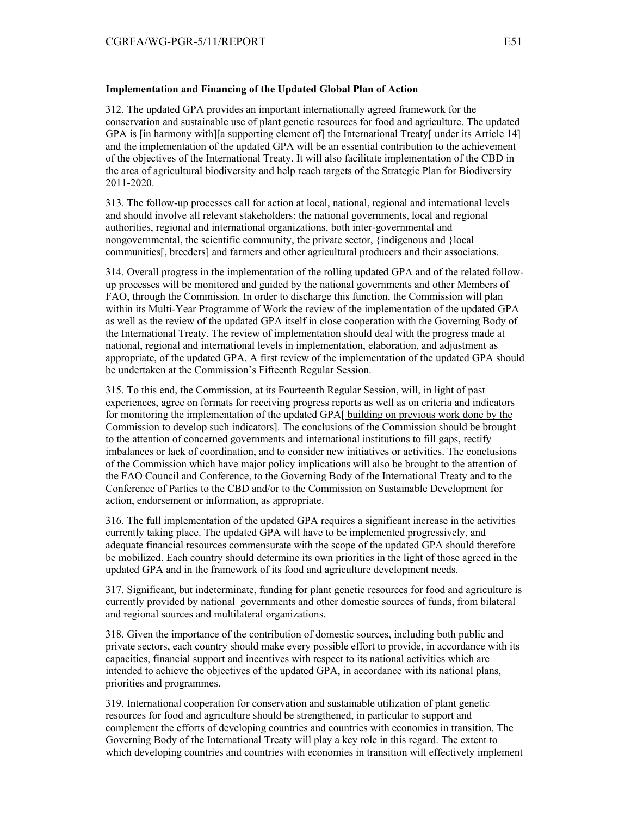### **Implementation and Financing of the Updated Global Plan of Action**

312. The updated GPA provides an important internationally agreed framework for the conservation and sustainable use of plant genetic resources for food and agriculture. The updated GPA is [in harmony with][a supporting element of] the International Treaty[ under its Article 14] and the implementation of the updated GPA will be an essential contribution to the achievement of the objectives of the International Treaty. It will also facilitate implementation of the CBD in the area of agricultural biodiversity and help reach targets of the Strategic Plan for Biodiversity 2011-2020.

313. The follow-up processes call for action at local, national, regional and international levels and should involve all relevant stakeholders: the national governments, local and regional authorities, regional and international organizations, both inter-governmental and nongovernmental, the scientific community, the private sector, {indigenous and }local communities[, breeders] and farmers and other agricultural producers and their associations.

314. Overall progress in the implementation of the rolling updated GPA and of the related followup processes will be monitored and guided by the national governments and other Members of FAO, through the Commission. In order to discharge this function, the Commission will plan within its Multi-Year Programme of Work the review of the implementation of the updated GPA as well as the review of the updated GPA itself in close cooperation with the Governing Body of the International Treaty. The review of implementation should deal with the progress made at national, regional and international levels in implementation, elaboration, and adjustment as appropriate, of the updated GPA. A first review of the implementation of the updated GPA should be undertaken at the Commission's Fifteenth Regular Session.

315. To this end, the Commission, at its Fourteenth Regular Session, will, in light of past experiences, agree on formats for receiving progress reports as well as on criteria and indicators for monitoring the implementation of the updated GPA[ building on previous work done by the Commission to develop such indicators]. The conclusions of the Commission should be brought to the attention of concerned governments and international institutions to fill gaps, rectify imbalances or lack of coordination, and to consider new initiatives or activities. The conclusions of the Commission which have major policy implications will also be brought to the attention of the FAO Council and Conference, to the Governing Body of the International Treaty and to the Conference of Parties to the CBD and/or to the Commission on Sustainable Development for action, endorsement or information, as appropriate.

316. The full implementation of the updated GPA requires a significant increase in the activities currently taking place. The updated GPA will have to be implemented progressively, and adequate financial resources commensurate with the scope of the updated GPA should therefore be mobilized. Each country should determine its own priorities in the light of those agreed in the updated GPA and in the framework of its food and agriculture development needs.

317. Significant, but indeterminate, funding for plant genetic resources for food and agriculture is currently provided by national governments and other domestic sources of funds, from bilateral and regional sources and multilateral organizations.

318. Given the importance of the contribution of domestic sources, including both public and private sectors, each country should make every possible effort to provide, in accordance with its capacities, financial support and incentives with respect to its national activities which are intended to achieve the objectives of the updated GPA, in accordance with its national plans, priorities and programmes.

319. International cooperation for conservation and sustainable utilization of plant genetic resources for food and agriculture should be strengthened, in particular to support and complement the efforts of developing countries and countries with economies in transition. The Governing Body of the International Treaty will play a key role in this regard. The extent to which developing countries and countries with economies in transition will effectively implement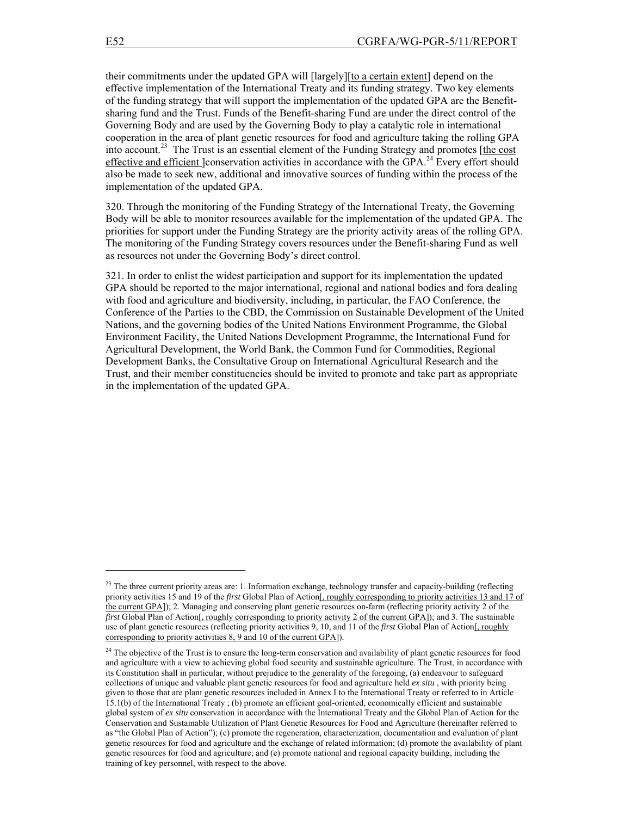their commitments under the updated GPA will [largely][to a certain extent] depend on the effective implementation of the International Treaty and its funding strategy. Two key elements of the funding strategy that will support the implementation of the updated GPA are the Benefitsharing fund and the Trust. Funds of the Benefit-sharing Fund are under the direct control of the Governing Body and are used by the Governing Body to play a catalytic role in international cooperation in the area of plant genetic resources for food and agriculture taking the rolling GPA into account.<sup>23</sup> The Trust is an essential element of the Funding Strategy and promotes [the cost effective and efficient ]conservation activities in accordance with the GPA.<sup>24</sup> Every effort should also be made to seek new, additional and innovative sources of funding within the process of the implementation of the updated GPA.

320. Through the monitoring of the Funding Strategy of the International Treaty, the Governing Body will be able to monitor resources available for the implementation of the updated GPA. The priorities for support under the Funding Strategy are the priority activity areas of the rolling GPA. The monitoring of the Funding Strategy covers resources under the Benefit-sharing Fund as well as resources not under the Governing Body's direct control.

321. In order to enlist the widest participation and support for its implementation the updated GPA should be reported to the major international, regional and national bodies and fora dealing with food and agriculture and biodiversity, including, in particular, the FAO Conference, the Conference of the Parties to the CBD, the Commission on Sustainable Development of the United Nations, and the governing bodies of the United Nations Environment Programme, the Global Environment Facility, the United Nations Development Programme, the International Fund for Agricultural Development, the World Bank, the Common Fund for Commodities, Regional Development Banks, the Consultative Group on International Agricultural Research and the Trust, and their member constituencies should be invited to promote and take part as appropriate in the implementation of the updated GPA.

l

<sup>&</sup>lt;sup>23</sup> The three current priority areas are: 1. Information exchange, technology transfer and capacity-building (reflecting priority activities 15 and 19 of the *first* Global Plan of Action[, roughly corresponding to priority activities 13 and 17 of the current GPA]); 2. Managing and conserving plant genetic resources on-farm (reflecting priority activity 2 of the *first* Global Plan of Action<sub>[,</sub> roughly corresponding to priority activity 2 of the current GPA]); and 3. The sustainable use of plant genetic resources (reflecting priority activities 9, 10, and 11 of the *first* Global Plan of Action[, roughly corresponding to priority activities 8, 9 and 10 of the current GPA]).

<sup>&</sup>lt;sup>24</sup> The objective of the Trust is to ensure the long-term conservation and availability of plant genetic resources for food and agriculture with a view to achieving global food security and sustainable agriculture. The Trust, in accordance with its Constitution shall in particular, without prejudice to the generality of the foregoing, (a) endeavour to safeguard collections of unique and valuable plant genetic resources for food and agriculture held *ex situ* , with priority being given to those that are plant genetic resources included in Annex I to the International Treaty or referred to in Article 15.1(b) of the International Treaty ; (b) promote an efficient goal-oriented, economically efficient and sustainable global system of *ex situ* conservation in accordance with the International Treaty and the Global Plan of Action for the Conservation and Sustainable Utilization of Plant Genetic Resources for Food and Agriculture (hereinafter referred to as "the Global Plan of Action"); (c) promote the regeneration, characterization, documentation and evaluation of plant genetic resources for food and agriculture and the exchange of related information; (d) promote the availability of plant genetic resources for food and agriculture; and (e) promote national and regional capacity building, including the training of key personnel, with respect to the above.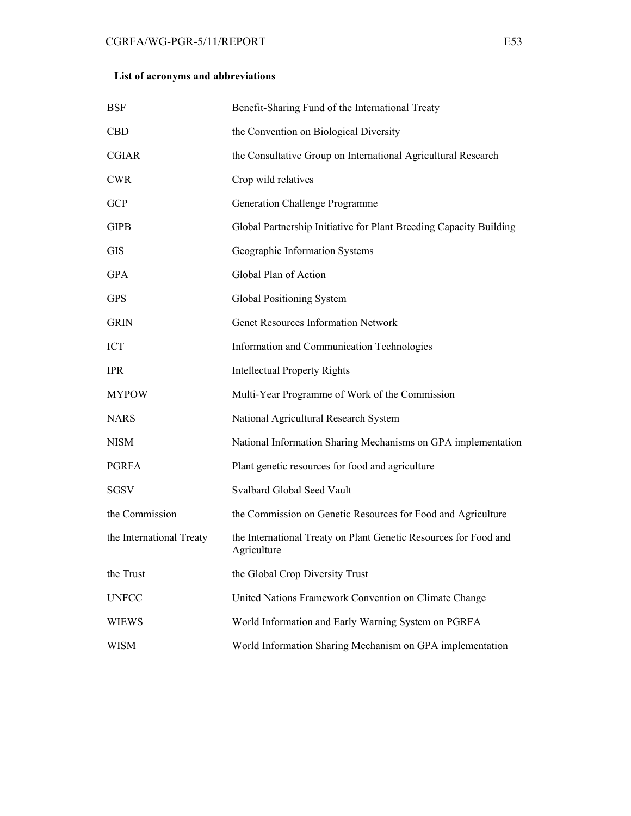# **List of acronyms and abbreviations**

| <b>BSF</b>               | Benefit-Sharing Fund of the International Treaty                                |
|--------------------------|---------------------------------------------------------------------------------|
| <b>CBD</b>               | the Convention on Biological Diversity                                          |
| <b>CGIAR</b>             | the Consultative Group on International Agricultural Research                   |
| <b>CWR</b>               | Crop wild relatives                                                             |
| <b>GCP</b>               | Generation Challenge Programme                                                  |
| <b>GIPB</b>              | Global Partnership Initiative for Plant Breeding Capacity Building              |
| <b>GIS</b>               | Geographic Information Systems                                                  |
| <b>GPA</b>               | Global Plan of Action                                                           |
| <b>GPS</b>               | Global Positioning System                                                       |
| <b>GRIN</b>              | <b>Genet Resources Information Network</b>                                      |
| <b>ICT</b>               | Information and Communication Technologies                                      |
| <b>IPR</b>               | <b>Intellectual Property Rights</b>                                             |
| <b>MYPOW</b>             | Multi-Year Programme of Work of the Commission                                  |
| <b>NARS</b>              | National Agricultural Research System                                           |
| <b>NISM</b>              | National Information Sharing Mechanisms on GPA implementation                   |
| <b>PGRFA</b>             | Plant genetic resources for food and agriculture                                |
| <b>SGSV</b>              | Svalbard Global Seed Vault                                                      |
| the Commission           | the Commission on Genetic Resources for Food and Agriculture                    |
| the International Treaty | the International Treaty on Plant Genetic Resources for Food and<br>Agriculture |
| the Trust                | the Global Crop Diversity Trust                                                 |
| <b>UNFCC</b>             | United Nations Framework Convention on Climate Change                           |
| <b>WIEWS</b>             | World Information and Early Warning System on PGRFA                             |
| <b>WISM</b>              | World Information Sharing Mechanism on GPA implementation                       |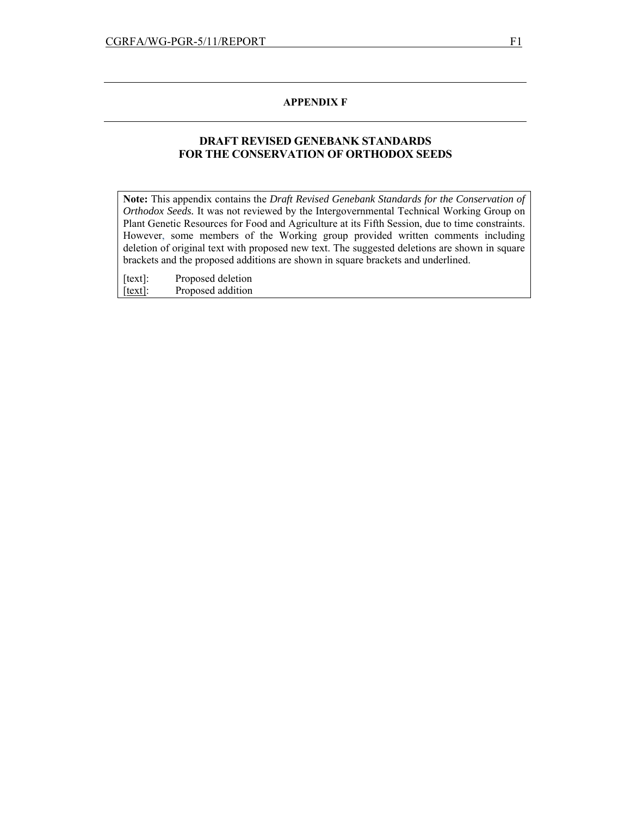## **APPENDIX F**

# **DRAFT REVISED GENEBANK STANDARDS FOR THE CONSERVATION OF ORTHODOX SEEDS**

**Note:** This appendix contains the *Draft Revised Genebank Standards for the Conservation of Orthodox Seeds.* It was not reviewed by the Intergovernmental Technical Working Group on Plant Genetic Resources for Food and Agriculture at its Fifth Session, due to time constraints. However, some members of the Working group provided written comments including deletion of original text with proposed new text. The suggested deletions are shown in square brackets and the proposed additions are shown in square brackets and underlined.

[text]: Proposed deletion [text]: Proposed addition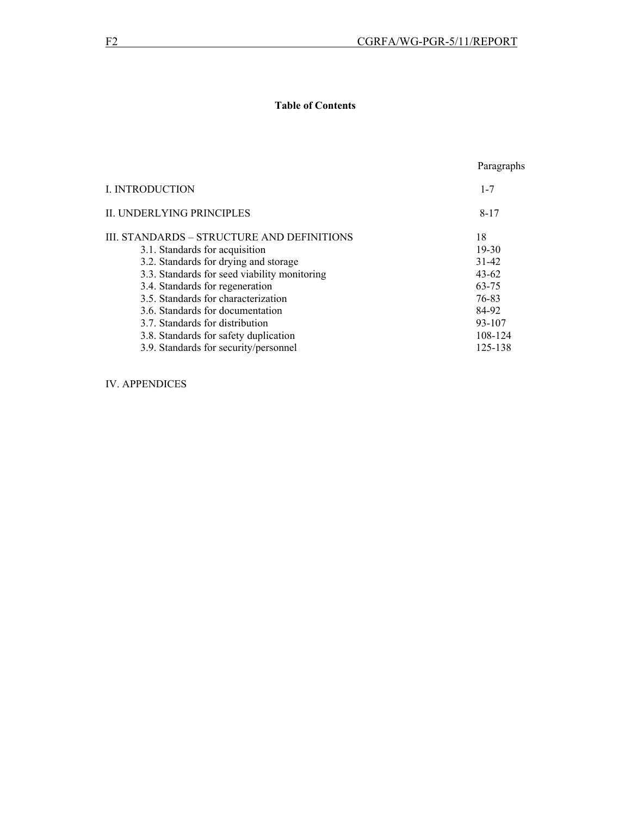# **Table of Contents**

|                                                                                                                                                                                                                                                 | Paragraphs                                              |
|-------------------------------------------------------------------------------------------------------------------------------------------------------------------------------------------------------------------------------------------------|---------------------------------------------------------|
| I. INTRODUCTION                                                                                                                                                                                                                                 |                                                         |
| IL UNDERLYING PRINCIPLES                                                                                                                                                                                                                        | $8 - 17$                                                |
| III. STANDARDS – STRUCTURE AND DEFINITIONS<br>3.1. Standards for acquisition<br>3.2. Standards for drying and storage<br>3.3. Standards for seed viability monitoring<br>3.4. Standards for regeneration<br>3.5. Standards for characterization | 18<br>19-30<br>$31 - 42$<br>$43 - 62$<br>63-75<br>76-83 |
| 3.6. Standards for documentation<br>3.7. Standards for distribution<br>3.8. Standards for safety duplication<br>3.9. Standards for security/personnel                                                                                           | 84-92<br>93-107<br>108-124<br>125-138                   |

# IV. APPENDICES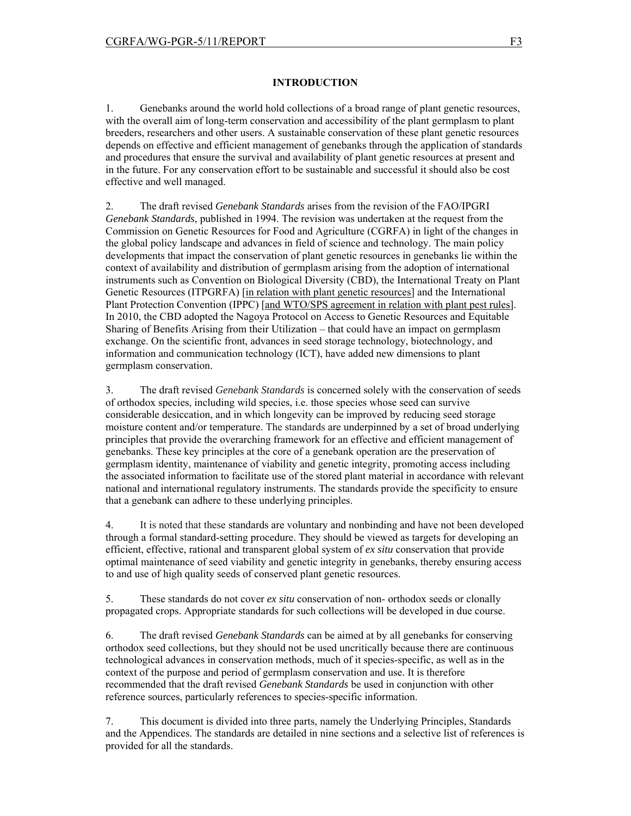# **INTRODUCTION**

1. Genebanks around the world hold collections of a broad range of plant genetic resources, with the overall aim of long-term conservation and accessibility of the plant germplasm to plant breeders, researchers and other users. A sustainable conservation of these plant genetic resources depends on effective and efficient management of genebanks through the application of standards and procedures that ensure the survival and availability of plant genetic resources at present and in the future. For any conservation effort to be sustainable and successful it should also be cost effective and well managed.

2. The draft revised *Genebank Standards* arises from the revision of the FAO/IPGRI *Genebank Standards*, published in 1994. The revision was undertaken at the request from the Commission on Genetic Resources for Food and Agriculture (CGRFA) in light of the changes in the global policy landscape and advances in field of science and technology. The main policy developments that impact the conservation of plant genetic resources in genebanks lie within the context of availability and distribution of germplasm arising from the adoption of international instruments such as Convention on Biological Diversity (CBD), the International Treaty on Plant Genetic Resources (ITPGRFA) [in relation with plant genetic resources] and the International Plant Protection Convention (IPPC) [and WTO/SPS agreement in relation with plant pest rules]. In 2010, the CBD adopted the Nagoya Protocol on Access to Genetic Resources and Equitable Sharing of Benefits Arising from their Utilization – that could have an impact on germplasm exchange. On the scientific front, advances in seed storage technology, biotechnology, and information and communication technology (ICT), have added new dimensions to plant germplasm conservation.

3. The draft revised *Genebank Standards* is concerned solely with the conservation of seeds of orthodox species, including wild species, i.e. those species whose seed can survive considerable desiccation, and in which longevity can be improved by reducing seed storage moisture content and/or temperature. The standards are underpinned by a set of broad underlying principles that provide the overarching framework for an effective and efficient management of genebanks. These key principles at the core of a genebank operation are the preservation of germplasm identity, maintenance of viability and genetic integrity, promoting access including the associated information to facilitate use of the stored plant material in accordance with relevant national and international regulatory instruments. The standards provide the specificity to ensure that a genebank can adhere to these underlying principles.

4. It is noted that these standards are voluntary and nonbinding and have not been developed through a formal standard-setting procedure. They should be viewed as targets for developing an efficient, effective, rational and transparent global system of *ex situ* conservation that provide optimal maintenance of seed viability and genetic integrity in genebanks, thereby ensuring access to and use of high quality seeds of conserved plant genetic resources.

5. These standards do not cover *ex situ* conservation of non- orthodox seeds or clonally propagated crops. Appropriate standards for such collections will be developed in due course.

6. The draft revised *Genebank Standards* can be aimed at by all genebanks for conserving orthodox seed collections, but they should not be used uncritically because there are continuous technological advances in conservation methods, much of it species-specific, as well as in the context of the purpose and period of germplasm conservation and use. It is therefore recommended that the draft revised *Genebank Standards* be used in conjunction with other reference sources, particularly references to species-specific information.

7. This document is divided into three parts, namely the Underlying Principles, Standards and the Appendices. The standards are detailed in nine sections and a selective list of references is provided for all the standards.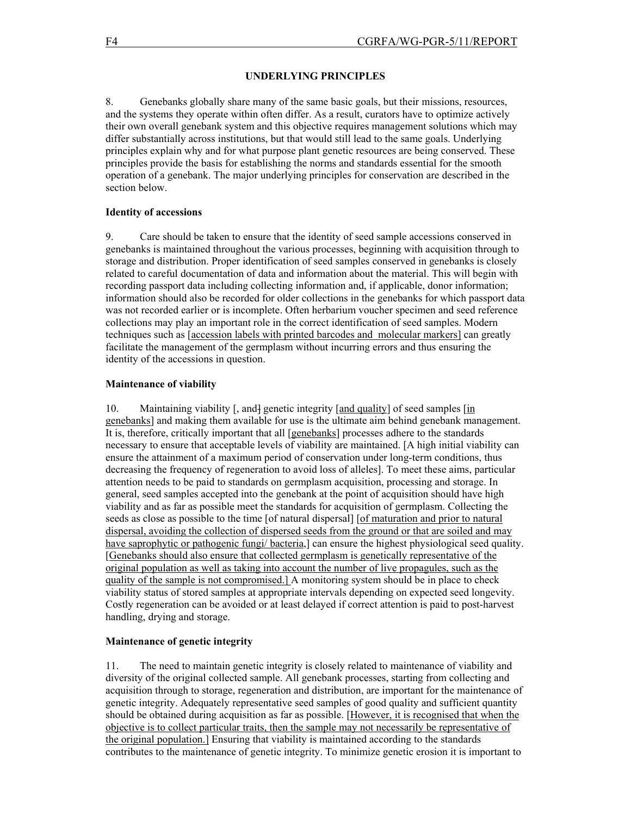#### **UNDERLYING PRINCIPLES**

8. Genebanks globally share many of the same basic goals, but their missions, resources, and the systems they operate within often differ. As a result, curators have to optimize actively their own overall genebank system and this objective requires management solutions which may differ substantially across institutions, but that would still lead to the same goals. Underlying principles explain why and for what purpose plant genetic resources are being conserved. These principles provide the basis for establishing the norms and standards essential for the smooth operation of a genebank. The major underlying principles for conservation are described in the section below.

#### **Identity of accessions**

9. Care should be taken to ensure that the identity of seed sample accessions conserved in genebanks is maintained throughout the various processes, beginning with acquisition through to storage and distribution. Proper identification of seed samples conserved in genebanks is closely related to careful documentation of data and information about the material. This will begin with recording passport data including collecting information and, if applicable, donor information; information should also be recorded for older collections in the genebanks for which passport data was not recorded earlier or is incomplete. Often herbarium voucher specimen and seed reference collections may play an important role in the correct identification of seed samples. Modern techniques such as [accession labels with printed barcodes and molecular markers] can greatly facilitate the management of the germplasm without incurring errors and thus ensuring the identity of the accessions in question.

#### **Maintenance of viability**

10. Maintaining viability [, and | genetic integrity [and quality] of seed samples [in] genebanks] and making them available for use is the ultimate aim behind genebank management. It is, therefore, critically important that all [genebanks] processes adhere to the standards necessary to ensure that acceptable levels of viability are maintained. [A high initial viability can ensure the attainment of a maximum period of conservation under long-term conditions, thus decreasing the frequency of regeneration to avoid loss of alleles]. To meet these aims, particular attention needs to be paid to standards on germplasm acquisition, processing and storage. In general, seed samples accepted into the genebank at the point of acquisition should have high viability and as far as possible meet the standards for acquisition of germplasm. Collecting the seeds as close as possible to the time [of natural dispersal] [of maturation and prior to natural dispersal, avoiding the collection of dispersed seeds from the ground or that are soiled and may have saprophytic or pathogenic fungi/ bacteria,] can ensure the highest physiological seed quality. [Genebanks should also ensure that collected germplasm is genetically representative of the original population as well as taking into account the number of live propagules, such as the quality of the sample is not compromised.] A monitoring system should be in place to check viability status of stored samples at appropriate intervals depending on expected seed longevity. Costly regeneration can be avoided or at least delayed if correct attention is paid to post-harvest handling, drying and storage.

#### **Maintenance of genetic integrity**

11. The need to maintain genetic integrity is closely related to maintenance of viability and diversity of the original collected sample. All genebank processes, starting from collecting and acquisition through to storage, regeneration and distribution, are important for the maintenance of genetic integrity. Adequately representative seed samples of good quality and sufficient quantity should be obtained during acquisition as far as possible. [However, it is recognised that when the objective is to collect particular traits, then the sample may not necessarily be representative of the original population.] Ensuring that viability is maintained according to the standards contributes to the maintenance of genetic integrity. To minimize genetic erosion it is important to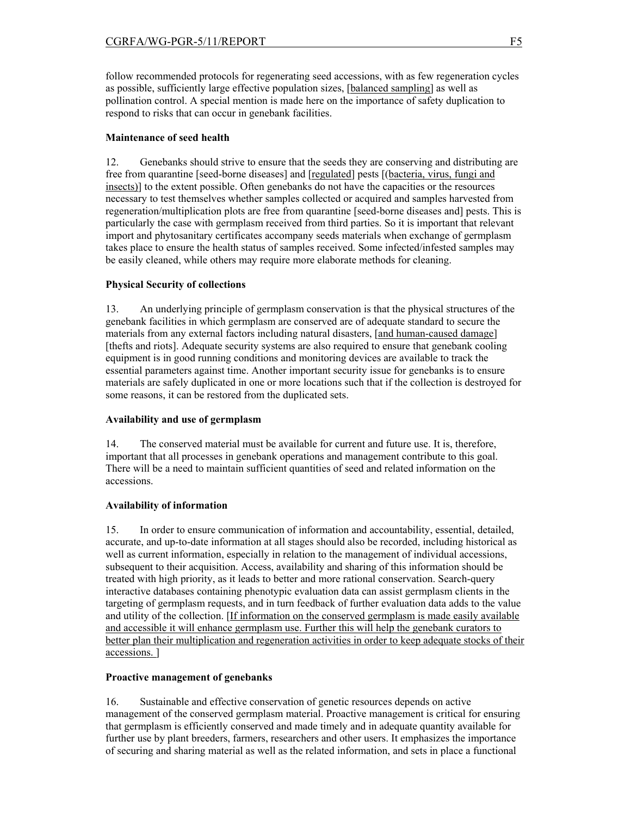follow recommended protocols for regenerating seed accessions, with as few regeneration cycles as possible, sufficiently large effective population sizes, [balanced sampling] as well as pollination control. A special mention is made here on the importance of safety duplication to respond to risks that can occur in genebank facilities.

## **Maintenance of seed health**

12. Genebanks should strive to ensure that the seeds they are conserving and distributing are free from quarantine [seed-borne diseases] and [regulated] pests [(bacteria, virus, fungi and insects)] to the extent possible. Often genebanks do not have the capacities or the resources necessary to test themselves whether samples collected or acquired and samples harvested from regeneration/multiplication plots are free from quarantine [seed-borne diseases and] pests. This is particularly the case with germplasm received from third parties. So it is important that relevant import and phytosanitary certificates accompany seeds materials when exchange of germplasm takes place to ensure the health status of samples received. Some infected/infested samples may be easily cleaned, while others may require more elaborate methods for cleaning.

## **Physical Security of collections**

13. An underlying principle of germplasm conservation is that the physical structures of the genebank facilities in which germplasm are conserved are of adequate standard to secure the materials from any external factors including natural disasters, [and human-caused damage] [thefts and riots]. Adequate security systems are also required to ensure that genebank cooling equipment is in good running conditions and monitoring devices are available to track the essential parameters against time. Another important security issue for genebanks is to ensure materials are safely duplicated in one or more locations such that if the collection is destroyed for some reasons, it can be restored from the duplicated sets.

### **Availability and use of germplasm**

14. The conserved material must be available for current and future use. It is, therefore, important that all processes in genebank operations and management contribute to this goal. There will be a need to maintain sufficient quantities of seed and related information on the accessions.

### **Availability of information**

15. In order to ensure communication of information and accountability, essential, detailed, accurate, and up-to-date information at all stages should also be recorded, including historical as well as current information, especially in relation to the management of individual accessions, subsequent to their acquisition. Access, availability and sharing of this information should be treated with high priority, as it leads to better and more rational conservation. Search-query interactive databases containing phenotypic evaluation data can assist germplasm clients in the targeting of germplasm requests, and in turn feedback of further evaluation data adds to the value and utility of the collection. [If information on the conserved germplasm is made easily available and accessible it will enhance germplasm use. Further this will help the genebank curators to better plan their multiplication and regeneration activities in order to keep adequate stocks of their accessions. ]

### **Proactive management of genebanks**

16. Sustainable and effective conservation of genetic resources depends on active management of the conserved germplasm material. Proactive management is critical for ensuring that germplasm is efficiently conserved and made timely and in adequate quantity available for further use by plant breeders, farmers, researchers and other users. It emphasizes the importance of securing and sharing material as well as the related information, and sets in place a functional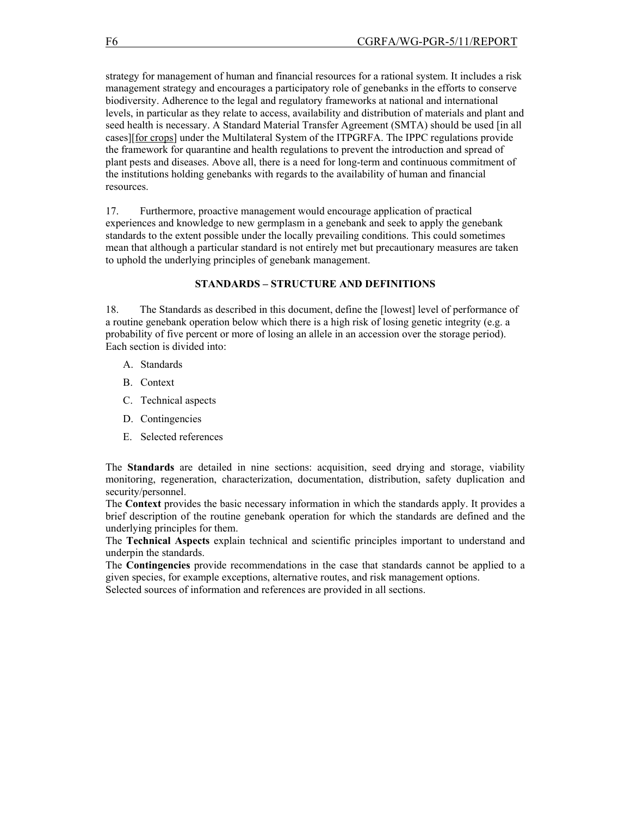strategy for management of human and financial resources for a rational system. It includes a risk management strategy and encourages a participatory role of genebanks in the efforts to conserve biodiversity. Adherence to the legal and regulatory frameworks at national and international levels, in particular as they relate to access, availability and distribution of materials and plant and seed health is necessary. A Standard Material Transfer Agreement (SMTA) should be used [in all cases][for crops] under the Multilateral System of the ITPGRFA. The IPPC regulations provide the framework for quarantine and health regulations to prevent the introduction and spread of plant pests and diseases. Above all, there is a need for long-term and continuous commitment of the institutions holding genebanks with regards to the availability of human and financial resources.

17. Furthermore, proactive management would encourage application of practical experiences and knowledge to new germplasm in a genebank and seek to apply the genebank standards to the extent possible under the locally prevailing conditions. This could sometimes mean that although a particular standard is not entirely met but precautionary measures are taken to uphold the underlying principles of genebank management.

## **STANDARDS – STRUCTURE AND DEFINITIONS**

18. The Standards as described in this document, define the [lowest] level of performance of a routine genebank operation below which there is a high risk of losing genetic integrity (e.g. a probability of five percent or more of losing an allele in an accession over the storage period). Each section is divided into:

- A. Standards
- B. Context
- C. Technical aspects
- D. Contingencies
- E. Selected references

The **Standards** are detailed in nine sections: acquisition, seed drying and storage, viability monitoring, regeneration, characterization, documentation, distribution, safety duplication and security/personnel.

The **Context** provides the basic necessary information in which the standards apply. It provides a brief description of the routine genebank operation for which the standards are defined and the underlying principles for them.

The **Technical Aspects** explain technical and scientific principles important to understand and underpin the standards.

The **Contingencies** provide recommendations in the case that standards cannot be applied to a given species, for example exceptions, alternative routes, and risk management options. Selected sources of information and references are provided in all sections.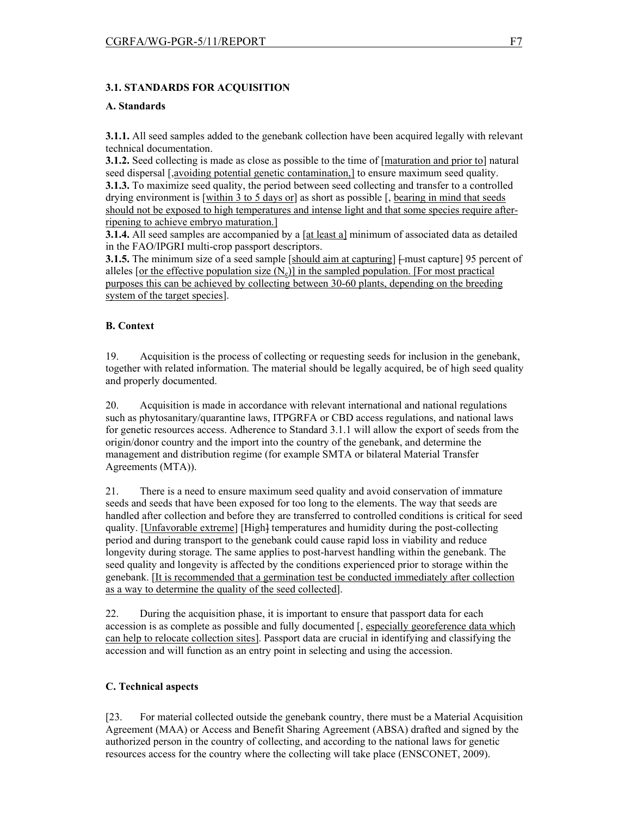## **3.1. STANDARDS FOR ACQUISITION**

### **A. Standards**

**3.1.1.** All seed samples added to the genebank collection have been acquired legally with relevant technical documentation.

**3.1.2.** Seed collecting is made as close as possible to the time of [maturation and prior to] natural seed dispersal [,avoiding potential genetic contamination,] to ensure maximum seed quality. **3.1.3.** To maximize seed quality, the period between seed collecting and transfer to a controlled drying environment is [within 3 to 5 days or] as short as possible [, bearing in mind that seeds should not be exposed to high temperatures and intense light and that some species require afterripening to achieve embryo maturation.]

**3.1.4.** All seed samples are accompanied by a [at least a] minimum of associated data as detailed in the FAO/IPGRI multi-crop passport descriptors.

**3.1.5.** The minimum size of a seed sample [should aim at capturing]  $[$  must capture] 95 percent of alleles [or the effective population size  $(N_e)$ ] in the sampled population. [For most practical purposes this can be achieved by collecting between 30-60 plants, depending on the breeding system of the target species].

### **B. Context**

19. Acquisition is the process of collecting or requesting seeds for inclusion in the genebank, together with related information. The material should be legally acquired, be of high seed quality and properly documented.

20. Acquisition is made in accordance with relevant international and national regulations such as phytosanitary/quarantine laws, ITPGRFA or CBD access regulations, and national laws for genetic resources access. Adherence to Standard 3.1.1 will allow the export of seeds from the origin/donor country and the import into the country of the genebank, and determine the management and distribution regime (for example SMTA or bilateral Material Transfer Agreements (MTA)).

21. There is a need to ensure maximum seed quality and avoid conservation of immature seeds and seeds that have been exposed for too long to the elements. The way that seeds are handled after collection and before they are transferred to controlled conditions is critical for seed quality. [Unfavorable extreme] [High] temperatures and humidity during the post-collecting period and during transport to the genebank could cause rapid loss in viability and reduce longevity during storage*.* The same applies to post-harvest handling within the genebank. The seed quality and longevity is affected by the conditions experienced prior to storage within the genebank. [It is recommended that a germination test be conducted immediately after collection as a way to determine the quality of the seed collected].

22. During the acquisition phase, it is important to ensure that passport data for each accession is as complete as possible and fully documented [, especially georeference data which can help to relocate collection sites]. Passport data are crucial in identifying and classifying the accession and will function as an entry point in selecting and using the accession.

### **C. Technical aspects**

[23. For material collected outside the genebank country, there must be a Material Acquisition Agreement (MAA) or Access and Benefit Sharing Agreement (ABSA) drafted and signed by the authorized person in the country of collecting, and according to the national laws for genetic resources access for the country where the collecting will take place (ENSCONET, 2009).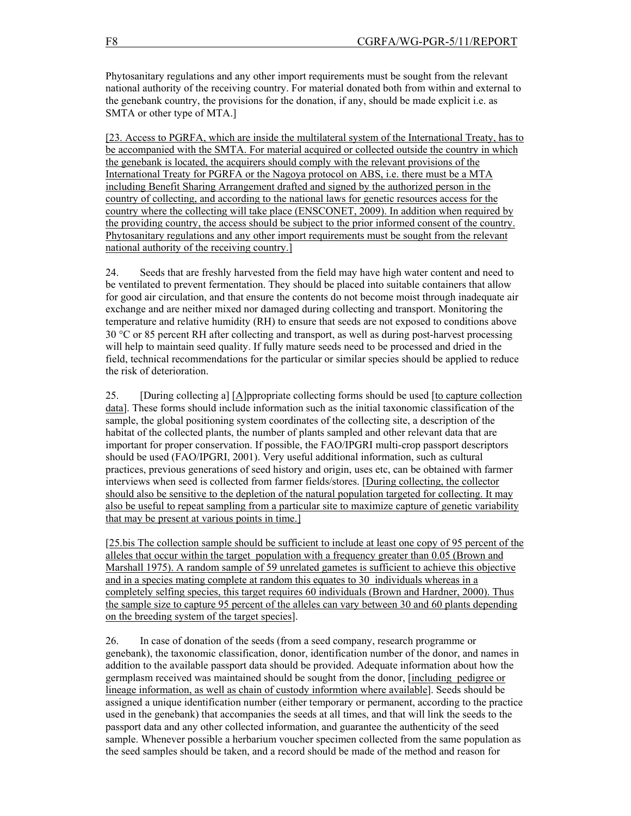Phytosanitary regulations and any other import requirements must be sought from the relevant national authority of the receiving country. For material donated both from within and external to the genebank country, the provisions for the donation, if any, should be made explicit i.e. as SMTA or other type of MTA.]

[23. Access to PGRFA, which are inside the multilateral system of the International Treaty, has to be accompanied with the SMTA. For material acquired or collected outside the country in which the genebank is located, the acquirers should comply with the relevant provisions of the International Treaty for PGRFA or the Nagoya protocol on ABS, i.e. there must be a MTA including Benefit Sharing Arrangement drafted and signed by the authorized person in the country of collecting, and according to the national laws for genetic resources access for the country where the collecting will take place (ENSCONET, 2009). In addition when required by the providing country, the access should be subject to the prior informed consent of the country. Phytosanitary regulations and any other import requirements must be sought from the relevant national authority of the receiving country.]

24. Seeds that are freshly harvested from the field may have high water content and need to be ventilated to prevent fermentation. They should be placed into suitable containers that allow for good air circulation, and that ensure the contents do not become moist through inadequate air exchange and are neither mixed nor damaged during collecting and transport. Monitoring the temperature and relative humidity (RH) to ensure that seeds are not exposed to conditions above 30 °C or 85 percent RH after collecting and transport, as well as during post-harvest processing will help to maintain seed quality. If fully mature seeds need to be processed and dried in the field, technical recommendations for the particular or similar species should be applied to reduce the risk of deterioration.

25. [During collecting a] [A]ppropriate collecting forms should be used [to capture collection data]. These forms should include information such as the initial taxonomic classification of the sample, the global positioning system coordinates of the collecting site, a description of the habitat of the collected plants, the number of plants sampled and other relevant data that are important for proper conservation. If possible, the FAO/IPGRI multi-crop passport descriptors should be used (FAO/IPGRI, 2001). Very useful additional information, such as cultural practices, previous generations of seed history and origin, uses etc, can be obtained with farmer interviews when seed is collected from farmer fields/stores. [During collecting, the collector should also be sensitive to the depletion of the natural population targeted for collecting. It may also be useful to repeat sampling from a particular site to maximize capture of genetic variability that may be present at various points in time.]

[25.bis The collection sample should be sufficient to include at least one copy of 95 percent of the alleles that occur within the target population with a frequency greater than 0.05 (Brown and Marshall 1975). A random sample of 59 unrelated gametes is sufficient to achieve this objective and in a species mating complete at random this equates to 30 individuals whereas in a completely selfing species, this target requires 60 individuals (Brown and Hardner, 2000). Thus the sample size to capture 95 percent of the alleles can vary between 30 and 60 plants depending on the breeding system of the target species].

26. In case of donation of the seeds (from a seed company, research programme or genebank), the taxonomic classification, donor, identification number of the donor, and names in addition to the available passport data should be provided. Adequate information about how the germplasm received was maintained should be sought from the donor, [including pedigree or lineage information, as well as chain of custody informtion where available]. Seeds should be assigned a unique identification number (either temporary or permanent, according to the practice used in the genebank) that accompanies the seeds at all times, and that will link the seeds to the passport data and any other collected information, and guarantee the authenticity of the seed sample. Whenever possible a herbarium voucher specimen collected from the same population as the seed samples should be taken, and a record should be made of the method and reason for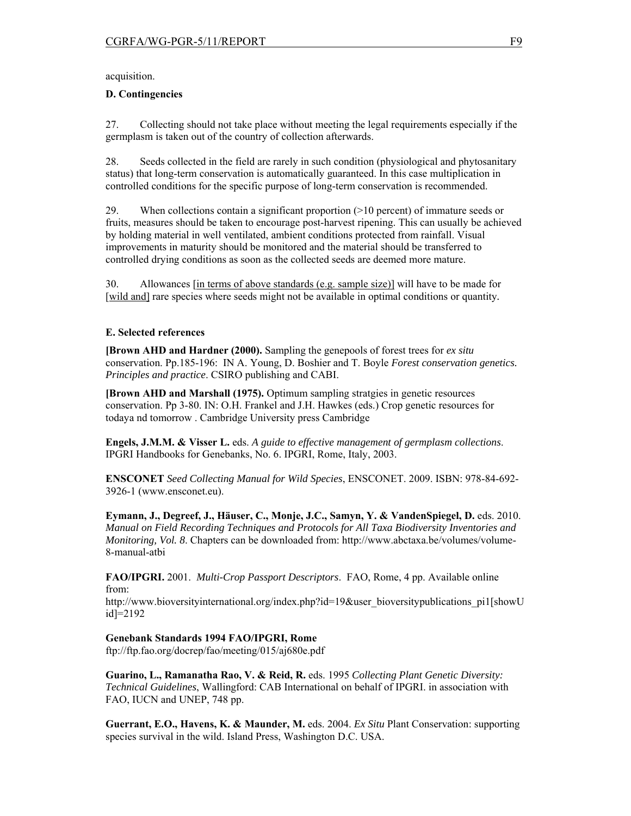acquisition.

# **D. Contingencies**

27. Collecting should not take place without meeting the legal requirements especially if the germplasm is taken out of the country of collection afterwards.

28. Seeds collected in the field are rarely in such condition (physiological and phytosanitary status) that long-term conservation is automatically guaranteed. In this case multiplication in controlled conditions for the specific purpose of long-term conservation is recommended.

29. When collections contain a significant proportion (>10 percent) of immature seeds or fruits, measures should be taken to encourage post-harvest ripening. This can usually be achieved by holding material in well ventilated, ambient conditions protected from rainfall. Visual improvements in maturity should be monitored and the material should be transferred to controlled drying conditions as soon as the collected seeds are deemed more mature.

30. Allowances  $\left[$ in terms of above standards  $(e.g., sample size)$ ] will have to be made for [wild and] rare species where seeds might not be available in optimal conditions or quantity*.* 

# **E. Selected references**

**[Brown AHD and Hardner (2000).** Sampling the genepools of forest trees for *ex situ* conservation. Pp.185-196: IN A. Young, D. Boshier and T. Boyle *Forest conservation genetics. Principles and practice*. CSIRO publishing and CABI.

**[Brown AHD and Marshall (1975).** Optimum sampling stratgies in genetic resources conservation. Pp 3-80. IN: O.H. Frankel and J.H. Hawkes (eds.) Crop genetic resources for todaya nd tomorrow . Cambridge University press Cambridge

**Engels, J.M.M. & Visser L.** eds. *A guide to effective management of germplasm collections*. IPGRI Handbooks for Genebanks, No. 6. IPGRI, Rome, Italy, 2003.

**ENSCONET** *Seed Collecting Manual for Wild Species*, ENSCONET. 2009. ISBN: 978-84-692- 3926-1 (www.ensconet.eu).

Eymann, J., Degreef, J., Häuser, C., Monje, J.C., Samyn, Y. & VandenSpiegel, D. eds. 2010. *Manual on Field Recording Techniques and Protocols for All Taxa Biodiversity Inventories and Monitoring, Vol. 8*. Chapters can be downloaded from: http://www.abctaxa.be/volumes/volume-8-manual-atbi

**FAO/IPGRI.** 2001. *Multi-Crop Passport Descriptors*. FAO, Rome, 4 pp. Available online from:

http://www.bioversityinternational.org/index.php?id=19&user\_bioversitypublications\_pi1[showU id]=2192

# **Genebank Standards 1994 FAO/IPGRI, Rome**

ftp://ftp.fao.org/docrep/fao/meeting/015/aj680e.pdf

**Guarino, L., Ramanatha Rao, V. & Reid, R.** eds. 1995 *Collecting Plant Genetic Diversity: Technical Guidelines*, Wallingford: CAB International on behalf of IPGRI. in association with FAO, IUCN and UNEP, 748 pp.

**Guerrant, E.O., Havens, K. & Maunder, M.** eds. 2004. *Ex Situ* Plant Conservation: supporting species survival in the wild. Island Press, Washington D.C. USA.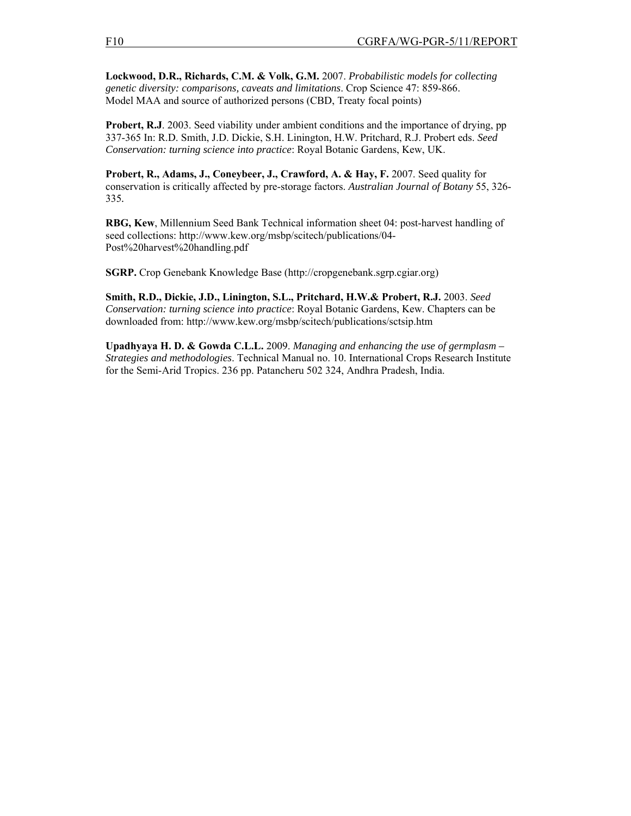**Lockwood, D.R., Richards, C.M. & Volk, G.M.** 2007. *Probabilistic models for collecting genetic diversity: comparisons, caveats and limitations*. Crop Science 47: 859-866. Model MAA and source of authorized persons (CBD, Treaty focal points)

**Probert, R.J**. 2003. Seed viability under ambient conditions and the importance of drying, pp 337-365 In: R.D. Smith, J.D. Dickie, S.H. Linington, H.W. Pritchard, R.J. Probert eds. *Seed Conservation: turning science into practice*: Royal Botanic Gardens, Kew, UK.

**Probert, R., Adams, J., Coneybeer, J., Crawford, A. & Hay, F.** 2007. Seed quality for conservation is critically affected by pre-storage factors. *Australian Journal of Botany* 55, 326- 335*.*

**RBG, Kew**, Millennium Seed Bank Technical information sheet 04: post-harvest handling of seed collections: http://www.kew.org/msbp/scitech/publications/04- Post%20harvest%20handling.pdf

**SGRP.** Crop Genebank Knowledge Base (http://cropgenebank.sgrp.cgiar.org)

**Smith, R.D., Dickie, J.D., Linington, S.L., Pritchard, H.W.& Probert, R.J.** 2003. *Seed Conservation: turning science into practice*: Royal Botanic Gardens, Kew. Chapters can be downloaded from: http://www.kew.org/msbp/scitech/publications/sctsip.htm

**Upadhyaya H. D. & Gowda C.L.L.** 2009. *Managing and enhancing the use of germplasm – Strategies and methodologies*. Technical Manual no. 10. International Crops Research Institute for the Semi-Arid Tropics. 236 pp. Patancheru 502 324, Andhra Pradesh, India.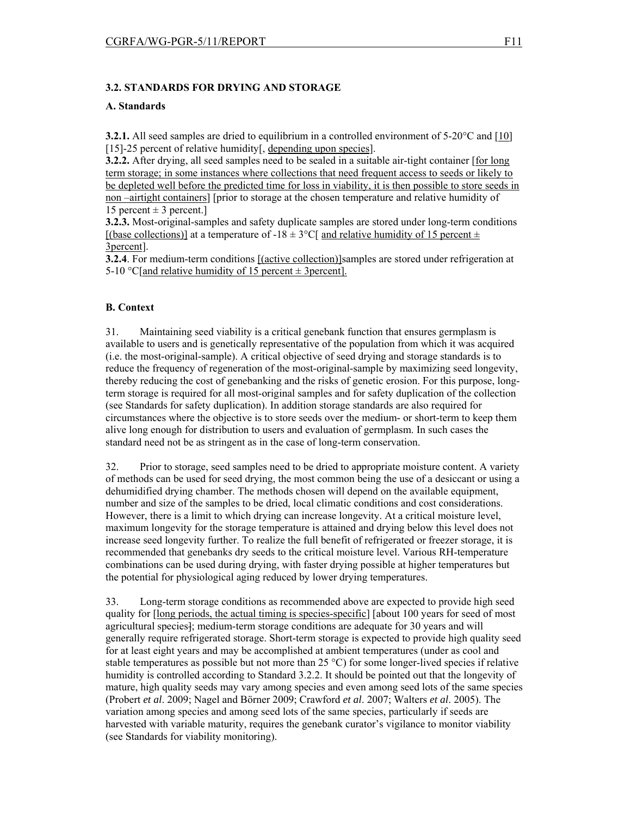## **3.2. STANDARDS FOR DRYING AND STORAGE**

### **A. Standards**

**3.2.1.** All seed samples are dried to equilibrium in a controlled environment of 5-20<sup>o</sup>C and [10] [15]-25 percent of relative humidity[, depending upon species].

**3.2.2.** After drying, all seed samples need to be sealed in a suitable air-tight container [for long term storage; in some instances where collections that need frequent access to seeds or likely to be depleted well before the predicted time for loss in viability, it is then possible to store seeds in non –airtight containers] [prior to storage at the chosen temperature and relative humidity of 15 percent  $\pm$  3 percent.]

**3.2.3.** Most-original-samples and safety duplicate samples are stored under long-term conditions [(base collections)] at a temperature of -18  $\pm$  3°C[ and relative humidity of 15 percent  $\pm$ 3percent].

**3.2.4**. For medium-term conditions [(active collection)]samples are stored under refrigeration at 5-10 °C[and relative humidity of 15 percent  $\pm$  3 percent].

### **B. Context**

31. Maintaining seed viability is a critical genebank function that ensures germplasm is available to users and is genetically representative of the population from which it was acquired (i.e. the most-original-sample). A critical objective of seed drying and storage standards is to reduce the frequency of regeneration of the most-original-sample by maximizing seed longevity, thereby reducing the cost of genebanking and the risks of genetic erosion. For this purpose, longterm storage is required for all most-original samples and for safety duplication of the collection (see Standards for safety duplication). In addition storage standards are also required for circumstances where the objective is to store seeds over the medium- or short-term to keep them alive long enough for distribution to users and evaluation of germplasm. In such cases the standard need not be as stringent as in the case of long-term conservation.

32. Prior to storage, seed samples need to be dried to appropriate moisture content. A variety of methods can be used for seed drying, the most common being the use of a desiccant or using a dehumidified drying chamber. The methods chosen will depend on the available equipment, number and size of the samples to be dried, local climatic conditions and cost considerations. However, there is a limit to which drying can increase longevity. At a critical moisture level, maximum longevity for the storage temperature is attained and drying below this level does not increase seed longevity further. To realize the full benefit of refrigerated or freezer storage, it is recommended that genebanks dry seeds to the critical moisture level. Various RH-temperature combinations can be used during drying, with faster drying possible at higher temperatures but the potential for physiological aging reduced by lower drying temperatures.

33. Long-term storage conditions as recommended above are expected to provide high seed quality for [long periods, the actual timing is species-specific] [about 100 years for seed of most agricultural species]; medium-term storage conditions are adequate for 30 years and will generally require refrigerated storage. Short-term storage is expected to provide high quality seed for at least eight years and may be accomplished at ambient temperatures (under as cool and stable temperatures as possible but not more than 25 °C) for some longer-lived species if relative humidity is controlled according to Standard 3.2.2. It should be pointed out that the longevity of mature, high quality seeds may vary among species and even among seed lots of the same species (Probert *et al*. 2009; Nagel and Börner 2009; Crawford *et al*. 2007; Walters *et al*. 2005). The variation among species and among seed lots of the same species, particularly if seeds are harvested with variable maturity, requires the genebank curator's vigilance to monitor viability (see Standards for viability monitoring).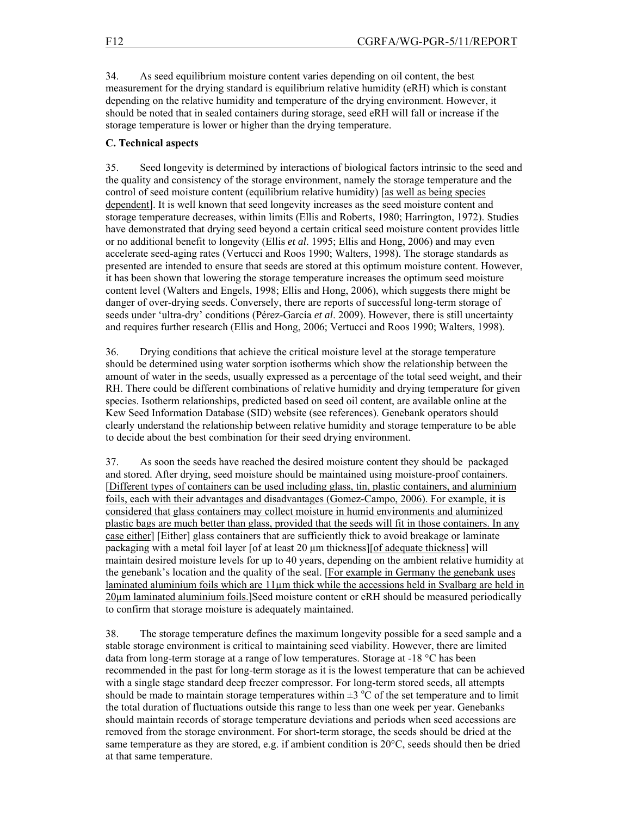34. As seed equilibrium moisture content varies depending on oil content, the best measurement for the drying standard is equilibrium relative humidity (eRH) which is constant depending on the relative humidity and temperature of the drying environment. However, it should be noted that in sealed containers during storage, seed eRH will fall or increase if the storage temperature is lower or higher than the drying temperature.

### **C. Technical aspects**

35. Seed longevity is determined by interactions of biological factors intrinsic to the seed and the quality and consistency of the storage environment, namely the storage temperature and the control of seed moisture content (equilibrium relative humidity) [as well as being species dependent]. It is well known that seed longevity increases as the seed moisture content and storage temperature decreases, within limits (Ellis and Roberts, 1980; Harrington, 1972). Studies have demonstrated that drying seed beyond a certain critical seed moisture content provides little or no additional benefit to longevity (Ellis *et al*. 1995; Ellis and Hong, 2006) and may even accelerate seed-aging rates (Vertucci and Roos 1990; Walters, 1998). The storage standards as presented are intended to ensure that seeds are stored at this optimum moisture content. However, it has been shown that lowering the storage temperature increases the optimum seed moisture content level (Walters and Engels, 1998; Ellis and Hong, 2006), which suggests there might be danger of over-drying seeds. Conversely, there are reports of successful long-term storage of seeds under 'ultra-dry' conditions (Pérez-García *et al*. 2009). However, there is still uncertainty and requires further research (Ellis and Hong, 2006; Vertucci and Roos 1990; Walters, 1998).

36. Drying conditions that achieve the critical moisture level at the storage temperature should be determined using water sorption isotherms which show the relationship between the amount of water in the seeds, usually expressed as a percentage of the total seed weight, and their RH. There could be different combinations of relative humidity and drying temperature for given species. Isotherm relationships, predicted based on seed oil content, are available online at the Kew Seed Information Database (SID) website (see references). Genebank operators should clearly understand the relationship between relative humidity and storage temperature to be able to decide about the best combination for their seed drying environment.

37. As soon the seeds have reached the desired moisture content they should be packaged and stored. After drying, seed moisture should be maintained using moisture-proof containers. [Different types of containers can be used including glass, tin, plastic containers, and aluminium foils, each with their advantages and disadvantages (Gomez-Campo, 2006). For example, it is considered that glass containers may collect moisture in humid environments and aluminized plastic bags are much better than glass, provided that the seeds will fit in those containers. In any case either] [Either] glass containers that are sufficiently thick to avoid breakage or laminate packaging with a metal foil layer [of at least  $20 \mu m$  thickness][of adequate thickness] will maintain desired moisture levels for up to 40 years, depending on the ambient relative humidity at the genebank's location and the quality of the seal. [For example in Germany the genebank uses laminated aluminium foils which are  $11 \mu m$  thick while the accessions held in Svalbarg are held in 20µm laminated aluminium foils.]Seed moisture content or eRH should be measured periodically to confirm that storage moisture is adequately maintained.

38. The storage temperature defines the maximum longevity possible for a seed sample and a stable storage environment is critical to maintaining seed viability. However, there are limited data from long-term storage at a range of low temperatures. Storage at -18 °C has been recommended in the past for long-term storage as it is the lowest temperature that can be achieved with a single stage standard deep freezer compressor. For long-term stored seeds, all attempts should be made to maintain storage temperatures within  $\pm 3$  °C of the set temperature and to limit the total duration of fluctuations outside this range to less than one week per year. Genebanks should maintain records of storage temperature deviations and periods when seed accessions are removed from the storage environment. For short-term storage, the seeds should be dried at the same temperature as they are stored, e.g. if ambient condition is  $20^{\circ}$ C, seeds should then be dried at that same temperature.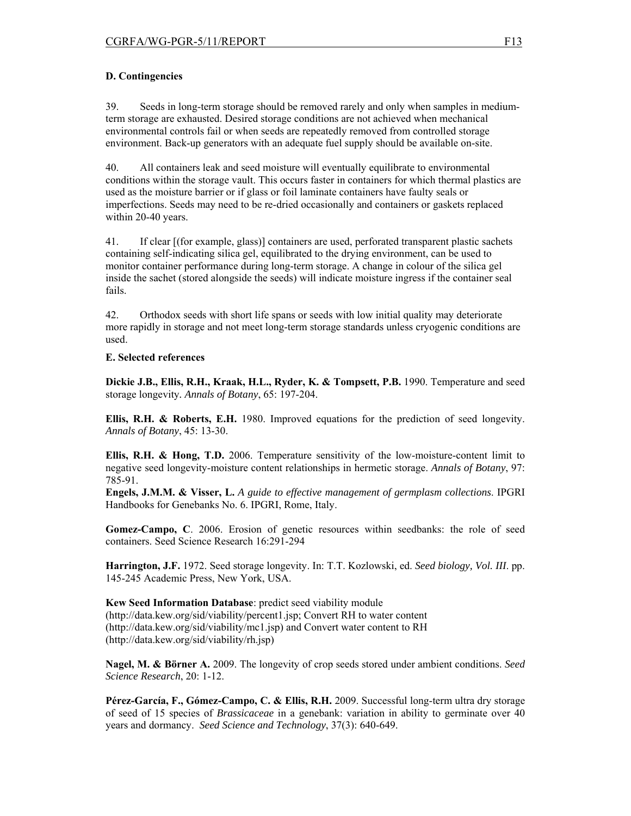## **D. Contingencies**

39. Seeds in long-term storage should be removed rarely and only when samples in mediumterm storage are exhausted. Desired storage conditions are not achieved when mechanical environmental controls fail or when seeds are repeatedly removed from controlled storage environment. Back-up generators with an adequate fuel supply should be available on-site.

40. All containers leak and seed moisture will eventually equilibrate to environmental conditions within the storage vault. This occurs faster in containers for which thermal plastics are used as the moisture barrier or if glass or foil laminate containers have faulty seals or imperfections. Seeds may need to be re-dried occasionally and containers or gaskets replaced within 20-40 years.

41. If clear [(for example, glass)] containers are used, perforated transparent plastic sachets containing self-indicating silica gel, equilibrated to the drying environment, can be used to monitor container performance during long-term storage. A change in colour of the silica gel inside the sachet (stored alongside the seeds) will indicate moisture ingress if the container seal fails.

42. Orthodox seeds with short life spans or seeds with low initial quality may deteriorate more rapidly in storage and not meet long-term storage standards unless cryogenic conditions are used.

### **E. Selected references**

**Dickie J.B., Ellis, R.H., Kraak, H.L., Ryder, K. & Tompsett, P.B.** 1990. Temperature and seed storage longevity*. Annals of Botany*, 65: 197-204.

**Ellis, R.H. & Roberts, E.H.** 1980. Improved equations for the prediction of seed longevity. *Annals of Botany*, 45: 13-30.

**Ellis, R.H. & Hong, T.D.** 2006. Temperature sensitivity of the low-moisture-content limit to negative seed longevity-moisture content relationships in hermetic storage. *Annals of Botany*, 97: 785-91.

**Engels, J.M.M. & Visser, L.** *A guide to effective management of germplasm collections*. IPGRI Handbooks for Genebanks No. 6. IPGRI, Rome, Italy.

**Gomez-Campo, C**. 2006. Erosion of genetic resources within seedbanks: the role of seed containers. Seed Science Research 16:291-294

**Harrington, J.F.** 1972. Seed storage longevity. In: T.T. Kozlowski, ed. *Seed biology, Vol. III*. pp. 145-245 Academic Press, New York, USA.

**Kew Seed Information Database**: predict seed viability module (http://data.kew.org/sid/viability/percent1.jsp; Convert RH to water content (http://data.kew.org/sid/viability/mc1.jsp) and Convert water content to RH (http://data.kew.org/sid/viability/rh.jsp)

**Nagel, M. & Börner A.** 2009. The longevity of crop seeds stored under ambient conditions. *Seed Science Research*, 20: 1-12.

**Pérez-García, F., Gómez-Campo, C. & Ellis, R.H.** 2009. Successful long-term ultra dry storage of seed of 15 species of *Brassicaceae* in a genebank: variation in ability to germinate over 40 years and dormancy. *Seed Science and Technology*, 37(3): 640-649.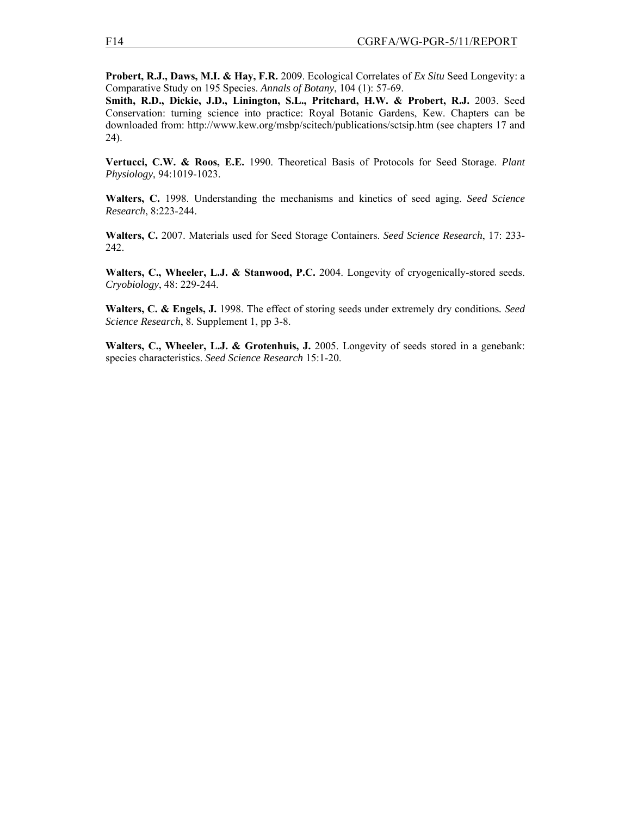**Probert, R.J., Daws, M.I. & Hay, F.R.** 2009. Ecological Correlates of *Ex Situ* Seed Longevity: a Comparative Study on 195 Species. *Annals of Botany*, 104 (1): 57-69.

**Smith, R.D., Dickie, J.D., Linington, S.L., Pritchard, H.W. & Probert, R.J.** 2003. Seed Conservation: turning science into practice: Royal Botanic Gardens, Kew. Chapters can be downloaded from: http://www.kew.org/msbp/scitech/publications/sctsip.htm (see chapters 17 and 24).

**Vertucci, C.W. & Roos, E.E.** 1990. Theoretical Basis of Protocols for Seed Storage. *Plant Physiology*, 94:1019-1023.

**Walters, C.** 1998. Understanding the mechanisms and kinetics of seed aging. *Seed Science Research*, 8:223-244.

**Walters, C.** 2007. Materials used for Seed Storage Containers. *Seed Science Research*, 17: 233- 242.

**Walters, C., Wheeler, L.J. & Stanwood, P.C.** 2004. Longevity of cryogenically-stored seeds. *Cryobiology*, 48: 229-244.

**Walters, C. & Engels, J.** 1998. The effect of storing seeds under extremely dry conditions*. Seed Science Research*, 8. Supplement 1, pp 3-8.

Walters, C., Wheeler, L.J. & Grotenhuis, J. 2005. Longevity of seeds stored in a genebank: species characteristics. *Seed Science Research* 15:1-20.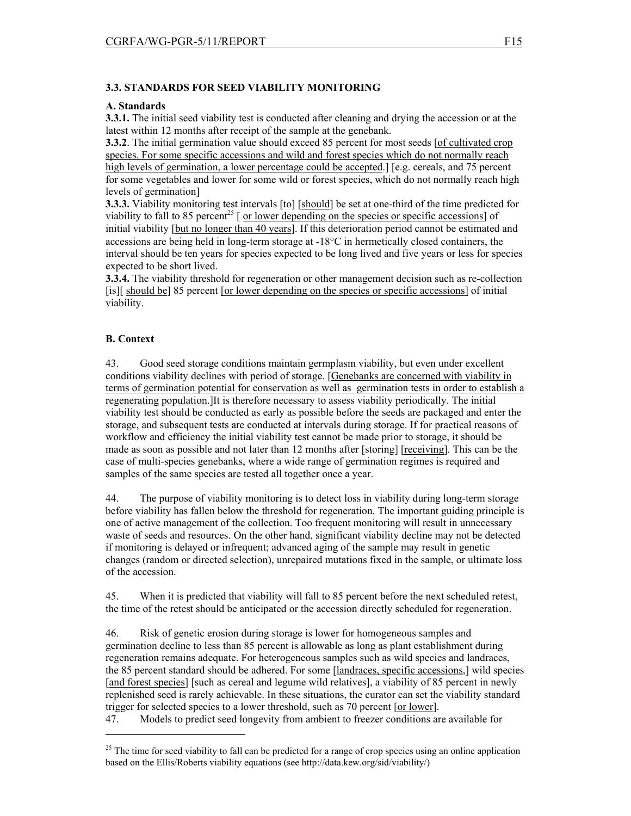## **3.3. STANDARDS FOR SEED VIABILITY MONITORING**

### **A. Standards**

**3.3.1.** The initial seed viability test is conducted after cleaning and drying the accession or at the latest within 12 months after receipt of the sample at the genebank.

**3.3.2**. The initial germination value should exceed 85 percent for most seeds [of cultivated crop species. For some specific accessions and wild and forest species which do not normally reach high levels of germination, a lower percentage could be accepted.] [e.g. cereals, and 75 percent for some vegetables and lower for some wild or forest species, which do not normally reach high levels of germination]

**3.3.3.** Viability monitoring test intervals [to] [should] be set at one-third of the time predicted for viability to fall to 85 percent<sup>25</sup> [ or lower depending on the species or specific accessions] of initial viability [but no longer than 40 years]. If this deterioration period cannot be estimated and accessions are being held in long-term storage at  $-18^{\circ}$ C in hermetically closed containers, the interval should be ten years for species expected to be long lived and five years or less for species expected to be short lived.

**3.3.4.** The viability threshold for regeneration or other management decision such as re-collection [is][ should be] 85 percent [or lower depending on the species or specific accessions] of initial viability.

## **B. Context**

 $\overline{a}$ 

43. Good seed storage conditions maintain germplasm viability, but even under excellent conditions viability declines with period of storage. [Genebanks are concerned with viability in terms of germination potential for conservation as well as germination tests in order to establish a regenerating population.]It is therefore necessary to assess viability periodically. The initial viability test should be conducted as early as possible before the seeds are packaged and enter the storage, and subsequent tests are conducted at intervals during storage. If for practical reasons of workflow and efficiency the initial viability test cannot be made prior to storage, it should be made as soon as possible and not later than 12 months after [storing] [receiving]. This can be the case of multi-species genebanks, where a wide range of germination regimes is required and samples of the same species are tested all together once a year.

44. The purpose of viability monitoring is to detect loss in viability during long-term storage before viability has fallen below the threshold for regeneration. The important guiding principle is one of active management of the collection. Too frequent monitoring will result in unnecessary waste of seeds and resources. On the other hand, significant viability decline may not be detected if monitoring is delayed or infrequent; advanced aging of the sample may result in genetic changes (random or directed selection), unrepaired mutations fixed in the sample, or ultimate loss of the accession.

45. When it is predicted that viability will fall to 85 percent before the next scheduled retest, the time of the retest should be anticipated or the accession directly scheduled for regeneration.

46. Risk of genetic erosion during storage is lower for homogeneous samples and germination decline to less than 85 percent is allowable as long as plant establishment during regeneration remains adequate. For heterogeneous samples such as wild species and landraces, the 85 percent standard should be adhered. For some [landraces, specific accessions,] wild species [and forest species] [such as cereal and legume wild relatives], a viability of 85 percent in newly replenished seed is rarely achievable. In these situations, the curator can set the viability standard trigger for selected species to a lower threshold, such as 70 percent [or lower].

47. Models to predict seed longevity from ambient to freezer conditions are available for

<sup>&</sup>lt;sup>25</sup> The time for seed viability to fall can be predicted for a range of crop species using an online application based on the Ellis/Roberts viability equations (see http://data.kew.org/sid/viability/)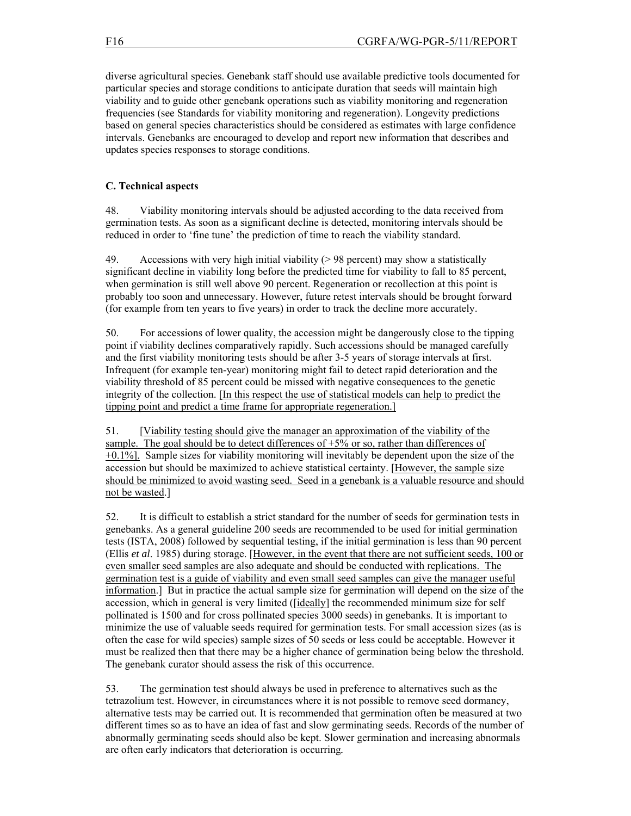diverse agricultural species. Genebank staff should use available predictive tools documented for particular species and storage conditions to anticipate duration that seeds will maintain high viability and to guide other genebank operations such as viability monitoring and regeneration frequencies (see Standards for viability monitoring and regeneration). Longevity predictions based on general species characteristics should be considered as estimates with large confidence intervals. Genebanks are encouraged to develop and report new information that describes and updates species responses to storage conditions.

## **C. Technical aspects**

48. Viability monitoring intervals should be adjusted according to the data received from germination tests. As soon as a significant decline is detected, monitoring intervals should be reduced in order to 'fine tune' the prediction of time to reach the viability standard.

49. Accessions with very high initial viability (> 98 percent) may show a statistically significant decline in viability long before the predicted time for viability to fall to 85 percent, when germination is still well above 90 percent. Regeneration or recollection at this point is probably too soon and unnecessary. However, future retest intervals should be brought forward (for example from ten years to five years) in order to track the decline more accurately.

50. For accessions of lower quality, the accession might be dangerously close to the tipping point if viability declines comparatively rapidly. Such accessions should be managed carefully and the first viability monitoring tests should be after 3-5 years of storage intervals at first. Infrequent (for example ten-year) monitoring might fail to detect rapid deterioration and the viability threshold of 85 percent could be missed with negative consequences to the genetic integrity of the collection. [In this respect the use of statistical models can help to predict the tipping point and predict a time frame for appropriate regeneration.]

51. [Viability testing should give the manager an approximation of the viability of the sample. The goal should be to detect differences of  $+5\%$  or so, rather than differences of +0.1%]. Sample sizes for viability monitoring will inevitably be dependent upon the size of the accession but should be maximized to achieve statistical certainty. [However, the sample size should be minimized to avoid wasting seed. Seed in a genebank is a valuable resource and should not be wasted.]

52. It is difficult to establish a strict standard for the number of seeds for germination tests in genebanks. As a general guideline 200 seeds are recommended to be used for initial germination tests (ISTA, 2008) followed by sequential testing, if the initial germination is less than 90 percent (Ellis *et al*. 1985) during storage. [However, in the event that there are not sufficient seeds, 100 or even smaller seed samples are also adequate and should be conducted with replications. The germination test is a guide of viability and even small seed samples can give the manager useful information.] But in practice the actual sample size for germination will depend on the size of the accession, which in general is very limited ([ideally] the recommended minimum size for self pollinated is 1500 and for cross pollinated species 3000 seeds) in genebanks. It is important to minimize the use of valuable seeds required for germination tests. For small accession sizes (as is often the case for wild species) sample sizes of 50 seeds or less could be acceptable. However it must be realized then that there may be a higher chance of germination being below the threshold. The genebank curator should assess the risk of this occurrence.

53. The germination test should always be used in preference to alternatives such as the tetrazolium test. However, in circumstances where it is not possible to remove seed dormancy, alternative tests may be carried out. It is recommended that germination often be measured at two different times so as to have an idea of fast and slow germinating seeds. Records of the number of abnormally germinating seeds should also be kept. Slower germination and increasing abnormals are often early indicators that deterioration is occurring*.*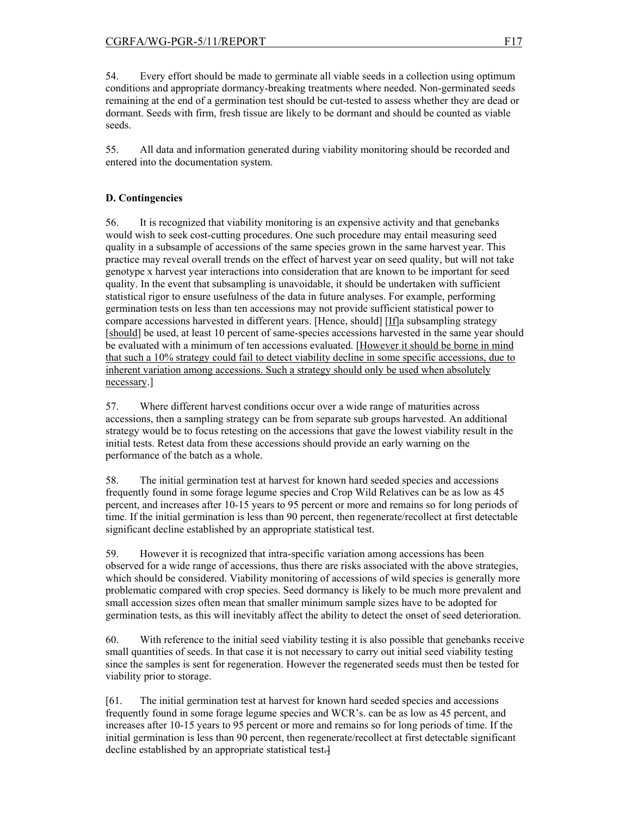54. Every effort should be made to germinate all viable seeds in a collection using optimum conditions and appropriate dormancy-breaking treatments where needed. Non-germinated seeds remaining at the end of a germination test should be cut-tested to assess whether they are dead or dormant. Seeds with firm, fresh tissue are likely to be dormant and should be counted as viable seeds.

55. All data and information generated during viability monitoring should be recorded and entered into the documentation system.

## **D. Contingencies**

56. It is recognized that viability monitoring is an expensive activity and that genebanks would wish to seek cost-cutting procedures. One such procedure may entail measuring seed quality in a subsample of accessions of the same species grown in the same harvest year. This practice may reveal overall trends on the effect of harvest year on seed quality, but will not take genotype x harvest year interactions into consideration that are known to be important for seed quality. In the event that subsampling is unavoidable, it should be undertaken with sufficient statistical rigor to ensure usefulness of the data in future analyses. For example, performing germination tests on less than ten accessions may not provide sufficient statistical power to compare accessions harvested in different years. [Hence, should] [If]a subsampling strategy [should] be used, at least 10 percent of same-species accessions harvested in the same year should be evaluated with a minimum of ten accessions evaluated. [However it should be borne in mind that such a 10% strategy could fail to detect viability decline in some specific accessions, due to inherent variation among accessions. Such a strategy should only be used when absolutely necessary.]

57. Where different harvest conditions occur over a wide range of maturities across accessions, then a sampling strategy can be from separate sub groups harvested. An additional strategy would be to focus retesting on the accessions that gave the lowest viability result in the initial tests. Retest data from these accessions should provide an early warning on the performance of the batch as a whole.

58. The initial germination test at harvest for known hard seeded species and accessions frequently found in some forage legume species and Crop Wild Relatives can be as low as 45 percent, and increases after 10-15 years to 95 percent or more and remains so for long periods of time. If the initial germination is less than 90 percent, then regenerate/recollect at first detectable significant decline established by an appropriate statistical test.

59. However it is recognized that intra-specific variation among accessions has been observed for a wide range of accessions, thus there are risks associated with the above strategies, which should be considered. Viability monitoring of accessions of wild species is generally more problematic compared with crop species. Seed dormancy is likely to be much more prevalent and small accession sizes often mean that smaller minimum sample sizes have to be adopted for germination tests, as this will inevitably affect the ability to detect the onset of seed deterioration.

60. With reference to the initial seed viability testing it is also possible that genebanks receive small quantities of seeds. In that case it is not necessary to carry out initial seed viability testing since the samples is sent for regeneration. However the regenerated seeds must then be tested for viability prior to storage.

[61. The initial germination test at harvest for known hard seeded species and accessions frequently found in some forage legume species and WCR's. can be as low as 45 percent, and increases after 10-15 years to 95 percent or more and remains so for long periods of time. If the initial germination is less than 90 percent, then regenerate/recollect at first detectable significant decline established by an appropriate statistical test.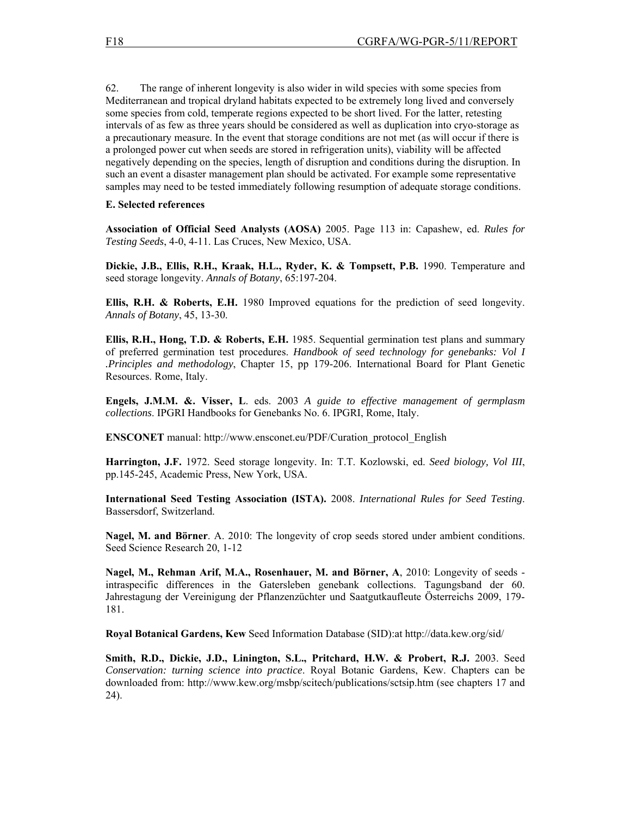62. The range of inherent longevity is also wider in wild species with some species from Mediterranean and tropical dryland habitats expected to be extremely long lived and conversely some species from cold, temperate regions expected to be short lived. For the latter, retesting intervals of as few as three years should be considered as well as duplication into cryo-storage as a precautionary measure. In the event that storage conditions are not met (as will occur if there is a prolonged power cut when seeds are stored in refrigeration units), viability will be affected negatively depending on the species, length of disruption and conditions during the disruption. In such an event a disaster management plan should be activated. For example some representative samples may need to be tested immediately following resumption of adequate storage conditions.

### **E. Selected references**

**Association of Official Seed Analysts (AOSA)** 2005. Page 113 in: Capashew, ed. *Rules for Testing Seeds*, 4-0, 4-11. Las Cruces, New Mexico, USA.

**Dickie, J.B., Ellis, R.H., Kraak, H.L., Ryder, K. & Tompsett, P.B.** 1990. Temperature and seed storage longevity. *Annals of Botany*, 65:197-204.

**Ellis, R.H. & Roberts, E.H.** 1980 Improved equations for the prediction of seed longevity. *Annals of Botany*, 45, 13-30.

**Ellis, R.H., Hong, T.D. & Roberts, E.H.** 1985. Sequential germination test plans and summary of preferred germination test procedures. *Handbook of seed technology for genebanks: Vol I .Principles and methodology*, Chapter 15, pp 179-206. International Board for Plant Genetic Resources. Rome, Italy.

**Engels, J.M.M. &. Visser, L**. eds. 2003 *A guide to effective management of germplasm collections*. IPGRI Handbooks for Genebanks No. 6. IPGRI, Rome, Italy.

**ENSCONET** manual: http://www.ensconet.eu/PDF/Curation\_protocol\_English

**Harrington, J.F.** 1972. Seed storage longevity. In: T.T. Kozlowski, ed. *Seed biology, Vol III*, pp.145-245, Academic Press, New York, USA.

**International Seed Testing Association (ISTA).** 2008. *International Rules for Seed Testing*. Bassersdorf, Switzerland.

**Nagel, M. and Börner**. A. 2010: The longevity of crop seeds stored under ambient conditions. Seed Science Research 20, 1-12

**Nagel, M., Rehman Arif, M.A., Rosenhauer, M. and Börner, A**, 2010: Longevity of seeds intraspecific differences in the Gatersleben genebank collections. Tagungsband der 60. Jahrestagung der Vereinigung der Pflanzenzüchter und Saatgutkaufleute Österreichs 2009, 179- 181.

**Royal Botanical Gardens, Kew** Seed Information Database (SID):at http://data.kew.org/sid/

**Smith, R.D., Dickie, J.D., Linington, S.L., Pritchard, H.W. & Probert, R.J.** 2003. Seed *Conservation: turning science into practice*. Royal Botanic Gardens, Kew. Chapters can be downloaded from: http://www.kew.org/msbp/scitech/publications/sctsip.htm (see chapters 17 and 24).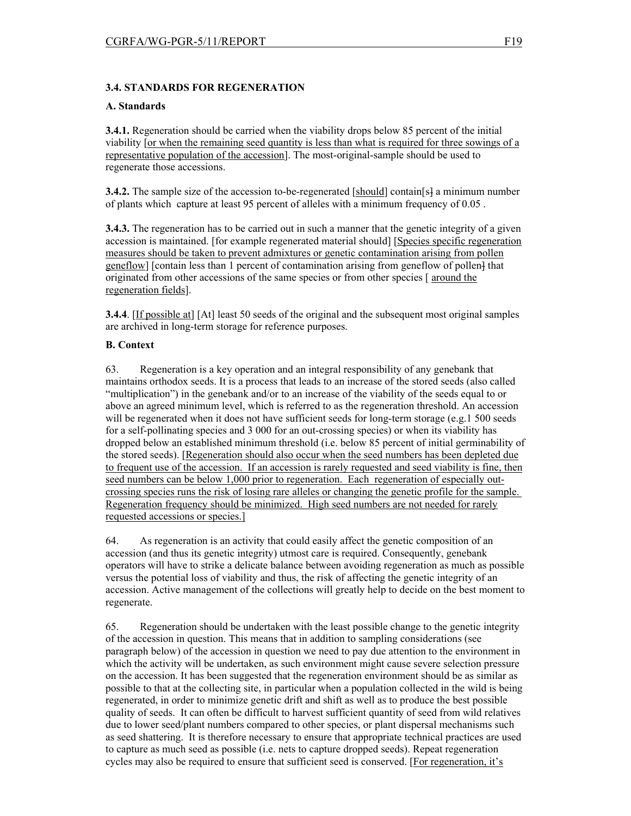### **3.4. STANDARDS FOR REGENERATION**

### **A. Standards**

**3.4.1.** Regeneration should be carried when the viability drops below 85 percent of the initial viability [or when the remaining seed quantity is less than what is required for three sowings of a representative population of the accession]. The most-original-sample should be used to regenerate those accessions.

**3.4.2.** The sample size of the accession to-be-regenerated [should] contain[s] a minimum number of plants which capture at least 95 percent of alleles with a minimum frequency of 0.05 .

**3.4.3.** The regeneration has to be carried out in such a manner that the genetic integrity of a given accession is maintained. [for example regenerated material should] [Species specific regeneration measures should be taken to prevent admixtures or genetic contamination arising from pollen geneflow] [contain less than 1 percent of contamination arising from geneflow of pollen] that originated from other accessions of the same species or from other species [ around the regeneration fields].

**3.4.4**. [If possible at] [At] least 50 seeds of the original and the subsequent most original samples are archived in long-term storage for reference purposes.

### **B. Context**

63. Regeneration is a key operation and an integral responsibility of any genebank that maintains orthodox seeds. It is a process that leads to an increase of the stored seeds (also called "multiplication") in the genebank and/or to an increase of the viability of the seeds equal to or above an agreed minimum level, which is referred to as the regeneration threshold. An accession will be regenerated when it does not have sufficient seeds for long-term storage (e.g.1 500 seeds for a self-pollinating species and 3 000 for an out-crossing species) or when its viability has dropped below an established minimum threshold (i.e. below 85 percent of initial germinability of the stored seeds). [Regeneration should also occur when the seed numbers has been depleted due to frequent use of the accession. If an accession is rarely requested and seed viability is fine, then seed numbers can be below 1,000 prior to regeneration. Each regeneration of especially outcrossing species runs the risk of losing rare alleles or changing the genetic profile for the sample. Regeneration frequency should be minimized. High seed numbers are not needed for rarely requested accessions or species.]

64. As regeneration is an activity that could easily affect the genetic composition of an accession (and thus its genetic integrity) utmost care is required. Consequently, genebank operators will have to strike a delicate balance between avoiding regeneration as much as possible versus the potential loss of viability and thus, the risk of affecting the genetic integrity of an accession. Active management of the collections will greatly help to decide on the best moment to regenerate.

65. Regeneration should be undertaken with the least possible change to the genetic integrity of the accession in question. This means that in addition to sampling considerations (see paragraph below) of the accession in question we need to pay due attention to the environment in which the activity will be undertaken, as such environment might cause severe selection pressure on the accession. It has been suggested that the regeneration environment should be as similar as possible to that at the collecting site, in particular when a population collected in the wild is being regenerated, in order to minimize genetic drift and shift as well as to produce the best possible quality of seeds. It can often be difficult to harvest sufficient quantity of seed from wild relatives due to lower seed/plant numbers compared to other species, or plant dispersal mechanisms such as seed shattering. It is therefore necessary to ensure that appropriate technical practices are used to capture as much seed as possible (i.e. nets to capture dropped seeds). Repeat regeneration cycles may also be required to ensure that sufficient seed is conserved. [For regeneration, it's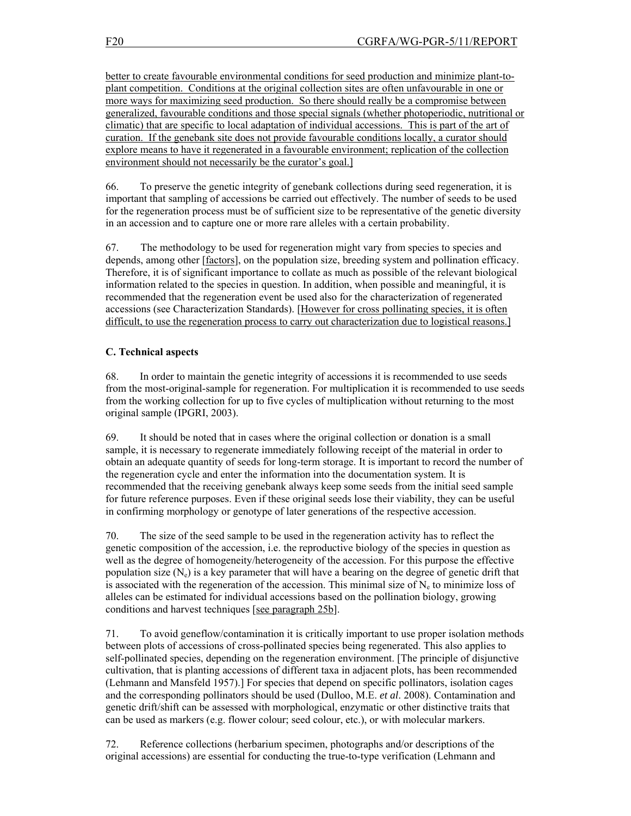better to create favourable environmental conditions for seed production and minimize plant-toplant competition. Conditions at the original collection sites are often unfavourable in one or more ways for maximizing seed production. So there should really be a compromise between generalized, favourable conditions and those special signals (whether photoperiodic, nutritional or climatic) that are specific to local adaptation of individual accessions. This is part of the art of curation. If the genebank site does not provide favourable conditions locally, a curator should explore means to have it regenerated in a favourable environment; replication of the collection environment should not necessarily be the curator's goal.]

66. To preserve the genetic integrity of genebank collections during seed regeneration, it is important that sampling of accessions be carried out effectively. The number of seeds to be used for the regeneration process must be of sufficient size to be representative of the genetic diversity in an accession and to capture one or more rare alleles with a certain probability.

67. The methodology to be used for regeneration might vary from species to species and depends, among other [factors], on the population size, breeding system and pollination efficacy. Therefore, it is of significant importance to collate as much as possible of the relevant biological information related to the species in question. In addition, when possible and meaningful, it is recommended that the regeneration event be used also for the characterization of regenerated accessions (see Characterization Standards). [However for cross pollinating species, it is often difficult, to use the regeneration process to carry out characterization due to logistical reasons.

# **C. Technical aspects**

68. In order to maintain the genetic integrity of accessions it is recommended to use seeds from the most-original-sample for regeneration. For multiplication it is recommended to use seeds from the working collection for up to five cycles of multiplication without returning to the most original sample (IPGRI, 2003).

69. It should be noted that in cases where the original collection or donation is a small sample, it is necessary to regenerate immediately following receipt of the material in order to obtain an adequate quantity of seeds for long-term storage. It is important to record the number of the regeneration cycle and enter the information into the documentation system. It is recommended that the receiving genebank always keep some seeds from the initial seed sample for future reference purposes. Even if these original seeds lose their viability, they can be useful in confirming morphology or genotype of later generations of the respective accession.

70. The size of the seed sample to be used in the regeneration activity has to reflect the genetic composition of the accession, i.e. the reproductive biology of the species in question as well as the degree of homogeneity/heterogeneity of the accession. For this purpose the effective population size  $(N_e)$  is a key parameter that will have a bearing on the degree of genetic drift that is associated with the regeneration of the accession. This minimal size of  $N_e$  to minimize loss of alleles can be estimated for individual accessions based on the pollination biology, growing conditions and harvest techniques [see paragraph 25b].

71. To avoid geneflow/contamination it is critically important to use proper isolation methods between plots of accessions of cross-pollinated species being regenerated. This also applies to self-pollinated species, depending on the regeneration environment. [The principle of disjunctive cultivation, that is planting accessions of different taxa in adjacent plots, has been recommended (Lehmann and Mansfeld 1957).] For species that depend on specific pollinators, isolation cages and the corresponding pollinators should be used (Dulloo, M.E. *et al*. 2008). Contamination and genetic drift/shift can be assessed with morphological, enzymatic or other distinctive traits that can be used as markers (e.g. flower colour; seed colour, etc.), or with molecular markers.

72. Reference collections (herbarium specimen, photographs and/or descriptions of the original accessions) are essential for conducting the true-to-type verification (Lehmann and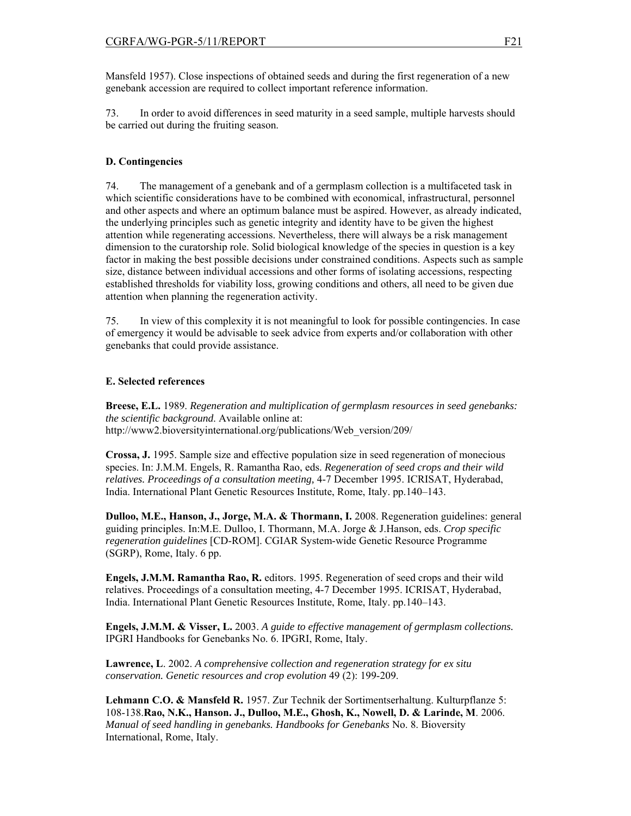Mansfeld 1957). Close inspections of obtained seeds and during the first regeneration of a new genebank accession are required to collect important reference information.

73. In order to avoid differences in seed maturity in a seed sample, multiple harvests should be carried out during the fruiting season.

## **D. Contingencies**

74. The management of a genebank and of a germplasm collection is a multifaceted task in which scientific considerations have to be combined with economical, infrastructural, personnel and other aspects and where an optimum balance must be aspired. However, as already indicated, the underlying principles such as genetic integrity and identity have to be given the highest attention while regenerating accessions. Nevertheless, there will always be a risk management dimension to the curatorship role. Solid biological knowledge of the species in question is a key factor in making the best possible decisions under constrained conditions. Aspects such as sample size, distance between individual accessions and other forms of isolating accessions, respecting established thresholds for viability loss, growing conditions and others, all need to be given due attention when planning the regeneration activity.

75. In view of this complexity it is not meaningful to look for possible contingencies. In case of emergency it would be advisable to seek advice from experts and/or collaboration with other genebanks that could provide assistance.

### **E. Selected references**

**Breese, E.L.** 1989. *Regeneration and multiplication of germplasm resources in seed genebanks: the scientific background*. Available online at: http://www2.bioversityinternational.org/publications/Web\_version/209/

**Crossa, J.** 1995. Sample size and effective population size in seed regeneration of monecious species. In: J.M.M. Engels, R. Ramantha Rao, eds. *Regeneration of seed crops and their wild relatives. Proceedings of a consultation meeting,* 4-7 December 1995. ICRISAT, Hyderabad, India. International Plant Genetic Resources Institute, Rome, Italy. pp.140–143.

**Dulloo, M.E., Hanson, J., Jorge, M.A. & Thormann, I.** 2008. Regeneration guidelines: general guiding principles. In:M.E. Dulloo, I. Thormann, M.A. Jorge & J.Hanson, eds. *Crop specific regeneration guidelines* [CD-ROM]. CGIAR System-wide Genetic Resource Programme (SGRP), Rome, Italy. 6 pp.

**Engels, J.M.M. Ramantha Rao, R.** editors. 1995. Regeneration of seed crops and their wild relatives. Proceedings of a consultation meeting, 4-7 December 1995. ICRISAT, Hyderabad, India. International Plant Genetic Resources Institute, Rome, Italy. pp.140–143.

**Engels, J.M.M. & Visser, L.** 2003. *A guide to effective management of germplasm collections.* IPGRI Handbooks for Genebanks No. 6. IPGRI, Rome, Italy.

**Lawrence, L**. 2002. *A comprehensive collection and regeneration strategy for ex situ conservation. Genetic resources and crop evolution* 49 (2): 199-209.

**Lehmann C.O. & Mansfeld R.** 1957. Zur Technik der Sortimentserhaltung. Kulturpflanze 5: 108-138.**Rao, N.K., Hanson. J., Dulloo, M.E., Ghosh, K., Nowell, D. & Larinde, M**. 2006. *Manual of seed handling in genebanks. Handbooks for Genebanks* No. 8. Bioversity International, Rome, Italy.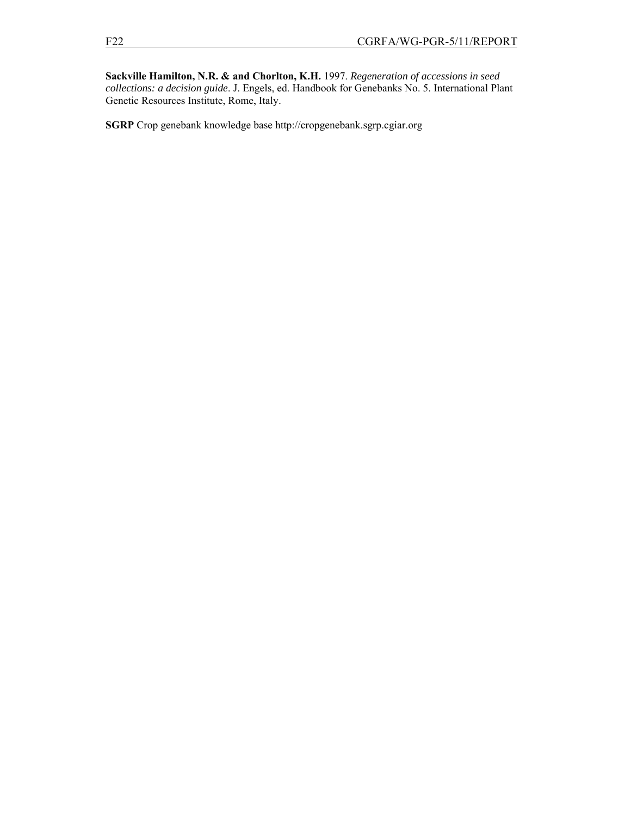**Sackville Hamilton, N.R. & and Chorlton, K.H.** 1997. *Regeneration of accessions in seed collections: a decision guide*. J. Engels, ed. Handbook for Genebanks No. 5. International Plant Genetic Resources Institute, Rome, Italy.

**SGRP** Crop genebank knowledge base http://cropgenebank.sgrp.cgiar.org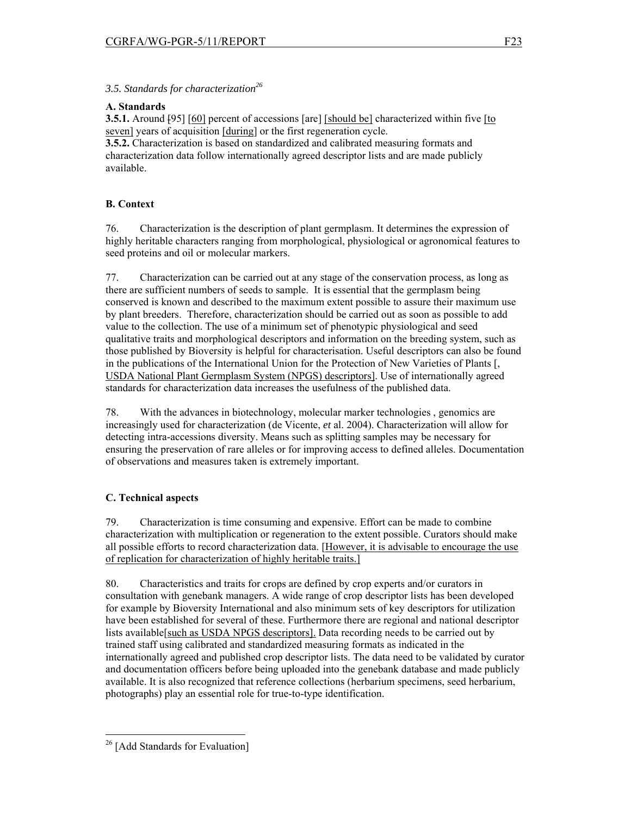## *3.5. Standards for characterization26*

## **A. Standards**

**3.5.1.** Around [95] [60] percent of accessions [are] [should be] characterized within five [to seven] years of acquisition [during] or the first regeneration cycle.

**3.5.2.** Characterization is based on standardized and calibrated measuring formats and characterization data follow internationally agreed descriptor lists and are made publicly available.

# **B. Context**

76. Characterization is the description of plant germplasm. It determines the expression of highly heritable characters ranging from morphological, physiological or agronomical features to seed proteins and oil or molecular markers.

77. Characterization can be carried out at any stage of the conservation process, as long as there are sufficient numbers of seeds to sample. It is essential that the germplasm being conserved is known and described to the maximum extent possible to assure their maximum use by plant breeders. Therefore, characterization should be carried out as soon as possible to add value to the collection. The use of a minimum set of phenotypic physiological and seed qualitative traits and morphological descriptors and information on the breeding system, such as those published by Bioversity is helpful for characterisation. Useful descriptors can also be found in the publications of the International Union for the Protection of New Varieties of Plants [, USDA National Plant Germplasm System (NPGS) descriptors]. Use of internationally agreed standards for characterization data increases the usefulness of the published data.

78. With the advances in biotechnology, molecular marker technologies , genomics are increasingly used for characterization (de Vicente, *et* al. 2004). Characterization will allow for detecting intra-accessions diversity. Means such as splitting samples may be necessary for ensuring the preservation of rare alleles or for improving access to defined alleles. Documentation of observations and measures taken is extremely important.

# **C. Technical aspects**

79. Characterization is time consuming and expensive. Effort can be made to combine characterization with multiplication or regeneration to the extent possible. Curators should make all possible efforts to record characterization data. [However, it is advisable to encourage the use of replication for characterization of highly heritable traits.]

80. Characteristics and traits for crops are defined by crop experts and/or curators in consultation with genebank managers. A wide range of crop descriptor lists has been developed for example by Bioversity International and also minimum sets of key descriptors for utilization have been established for several of these. Furthermore there are regional and national descriptor lists available[such as USDA NPGS descriptors]. Data recording needs to be carried out by trained staff using calibrated and standardized measuring formats as indicated in the internationally agreed and published crop descriptor lists. The data need to be validated by curator and documentation officers before being uploaded into the genebank database and made publicly available. It is also recognized that reference collections (herbarium specimens, seed herbarium, photographs) play an essential role for true-to-type identification.

 $\overline{a}$ 

<sup>26 [</sup>Add Standards for Evaluation]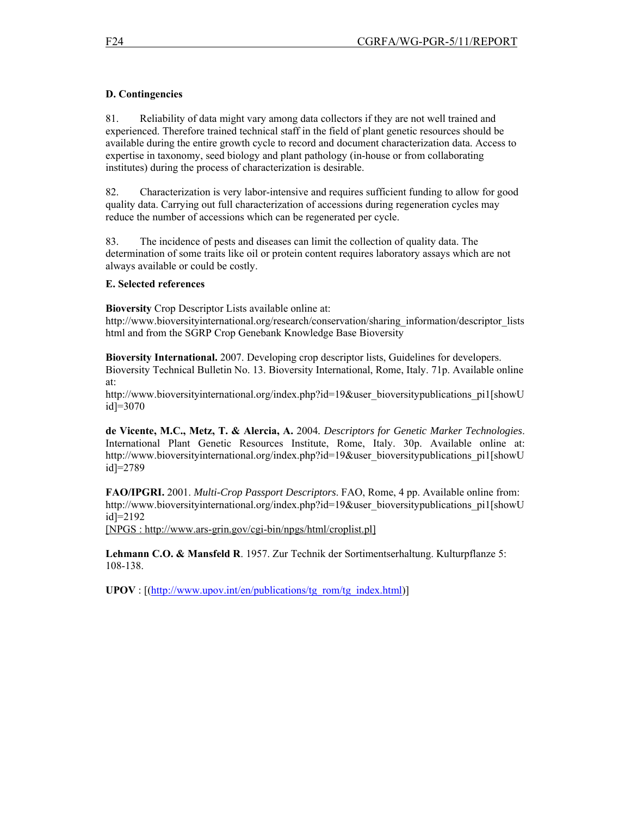### **D. Contingencies**

81. Reliability of data might vary among data collectors if they are not well trained and experienced. Therefore trained technical staff in the field of plant genetic resources should be available during the entire growth cycle to record and document characterization data. Access to expertise in taxonomy, seed biology and plant pathology (in-house or from collaborating institutes) during the process of characterization is desirable.

82. Characterization is very labor-intensive and requires sufficient funding to allow for good quality data. Carrying out full characterization of accessions during regeneration cycles may reduce the number of accessions which can be regenerated per cycle.

83. The incidence of pests and diseases can limit the collection of quality data. The determination of some traits like oil or protein content requires laboratory assays which are not always available or could be costly.

### **E. Selected references**

**Bioversity** Crop Descriptor Lists available online at:

http://www.bioversityinternational.org/research/conservation/sharing\_information/descriptor\_lists html and from the SGRP Crop Genebank Knowledge Base Bioversity

**Bioversity International.** 2007. Developing crop descriptor lists, Guidelines for developers. Bioversity Technical Bulletin No. 13. Bioversity International, Rome, Italy. 71p. Available online at:

http://www.bioversityinternational.org/index.php?id=19&user\_bioversitypublications\_pi1[showU id]=3070

**de Vicente, M.C., Metz, T. & Alercia, A.** 2004*. Descriptors for Genetic Marker Technologies*. International Plant Genetic Resources Institute, Rome, Italy. 30p. Available online at: http://www.bioversityinternational.org/index.php?id=19&user\_bioversitypublications\_pi1[showU id]=2789

**FAO/IPGRI.** 2001. *Multi-Crop Passport Descriptors*. FAO, Rome, 4 pp. Available online from: http://www.bioversityinternational.org/index.php?id=19&user\_bioversitypublications\_pi1[showU id]=2192

[NPGS : http://www.ars-grin.gov/cgi-bin/npgs/html/croplist.pl]

**Lehmann C.O. & Mansfeld R**. 1957. Zur Technik der Sortimentserhaltung. Kulturpflanze 5: 108-138.

**UPOV** : [(http://www.upov.int/en/publications/tg\_rom/tg\_index.html)]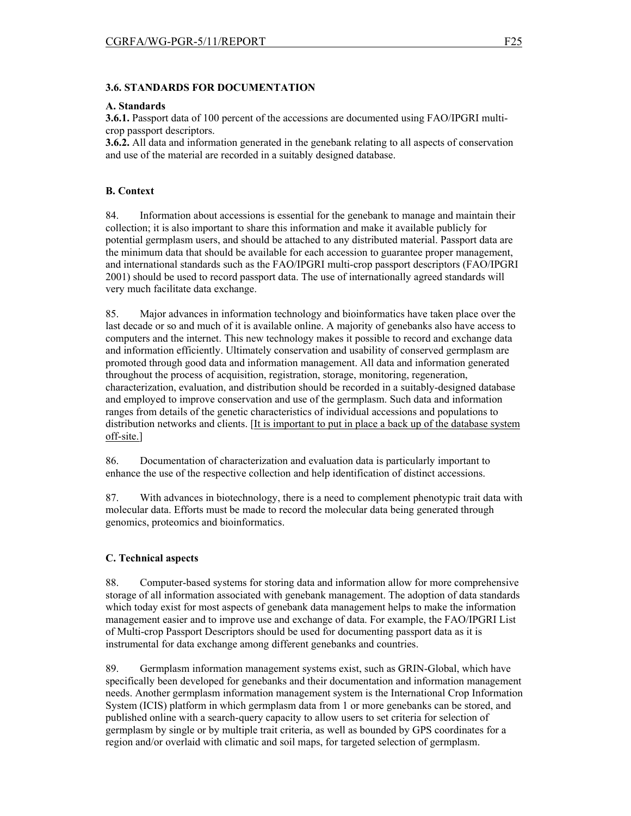### **3.6. STANDARDS FOR DOCUMENTATION**

### **A. Standards**

**3.6.1.** Passport data of 100 percent of the accessions are documented using FAO/IPGRI multicrop passport descriptors.

**3.6.2.** All data and information generated in the genebank relating to all aspects of conservation and use of the material are recorded in a suitably designed database.

## **B. Context**

84. Information about accessions is essential for the genebank to manage and maintain their collection; it is also important to share this information and make it available publicly for potential germplasm users, and should be attached to any distributed material. Passport data are the minimum data that should be available for each accession to guarantee proper management, and international standards such as the FAO/IPGRI multi-crop passport descriptors (FAO/IPGRI 2001) should be used to record passport data. The use of internationally agreed standards will very much facilitate data exchange.

85. Major advances in information technology and bioinformatics have taken place over the last decade or so and much of it is available online. A majority of genebanks also have access to computers and the internet. This new technology makes it possible to record and exchange data and information efficiently. Ultimately conservation and usability of conserved germplasm are promoted through good data and information management. All data and information generated throughout the process of acquisition, registration, storage, monitoring, regeneration, characterization, evaluation, and distribution should be recorded in a suitably-designed database and employed to improve conservation and use of the germplasm. Such data and information ranges from details of the genetic characteristics of individual accessions and populations to distribution networks and clients. [It is important to put in place a back up of the database system off-site.]

86. Documentation of characterization and evaluation data is particularly important to enhance the use of the respective collection and help identification of distinct accessions.

87. With advances in biotechnology, there is a need to complement phenotypic trait data with molecular data. Efforts must be made to record the molecular data being generated through genomics, proteomics and bioinformatics.

# **C. Technical aspects**

88. Computer-based systems for storing data and information allow for more comprehensive storage of all information associated with genebank management. The adoption of data standards which today exist for most aspects of genebank data management helps to make the information management easier and to improve use and exchange of data. For example, the FAO/IPGRI List of Multi-crop Passport Descriptors should be used for documenting passport data as it is instrumental for data exchange among different genebanks and countries.

89. Germplasm information management systems exist, such as GRIN-Global, which have specifically been developed for genebanks and their documentation and information management needs. Another germplasm information management system is the International Crop Information System (ICIS) platform in which germplasm data from 1 or more genebanks can be stored, and published online with a search-query capacity to allow users to set criteria for selection of germplasm by single or by multiple trait criteria, as well as bounded by GPS coordinates for a region and/or overlaid with climatic and soil maps, for targeted selection of germplasm.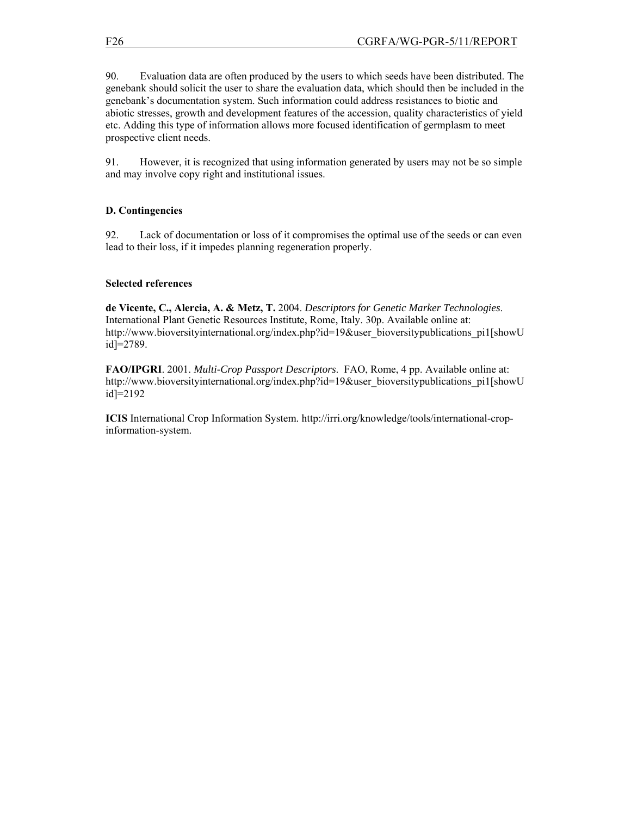90. Evaluation data are often produced by the users to which seeds have been distributed. The genebank should solicit the user to share the evaluation data, which should then be included in the genebank's documentation system. Such information could address resistances to biotic and abiotic stresses, growth and development features of the accession, quality characteristics of yield etc. Adding this type of information allows more focused identification of germplasm to meet prospective client needs.

91. However, it is recognized that using information generated by users may not be so simple and may involve copy right and institutional issues.

## **D. Contingencies**

92. Lack of documentation or loss of it compromises the optimal use of the seeds or can even lead to their loss, if it impedes planning regeneration properly.

### **Selected references**

**de Vicente, C., Alercia, A. & Metz, T.** 2004. *Descriptors for Genetic Marker Technologies*. International Plant Genetic Resources Institute, Rome, Italy. 30p. Available online at: http://www.bioversityinternational.org/index.php?id=19&user\_bioversitypublications\_pi1[showU id]=2789.

**FAO/IPGRI**. 2001. *Multi-Crop Passport Descriptors*. FAO, Rome, 4 pp. Available online at: http://www.bioversityinternational.org/index.php?id=19&user\_bioversitypublications\_pi1[showU id]=2192

**ICIS** International Crop Information System. http://irri.org/knowledge/tools/international-cropinformation-system.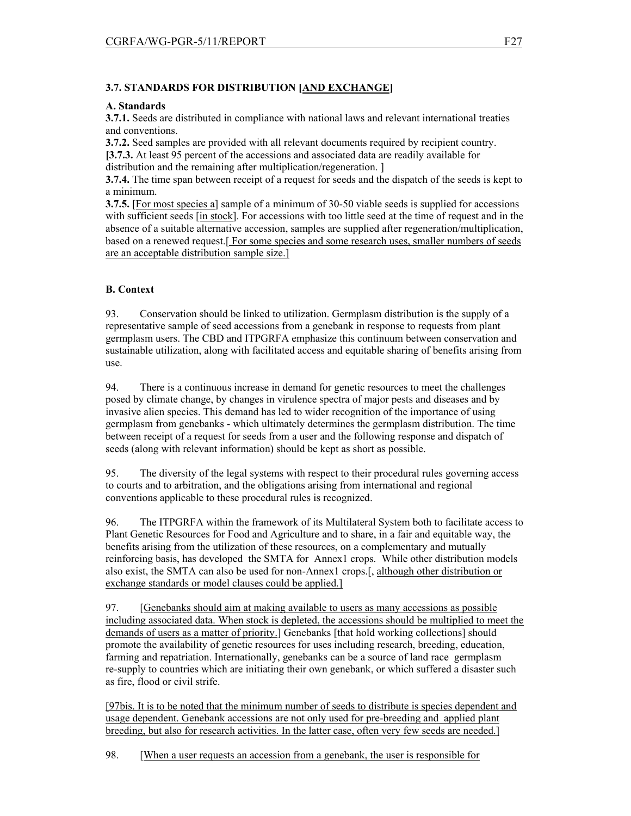# **3.7. STANDARDS FOR DISTRIBUTION [AND EXCHANGE]**

### **A. Standards**

**3.7.1.** Seeds are distributed in compliance with national laws and relevant international treaties and conventions.

**3.7.2.** Seed samples are provided with all relevant documents required by recipient country.

**[3.7.3.** At least 95 percent of the accessions and associated data are readily available for distribution and the remaining after multiplication/regeneration. 1

**3.7.4.** The time span between receipt of a request for seeds and the dispatch of the seeds is kept to a minimum.

**3.7.5.** [For most species a] sample of a minimum of 30-50 viable seeds is supplied for accessions with sufficient seeds [in stock]. For accessions with too little seed at the time of request and in the absence of a suitable alternative accession, samples are supplied after regeneration/multiplication, based on a renewed request.[ For some species and some research uses, smaller numbers of seeds are an acceptable distribution sample size.]

## **B. Context**

93. Conservation should be linked to utilization. Germplasm distribution is the supply of a representative sample of seed accessions from a genebank in response to requests from plant germplasm users. The CBD and ITPGRFA emphasize this continuum between conservation and sustainable utilization, along with facilitated access and equitable sharing of benefits arising from use.

94. There is a continuous increase in demand for genetic resources to meet the challenges posed by climate change, by changes in virulence spectra of major pests and diseases and by invasive alien species. This demand has led to wider recognition of the importance of using germplasm from genebanks - which ultimately determines the germplasm distribution. The time between receipt of a request for seeds from a user and the following response and dispatch of seeds (along with relevant information) should be kept as short as possible.

95. The diversity of the legal systems with respect to their procedural rules governing access to courts and to arbitration, and the obligations arising from international and regional conventions applicable to these procedural rules is recognized.

96. The ITPGRFA within the framework of its Multilateral System both to facilitate access to Plant Genetic Resources for Food and Agriculture and to share, in a fair and equitable way, the benefits arising from the utilization of these resources, on a complementary and mutually reinforcing basis, has developed the SMTA for Annex1 crops. While other distribution models also exist, the SMTA can also be used for non-Annex1 crops.[, although other distribution or exchange standards or model clauses could be applied.]

97. [Genebanks should aim at making available to users as many accessions as possible including associated data. When stock is depleted, the accessions should be multiplied to meet the demands of users as a matter of priority.] Genebanks [that hold working collections] should promote the availability of genetic resources for uses including research, breeding, education, farming and repatriation. Internationally, genebanks can be a source of land race germplasm re-supply to countries which are initiating their own genebank, or which suffered a disaster such as fire, flood or civil strife.

[97bis. It is to be noted that the minimum number of seeds to distribute is species dependent and usage dependent. Genebank accessions are not only used for pre-breeding and applied plant breeding, but also for research activities. In the latter case, often very few seeds are needed.]

98. [When a user requests an accession from a genebank, the user is responsible for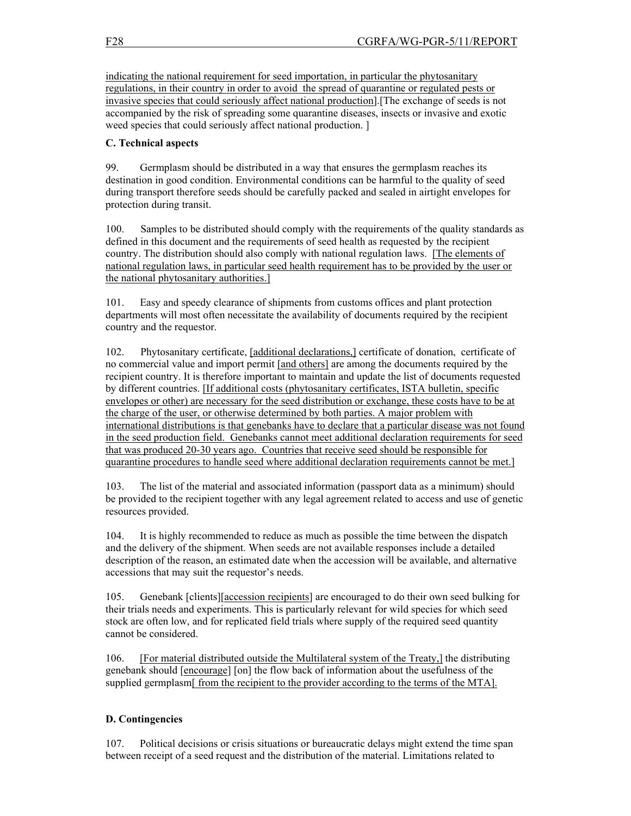indicating the national requirement for seed importation, in particular the phytosanitary regulations, in their country in order to avoid the spread of quarantine or regulated pests or invasive species that could seriously affect national production].[The exchange of seeds is not accompanied by the risk of spreading some quarantine diseases, insects or invasive and exotic weed species that could seriously affect national production. ]

# **C. Technical aspects**

99. Germplasm should be distributed in a way that ensures the germplasm reaches its destination in good condition. Environmental conditions can be harmful to the quality of seed during transport therefore seeds should be carefully packed and sealed in airtight envelopes for protection during transit.

100. Samples to be distributed should comply with the requirements of the quality standards as defined in this document and the requirements of seed health as requested by the recipient country. The distribution should also comply with national regulation laws. [The elements of national regulation laws, in particular seed health requirement has to be provided by the user or the national phytosanitary authorities.]

101. Easy and speedy clearance of shipments from customs offices and plant protection departments will most often necessitate the availability of documents required by the recipient country and the requestor.

102. Phytosanitary certificate, [additional declarations,] certificate of donation, certificate of no commercial value and import permit [and others] are among the documents required by the recipient country. It is therefore important to maintain and update the list of documents requested by different countries. [If additional costs (phytosanitary certificates, ISTA bulletin, specific envelopes or other) are necessary for the seed distribution or exchange, these costs have to be at the charge of the user, or otherwise determined by both parties. A major problem with international distributions is that genebanks have to declare that a particular disease was not found in the seed production field. Genebanks cannot meet additional declaration requirements for seed that was produced 20-30 years ago. Countries that receive seed should be responsible for quarantine procedures to handle seed where additional declaration requirements cannot be met.]

103. The list of the material and associated information (passport data as a minimum) should be provided to the recipient together with any legal agreement related to access and use of genetic resources provided.

104. It is highly recommended to reduce as much as possible the time between the dispatch and the delivery of the shipment. When seeds are not available responses include a detailed description of the reason, an estimated date when the accession will be available, and alternative accessions that may suit the requestor's needs.

105. Genebank [clients][accession recipients] are encouraged to do their own seed bulking for their trials needs and experiments. This is particularly relevant for wild species for which seed stock are often low, and for replicated field trials where supply of the required seed quantity cannot be considered.

106. [For material distributed outside the Multilateral system of the Treaty,] the distributing genebank should [encourage] [on] the flow back of information about the usefulness of the supplied germplasm from the recipient to the provider according to the terms of the MTA.

# **D. Contingencies**

107. Political decisions or crisis situations or bureaucratic delays might extend the time span between receipt of a seed request and the distribution of the material. Limitations related to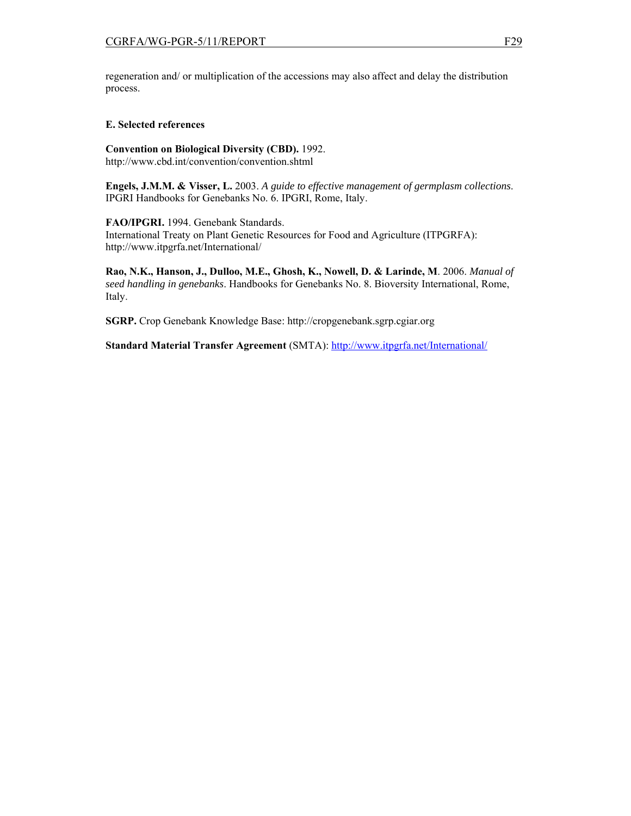regeneration and/ or multiplication of the accessions may also affect and delay the distribution process.

### **E. Selected references**

**Convention on Biological Diversity (CBD).** 1992. http://www.cbd.int/convention/convention.shtml

**Engels, J.M.M. & Visser, L.** 2003. *A guide to effective management of germplasm collections*. IPGRI Handbooks for Genebanks No. 6. IPGRI, Rome, Italy.

**FAO/IPGRI.** 1994. Genebank Standards.

International Treaty on Plant Genetic Resources for Food and Agriculture (ITPGRFA): http://www.itpgrfa.net/International/

**Rao, N.K., Hanson, J., Dulloo, M.E., Ghosh, K., Nowell, D. & Larinde, M**. 2006. *Manual of seed handling in genebanks*. Handbooks for Genebanks No. 8. Bioversity International, Rome, Italy.

**SGRP.** Crop Genebank Knowledge Base: http://cropgenebank.sgrp.cgiar.org

**Standard Material Transfer Agreement** (SMTA): http://www.itpgrfa.net/International/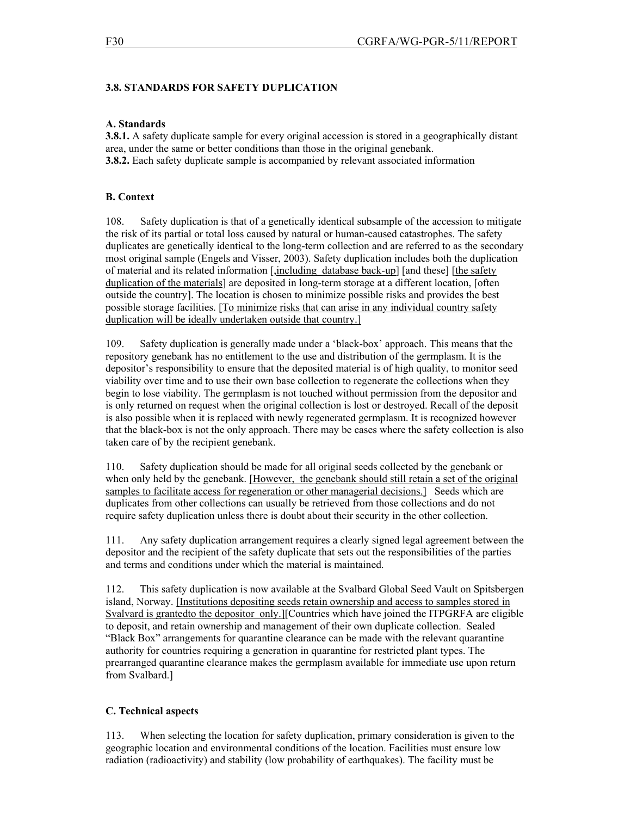## **3.8. STANDARDS FOR SAFETY DUPLICATION**

### **A. Standards**

**3.8.1.** A safety duplicate sample for every original accession is stored in a geographically distant area, under the same or better conditions than those in the original genebank. **3.8.2.** Each safety duplicate sample is accompanied by relevant associated information

### **B. Context**

108. Safety duplication is that of a genetically identical subsample of the accession to mitigate the risk of its partial or total loss caused by natural or human-caused catastrophes. The safety duplicates are genetically identical to the long-term collection and are referred to as the secondary most original sample (Engels and Visser, 2003). Safety duplication includes both the duplication of material and its related information [,including database back-up] [and these] [the safety duplication of the materials] are deposited in long-term storage at a different location, [often outside the country]. The location is chosen to minimize possible risks and provides the best possible storage facilities. [To minimize risks that can arise in any individual country safety duplication will be ideally undertaken outside that country.]

109. Safety duplication is generally made under a 'black-box' approach. This means that the repository genebank has no entitlement to the use and distribution of the germplasm. It is the depositor's responsibility to ensure that the deposited material is of high quality, to monitor seed viability over time and to use their own base collection to regenerate the collections when they begin to lose viability. The germplasm is not touched without permission from the depositor and is only returned on request when the original collection is lost or destroyed. Recall of the deposit is also possible when it is replaced with newly regenerated germplasm. It is recognized however that the black-box is not the only approach. There may be cases where the safety collection is also taken care of by the recipient genebank.

110. Safety duplication should be made for all original seeds collected by the genebank or when only held by the genebank. [However, the genebank should still retain a set of the original samples to facilitate access for regeneration or other managerial decisions.] Seeds which are duplicates from other collections can usually be retrieved from those collections and do not require safety duplication unless there is doubt about their security in the other collection.

111. Any safety duplication arrangement requires a clearly signed legal agreement between the depositor and the recipient of the safety duplicate that sets out the responsibilities of the parties and terms and conditions under which the material is maintained.

112. This safety duplication is now available at the Svalbard Global Seed Vault on Spitsbergen island, Norway. [Institutions depositing seeds retain ownership and access to samples stored in Svalvard is grantedto the depositor only.][Countries which have joined the ITPGRFA are eligible to deposit, and retain ownership and management of their own duplicate collection. Sealed "Black Box" arrangements for quarantine clearance can be made with the relevant quarantine authority for countries requiring a generation in quarantine for restricted plant types. The prearranged quarantine clearance makes the germplasm available for immediate use upon return from Svalbard.]

# **C. Technical aspects**

113. When selecting the location for safety duplication, primary consideration is given to the geographic location and environmental conditions of the location. Facilities must ensure low radiation (radioactivity) and stability (low probability of earthquakes). The facility must be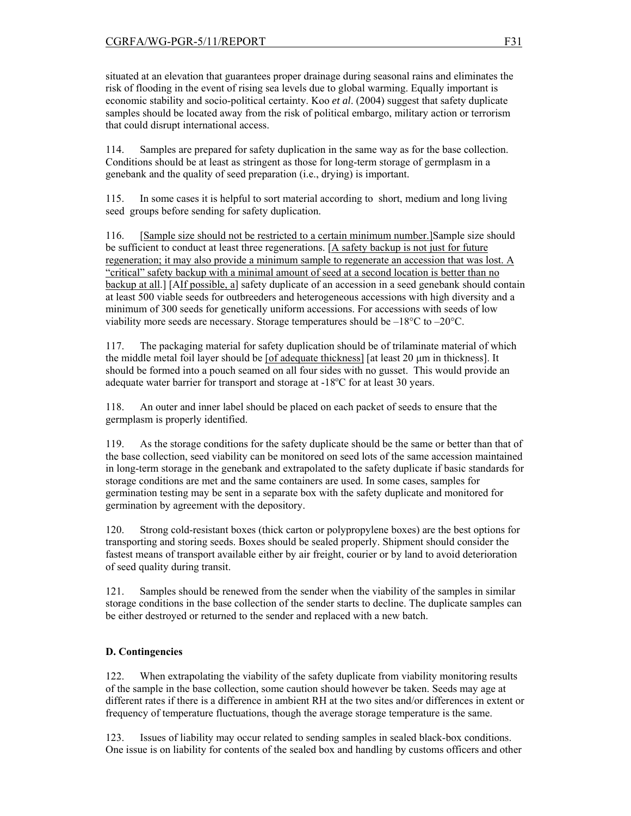situated at an elevation that guarantees proper drainage during seasonal rains and eliminates the risk of flooding in the event of rising sea levels due to global warming. Equally important is economic stability and socio-political certainty. Koo *et al*. (2004) suggest that safety duplicate samples should be located away from the risk of political embargo, military action or terrorism that could disrupt international access.

114. Samples are prepared for safety duplication in the same way as for the base collection. Conditions should be at least as stringent as those for long-term storage of germplasm in a genebank and the quality of seed preparation (i.e., drying) is important.

115. In some cases it is helpful to sort material according to short, medium and long living seed groups before sending for safety duplication.

116. [Sample size should not be restricted to a certain minimum number.]Sample size should be sufficient to conduct at least three regenerations. [A safety backup is not just for future regeneration; it may also provide a minimum sample to regenerate an accession that was lost. A "critical" safety backup with a minimal amount of seed at a second location is better than no backup at all.] [AIf possible, a] safety duplicate of an accession in a seed genebank should contain at least 500 viable seeds for outbreeders and heterogeneous accessions with high diversity and a minimum of 300 seeds for genetically uniform accessions. For accessions with seeds of low viability more seeds are necessary. Storage temperatures should be –18°C to –20°C.

117. The packaging material for safety duplication should be of trilaminate material of which the middle metal foil layer should be [of adequate thickness] [at least 20 μm in thickness]. It should be formed into a pouch seamed on all four sides with no gusset. This would provide an adequate water barrier for transport and storage at  $-18^{\circ}$ C for at least 30 years.

118. An outer and inner label should be placed on each packet of seeds to ensure that the germplasm is properly identified.

119. As the storage conditions for the safety duplicate should be the same or better than that of the base collection, seed viability can be monitored on seed lots of the same accession maintained in long-term storage in the genebank and extrapolated to the safety duplicate if basic standards for storage conditions are met and the same containers are used. In some cases, samples for germination testing may be sent in a separate box with the safety duplicate and monitored for germination by agreement with the depository.

120. Strong cold-resistant boxes (thick carton or polypropylene boxes) are the best options for transporting and storing seeds. Boxes should be sealed properly. Shipment should consider the fastest means of transport available either by air freight, courier or by land to avoid deterioration of seed quality during transit.

121. Samples should be renewed from the sender when the viability of the samples in similar storage conditions in the base collection of the sender starts to decline. The duplicate samples can be either destroyed or returned to the sender and replaced with a new batch.

# **D. Contingencies**

122. When extrapolating the viability of the safety duplicate from viability monitoring results of the sample in the base collection, some caution should however be taken. Seeds may age at different rates if there is a difference in ambient RH at the two sites and/or differences in extent or frequency of temperature fluctuations, though the average storage temperature is the same.

123. Issues of liability may occur related to sending samples in sealed black-box conditions. One issue is on liability for contents of the sealed box and handling by customs officers and other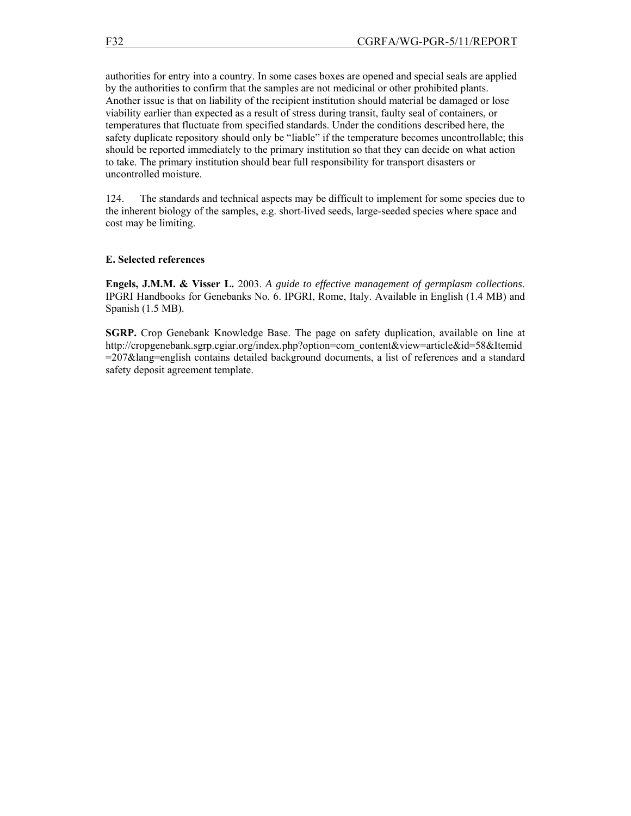authorities for entry into a country. In some cases boxes are opened and special seals are applied by the authorities to confirm that the samples are not medicinal or other prohibited plants. Another issue is that on liability of the recipient institution should material be damaged or lose viability earlier than expected as a result of stress during transit, faulty seal of containers, or temperatures that fluctuate from specified standards. Under the conditions described here, the safety duplicate repository should only be "liable" if the temperature becomes uncontrollable; this should be reported immediately to the primary institution so that they can decide on what action to take. The primary institution should bear full responsibility for transport disasters or uncontrolled moisture.

124. The standards and technical aspects may be difficult to implement for some species due to the inherent biology of the samples, e.g. short-lived seeds, large-seeded species where space and cost may be limiting.

#### **E. Selected references**

**Engels, J.M.M. & Visser L.** 2003. *A guide to effective management of germplasm collections*. IPGRI Handbooks for Genebanks No. 6. IPGRI, Rome, Italy. Available in English (1.4 MB) and Spanish (1.5 MB).

**SGRP.** Crop Genebank Knowledge Base. The page on safety duplication, available on line at http://cropgenebank.sgrp.cgiar.org/index.php?option=com\_content&view=article&id=58&Itemid  $=$ 207 $\&$ lang=english contains detailed background documents, a list of references and a standard safety deposit agreement template.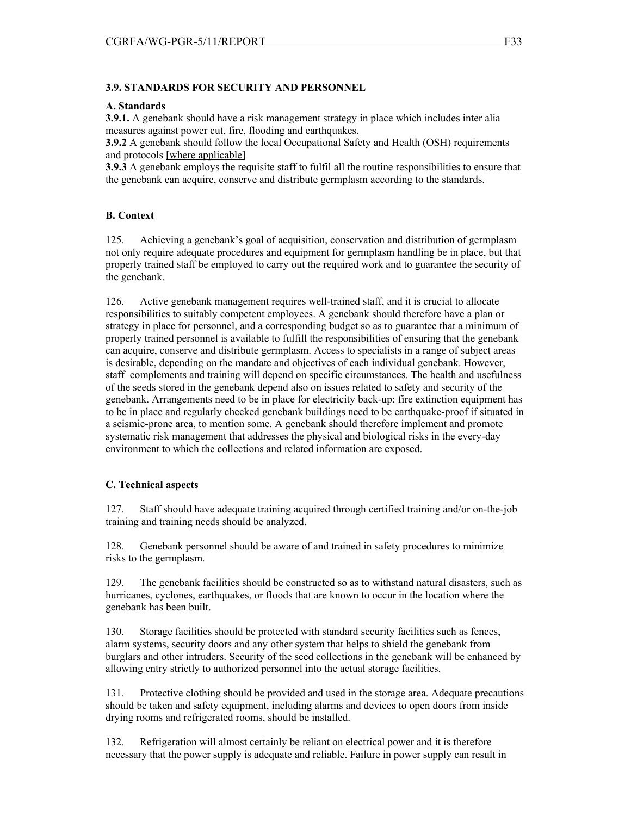### **3.9. STANDARDS FOR SECURITY AND PERSONNEL**

### **A. Standards**

**3.9.1.** A genebank should have a risk management strategy in place which includes inter alia measures against power cut, fire, flooding and earthquakes.

**3.9.2** A genebank should follow the local Occupational Safety and Health (OSH) requirements and protocols [where applicable]

**3.9.3** A genebank employs the requisite staff to fulfil all the routine responsibilities to ensure that the genebank can acquire, conserve and distribute germplasm according to the standards.

## **B. Context**

125. Achieving a genebank's goal of acquisition, conservation and distribution of germplasm not only require adequate procedures and equipment for germplasm handling be in place, but that properly trained staff be employed to carry out the required work and to guarantee the security of the genebank.

126. Active genebank management requires well-trained staff, and it is crucial to allocate responsibilities to suitably competent employees. A genebank should therefore have a plan or strategy in place for personnel, and a corresponding budget so as to guarantee that a minimum of properly trained personnel is available to fulfill the responsibilities of ensuring that the genebank can acquire, conserve and distribute germplasm. Access to specialists in a range of subject areas is desirable, depending on the mandate and objectives of each individual genebank. However, staff complements and training will depend on specific circumstances. The health and usefulness of the seeds stored in the genebank depend also on issues related to safety and security of the genebank. Arrangements need to be in place for electricity back-up; fire extinction equipment has to be in place and regularly checked genebank buildings need to be earthquake-proof if situated in a seismic-prone area, to mention some. A genebank should therefore implement and promote systematic risk management that addresses the physical and biological risks in the every-day environment to which the collections and related information are exposed.

# **C. Technical aspects**

127. Staff should have adequate training acquired through certified training and/or on-the-job training and training needs should be analyzed.

128. Genebank personnel should be aware of and trained in safety procedures to minimize risks to the germplasm.

129. The genebank facilities should be constructed so as to withstand natural disasters, such as hurricanes, cyclones, earthquakes, or floods that are known to occur in the location where the genebank has been built.

130. Storage facilities should be protected with standard security facilities such as fences, alarm systems, security doors and any other system that helps to shield the genebank from burglars and other intruders. Security of the seed collections in the genebank will be enhanced by allowing entry strictly to authorized personnel into the actual storage facilities.

131. Protective clothing should be provided and used in the storage area. Adequate precautions should be taken and safety equipment, including alarms and devices to open doors from inside drying rooms and refrigerated rooms, should be installed.

132. Refrigeration will almost certainly be reliant on electrical power and it is therefore necessary that the power supply is adequate and reliable. Failure in power supply can result in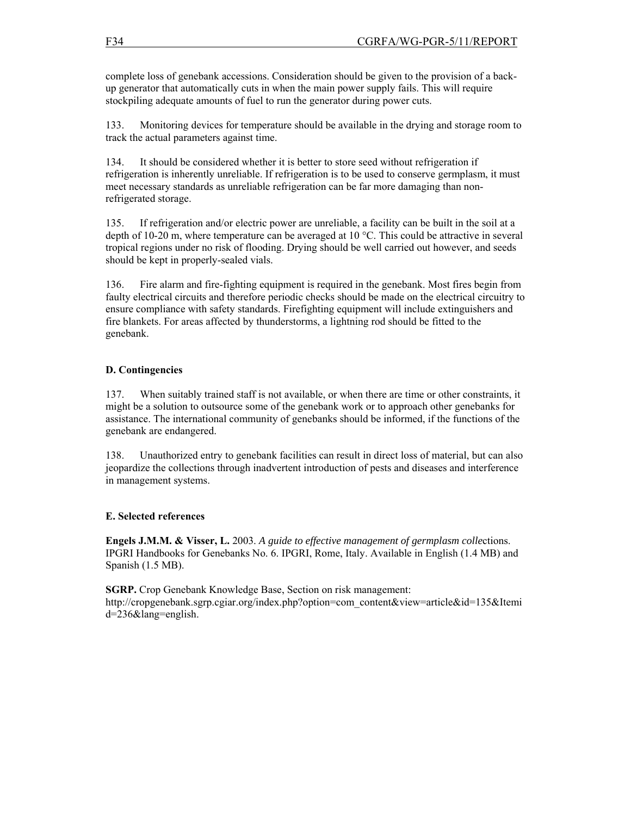complete loss of genebank accessions. Consideration should be given to the provision of a backup generator that automatically cuts in when the main power supply fails. This will require stockpiling adequate amounts of fuel to run the generator during power cuts.

133. Monitoring devices for temperature should be available in the drying and storage room to track the actual parameters against time.

134. It should be considered whether it is better to store seed without refrigeration if refrigeration is inherently unreliable. If refrigeration is to be used to conserve germplasm, it must meet necessary standards as unreliable refrigeration can be far more damaging than nonrefrigerated storage.

135. If refrigeration and/or electric power are unreliable, a facility can be built in the soil at a depth of 10-20 m, where temperature can be averaged at 10 °C. This could be attractive in several tropical regions under no risk of flooding. Drying should be well carried out however, and seeds should be kept in properly-sealed vials.

136. Fire alarm and fire-fighting equipment is required in the genebank. Most fires begin from faulty electrical circuits and therefore periodic checks should be made on the electrical circuitry to ensure compliance with safety standards. Firefighting equipment will include extinguishers and fire blankets. For areas affected by thunderstorms, a lightning rod should be fitted to the genebank.

### **D. Contingencies**

137. When suitably trained staff is not available, or when there are time or other constraints, it might be a solution to outsource some of the genebank work or to approach other genebanks for assistance. The international community of genebanks should be informed, if the functions of the genebank are endangered.

138. Unauthorized entry to genebank facilities can result in direct loss of material, but can also jeopardize the collections through inadvertent introduction of pests and diseases and interference in management systems.

### **E. Selected references**

**Engels J.M.M. & Visser, L.** 2003. *A guide to effective management of germplasm colle*ctions. IPGRI Handbooks for Genebanks No. 6. IPGRI, Rome, Italy. Available in English (1.4 MB) and Spanish (1.5 MB).

**SGRP.** Crop Genebank Knowledge Base, Section on risk management: http://cropgenebank.sgrp.cgiar.org/index.php?option=com\_content&view=article&id=135&Itemi d=236&lang=english.